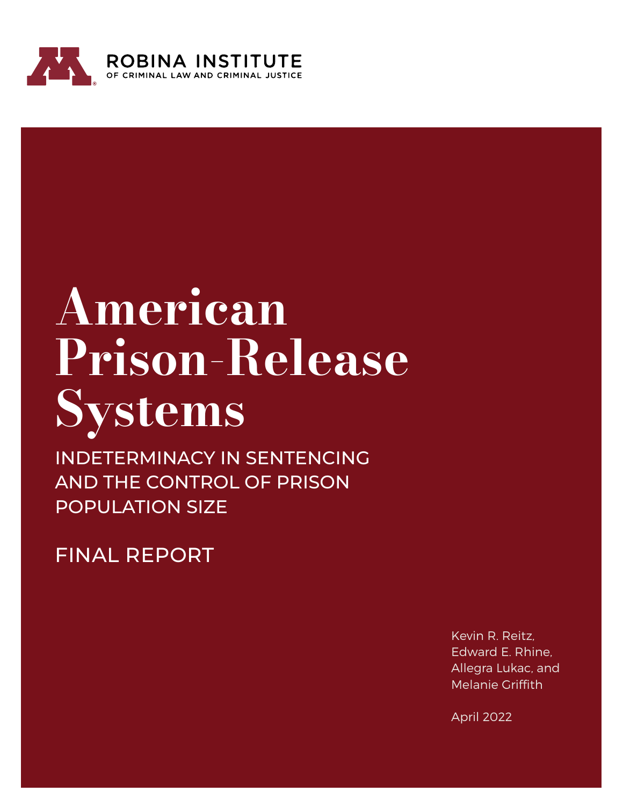

## American Prison-Release Systems

INDETERMINACY IN SENTENCING AND THE CONTROL OF PRISON POPULATION SIZE

FINAL REPORT

Kevin R. Reitz, Edward E. Rhine, Allegra Lukac, and Melanie Griffith

April 2022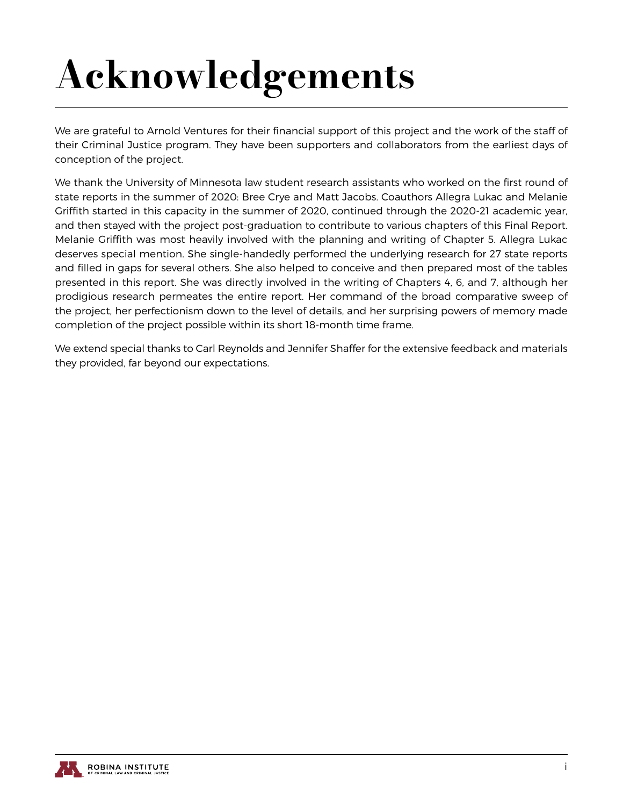## Acknowledgements

We are grateful to Arnold Ventures for their financial support of this project and the work of the staff of their Criminal Justice program. They have been supporters and collaborators from the earliest days of conception of the project.

We thank the University of Minnesota law student research assistants who worked on the first round of state reports in the summer of 2020: Bree Crye and Matt Jacobs. Coauthors Allegra Lukac and Melanie Griffith started in this capacity in the summer of 2020, continued through the 2020-21 academic year, and then stayed with the project post-graduation to contribute to various chapters of this Final Report. Melanie Griffith was most heavily involved with the planning and writing of Chapter 5. Allegra Lukac deserves special mention. She single-handedly performed the underlying research for 27 state reports and filled in gaps for several others. She also helped to conceive and then prepared most of the tables presented in this report. She was directly involved in the writing of Chapters 4, 6, and 7, although her prodigious research permeates the entire report. Her command of the broad comparative sweep of the project, her perfectionism down to the level of details, and her surprising powers of memory made completion of the project possible within its short 18-month time frame.

We extend special thanks to Carl Reynolds and Jennifer Shaffer for the extensive feedback and materials they provided, far beyond our expectations.

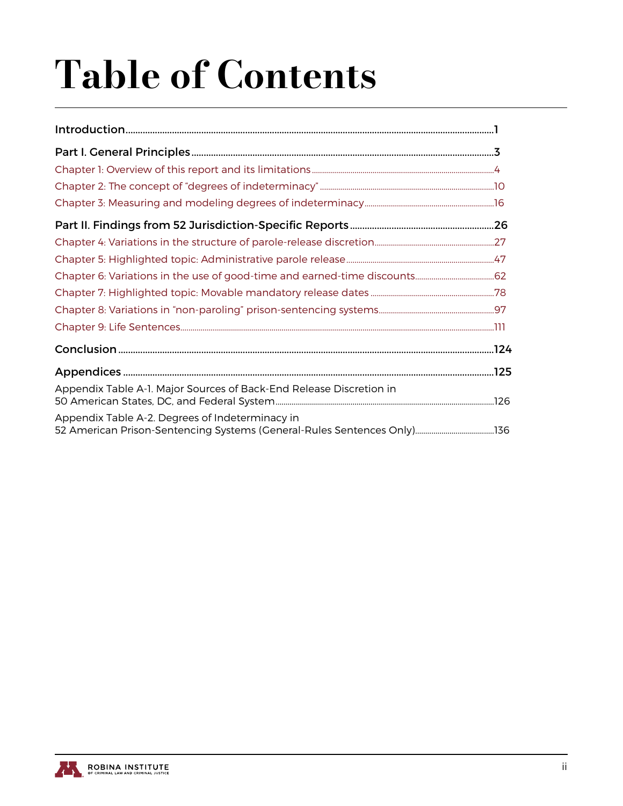## Table of Contents

| Appendix Table A-1. Major Sources of Back-End Release Discretion in |  |
|---------------------------------------------------------------------|--|
| Appendix Table A-2. Degrees of Indeterminacy in                     |  |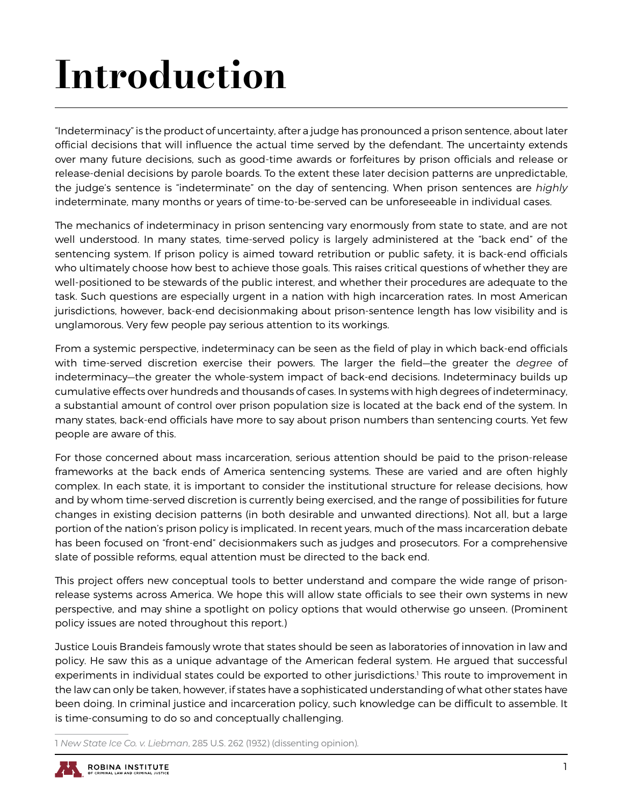## <span id="page-3-0"></span>Introduction

"Indeterminacy" is the product of uncertainty, after a judge has pronounced a prison sentence, about later official decisions that will influence the actual time served by the defendant. The uncertainty extends over many future decisions, such as good-time awards or forfeitures by prison officials and release or release-denial decisions by parole boards. To the extent these later decision patterns are unpredictable, the judge's sentence is "indeterminate" on the day of sentencing. When prison sentences are *highly* indeterminate, many months or years of time-to-be-served can be unforeseeable in individual cases.

The mechanics of indeterminacy in prison sentencing vary enormously from state to state, and are not well understood. In many states, time-served policy is largely administered at the "back end" of the sentencing system. If prison policy is aimed toward retribution or public safety, it is back-end officials who ultimately choose how best to achieve those goals. This raises critical questions of whether they are well-positioned to be stewards of the public interest, and whether their procedures are adequate to the task. Such questions are especially urgent in a nation with high incarceration rates. In most American jurisdictions, however, back-end decisionmaking about prison-sentence length has low visibility and is unglamorous. Very few people pay serious attention to its workings.

From a systemic perspective, indeterminacy can be seen as the field of play in which back-end officials with time-served discretion exercise their powers. The larger the field—the greater the *degree* of indeterminacy—the greater the whole-system impact of back-end decisions. Indeterminacy builds up cumulative effects over hundreds and thousands of cases. In systems with high degrees of indeterminacy, a substantial amount of control over prison population size is located at the back end of the system. In many states, back-end officials have more to say about prison numbers than sentencing courts. Yet few people are aware of this.

For those concerned about mass incarceration, serious attention should be paid to the prison-release frameworks at the back ends of America sentencing systems. These are varied and are often highly complex. In each state, it is important to consider the institutional structure for release decisions, how and by whom time-served discretion is currently being exercised, and the range of possibilities for future changes in existing decision patterns (in both desirable and unwanted directions). Not all, but a large portion of the nation's prison policy is implicated. In recent years, much of the mass incarceration debate has been focused on "front-end" decisionmakers such as judges and prosecutors. For a comprehensive slate of possible reforms, equal attention must be directed to the back end.

This project offers new conceptual tools to better understand and compare the wide range of prisonrelease systems across America. We hope this will allow state officials to see their own systems in new perspective, and may shine a spotlight on policy options that would otherwise go unseen. (Prominent policy issues are noted throughout this report.)

Justice Louis Brandeis famously wrote that states should be seen as laboratories of innovation in law and policy. He saw this as a unique advantage of the American federal system. He argued that successful experiments in individual states could be exported to other jurisdictions.<sup>1</sup> This route to improvement in the law can only be taken, however, if states have a sophisticated understanding of what other states have been doing. In criminal justice and incarceration policy, such knowledge can be difficult to assemble. It is time-consuming to do so and conceptually challenging.

1 *New State Ice Co. v. Liebman*, 285 U.S. 262 (1932) (dissenting opinion).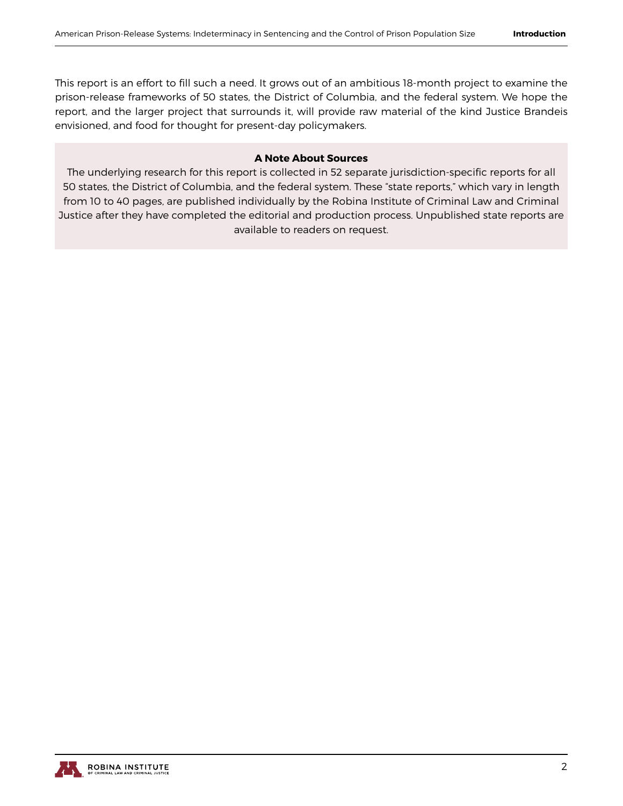This report is an effort to fill such a need. It grows out of an ambitious 18-month project to examine the prison-release frameworks of 50 states, the District of Columbia, and the federal system. We hope the report, and the larger project that surrounds it, will provide raw material of the kind Justice Brandeis envisioned, and food for thought for present-day policymakers.

#### **A Note About Sources**

The underlying research for this report is collected in 52 separate jurisdiction-specific reports for all 50 states, the District of Columbia, and the federal system. These "state reports," which vary in length from 10 to 40 pages, are published individually by the Robina Institute of Criminal Law and Criminal Justice after they have completed the editorial and production process. Unpublished state reports are available to readers on request.

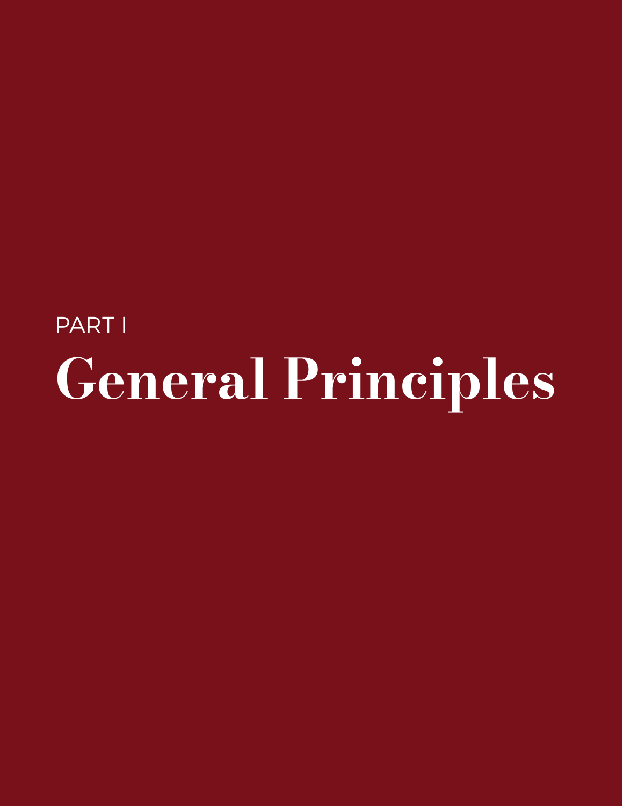## <span id="page-5-0"></span>PART I General Principles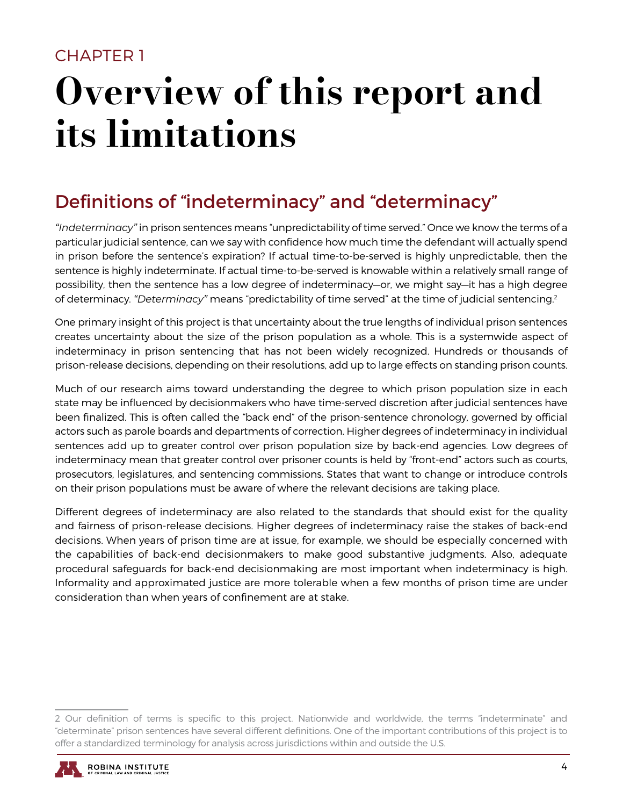### <span id="page-6-0"></span>CHAPTER 1

## Overview of this report and its limitations

## Definitions of "indeterminacy" and "determinacy"

*"Indeterminacy"* in prison sentences means "unpredictability of time served." Once we know the terms of a particular judicial sentence, can we say with confidence how much time the defendant will actually spend in prison before the sentence's expiration? If actual time-to-be-served is highly unpredictable, then the sentence is highly indeterminate. If actual time-to-be-served is knowable within a relatively small range of possibility, then the sentence has a low degree of indeterminacy—or, we might say—it has a high degree of determinacy. *"Determinacy"* means "predictability of time served" at the time of judicial sentencing.2

One primary insight of this project is that uncertainty about the true lengths of individual prison sentences creates uncertainty about the size of the prison population as a whole. This is a systemwide aspect of indeterminacy in prison sentencing that has not been widely recognized. Hundreds or thousands of prison-release decisions, depending on their resolutions, add up to large effects on standing prison counts.

Much of our research aims toward understanding the degree to which prison population size in each state may be influenced by decisionmakers who have time-served discretion after judicial sentences have been finalized. This is often called the "back end" of the prison-sentence chronology, governed by official actors such as parole boards and departments of correction. Higher degrees of indeterminacy in individual sentences add up to greater control over prison population size by back-end agencies. Low degrees of indeterminacy mean that greater control over prisoner counts is held by "front-end" actors such as courts, prosecutors, legislatures, and sentencing commissions. States that want to change or introduce controls on their prison populations must be aware of where the relevant decisions are taking place.

Different degrees of indeterminacy are also related to the standards that should exist for the quality and fairness of prison-release decisions. Higher degrees of indeterminacy raise the stakes of back-end decisions. When years of prison time are at issue, for example, we should be especially concerned with the capabilities of back-end decisionmakers to make good substantive judgments. Also, adequate procedural safeguards for back-end decisionmaking are most important when indeterminacy is high. Informality and approximated justice are more tolerable when a few months of prison time are under consideration than when years of confinement are at stake.

<sup>2</sup> Our definition of terms is specific to this project. Nationwide and worldwide, the terms "indeterminate" and "determinate" prison sentences have several different definitions. One of the important contributions of this project is to offer a standardized terminology for analysis across jurisdictions within and outside the U.S.

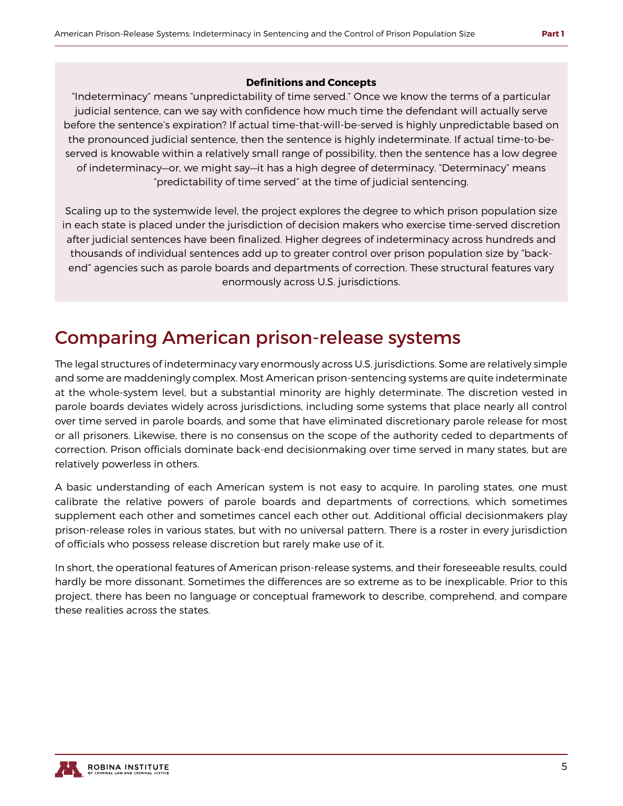#### **Definitions and Concepts**

"Indeterminacy" means "unpredictability of time served." Once we know the terms of a particular judicial sentence, can we say with confidence how much time the defendant will actually serve before the sentence's expiration? If actual time-that-will-be-served is highly unpredictable based on the pronounced judicial sentence, then the sentence is highly indeterminate. If actual time-to-beserved is knowable within a relatively small range of possibility, then the sentence has a low degree of indeterminacy—or, we might say—it has a high degree of determinacy. "Determinacy" means "predictability of time served" at the time of judicial sentencing.

Scaling up to the systemwide level, the project explores the degree to which prison population size in each state is placed under the jurisdiction of decision makers who exercise time-served discretion after judicial sentences have been finalized. Higher degrees of indeterminacy across hundreds and thousands of individual sentences add up to greater control over prison population size by "backend" agencies such as parole boards and departments of correction. These structural features vary enormously across U.S. jurisdictions.

### Comparing American prison-release systems

The legal structures of indeterminacy vary enormously across U.S. jurisdictions. Some are relatively simple and some are maddeningly complex. Most American prison-sentencing systems are quite indeterminate at the whole-system level, but a substantial minority are highly determinate. The discretion vested in parole boards deviates widely across jurisdictions, including some systems that place nearly all control over time served in parole boards, and some that have eliminated discretionary parole release for most or all prisoners. Likewise, there is no consensus on the scope of the authority ceded to departments of correction. Prison officials dominate back-end decisionmaking over time served in many states, but are relatively powerless in others.

A basic understanding of each American system is not easy to acquire. In paroling states, one must calibrate the relative powers of parole boards and departments of corrections, which sometimes supplement each other and sometimes cancel each other out. Additional official decisionmakers play prison-release roles in various states, but with no universal pattern. There is a roster in every jurisdiction of officials who possess release discretion but rarely make use of it.

In short, the operational features of American prison-release systems, and their foreseeable results, could hardly be more dissonant. Sometimes the differences are so extreme as to be inexplicable. Prior to this project, there has been no language or conceptual framework to describe, comprehend, and compare these realities across the states.

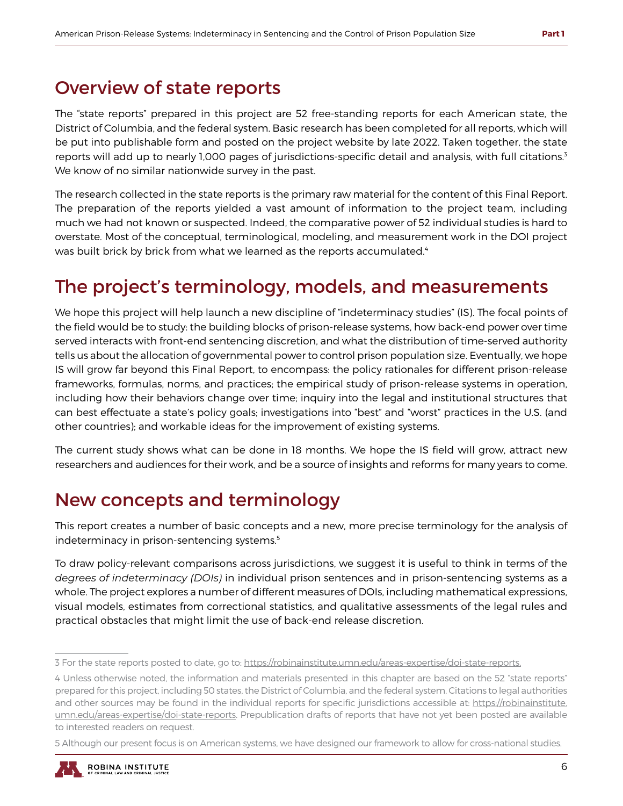### Overview of state reports

The "state reports" prepared in this project are 52 free-standing reports for each American state, the District of Columbia, and the federal system. Basic research has been completed for all reports, which will be put into publishable form and posted on the project website by late 2022. Taken together, the state reports will add up to nearly 1,000 pages of jurisdictions-specific detail and analysis, with full citations.3 We know of no similar nationwide survey in the past.

The research collected in the state reports is the primary raw material for the content of this Final Report. The preparation of the reports yielded a vast amount of information to the project team, including much we had not known or suspected. Indeed, the comparative power of 52 individual studies is hard to overstate. Most of the conceptual, terminological, modeling, and measurement work in the DOI project was built brick by brick from what we learned as the reports accumulated.<sup>4</sup>

## The project's terminology, models, and measurements

We hope this project will help launch a new discipline of "indeterminacy studies" (IS). The focal points of the field would be to study: the building blocks of prison-release systems, how back-end power over time served interacts with front-end sentencing discretion, and what the distribution of time-served authority tells us about the allocation of governmental power to control prison population size. Eventually, we hope IS will grow far beyond this Final Report, to encompass: the policy rationales for different prison-release frameworks, formulas, norms, and practices; the empirical study of prison-release systems in operation, including how their behaviors change over time; inquiry into the legal and institutional structures that can best effectuate a state's policy goals; investigations into "best" and "worst" practices in the U.S. (and other countries); and workable ideas for the improvement of existing systems.

The current study shows what can be done in 18 months. We hope the IS field will grow, attract new researchers and audiences for their work, and be a source of insights and reforms for many years to come.

## New concepts and terminology

This report creates a number of basic concepts and a new, more precise terminology for the analysis of indeterminacy in prison-sentencing systems.<sup>5</sup>

To draw policy-relevant comparisons across jurisdictions, we suggest it is useful to think in terms of the *degrees of indeterminacy (DOIs)* in individual prison sentences and in prison-sentencing systems as a whole. The project explores a number of different measures of DOIs, including mathematical expressions, visual models, estimates from correctional statistics, and qualitative assessments of the legal rules and practical obstacles that might limit the use of back-end release discretion.

<sup>5</sup> Although our present focus is on American systems, we have designed our framework to allow for cross-national studies.



<sup>3</sup> For the state reports posted to date, go to: https://robinainstitute.umn.edu/areas-expertise/doi-state-reports.

<sup>4</sup> Unless otherwise noted, the information and materials presented in this chapter are based on the 52 "state reports" prepared for this project, including 50 states, the District of Columbia, and the federal system. Citations to legal authorities and other sources may be found in the individual reports for specific jurisdictions accessible at: https://robinainstitute. umn.edu/areas-expertise/doi-state-reports. Prepublication drafts of reports that have not yet been posted are available to interested readers on request.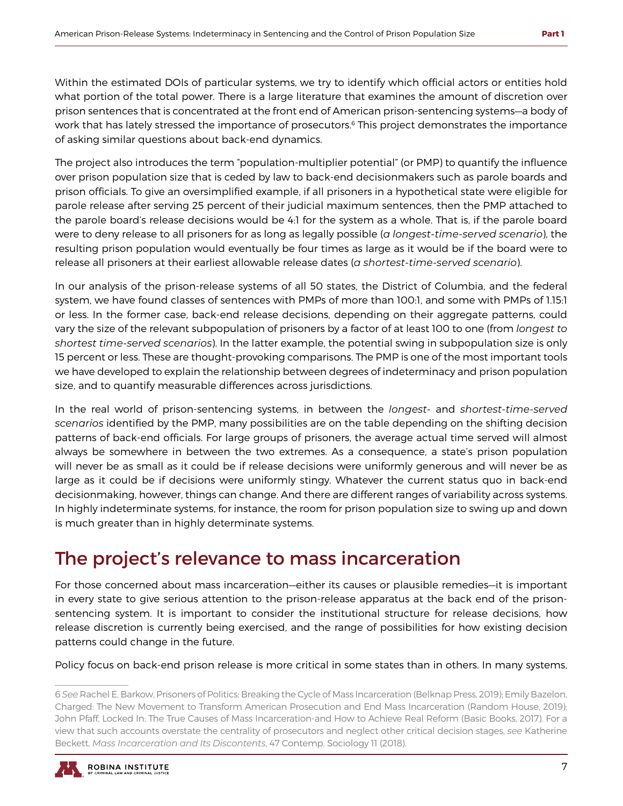Within the estimated DOIs of particular systems, we try to identify which official actors or entities hold what portion of the total power. There is a large literature that examines the amount of discretion over prison sentences that is concentrated at the front end of American prison-sentencing systems—a body of work that has lately stressed the importance of prosecutors.<sup>6</sup> This project demonstrates the importance of asking similar questions about back-end dynamics.

The project also introduces the term "population-multiplier potential" (or PMP) to quantify the influence over prison population size that is ceded by law to back-end decisionmakers such as parole boards and prison officials. To give an oversimplified example, if all prisoners in a hypothetical state were eligible for parole release after serving 25 percent of their judicial maximum sentences, then the PMP attached to the parole board's release decisions would be 4:1 for the system as a whole. That is, if the parole board were to deny release to all prisoners for as long as legally possible (*a longest-time-served scenario*), the resulting prison population would eventually be four times as large as it would be if the board were to release all prisoners at their earliest allowable release dates (*a shortest-time-served scenario*).

In our analysis of the prison-release systems of all 50 states, the District of Columbia, and the federal system, we have found classes of sentences with PMPs of more than 100:1, and some with PMPs of 1.15:1 or less. In the former case, back-end release decisions, depending on their aggregate patterns, could vary the size of the relevant subpopulation of prisoners by a factor of at least 100 to one (from *longest to shortest time-served scenarios*). In the latter example, the potential swing in subpopulation size is only 15 percent or less. These are thought-provoking comparisons. The PMP is one of the most important tools we have developed to explain the relationship between degrees of indeterminacy and prison population size, and to quantify measurable differences across jurisdictions.

In the real world of prison-sentencing systems, in between the *longest-* and *shortest-time-served scenarios* identified by the PMP, many possibilities are on the table depending on the shifting decision patterns of back-end officials. For large groups of prisoners, the average actual time served will almost always be somewhere in between the two extremes. As a consequence, a state's prison population will never be as small as it could be if release decisions were uniformly generous and will never be as large as it could be if decisions were uniformly stingy. Whatever the current status quo in back-end decisionmaking, however, things can change. And there are different ranges of variability across systems. In highly indeterminate systems, for instance, the room for prison population size to swing up and down is much greater than in highly determinate systems.

## The project's relevance to mass incarceration

For those concerned about mass incarceration—either its causes or plausible remedies—it is important in every state to give serious attention to the prison-release apparatus at the back end of the prisonsentencing system. It is important to consider the institutional structure for release decisions, how release discretion is currently being exercised, and the range of possibilities for how existing decision patterns could change in the future.

Policy focus on back-end prison release is more critical in some states than in others. In many systems,

<sup>6</sup> *See* Rachel E. Barkow, Prisoners of Politics: Breaking the Cycle of Mass Incarceration (Belknap Press, 2019); Emily Bazelon, Charged: The New Movement to Transform American Prosecution and End Mass Incarceration (Random House, 2019); John Pfaff, Locked In: The True Causes of Mass Incarceration-and How to Achieve Real Reform (Basic Books, 2017). For a view that such accounts overstate the centrality of prosecutors and neglect other critical decision stages, *see* Katherine Beckett, *Mass Incarceration and Its Discontents*, 47 Contemp. Sociology 11 (2018).

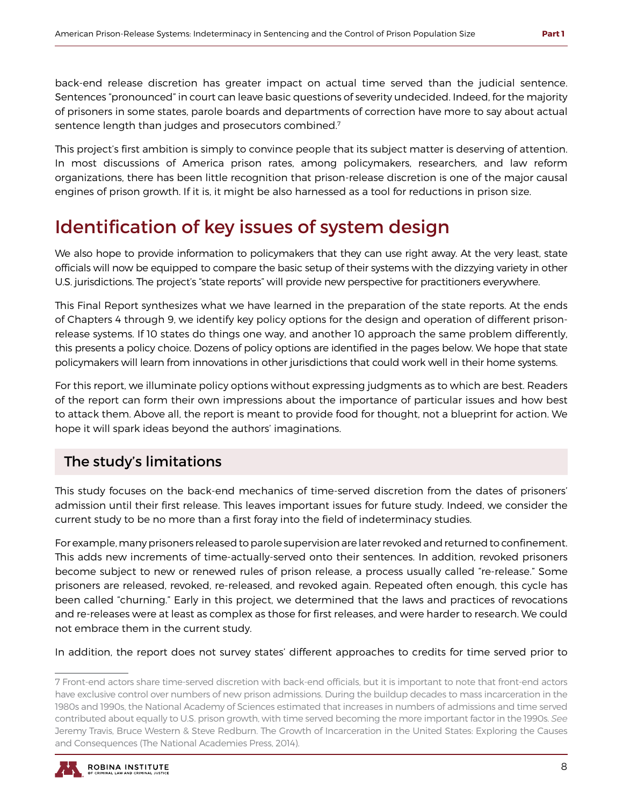back-end release discretion has greater impact on actual time served than the judicial sentence. Sentences "pronounced" in court can leave basic questions of severity undecided. Indeed, for the majority of prisoners in some states, parole boards and departments of correction have more to say about actual sentence length than judges and prosecutors combined.7

This project's first ambition is simply to convince people that its subject matter is deserving of attention. In most discussions of America prison rates, among policymakers, researchers, and law reform organizations, there has been little recognition that prison-release discretion is one of the major causal engines of prison growth. If it is, it might be also harnessed as a tool for reductions in prison size.

### Identification of key issues of system design

We also hope to provide information to policymakers that they can use right away. At the very least, state officials will now be equipped to compare the basic setup of their systems with the dizzying variety in other U.S. jurisdictions. The project's "state reports" will provide new perspective for practitioners everywhere.

This Final Report synthesizes what we have learned in the preparation of the state reports. At the ends of Chapters 4 through 9, we identify key policy options for the design and operation of different prisonrelease systems. If 10 states do things one way, and another 10 approach the same problem differently, this presents a policy choice. Dozens of policy options are identified in the pages below. We hope that state policymakers will learn from innovations in other jurisdictions that could work well in their home systems.

For this report, we illuminate policy options without expressing judgments as to which are best. Readers of the report can form their own impressions about the importance of particular issues and how best to attack them. Above all, the report is meant to provide food for thought, not a blueprint for action. We hope it will spark ideas beyond the authors' imaginations.

#### The study's limitations

This study focuses on the back-end mechanics of time-served discretion from the dates of prisoners' admission until their first release. This leaves important issues for future study. Indeed, we consider the current study to be no more than a first foray into the field of indeterminacy studies.

For example, many prisoners released to parole supervision are later revoked and returned to confinement. This adds new increments of time-actually-served onto their sentences. In addition, revoked prisoners become subject to new or renewed rules of prison release, a process usually called "re-release." Some prisoners are released, revoked, re-released, and revoked again. Repeated often enough, this cycle has been called "churning." Early in this project, we determined that the laws and practices of revocations and re-releases were at least as complex as those for first releases, and were harder to research. We could not embrace them in the current study.

In addition, the report does not survey states' different approaches to credits for time served prior to

<sup>7</sup> Front-end actors share time-served discretion with back-end officials, but it is important to note that front-end actors have exclusive control over numbers of new prison admissions. During the buildup decades to mass incarceration in the 1980s and 1990s, the National Academy of Sciences estimated that increases in numbers of admissions and time served contributed about equally to U.S. prison growth, with time served becoming the more important factor in the 1990s. *See*  Jeremy Travis, Bruce Western & Steve Redburn. The Growth of Incarceration in the United States: Exploring the Causes and Consequences (The National Academies Press, 2014).

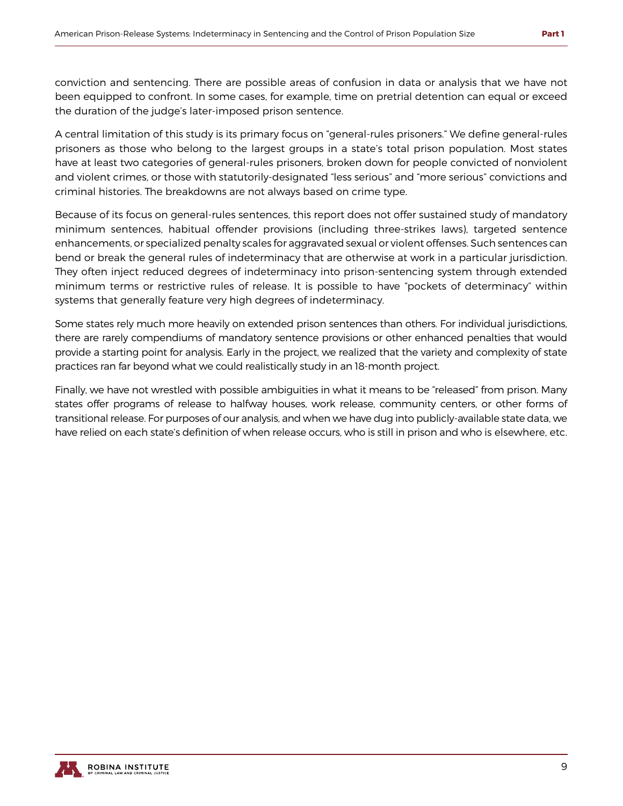conviction and sentencing. There are possible areas of confusion in data or analysis that we have not been equipped to confront. In some cases, for example, time on pretrial detention can equal or exceed the duration of the judge's later-imposed prison sentence.

A central limitation of this study is its primary focus on "general-rules prisoners." We define general-rules prisoners as those who belong to the largest groups in a state's total prison population. Most states have at least two categories of general-rules prisoners, broken down for people convicted of nonviolent and violent crimes, or those with statutorily-designated "less serious" and "more serious" convictions and criminal histories. The breakdowns are not always based on crime type.

Because of its focus on general-rules sentences, this report does not offer sustained study of mandatory minimum sentences, habitual offender provisions (including three-strikes laws), targeted sentence enhancements, or specialized penalty scales for aggravated sexual or violent offenses. Such sentences can bend or break the general rules of indeterminacy that are otherwise at work in a particular jurisdiction. They often inject reduced degrees of indeterminacy into prison-sentencing system through extended minimum terms or restrictive rules of release. It is possible to have "pockets of determinacy" within systems that generally feature very high degrees of indeterminacy.

Some states rely much more heavily on extended prison sentences than others. For individual jurisdictions, there are rarely compendiums of mandatory sentence provisions or other enhanced penalties that would provide a starting point for analysis. Early in the project, we realized that the variety and complexity of state practices ran far beyond what we could realistically study in an 18-month project.

Finally, we have not wrestled with possible ambiguities in what it means to be "released" from prison. Many states offer programs of release to halfway houses, work release, community centers, or other forms of transitional release. For purposes of our analysis, and when we have dug into publicly-available state data, we have relied on each state's definition of when release occurs, who is still in prison and who is elsewhere, etc.

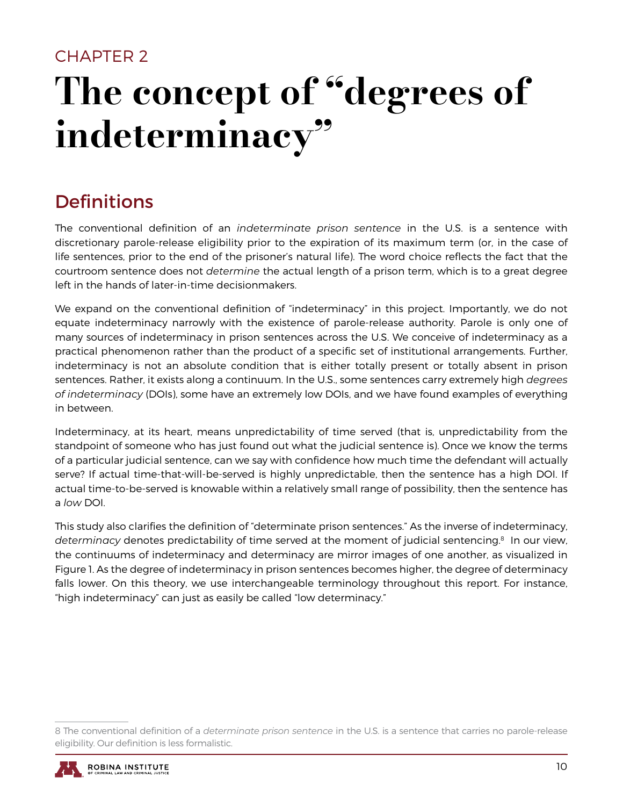## <span id="page-12-0"></span>CHAPTER 2 The concept of "degrees of indeterminacy"

## **Definitions**

The conventional definition of an *indeterminate prison sentence* in the U.S. is a sentence with discretionary parole-release eligibility prior to the expiration of its maximum term (or, in the case of life sentences, prior to the end of the prisoner's natural life). The word choice reflects the fact that the courtroom sentence does not *determine* the actual length of a prison term, which is to a great degree left in the hands of later-in-time decisionmakers.

We expand on the conventional definition of "indeterminacy" in this project. Importantly, we do not equate indeterminacy narrowly with the existence of parole-release authority. Parole is only one of many sources of indeterminacy in prison sentences across the U.S. We conceive of indeterminacy as a practical phenomenon rather than the product of a specific set of institutional arrangements. Further, indeterminacy is not an absolute condition that is either totally present or totally absent in prison sentences. Rather, it exists along a continuum. In the U.S., some sentences carry extremely high *degrees of indeterminacy* (DOIs), some have an extremely low DOIs, and we have found examples of everything in between.

Indeterminacy, at its heart, means unpredictability of time served (that is, unpredictability from the standpoint of someone who has just found out what the judicial sentence is). Once we know the terms of a particular judicial sentence, can we say with confidence how much time the defendant will actually serve? If actual time-that-will-be-served is highly unpredictable, then the sentence has a high DOI. If actual time-to-be-served is knowable within a relatively small range of possibility, then the sentence has a *low* DOI.

This study also clarifies the definition of "determinate prison sentences." As the inverse of indeterminacy, *determinacy* denotes predictability of time served at the moment of judicial sentencing.<sup>8</sup> In our view, the continuums of indeterminacy and determinacy are mirror images of one another, as visualized in Figure 1. As the degree of indeterminacy in prison sentences becomes higher, the degree of determinacy falls lower. On this theory, we use interchangeable terminology throughout this report. For instance, "high indeterminacy" can just as easily be called "low determinacy."

<sup>8</sup> The conventional definition of a *determinate prison sentence* in the U.S. is a sentence that carries no parole-release eligibility. Our definition is less formalistic.

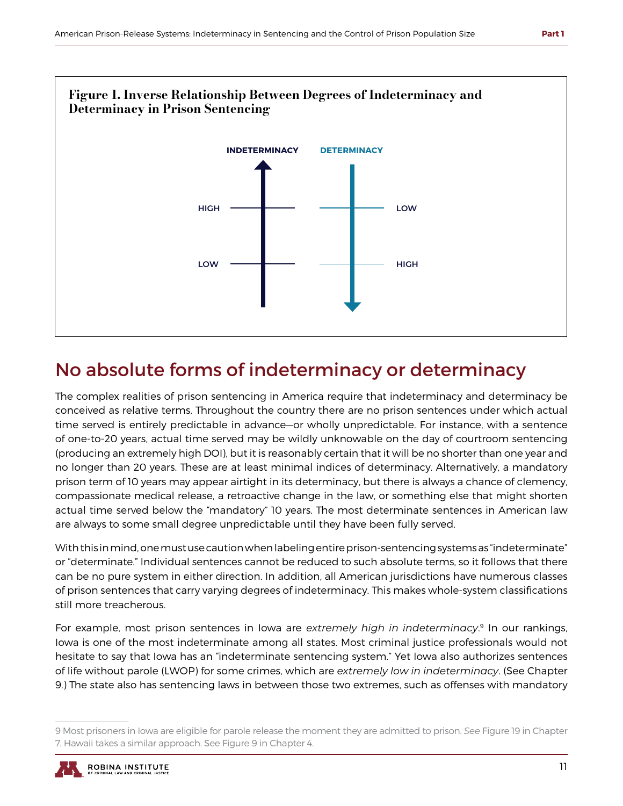

## No absolute forms of indeterminacy or determinacy

The complex realities of prison sentencing in America require that indeterminacy and determinacy be conceived as relative terms. Throughout the country there are no prison sentences under which actual time served is entirely predictable in advance—or wholly unpredictable. For instance, with a sentence of one-to-20 years, actual time served may be wildly unknowable on the day of courtroom sentencing (producing an extremely high DOI), but it is reasonably certain that it will be no shorter than one year and no longer than 20 years. These are at least minimal indices of determinacy. Alternatively, a mandatory prison term of 10 years may appear airtight in its determinacy, but there is always a chance of clemency, compassionate medical release, a retroactive change in the law, or something else that might shorten actual time served below the "mandatory" 10 years. The most determinate sentences in American law are always to some small degree unpredictable until they have been fully served.

With this in mind, one must use caution when labeling entire prison-sentencing systems as "indeterminate" or "determinate." Individual sentences cannot be reduced to such absolute terms, so it follows that there can be no pure system in either direction. In addition, all American jurisdictions have numerous classes of prison sentences that carry varying degrees of indeterminacy. This makes whole-system classifications still more treacherous.

For example, most prison sentences in Iowa are *extremely high in indeterminacy*. 9 In our rankings, Iowa is one of the most indeterminate among all states. Most criminal justice professionals would not hesitate to say that Iowa has an "indeterminate sentencing system." Yet Iowa also authorizes sentences of life without parole (LWOP) for some crimes, which are *extremely low in indeterminacy*. (See Chapter 9.) The state also has sentencing laws in between those two extremes, such as offenses with mandatory

<sup>9</sup> Most prisoners in Iowa are eligible for parole release the moment they are admitted to prison. *See* Figure 19 in Chapter 7. Hawaii takes a similar approach. See Figure 9 in Chapter 4.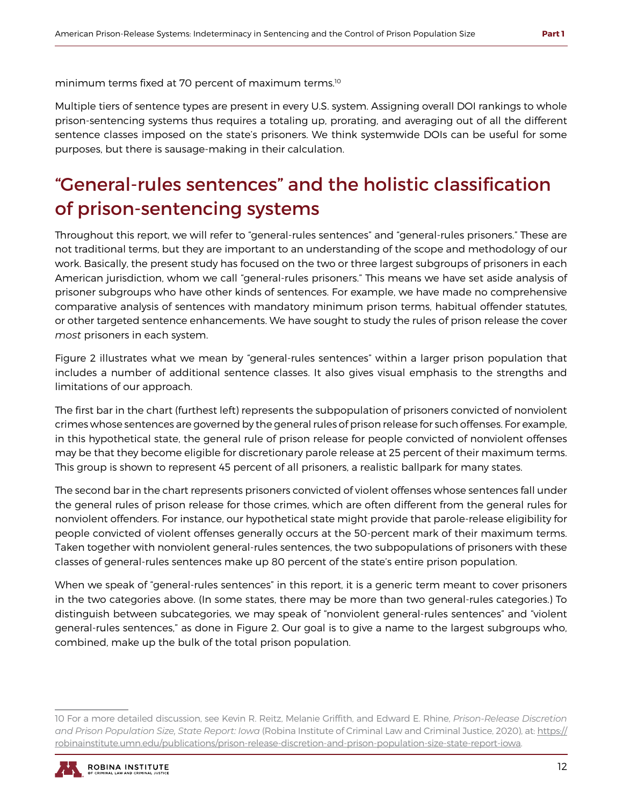minimum terms fixed at 70 percent of maximum terms.10

Multiple tiers of sentence types are present in every U.S. system. Assigning overall DOI rankings to whole prison-sentencing systems thus requires a totaling up, prorating, and averaging out of all the different sentence classes imposed on the state's prisoners. We think systemwide DOIs can be useful for some purposes, but there is sausage-making in their calculation.

## "General-rules sentences" and the holistic classification of prison-sentencing systems

Throughout this report, we will refer to "general-rules sentences" and "general-rules prisoners." These are not traditional terms, but they are important to an understanding of the scope and methodology of our work. Basically, the present study has focused on the two or three largest subgroups of prisoners in each American jurisdiction, whom we call "general-rules prisoners." This means we have set aside analysis of prisoner subgroups who have other kinds of sentences. For example, we have made no comprehensive comparative analysis of sentences with mandatory minimum prison terms, habitual offender statutes, or other targeted sentence enhancements. We have sought to study the rules of prison release the cover *most* prisoners in each system.

Figure 2 illustrates what we mean by "general-rules sentences" within a larger prison population that includes a number of additional sentence classes. It also gives visual emphasis to the strengths and limitations of our approach.

The first bar in the chart (furthest left) represents the subpopulation of prisoners convicted of nonviolent crimes whose sentences are governed by the general rules of prison release for such offenses. For example, in this hypothetical state, the general rule of prison release for people convicted of nonviolent offenses may be that they become eligible for discretionary parole release at 25 percent of their maximum terms. This group is shown to represent 45 percent of all prisoners, a realistic ballpark for many states.

The second bar in the chart represents prisoners convicted of violent offenses whose sentences fall under the general rules of prison release for those crimes, which are often different from the general rules for nonviolent offenders. For instance, our hypothetical state might provide that parole-release eligibility for people convicted of violent offenses generally occurs at the 50-percent mark of their maximum terms. Taken together with nonviolent general-rules sentences, the two subpopulations of prisoners with these classes of general-rules sentences make up 80 percent of the state's entire prison population.

When we speak of "general-rules sentences" in this report, it is a generic term meant to cover prisoners in the two categories above. (In some states, there may be more than two general-rules categories.) To distinguish between subcategories, we may speak of "nonviolent general-rules sentences" and "violent general-rules sentences," as done in Figure 2. Our goal is to give a name to the largest subgroups who, combined, make up the bulk of the total prison population.

<sup>10</sup> For a more detailed discussion, see Kevin R. Reitz, Melanie Griffith, and Edward E. Rhine, *Prison-Release Discretion and Prison Population Size, State Report: Iowa* (Robina Institute of Criminal Law and Criminal Justice, 2020), at: https:// robinainstitute.umn.edu/publications/prison-release-discretion-and-prison-population-size-state-report-iowa.

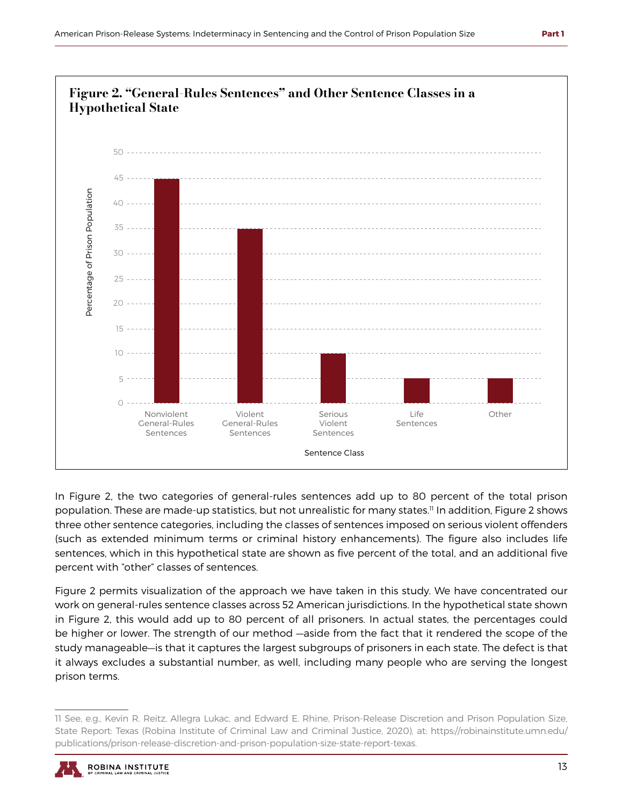

In Figure 2, the two categories of general-rules sentences add up to 80 percent of the total prison population. These are made-up statistics, but not unrealistic for many states.<sup>11</sup> In addition, Figure 2 shows three other sentence categories, including the classes of sentences imposed on serious violent offenders (such as extended minimum terms or criminal history enhancements). The figure also includes life sentences, which in this hypothetical state are shown as five percent of the total, and an additional five percent with "other" classes of sentences.

Figure 2 permits visualization of the approach we have taken in this study. We have concentrated our work on general-rules sentence classes across 52 American jurisdictions. In the hypothetical state shown in Figure 2, this would add up to 80 percent of all prisoners. In actual states, the percentages could be higher or lower. The strength of our method —aside from the fact that it rendered the scope of the study manageable—is that it captures the largest subgroups of prisoners in each state. The defect is that it always excludes a substantial number, as well, including many people who are serving the longest prison terms.

<sup>11</sup> See, e.g., Kevin R. Reitz, Allegra Lukac, and Edward E. Rhine, Prison-Release Discretion and Prison Population Size, State Report: Texas (Robina Institute of Criminal Law and Criminal Justice, 2020), at: https://robinainstitute.umn.edu/ publications/prison-release-discretion-and-prison-population-size-state-report-texas.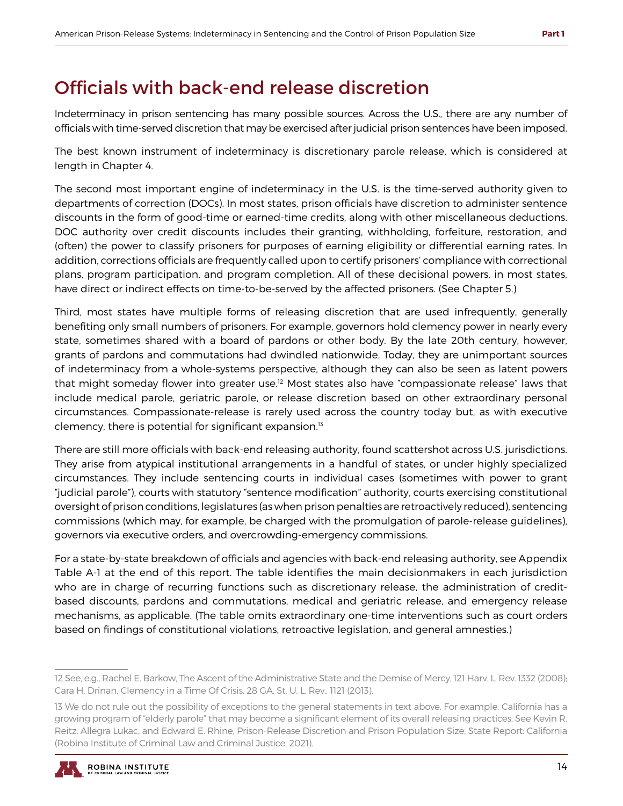### Officials with back-end release discretion

Indeterminacy in prison sentencing has many possible sources. Across the U.S., there are any number of officials with time-served discretion that may be exercised after judicial prison sentences have been imposed.

The best known instrument of indeterminacy is discretionary parole release, which is considered at length in Chapter 4.

The second most important engine of indeterminacy in the U.S. is the time-served authority given to departments of correction (DOCs). In most states, prison officials have discretion to administer sentence discounts in the form of good-time or earned-time credits, along with other miscellaneous deductions. DOC authority over credit discounts includes their granting, withholding, forfeiture, restoration, and (often) the power to classify prisoners for purposes of earning eligibility or differential earning rates. In addition, corrections officials are frequently called upon to certify prisoners' compliance with correctional plans, program participation, and program completion. All of these decisional powers, in most states, have direct or indirect effects on time-to-be-served by the affected prisoners. (See Chapter 5.)

Third, most states have multiple forms of releasing discretion that are used infrequently, generally benefiting only small numbers of prisoners. For example, governors hold clemency power in nearly every state, sometimes shared with a board of pardons or other body. By the late 20th century, however, grants of pardons and commutations had dwindled nationwide. Today, they are unimportant sources of indeterminacy from a whole-systems perspective, although they can also be seen as latent powers that might someday flower into greater use.<sup>12</sup> Most states also have "compassionate release" laws that include medical parole, geriatric parole, or release discretion based on other extraordinary personal circumstances. Compassionate-release is rarely used across the country today but, as with executive clemency, there is potential for significant expansion.13

There are still more officials with back-end releasing authority, found scattershot across U.S. jurisdictions. They arise from atypical institutional arrangements in a handful of states, or under highly specialized circumstances. They include sentencing courts in individual cases (sometimes with power to grant "judicial parole"), courts with statutory "sentence modification" authority, courts exercising constitutional oversight of prison conditions, legislatures (as when prison penalties are retroactively reduced), sentencing commissions (which may, for example, be charged with the promulgation of parole-release guidelines), governors via executive orders, and overcrowding-emergency commissions.

For a state-by-state breakdown of officials and agencies with back-end releasing authority, see Appendix Table A-1 at the end of this report. The table identifies the main decisionmakers in each jurisdiction who are in charge of recurring functions such as discretionary release, the administration of creditbased discounts, pardons and commutations, medical and geriatric release, and emergency release mechanisms, as applicable. (The table omits extraordinary one-time interventions such as court orders based on findings of constitutional violations, retroactive legislation, and general amnesties.)

<sup>13</sup> We do not rule out the possibility of exceptions to the general statements in text above. For example, California has a growing program of "elderly parole" that may become a significant element of its overall releasing practices. See Kevin R. Reitz, Allegra Lukac, and Edward E. Rhine, Prison-Release Discretion and Prison Population Size, State Report: California (Robina Institute of Criminal Law and Criminal Justice, 2021).



<sup>12</sup> See, e.g., Rachel E. Barkow, The Ascent of the Administrative State and the Demise of Mercy, 121 Harv. L. Rev. 1332 (2008); Cara H. Drinan, Clemency in a Time Of Crisis, 28 GA. St. U. L. Rev.. 1121 (2013).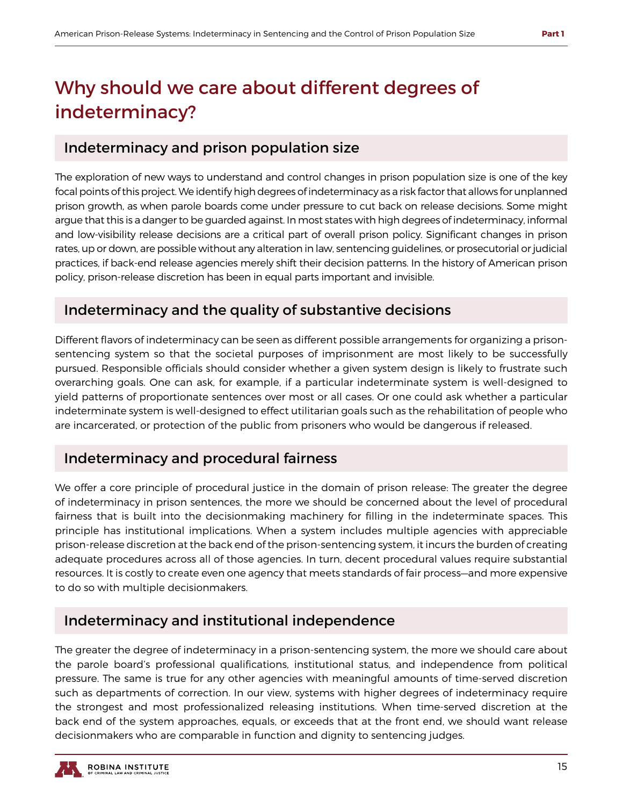## Why should we care about different degrees of indeterminacy?

#### Indeterminacy and prison population size

The exploration of new ways to understand and control changes in prison population size is one of the key focal points of this project. We identify high degrees of indeterminacy as a risk factor that allows for unplanned prison growth, as when parole boards come under pressure to cut back on release decisions. Some might argue that this is a danger to be guarded against. In most states with high degrees of indeterminacy, informal and low-visibility release decisions are a critical part of overall prison policy. Significant changes in prison rates, up or down, are possible without any alteration in law, sentencing guidelines, or prosecutorial or judicial practices, if back-end release agencies merely shift their decision patterns. In the history of American prison policy, prison-release discretion has been in equal parts important and invisible.

### Indeterminacy and the quality of substantive decisions

Different flavors of indeterminacy can be seen as different possible arrangements for organizing a prisonsentencing system so that the societal purposes of imprisonment are most likely to be successfully pursued. Responsible officials should consider whether a given system design is likely to frustrate such overarching goals. One can ask, for example, if a particular indeterminate system is well-designed to yield patterns of proportionate sentences over most or all cases. Or one could ask whether a particular indeterminate system is well-designed to effect utilitarian goals such as the rehabilitation of people who are incarcerated, or protection of the public from prisoners who would be dangerous if released.

### Indeterminacy and procedural fairness

We offer a core principle of procedural justice in the domain of prison release: The greater the degree of indeterminacy in prison sentences, the more we should be concerned about the level of procedural fairness that is built into the decisionmaking machinery for filling in the indeterminate spaces. This principle has institutional implications. When a system includes multiple agencies with appreciable prison-release discretion at the back end of the prison-sentencing system, it incurs the burden of creating adequate procedures across all of those agencies. In turn, decent procedural values require substantial resources. It is costly to create even one agency that meets standards of fair process—and more expensive to do so with multiple decisionmakers.

### Indeterminacy and institutional independence

The greater the degree of indeterminacy in a prison-sentencing system, the more we should care about the parole board's professional qualifications, institutional status, and independence from political pressure. The same is true for any other agencies with meaningful amounts of time-served discretion such as departments of correction. In our view, systems with higher degrees of indeterminacy require the strongest and most professionalized releasing institutions. When time-served discretion at the back end of the system approaches, equals, or exceeds that at the front end, we should want release decisionmakers who are comparable in function and dignity to sentencing judges.

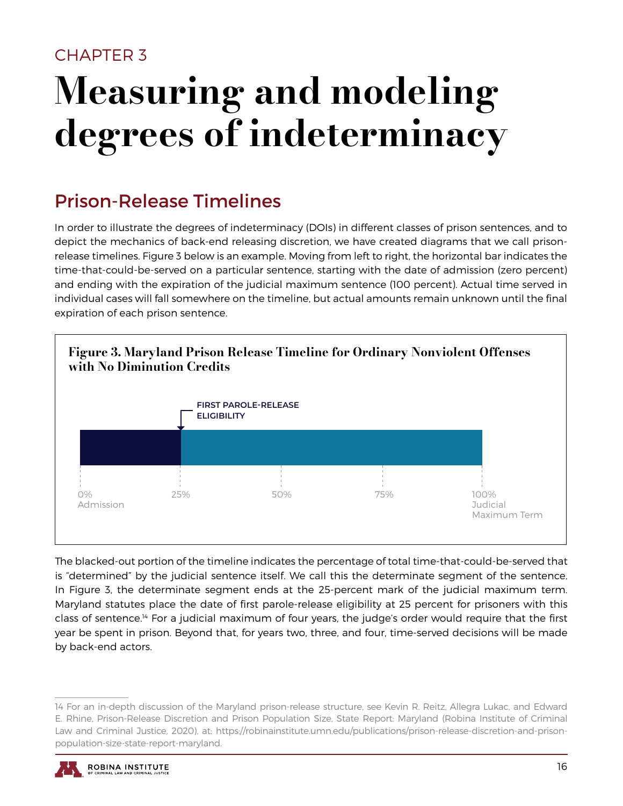### <span id="page-18-0"></span>CHAPTER 3

## Measuring and modeling degrees of indeterminacy

## Prison-Release Timelines

In order to illustrate the degrees of indeterminacy (DOIs) in different classes of prison sentences, and to depict the mechanics of back-end releasing discretion, we have created diagrams that we call prisonrelease timelines. Figure 3 below is an example. Moving from left to right, the horizontal bar indicates the time-that-could-be-served on a particular sentence, starting with the date of admission (zero percent) and ending with the expiration of the judicial maximum sentence (100 percent). Actual time served in individual cases will fall somewhere on the timeline, but actual amounts remain unknown until the final expiration of each prison sentence.



The blacked-out portion of the timeline indicates the percentage of total time-that-could-be-served that is "determined" by the judicial sentence itself. We call this the determinate segment of the sentence. In Figure 3, the determinate segment ends at the 25-percent mark of the judicial maximum term. Maryland statutes place the date of first parole-release eligibility at 25 percent for prisoners with this class of sentence.14 For a judicial maximum of four years, the judge's order would require that the first year be spent in prison. Beyond that, for years two, three, and four, time-served decisions will be made by back-end actors.

<sup>14</sup> For an in-depth discussion of the Maryland prison-release structure, see Kevin R. Reitz, Allegra Lukac, and Edward E. Rhine, Prison-Release Discretion and Prison Population Size, State Report: Maryland (Robina Institute of Criminal Law and Criminal Justice, 2020), at: https://robinainstitute.umn.edu/publications/prison-release-discretion-and-prisonpopulation-size-state-report-maryland.

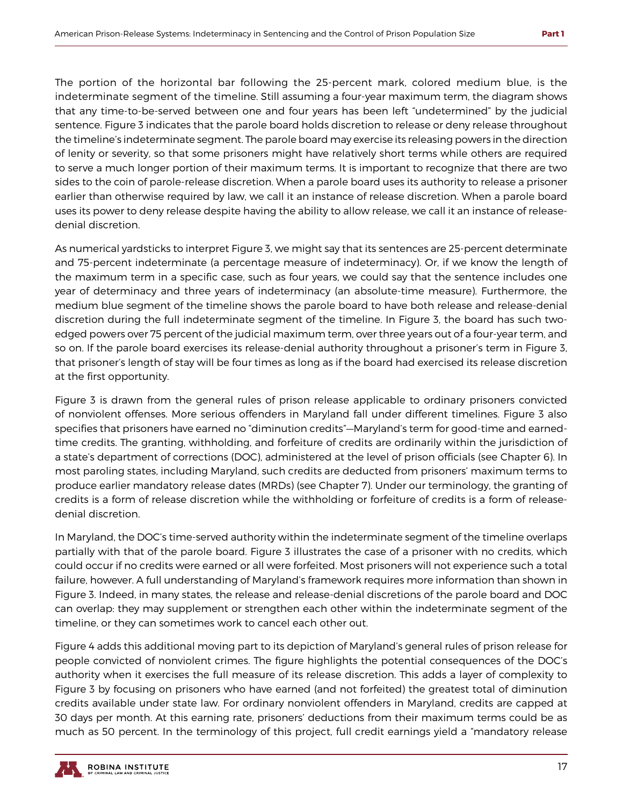The portion of the horizontal bar following the 25-percent mark, colored medium blue, is the indeterminate segment of the timeline. Still assuming a four-year maximum term, the diagram shows that any time-to-be-served between one and four years has been left "undetermined" by the judicial sentence. Figure 3 indicates that the parole board holds discretion to release or deny release throughout the timeline's indeterminate segment. The parole board may exercise its releasing powers in the direction of lenity or severity, so that some prisoners might have relatively short terms while others are required to serve a much longer portion of their maximum terms. It is important to recognize that there are two sides to the coin of parole-release discretion. When a parole board uses its authority to release a prisoner earlier than otherwise required by law, we call it an instance of release discretion. When a parole board uses its power to deny release despite having the ability to allow release, we call it an instance of releasedenial discretion.

As numerical yardsticks to interpret Figure 3, we might say that its sentences are 25-percent determinate and 75-percent indeterminate (a percentage measure of indeterminacy). Or, if we know the length of the maximum term in a specific case, such as four years, we could say that the sentence includes one year of determinacy and three years of indeterminacy (an absolute-time measure). Furthermore, the medium blue segment of the timeline shows the parole board to have both release and release-denial discretion during the full indeterminate segment of the timeline. In Figure 3, the board has such twoedged powers over 75 percent of the judicial maximum term, over three years out of a four-year term, and so on. If the parole board exercises its release-denial authority throughout a prisoner's term in Figure 3, that prisoner's length of stay will be four times as long as if the board had exercised its release discretion at the first opportunity.

Figure 3 is drawn from the general rules of prison release applicable to ordinary prisoners convicted of nonviolent offenses. More serious offenders in Maryland fall under different timelines. Figure 3 also specifies that prisoners have earned no "diminution credits"—Maryland's term for good-time and earnedtime credits. The granting, withholding, and forfeiture of credits are ordinarily within the jurisdiction of a state's department of corrections (DOC), administered at the level of prison officials (see Chapter 6). In most paroling states, including Maryland, such credits are deducted from prisoners' maximum terms to produce earlier mandatory release dates (MRDs) (see Chapter 7). Under our terminology, the granting of credits is a form of release discretion while the withholding or forfeiture of credits is a form of releasedenial discretion.

In Maryland, the DOC's time-served authority within the indeterminate segment of the timeline overlaps partially with that of the parole board. Figure 3 illustrates the case of a prisoner with no credits, which could occur if no credits were earned or all were forfeited. Most prisoners will not experience such a total failure, however. A full understanding of Maryland's framework requires more information than shown in Figure 3. Indeed, in many states, the release and release-denial discretions of the parole board and DOC can overlap: they may supplement or strengthen each other within the indeterminate segment of the timeline, or they can sometimes work to cancel each other out.

Figure 4 adds this additional moving part to its depiction of Maryland's general rules of prison release for people convicted of nonviolent crimes. The figure highlights the potential consequences of the DOC's authority when it exercises the full measure of its release discretion. This adds a layer of complexity to Figure 3 by focusing on prisoners who have earned (and not forfeited) the greatest total of diminution credits available under state law. For ordinary nonviolent offenders in Maryland, credits are capped at 30 days per month. At this earning rate, prisoners' deductions from their maximum terms could be as much as 50 percent. In the terminology of this project, full credit earnings yield a "mandatory release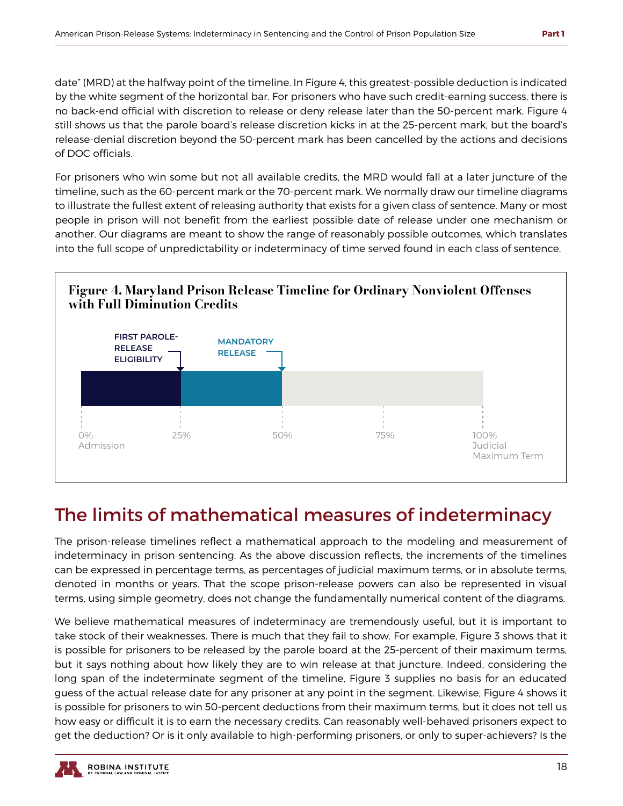date" (MRD) at the halfway point of the timeline. In Figure 4, this greatest-possible deduction is indicated by the white segment of the horizontal bar. For prisoners who have such credit-earning success, there is no back-end official with discretion to release or deny release later than the 50-percent mark. Figure 4 still shows us that the parole board's release discretion kicks in at the 25-percent mark, but the board's release-denial discretion beyond the 50-percent mark has been cancelled by the actions and decisions of DOC officials.

For prisoners who win some but not all available credits, the MRD would fall at a later juncture of the timeline, such as the 60-percent mark or the 70-percent mark. We normally draw our timeline diagrams to illustrate the fullest extent of releasing authority that exists for a given class of sentence. Many or most people in prison will not benefit from the earliest possible date of release under one mechanism or another. Our diagrams are meant to show the range of reasonably possible outcomes, which translates into the full scope of unpredictability or indeterminacy of time served found in each class of sentence.



## The limits of mathematical measures of indeterminacy

The prison-release timelines reflect a mathematical approach to the modeling and measurement of indeterminacy in prison sentencing. As the above discussion reflects, the increments of the timelines can be expressed in percentage terms, as percentages of judicial maximum terms, or in absolute terms, denoted in months or years. That the scope prison-release powers can also be represented in visual terms, using simple geometry, does not change the fundamentally numerical content of the diagrams.

We believe mathematical measures of indeterminacy are tremendously useful, but it is important to take stock of their weaknesses. There is much that they fail to show. For example, Figure 3 shows that it is possible for prisoners to be released by the parole board at the 25-percent of their maximum terms, but it says nothing about how likely they are to win release at that juncture. Indeed, considering the long span of the indeterminate segment of the timeline, Figure 3 supplies no basis for an educated guess of the actual release date for any prisoner at any point in the segment. Likewise, Figure 4 shows it is possible for prisoners to win 50-percent deductions from their maximum terms, but it does not tell us how easy or difficult it is to earn the necessary credits. Can reasonably well-behaved prisoners expect to get the deduction? Or is it only available to high-performing prisoners, or only to super-achievers? Is the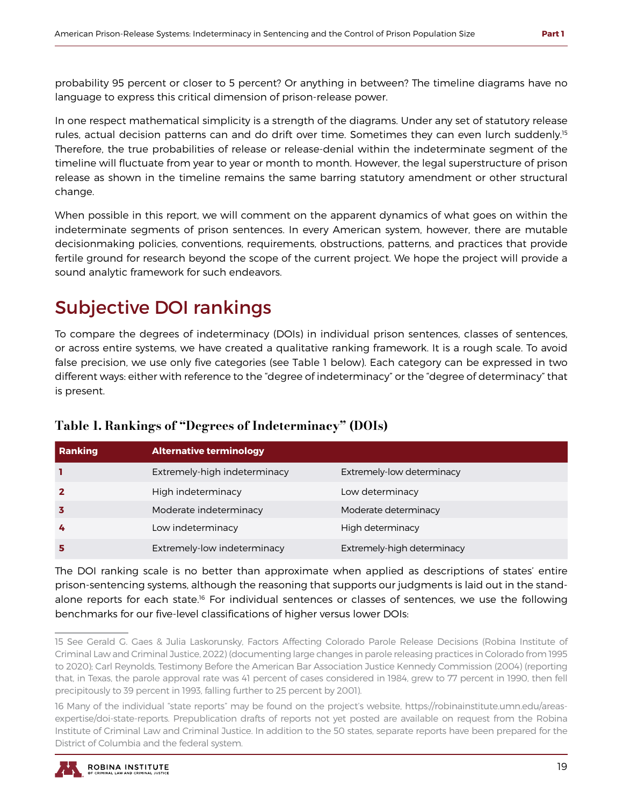probability 95 percent or closer to 5 percent? Or anything in between? The timeline diagrams have no language to express this critical dimension of prison-release power.

In one respect mathematical simplicity is a strength of the diagrams. Under any set of statutory release rules, actual decision patterns can and do drift over time. Sometimes they can even lurch suddenly.<sup>15</sup> Therefore, the true probabilities of release or release-denial within the indeterminate segment of the timeline will fluctuate from year to year or month to month. However, the legal superstructure of prison release as shown in the timeline remains the same barring statutory amendment or other structural change.

When possible in this report, we will comment on the apparent dynamics of what goes on within the indeterminate segments of prison sentences. In every American system, however, there are mutable decisionmaking policies, conventions, requirements, obstructions, patterns, and practices that provide fertile ground for research beyond the scope of the current project. We hope the project will provide a sound analytic framework for such endeavors.

### Subjective DOI rankings

To compare the degrees of indeterminacy (DOIs) in individual prison sentences, classes of sentences, or across entire systems, we have created a qualitative ranking framework. It is a rough scale. To avoid false precision, we use only five categories (see Table 1 below). Each category can be expressed in two different ways: either with reference to the "degree of indeterminacy" or the "degree of determinacy" that is present.

| Table 1. Rankings of "Degrees of Indeterminacy" (DOIs) |  |  |
|--------------------------------------------------------|--|--|
|                                                        |  |  |

| Ranking | <b>Alternative terminology</b> |                            |
|---------|--------------------------------|----------------------------|
|         | Extremely-high indeterminacy   | Extremely-low determinacy  |
|         | High indeterminacy             | Low determinacy            |
|         | Moderate indeterminacy         | Moderate determinacy       |
| 4       | Low indeterminacy              | High determinacy           |
|         | Extremely-low indeterminacy    | Extremely-high determinacy |

The DOI ranking scale is no better than approximate when applied as descriptions of states' entire prison-sentencing systems, although the reasoning that supports our judgments is laid out in the standalone reports for each state.<sup>16</sup> For individual sentences or classes of sentences, we use the following benchmarks for our five-level classifications of higher versus lower DOIs:

<sup>16</sup> Many of the individual "state reports" may be found on the project's website, https://robinainstitute.umn.edu/areasexpertise/doi-state-reports. Prepublication drafts of reports not yet posted are available on request from the Robina Institute of Criminal Law and Criminal Justice. In addition to the 50 states, separate reports have been prepared for the District of Columbia and the federal system.



<sup>15</sup> See Gerald G. Gaes & Julia Laskorunsky, Factors Affecting Colorado Parole Release Decisions (Robina Institute of Criminal Law and Criminal Justice, 2022) (documenting large changes in parole releasing practices in Colorado from 1995 to 2020); Carl Reynolds, Testimony Before the American Bar Association Justice Kennedy Commission (2004) (reporting that, in Texas, the parole approval rate was 41 percent of cases considered in 1984, grew to 77 percent in 1990, then fell precipitously to 39 percent in 1993, falling further to 25 percent by 2001).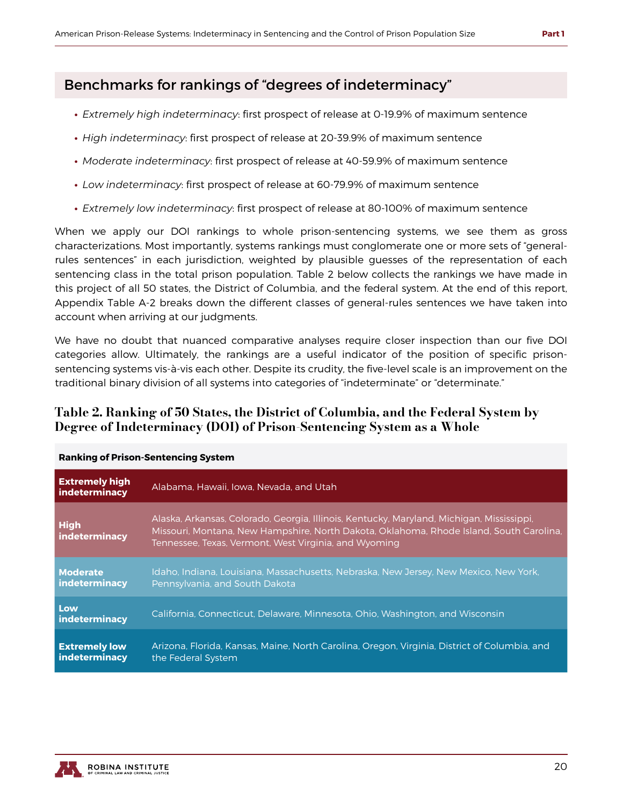### Benchmarks for rankings of "degrees of indeterminacy"

- **∙** *Extremely high indeterminacy*: first prospect of release at 0-19.9% of maximum sentence
- **∙** *High indeterminacy*: first prospect of release at 20-39.9% of maximum sentence
- **∙** *Moderate indeterminacy*: first prospect of release at 40-59.9% of maximum sentence
- **∙** *Low indeterminacy*: first prospect of release at 60-79.9% of maximum sentence
- **∙** *Extremely low indeterminacy*: first prospect of release at 80-100% of maximum sentence

When we apply our DOI rankings to whole prison-sentencing systems, we see them as gross characterizations. Most importantly, systems rankings must conglomerate one or more sets of "generalrules sentences" in each jurisdiction, weighted by plausible guesses of the representation of each sentencing class in the total prison population. Table 2 below collects the rankings we have made in this project of all 50 states, the District of Columbia, and the federal system. At the end of this report, Appendix Table A-2 breaks down the different classes of general-rules sentences we have taken into account when arriving at our judgments.

We have no doubt that nuanced comparative analyses require closer inspection than our five DOI categories allow. Ultimately, the rankings are a useful indicator of the position of specific prisonsentencing systems vis-à-vis each other. Despite its crudity, the five-level scale is an improvement on the traditional binary division of all systems into categories of "indeterminate" or "determinate."

#### Table 2. Ranking of 50 States, the District of Columbia, and the Federal System by Degree of Indeterminacy (DOI) of Prison-Sentencing System as a Whole

| RUIRING OFFISON SCHCCHCHUNG STREIN     |                                                                                                                                                                                                                                               |  |
|----------------------------------------|-----------------------------------------------------------------------------------------------------------------------------------------------------------------------------------------------------------------------------------------------|--|
| <b>Extremely high</b><br>indeterminacy | Alabama, Hawaii, Jowa, Nevada, and Utah                                                                                                                                                                                                       |  |
| <b>High</b><br>indeterminacy           | Alaska, Arkansas, Colorado, Georgia, Illinois, Kentucky, Maryland, Michigan, Mississippi,<br>Missouri, Montana, New Hampshire, North Dakota, Oklahoma, Rhode Island, South Carolina,<br>Tennessee, Texas, Vermont, West Virginia, and Wyoming |  |
| <b>Moderate</b><br>indeterminacy       | Idaho, Indiana, Louisiana, Massachusetts, Nebraska, New Jersey, New Mexico, New York,<br>Pennsylvania, and South Dakota                                                                                                                       |  |
| Low<br>indeterminacy                   | California, Connecticut, Delaware, Minnesota, Ohio, Washington, and Wisconsin                                                                                                                                                                 |  |
| <b>Extremely low</b><br>indeterminacy  | Arizona, Florida, Kansas, Maine, North Carolina, Oregon, Virginia, District of Columbia, and<br>the Federal System                                                                                                                            |  |

#### **Ranking of Prison-Sentencing System**

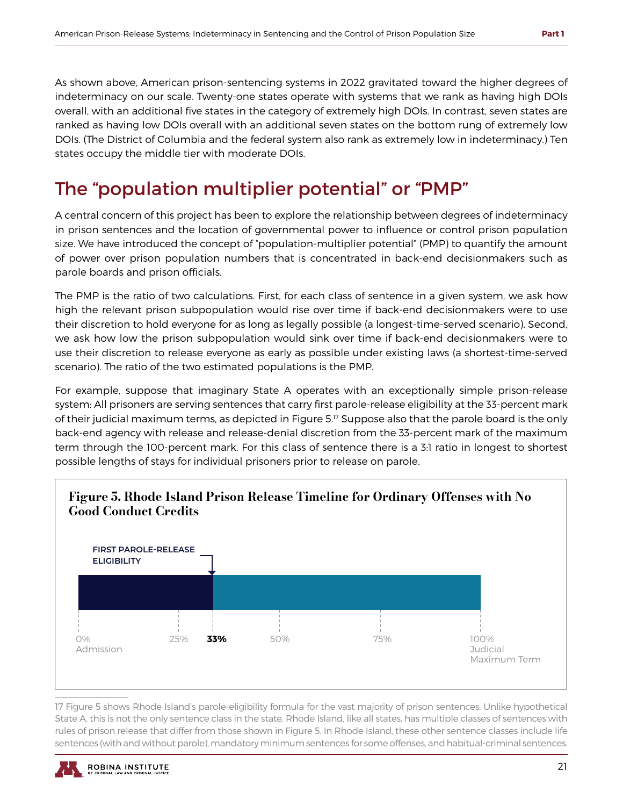As shown above, American prison-sentencing systems in 2022 gravitated toward the higher degrees of indeterminacy on our scale. Twenty-one states operate with systems that we rank as having high DOIs overall, with an additional five states in the category of extremely high DOIs. In contrast, seven states are ranked as having low DOIs overall with an additional seven states on the bottom rung of extremely low DOIs. (The District of Columbia and the federal system also rank as extremely low in indeterminacy.) Ten states occupy the middle tier with moderate DOIs.

## The "population multiplier potential" or "PMP"

A central concern of this project has been to explore the relationship between degrees of indeterminacy in prison sentences and the location of governmental power to influence or control prison population size. We have introduced the concept of "population-multiplier potential" (PMP) to quantify the amount of power over prison population numbers that is concentrated in back-end decisionmakers such as parole boards and prison officials.

The PMP is the ratio of two calculations. First, for each class of sentence in a given system, we ask how high the relevant prison subpopulation would rise over time if back-end decisionmakers were to use their discretion to hold everyone for as long as legally possible (a longest-time-served scenario). Second, we ask how low the prison subpopulation would sink over time if back-end decisionmakers were to use their discretion to release everyone as early as possible under existing laws (a shortest-time-served scenario). The ratio of the two estimated populations is the PMP.

For example, suppose that imaginary State A operates with an exceptionally simple prison-release system: All prisoners are serving sentences that carry first parole-release eligibility at the 33-percent mark of their judicial maximum terms, as depicted in Figure 5.<sup>17</sup> Suppose also that the parole board is the only back-end agency with release and release-denial discretion from the 33-percent mark of the maximum term through the 100-percent mark. For this class of sentence there is a 3:1 ratio in longest to shortest possible lengths of stays for individual prisoners prior to release on parole.



17 Figure 5 shows Rhode Island's parole-eligibility formula for the vast majority of prison sentences. Unlike hypothetical State A, this is not the only sentence class in the state. Rhode Island, like all states, has multiple classes of sentences with rules of prison release that differ from those shown in Figure 5. In Rhode Island, these other sentence classes include life sentences (with and without parole), mandatory minimum sentences for some offenses, and habitual-criminal sentences.

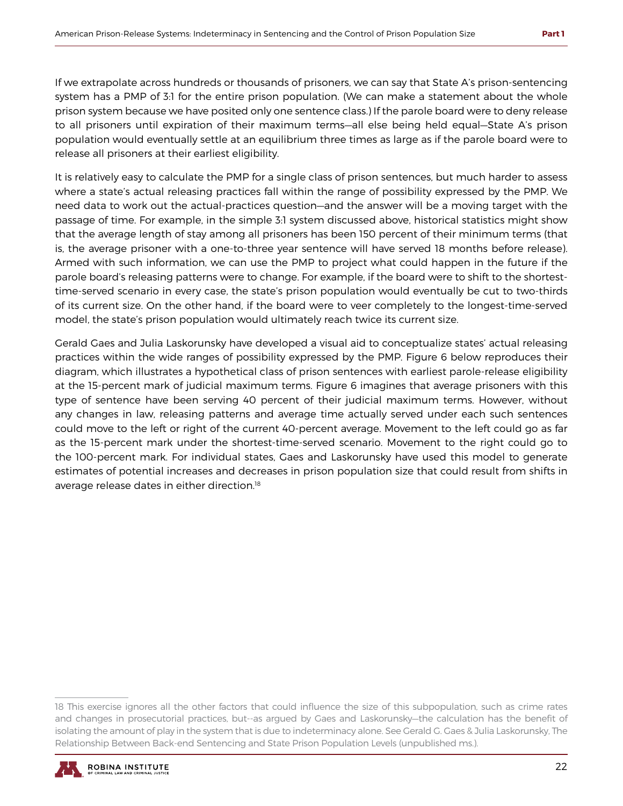If we extrapolate across hundreds or thousands of prisoners, we can say that State A's prison-sentencing system has a PMP of 3:1 for the entire prison population. (We can make a statement about the whole prison system because we have posited only one sentence class.) If the parole board were to deny release to all prisoners until expiration of their maximum terms—all else being held equal—State A's prison population would eventually settle at an equilibrium three times as large as if the parole board were to release all prisoners at their earliest eligibility.

It is relatively easy to calculate the PMP for a single class of prison sentences, but much harder to assess where a state's actual releasing practices fall within the range of possibility expressed by the PMP. We need data to work out the actual-practices question—and the answer will be a moving target with the passage of time. For example, in the simple 3:1 system discussed above, historical statistics might show that the average length of stay among all prisoners has been 150 percent of their minimum terms (that is, the average prisoner with a one-to-three year sentence will have served 18 months before release). Armed with such information, we can use the PMP to project what could happen in the future if the parole board's releasing patterns were to change. For example, if the board were to shift to the shortesttime-served scenario in every case, the state's prison population would eventually be cut to two-thirds of its current size. On the other hand, if the board were to veer completely to the longest-time-served model, the state's prison population would ultimately reach twice its current size.

Gerald Gaes and Julia Laskorunsky have developed a visual aid to conceptualize states' actual releasing practices within the wide ranges of possibility expressed by the PMP. Figure 6 below reproduces their diagram, which illustrates a hypothetical class of prison sentences with earliest parole-release eligibility at the 15-percent mark of judicial maximum terms. Figure 6 imagines that average prisoners with this type of sentence have been serving 40 percent of their judicial maximum terms. However, without any changes in law, releasing patterns and average time actually served under each such sentences could move to the left or right of the current 40-percent average. Movement to the left could go as far as the 15-percent mark under the shortest-time-served scenario. Movement to the right could go to the 100-percent mark. For individual states, Gaes and Laskorunsky have used this model to generate estimates of potential increases and decreases in prison population size that could result from shifts in average release dates in either direction.<sup>18</sup>

<sup>18</sup> This exercise ignores all the other factors that could influence the size of this subpopulation, such as crime rates and changes in prosecutorial practices, but--as argued by Gaes and Laskorunsky—the calculation has the benefit of isolating the amount of play in the system that is due to indeterminacy alone. See Gerald G. Gaes & Julia Laskorunsky, The Relationship Between Back-end Sentencing and State Prison Population Levels (unpublished ms.).

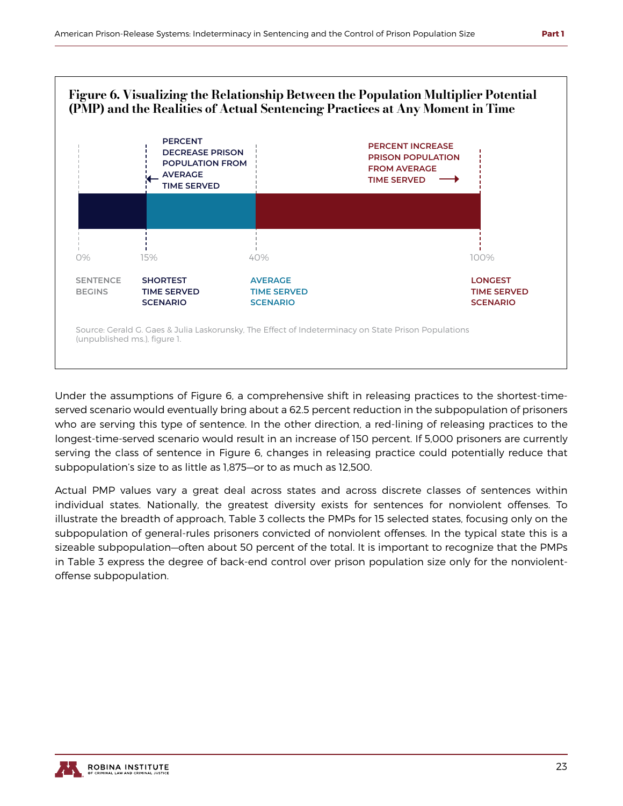

Under the assumptions of Figure 6, a comprehensive shift in releasing practices to the shortest-timeserved scenario would eventually bring about a 62.5 percent reduction in the subpopulation of prisoners who are serving this type of sentence. In the other direction, a red-lining of releasing practices to the longest-time-served scenario would result in an increase of 150 percent. If 5,000 prisoners are currently serving the class of sentence in Figure 6, changes in releasing practice could potentially reduce that subpopulation's size to as little as 1,875—or to as much as 12,500.

Actual PMP values vary a great deal across states and across discrete classes of sentences within individual states. Nationally, the greatest diversity exists for sentences for nonviolent offenses. To illustrate the breadth of approach, Table 3 collects the PMPs for 15 selected states, focusing only on the subpopulation of general-rules prisoners convicted of nonviolent offenses. In the typical state this is a sizeable subpopulation—often about 50 percent of the total. It is important to recognize that the PMPs in Table 3 express the degree of back-end control over prison population size only for the nonviolentoffense subpopulation.

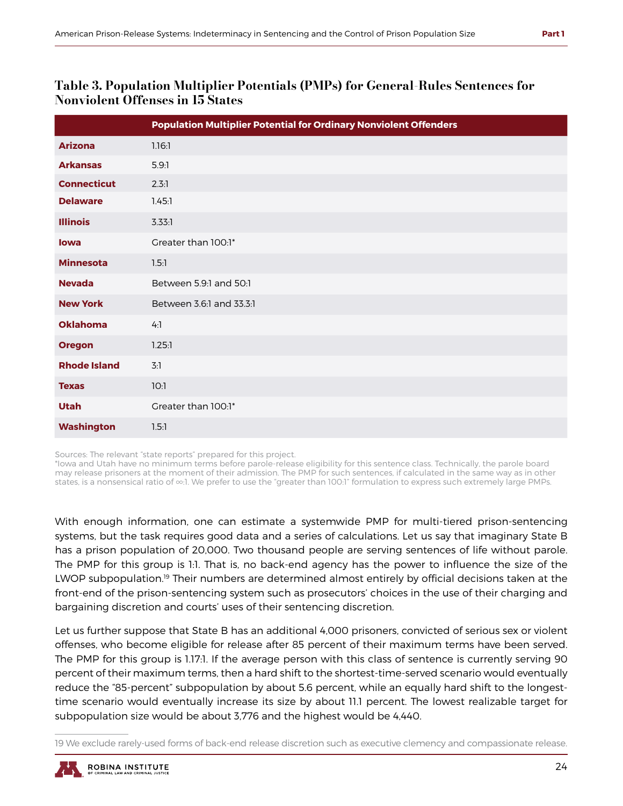#### Table 3. Population Multiplier Potentials (PMPs) for General-Rules Sentences for Nonviolent Offenses in 15 States

|                     | <b>Population Multiplier Potential for Ordinary Nonviolent Offenders</b> |
|---------------------|--------------------------------------------------------------------------|
| <b>Arizona</b>      | 1.16:1                                                                   |
| <b>Arkansas</b>     | 5.9:1                                                                    |
| <b>Connecticut</b>  | 2.3:1                                                                    |
| <b>Delaware</b>     | 1.45:1                                                                   |
| <b>Illinois</b>     | 3.33:1                                                                   |
| <b>lowa</b>         | Greater than 100:1*                                                      |
| <b>Minnesota</b>    | 1.5:1                                                                    |
| <b>Nevada</b>       | Between 5.9:1 and 50:1                                                   |
| <b>New York</b>     | Between 3.6:1 and 33.3:1                                                 |
| <b>Oklahoma</b>     | 4:1                                                                      |
| <b>Oregon</b>       | 1.25:1                                                                   |
| <b>Rhode Island</b> | 3:1                                                                      |
| <b>Texas</b>        | 10:1                                                                     |
| <b>Utah</b>         | Greater than 100:1*                                                      |
| <b>Washington</b>   | 1.5:1                                                                    |

Sources: The relevant "state reports" prepared for this project.

\*Iowa and Utah have no minimum terms before parole-release eligibility for this sentence class. Technically, the parole board may release prisoners at the moment of their admission. The PMP for such sentences, if calculated in the same way as in other states, is a nonsensical ratio of ∞:1. We prefer to use the "greater than 100:1" formulation to express such extremely large PMPs.

With enough information, one can estimate a systemwide PMP for multi-tiered prison-sentencing systems, but the task requires good data and a series of calculations. Let us say that imaginary State B has a prison population of 20,000. Two thousand people are serving sentences of life without parole. The PMP for this group is 1:1. That is, no back-end agency has the power to influence the size of the LWOP subpopulation.<sup>19</sup> Their numbers are determined almost entirely by official decisions taken at the front-end of the prison-sentencing system such as prosecutors' choices in the use of their charging and bargaining discretion and courts' uses of their sentencing discretion.

Let us further suppose that State B has an additional 4,000 prisoners, convicted of serious sex or violent offenses, who become eligible for release after 85 percent of their maximum terms have been served. The PMP for this group is 1.17:1. If the average person with this class of sentence is currently serving 90 percent of their maximum terms, then a hard shift to the shortest-time-served scenario would eventually reduce the "85-percent" subpopulation by about 5.6 percent, while an equally hard shift to the longesttime scenario would eventually increase its size by about 11.1 percent. The lowest realizable target for subpopulation size would be about 3,776 and the highest would be 4,440.

<sup>19</sup> We exclude rarely-used forms of back-end release discretion such as executive clemency and compassionate release.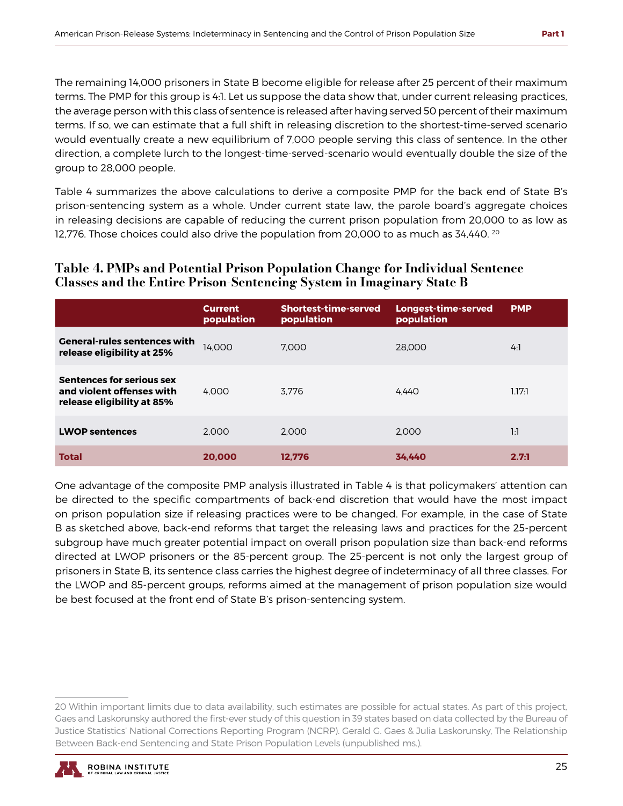The remaining 14,000 prisoners in State B become eligible for release after 25 percent of their maximum terms. The PMP for this group is 4:1. Let us suppose the data show that, under current releasing practices, the average person with this class of sentence is released after having served 50 percent of their maximum terms. If so, we can estimate that a full shift in releasing discretion to the shortest-time-served scenario would eventually create a new equilibrium of 7,000 people serving this class of sentence. In the other direction, a complete lurch to the longest-time-served-scenario would eventually double the size of the group to 28,000 people.

Table 4 summarizes the above calculations to derive a composite PMP for the back end of State B's prison-sentencing system as a whole. Under current state law, the parole board's aggregate choices in releasing decisions are capable of reducing the current prison population from 20,000 to as low as 12,776. Those choices could also drive the population from 20,000 to as much as 34,440.  $^{20}$ 

#### Table 4. PMPs and Potential Prison Population Change for Individual Sentence Classes and the Entire Prison-Sentencing System in Imaginary State B

|                                                                                             | <b>Current</b><br>population | Shortest-time-served<br>population | Longest-time-served<br>population | <b>PMP</b> |
|---------------------------------------------------------------------------------------------|------------------------------|------------------------------------|-----------------------------------|------------|
| <b>General-rules sentences with</b><br>release eligibility at 25%                           | 14.000                       | 7.000                              | 28,000                            | 4:1        |
| <b>Sentences for serious sex</b><br>and violent offenses with<br>release eligibility at 85% | 4.000                        | 3.776                              | 4.440                             | 1.17:1     |
| <b>LWOP sentences</b>                                                                       | 2.000                        | 2.000                              | 2.000                             | 1:1        |
| <b>Total</b>                                                                                | 20,000                       | 12.776                             | 34.440                            | 2.7:1      |

One advantage of the composite PMP analysis illustrated in Table 4 is that policymakers' attention can be directed to the specific compartments of back-end discretion that would have the most impact on prison population size if releasing practices were to be changed. For example, in the case of State B as sketched above, back-end reforms that target the releasing laws and practices for the 25-percent subgroup have much greater potential impact on overall prison population size than back-end reforms directed at LWOP prisoners or the 85-percent group. The 25-percent is not only the largest group of prisoners in State B, its sentence class carries the highest degree of indeterminacy of all three classes. For the LWOP and 85-percent groups, reforms aimed at the management of prison population size would be best focused at the front end of State B's prison-sentencing system.

<sup>20</sup> Within important limits due to data availability, such estimates are possible for actual states. As part of this project, Gaes and Laskorunsky authored the first-ever study of this question in 39 states based on data collected by the Bureau of Justice Statistics' National Corrections Reporting Program (NCRP). Gerald G. Gaes & Julia Laskorunsky, The Relationship Between Back-end Sentencing and State Prison Population Levels (unpublished ms.).

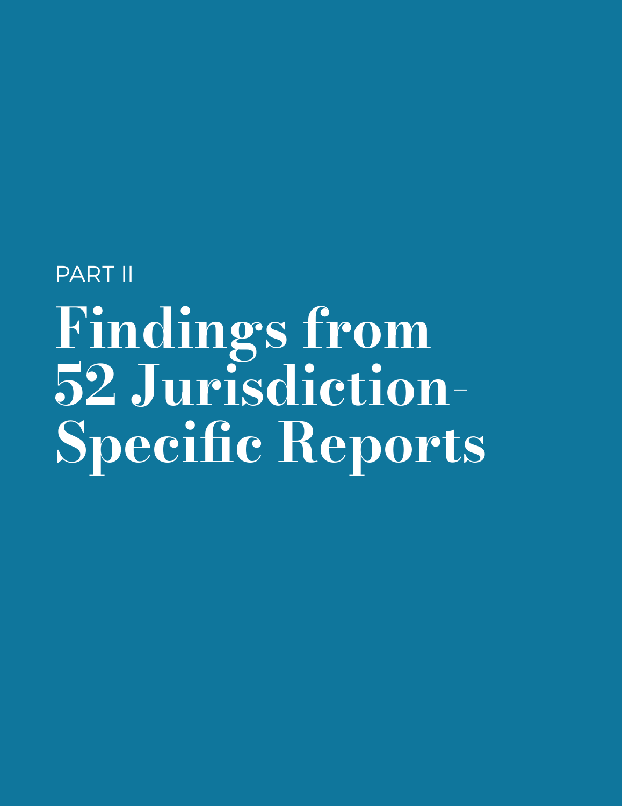# <span id="page-28-0"></span>PART II Findings from 52 Jurisdiction-Specific Reports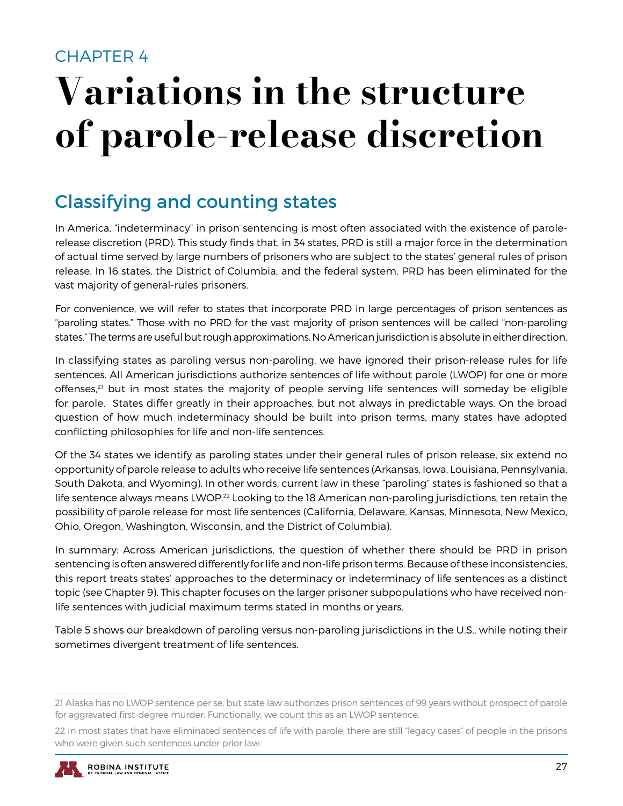### <span id="page-29-0"></span>CHAPTER 4

## Variations in the structure of parole-release discretion

## Classifying and counting states

In America, "indeterminacy" in prison sentencing is most often associated with the existence of parolerelease discretion (PRD). This study finds that, in 34 states, PRD is still a major force in the determination of actual time served by large numbers of prisoners who are subject to the states' general rules of prison release. In 16 states, the District of Columbia, and the federal system, PRD has been eliminated for the vast majority of general-rules prisoners.

For convenience, we will refer to states that incorporate PRD in large percentages of prison sentences as "paroling states." Those with no PRD for the vast majority of prison sentences will be called "non-paroling states." The terms are useful but rough approximations. No American jurisdiction is absolute in either direction.

In classifying states as paroling versus non-paroling, we have ignored their prison-release rules for life sentences. All American jurisdictions authorize sentences of life without parole (LWOP) for one or more offenses, $21$  but in most states the majority of people serving life sentences will someday be eligible for parole. States differ greatly in their approaches, but not always in predictable ways. On the broad question of how much indeterminacy should be built into prison terms, many states have adopted conflicting philosophies for life and non-life sentences.

Of the 34 states we identify as paroling states under their general rules of prison release, six extend no opportunity of parole release to adults who receive life sentences (Arkansas, Iowa, Louisiana, Pennsylvania, South Dakota, and Wyoming). In other words, current law in these "paroling" states is fashioned so that a life sentence always means LWOP.<sup>22</sup> Looking to the 18 American non-paroling jurisdictions, ten retain the possibility of parole release for most life sentences (California, Delaware, Kansas, Minnesota, New Mexico, Ohio, Oregon, Washington, Wisconsin, and the District of Columbia).

In summary: Across American jurisdictions, the question of whether there should be PRD in prison sentencing is often answered differently for life and non-life prison terms. Because of these inconsistencies, this report treats states' approaches to the determinacy or indeterminacy of life sentences as a distinct topic (see Chapter 9). This chapter focuses on the larger prisoner subpopulations who have received nonlife sentences with judicial maximum terms stated in months or years.

Table 5 shows our breakdown of paroling versus non-paroling jurisdictions in the U.S., while noting their sometimes divergent treatment of life sentences.

<sup>22</sup> In most states that have eliminated sentences of life with parole, there are still "legacy cases" of people in the prisons who were given such sentences under prior law.



<sup>21</sup> Alaska has no LWOP sentence per se, but state law authorizes prison sentences of 99 years without prospect of parole for aggravated first-degree murder. Functionally, we count this as an LWOP sentence.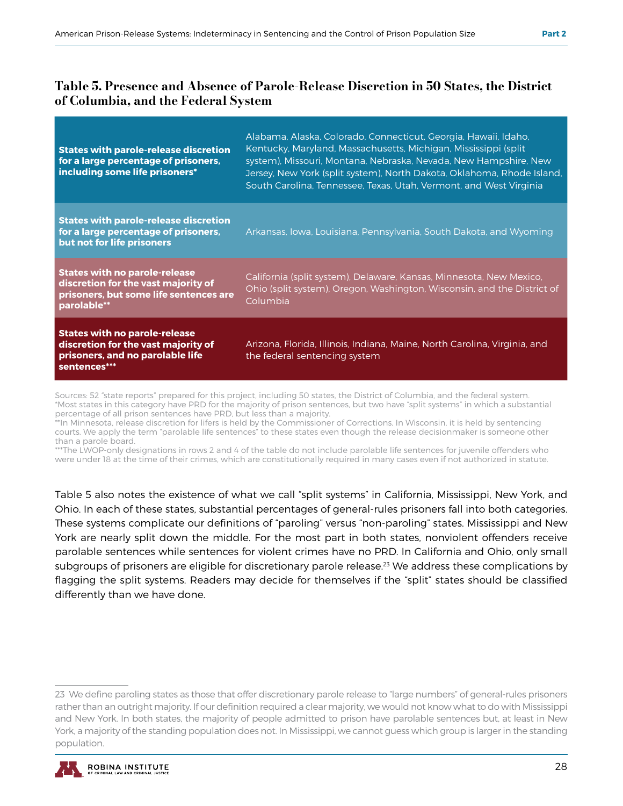| <b>States with parole-release discretion</b><br>for a large percentage of prisoners,<br>including some life prisoners*               | Alabama, Alaska, Colorado, Connecticut, Georgia, Hawaii, Idaho,<br>Kentucky, Maryland, Massachusetts, Michigan, Mississippi (split)<br>system), Missouri, Montana, Nebraska, Nevada, New Hampshire, New<br>Jersey, New York (split system), North Dakota, Oklahoma, Rhode Island,<br>South Carolina, Tennessee, Texas, Utah, Vermont, and West Virginia |
|--------------------------------------------------------------------------------------------------------------------------------------|---------------------------------------------------------------------------------------------------------------------------------------------------------------------------------------------------------------------------------------------------------------------------------------------------------------------------------------------------------|
| <b>States with parole-release discretion</b><br>for a large percentage of prisoners,<br>but not for life prisoners                   | Arkansas, Iowa, Louisiana, Pennsylvania, South Dakota, and Wyoming                                                                                                                                                                                                                                                                                      |
| <b>States with no parole-release</b><br>discretion for the vast majority of<br>prisoners, but some life sentences are<br>parolable** | California (split system), Delaware, Kansas, Minnesota, New Mexico,<br>Ohio (split system), Oregon, Washington, Wisconsin, and the District of<br>Columbia                                                                                                                                                                                              |
| <b>States with no parole-release</b><br>discretion for the vast majority of<br>prisoners, and no parolable life<br>sentences***      | Arizona, Florida, Illinois, Indiana, Maine, North Carolina, Virginia, and<br>the federal sentencing system                                                                                                                                                                                                                                              |

Sources: 52 "state reports" prepared for this project, including 50 states, the District of Columbia, and the federal system. \*Most states in this category have PRD for the majority of prison sentences, but two have "split systems" in which a substantial percentage of all prison sentences have PRD, but less than a majority.

\*\*In Minnesota, release discretion for lifers is held by the Commissioner of Corrections. In Wisconsin, it is held by sentencing courts. We apply the term "parolable life sentences" to these states even though the release decisionmaker is someone other than a parole board.

\*\*\*The LWOP-only designations in rows 2 and 4 of the table do not include parolable life sentences for juvenile offenders who were under 18 at the time of their crimes, which are constitutionally required in many cases even if not authorized in statute.

Table 5 also notes the existence of what we call "split systems" in California, Mississippi, New York, and Ohio. In each of these states, substantial percentages of general-rules prisoners fall into both categories. These systems complicate our definitions of "paroling" versus "non-paroling" states. Mississippi and New York are nearly split down the middle. For the most part in both states, nonviolent offenders receive parolable sentences while sentences for violent crimes have no PRD. In California and Ohio, only small subgroups of prisoners are eligible for discretionary parole release.<sup>23</sup> We address these complications by flagging the split systems. Readers may decide for themselves if the "split" states should be classified differently than we have done.

<sup>23</sup> We define paroling states as those that offer discretionary parole release to "large numbers" of general-rules prisoners rather than an outright majority. If our definition required a clear majority, we would not know what to do with Mississippi and New York. In both states, the majority of people admitted to prison have parolable sentences but, at least in New York, a majority of the standing population does not. In Mississippi, we cannot guess which group is larger in the standing population.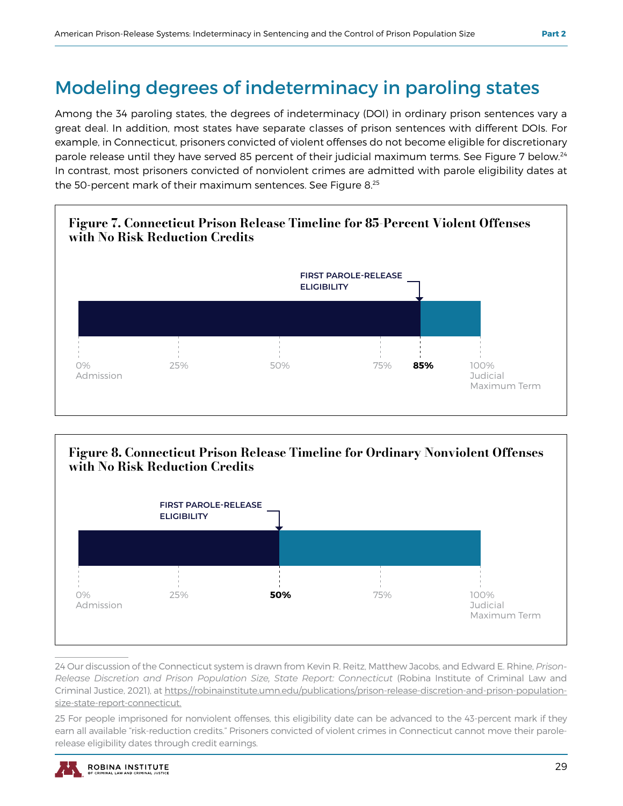## Modeling degrees of indeterminacy in paroling states

Among the 34 paroling states, the degrees of indeterminacy (DOI) in ordinary prison sentences vary a great deal. In addition, most states have separate classes of prison sentences with different DOIs. For example, in Connecticut, prisoners convicted of violent offenses do not become eligible for discretionary parole release until they have served 85 percent of their judicial maximum terms. See Figure 7 below.<sup>24</sup> In contrast, most prisoners convicted of nonviolent crimes are admitted with parole eligibility dates at the 50-percent mark of their maximum sentences. See Figure 8.25





24 Our discussion of the Connecticut system is drawn from Kevin R. Reitz, Matthew Jacobs, and Edward E. Rhine, *Prison-Release Discretion and Prison Population Size, State Report: Connecticut* (Robina Institute of Criminal Law and Criminal Justice, 2021), at https://robinainstitute.umn.edu/publications/prison-release-discretion-and-prison-populationsize-state-report-connecticut.

25 For people imprisoned for nonviolent offenses, this eligibility date can be advanced to the 43-percent mark if they earn all available "risk-reduction credits." Prisoners convicted of violent crimes in Connecticut cannot move their parolerelease eligibility dates through credit earnings.

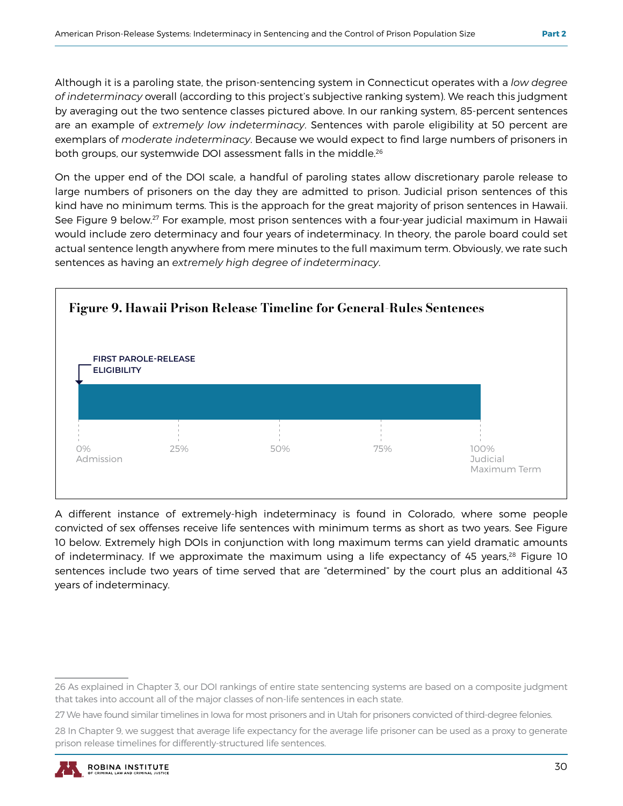Although it is a paroling state, the prison-sentencing system in Connecticut operates with a *low degree of indeterminacy* overall (according to this project's subjective ranking system). We reach this judgment by averaging out the two sentence classes pictured above. In our ranking system, 85-percent sentences are an example of *extremely low indeterminacy*. Sentences with parole eligibility at 50 percent are exemplars of *moderate indeterminacy*. Because we would expect to find large numbers of prisoners in both groups, our systemwide DOI assessment falls in the middle.26

On the upper end of the DOI scale, a handful of paroling states allow discretionary parole release to large numbers of prisoners on the day they are admitted to prison. Judicial prison sentences of this kind have no minimum terms. This is the approach for the great majority of prison sentences in Hawaii. See Figure 9 below.<sup>27</sup> For example, most prison sentences with a four-year judicial maximum in Hawaii would include zero determinacy and four years of indeterminacy. In theory, the parole board could set actual sentence length anywhere from mere minutes to the full maximum term. Obviously, we rate such sentences as having an *extremely high degree of indeterminacy*.



A different instance of extremely-high indeterminacy is found in Colorado, where some people convicted of sex offenses receive life sentences with minimum terms as short as two years. See Figure 10 below. Extremely high DOIs in conjunction with long maximum terms can yield dramatic amounts of indeterminacy. If we approximate the maximum using a life expectancy of 45 years,<sup>28</sup> Figure 10 sentences include two years of time served that are "determined" by the court plus an additional 43 years of indeterminacy.

<sup>26</sup> As explained in Chapter 3, our DOI rankings of entire state sentencing systems are based on a composite judgment that takes into account all of the major classes of non-life sentences in each state.

<sup>27</sup> We have found similar timelines in Iowa for most prisoners and in Utah for prisoners convicted of third-degree felonies.

<sup>28</sup> In Chapter 9, we suggest that average life expectancy for the average life prisoner can be used as a proxy to generate prison release timelines for differently-structured life sentences.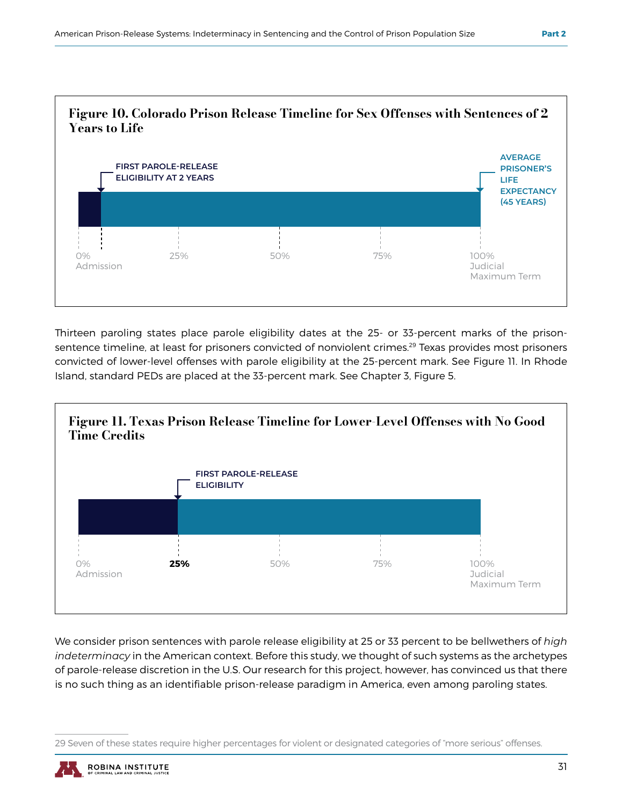

Thirteen paroling states place parole eligibility dates at the 25- or 33-percent marks of the prisonsentence timeline, at least for prisoners convicted of nonviolent crimes.<sup>29</sup> Texas provides most prisoners convicted of lower-level offenses with parole eligibility at the 25-percent mark. See Figure 11. In Rhode Island, standard PEDs are placed at the 33-percent mark. See Chapter 3, Figure 5.



We consider prison sentences with parole release eligibility at 25 or 33 percent to be bellwethers of *high indeterminacy* in the American context. Before this study, we thought of such systems as the archetypes of parole-release discretion in the U.S. Our research for this project, however, has convinced us that there is no such thing as an identifiable prison-release paradigm in America, even among paroling states.

<sup>29</sup> Seven of these states require higher percentages for violent or designated categories of "more serious" offenses.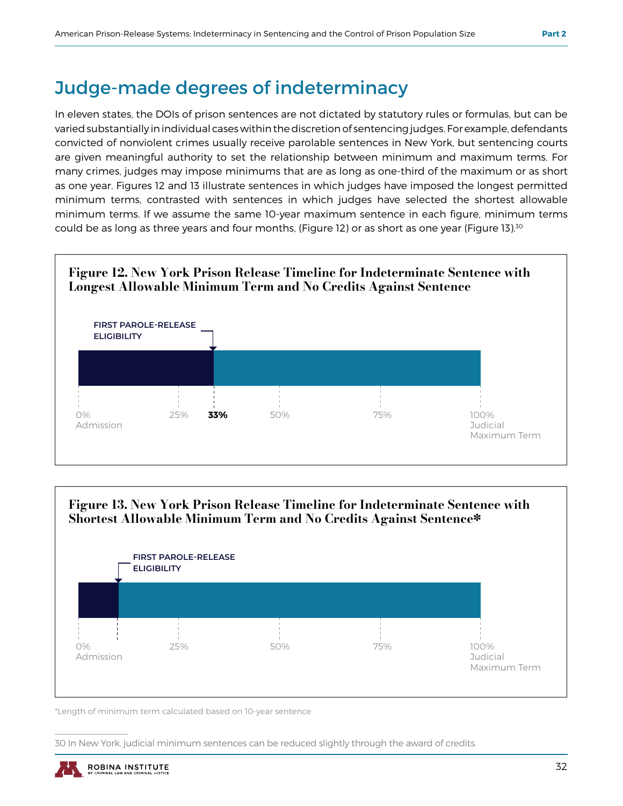### Judge-made degrees of indeterminacy

In eleven states, the DOIs of prison sentences are not dictated by statutory rules or formulas, but can be varied substantially in individual cases within the discretion of sentencing judges. For example, defendants convicted of nonviolent crimes usually receive parolable sentences in New York, but sentencing courts are given meaningful authority to set the relationship between minimum and maximum terms. For many crimes, judges may impose minimums that are as long as one-third of the maximum or as short as one year. Figures 12 and 13 illustrate sentences in which judges have imposed the longest permitted minimum terms, contrasted with sentences in which judges have selected the shortest allowable minimum terms. If we assume the same 10-year maximum sentence in each figure, minimum terms could be as long as three years and four months, (Figure 12) or as short as one year (Figure 13).<sup>30</sup>





\*Length of minimum term calculated based on 10-year sentence

30 In New York, judicial minimum sentences can be reduced slightly through the award of credits.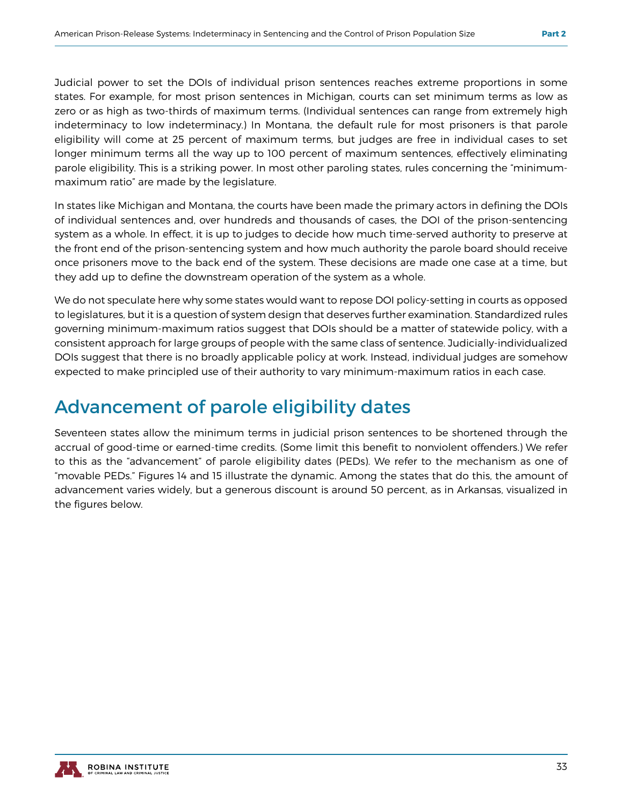Judicial power to set the DOIs of individual prison sentences reaches extreme proportions in some states. For example, for most prison sentences in Michigan, courts can set minimum terms as low as zero or as high as two-thirds of maximum terms. (Individual sentences can range from extremely high indeterminacy to low indeterminacy.) In Montana, the default rule for most prisoners is that parole eligibility will come at 25 percent of maximum terms, but judges are free in individual cases to set longer minimum terms all the way up to 100 percent of maximum sentences, effectively eliminating parole eligibility. This is a striking power. In most other paroling states, rules concerning the "minimummaximum ratio" are made by the legislature.

In states like Michigan and Montana, the courts have been made the primary actors in defining the DOIs of individual sentences and, over hundreds and thousands of cases, the DOI of the prison-sentencing system as a whole. In effect, it is up to judges to decide how much time-served authority to preserve at the front end of the prison-sentencing system and how much authority the parole board should receive once prisoners move to the back end of the system. These decisions are made one case at a time, but they add up to define the downstream operation of the system as a whole.

We do not speculate here why some states would want to repose DOI policy-setting in courts as opposed to legislatures, but it is a question of system design that deserves further examination. Standardized rules governing minimum-maximum ratios suggest that DOIs should be a matter of statewide policy, with a consistent approach for large groups of people with the same class of sentence. Judicially-individualized DOIs suggest that there is no broadly applicable policy at work. Instead, individual judges are somehow expected to make principled use of their authority to vary minimum-maximum ratios in each case.

## Advancement of parole eligibility dates

Seventeen states allow the minimum terms in judicial prison sentences to be shortened through the accrual of good-time or earned-time credits. (Some limit this benefit to nonviolent offenders.) We refer to this as the "advancement" of parole eligibility dates (PEDs). We refer to the mechanism as one of "movable PEDs." Figures 14 and 15 illustrate the dynamic. Among the states that do this, the amount of advancement varies widely, but a generous discount is around 50 percent, as in Arkansas, visualized in the figures below.

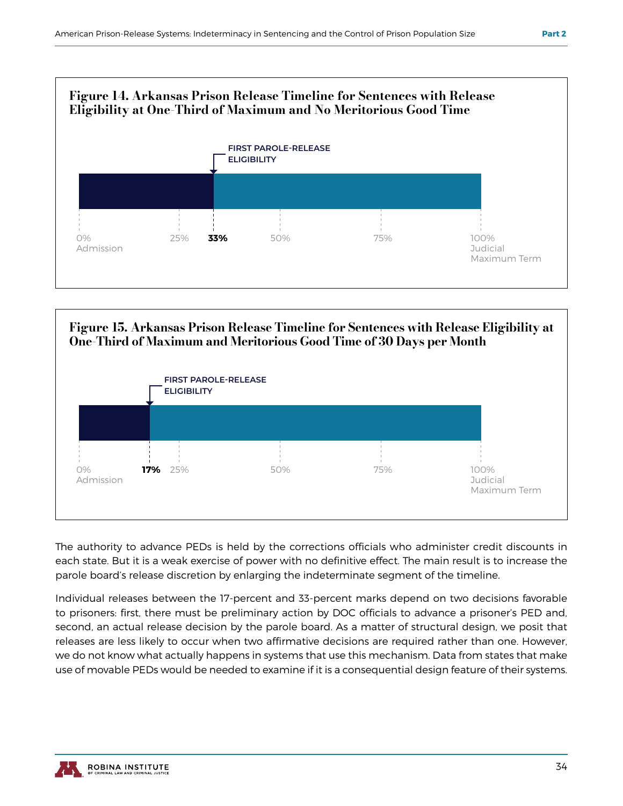



The authority to advance PEDs is held by the corrections officials who administer credit discounts in each state. But it is a weak exercise of power with no definitive effect. The main result is to increase the parole board's release discretion by enlarging the indeterminate segment of the timeline.

Individual releases between the 17-percent and 33-percent marks depend on two decisions favorable to prisoners: first, there must be preliminary action by DOC officials to advance a prisoner's PED and, second, an actual release decision by the parole board. As a matter of structural design, we posit that releases are less likely to occur when two affirmative decisions are required rather than one. However, we do not know what actually happens in systems that use this mechanism. Data from states that make use of movable PEDs would be needed to examine if it is a consequential design feature of their systems.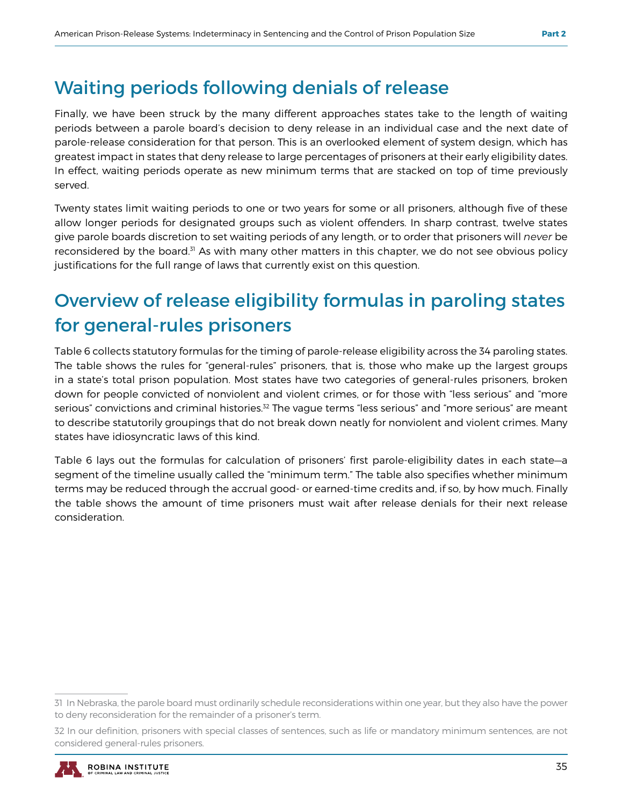## Waiting periods following denials of release

Finally, we have been struck by the many different approaches states take to the length of waiting periods between a parole board's decision to deny release in an individual case and the next date of parole-release consideration for that person. This is an overlooked element of system design, which has greatest impact in states that deny release to large percentages of prisoners at their early eligibility dates. In effect, waiting periods operate as new minimum terms that are stacked on top of time previously served.

Twenty states limit waiting periods to one or two years for some or all prisoners, although five of these allow longer periods for designated groups such as violent offenders. In sharp contrast, twelve states give parole boards discretion to set waiting periods of any length, or to order that prisoners will *never* be reconsidered by the board.<sup>31</sup> As with many other matters in this chapter, we do not see obvious policy justifications for the full range of laws that currently exist on this question.

## Overview of release eligibility formulas in paroling states for general-rules prisoners

Table 6 collects statutory formulas for the timing of parole-release eligibility across the 34 paroling states. The table shows the rules for "general-rules" prisoners, that is, those who make up the largest groups in a state's total prison population. Most states have two categories of general-rules prisoners, broken down for people convicted of nonviolent and violent crimes, or for those with "less serious" and "more serious" convictions and criminal histories.<sup>32</sup> The vague terms "less serious" and "more serious" are meant to describe statutorily groupings that do not break down neatly for nonviolent and violent crimes. Many states have idiosyncratic laws of this kind.

Table 6 lays out the formulas for calculation of prisoners' first parole-eligibility dates in each state—a segment of the timeline usually called the "minimum term." The table also specifies whether minimum terms may be reduced through the accrual good- or earned-time credits and, if so, by how much. Finally the table shows the amount of time prisoners must wait after release denials for their next release consideration.

<sup>32</sup> In our definition, prisoners with special classes of sentences, such as life or mandatory minimum sentences, are not considered general-rules prisoners.



<sup>31</sup> In Nebraska, the parole board must ordinarily schedule reconsiderations within one year, but they also have the power to deny reconsideration for the remainder of a prisoner's term.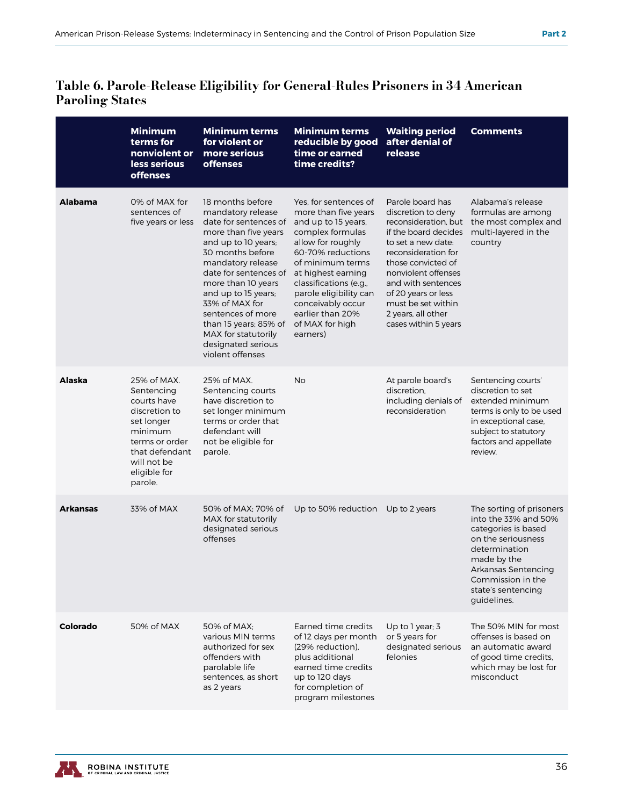#### Table 6. Parole-Release Eligibility for General-Rules Prisoners in 34 American Paroling States

|                 | <b>Minimum</b><br>terms for<br>nonviolent or<br>less serious<br><b>offenses</b>                                                                                  | <b>Minimum terms</b><br>for violent or<br>more serious<br><b>offenses</b>                                                                                                                                                                                                                                                                                     | <b>Minimum terms</b><br>reducible by good<br>time or earned<br>time credits?                                                                                                                                                                                                                             | <b>Waiting period</b><br>after denial of<br>release                                                                                                                                                                                                                                               | <b>Comments</b>                                                                                                                                                                                                |
|-----------------|------------------------------------------------------------------------------------------------------------------------------------------------------------------|---------------------------------------------------------------------------------------------------------------------------------------------------------------------------------------------------------------------------------------------------------------------------------------------------------------------------------------------------------------|----------------------------------------------------------------------------------------------------------------------------------------------------------------------------------------------------------------------------------------------------------------------------------------------------------|---------------------------------------------------------------------------------------------------------------------------------------------------------------------------------------------------------------------------------------------------------------------------------------------------|----------------------------------------------------------------------------------------------------------------------------------------------------------------------------------------------------------------|
| <b>Alabama</b>  | 0% of MAX for<br>sentences of<br>five years or less                                                                                                              | 18 months before<br>mandatory release<br>date for sentences of<br>more than five years<br>and up to 10 years;<br>30 months before<br>mandatory release<br>date for sentences of<br>more than 10 years<br>and up to 15 years;<br>33% of MAX for<br>sentences of more<br>than 15 years; 85% of<br>MAX for statutorily<br>designated serious<br>violent offenses | Yes, for sentences of<br>more than five years<br>and up to 15 years,<br>complex formulas<br>allow for roughly<br>60-70% reductions<br>of minimum terms<br>at highest earning<br>classifications (e.g.,<br>parole eligibility can<br>conceivably occur<br>earlier than 20%<br>of MAX for high<br>earners) | Parole board has<br>discretion to deny<br>reconsideration, but<br>if the board decides<br>to set a new date:<br>reconsideration for<br>those convicted of<br>nonviolent offenses<br>and with sentences<br>of 20 years or less<br>must be set within<br>2 years, all other<br>cases within 5 years | Alabama's release<br>formulas are among<br>the most complex and<br>multi-layered in the<br>country                                                                                                             |
| Alaska          | 25% of MAX.<br>Sentencing<br>courts have<br>discretion to<br>set longer<br>minimum<br>terms or order<br>that defendant<br>will not be<br>eligible for<br>parole. | 25% of MAX.<br>Sentencing courts<br>have discretion to<br>set longer minimum<br>terms or order that<br>defendant will<br>not be eligible for<br>parole.                                                                                                                                                                                                       | No                                                                                                                                                                                                                                                                                                       | At parole board's<br>discretion.<br>including denials of<br>reconsideration                                                                                                                                                                                                                       | Sentencing courts'<br>discretion to set<br>extended minimum<br>terms is only to be used<br>in exceptional case,<br>subject to statutory<br>factors and appellate<br>review.                                    |
| <b>Arkansas</b> | 33% of MAX                                                                                                                                                       | 50% of MAX; 70% of<br>MAX for statutorily<br>designated serious<br>offenses                                                                                                                                                                                                                                                                                   | Up to 50% reduction                                                                                                                                                                                                                                                                                      | Up to 2 years                                                                                                                                                                                                                                                                                     | The sorting of prisoners<br>into the 33% and 50%<br>categories is based<br>on the seriousness<br>determination<br>made by the<br>Arkansas Sentencing<br>Commission in the<br>state's sentencing<br>guidelines. |
| Colorado        | 50% of MAX                                                                                                                                                       | 50% of MAX:<br>various MIN terms<br>authorized for sex<br>offenders with<br>parolable life<br>sentences, as short<br>as 2 years                                                                                                                                                                                                                               | Earned time credits<br>of 12 days per month<br>(29% reduction),<br>plus additional<br>earned time credits<br>up to 120 days<br>for completion of<br>program milestones                                                                                                                                   | Up to 1 year; $3$<br>or 5 years for<br>designated serious<br>felonies                                                                                                                                                                                                                             | The 50% MIN for most<br>offenses is based on<br>an automatic award<br>of good time credits,<br>which may be lost for<br>misconduct                                                                             |

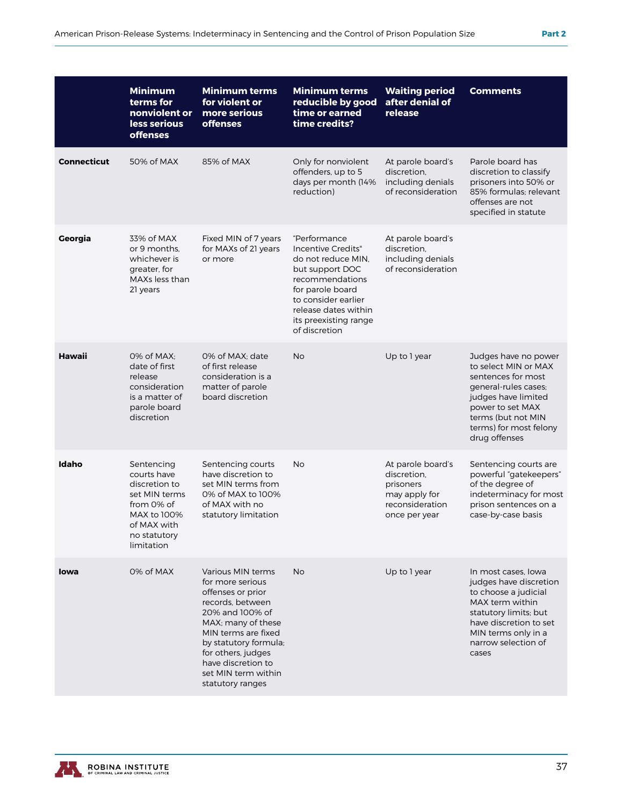|                    | <b>Minimum</b><br>terms for<br>nonviolent or<br>less serious<br><b>offenses</b>                                                       | <b>Minimum terms</b><br>for violent or<br>more serious<br><b>offenses</b>                                                                                                                                                                                      | <b>Minimum terms</b><br>reducible by good<br>time or earned<br>time credits?                                                                                                                                                                                                               | <b>Waiting period</b><br>after denial of<br>release                                                | <b>Comments</b>                                                                                                                                                                                        |
|--------------------|---------------------------------------------------------------------------------------------------------------------------------------|----------------------------------------------------------------------------------------------------------------------------------------------------------------------------------------------------------------------------------------------------------------|--------------------------------------------------------------------------------------------------------------------------------------------------------------------------------------------------------------------------------------------------------------------------------------------|----------------------------------------------------------------------------------------------------|--------------------------------------------------------------------------------------------------------------------------------------------------------------------------------------------------------|
| <b>Connecticut</b> | 50% of MAX                                                                                                                            | 85% of MAX                                                                                                                                                                                                                                                     | Only for nonviolent<br>offenders, up to 5<br>days per month (14%<br>reduction)                                                                                                                                                                                                             | At parole board's<br>discretion.<br>including denials<br>of reconsideration                        | Parole board has<br>discretion to classify<br>prisoners into 50% or<br>85% formulas: relevant<br>offenses are not<br>specified in statute                                                              |
| Georgia            | 33% of MAX<br>or 9 months.<br>whichever is<br>greater, for<br>MAXs less than<br>21 years                                              | Fixed MIN of 7 years<br>for MAXs of 21 years<br>or more                                                                                                                                                                                                        | "Performance<br>At parole board's<br>Incentive Credits"<br>discretion,<br>including denials<br>do not reduce MIN.<br>of reconsideration<br>but support DOC<br>recommendations<br>for parole board<br>to consider earlier<br>release dates within<br>its preexisting range<br>of discretion |                                                                                                    |                                                                                                                                                                                                        |
| <b>Hawaii</b>      | 0% of MAX;<br>date of first<br>release<br>consideration<br>is a matter of<br>parole board<br>discretion                               | 0% of MAX; date<br>of first release<br>consideration is a<br>matter of parole<br>board discretion                                                                                                                                                              | <b>No</b>                                                                                                                                                                                                                                                                                  | Up to 1 year                                                                                       | Judges have no power<br>to select MIN or MAX<br>sentences for most<br>general-rules cases;<br>judges have limited<br>power to set MAX<br>terms (but not MIN<br>terms) for most felony<br>drug offenses |
| Idaho              | Sentencing<br>courts have<br>discretion to<br>set MIN terms<br>from 0% of<br>MAX to 100%<br>of MAX with<br>no statutory<br>limitation | Sentencing courts<br>have discretion to<br>set MIN terms from<br>0% of MAX to 100%<br>of MAX with no<br>statutory limitation                                                                                                                                   | No                                                                                                                                                                                                                                                                                         | At parole board's<br>discretion.<br>prisoners<br>may apply for<br>reconsideration<br>once per year | Sentencing courts are<br>powerful "gatekeepers"<br>of the degree of<br>indeterminacy for most<br>prison sentences on a<br>case-by-case basis                                                           |
| <b>lowa</b>        | 0% of MAX                                                                                                                             | Various MIN terms<br>for more serious<br>offenses or prior<br>records, between<br>20% and 100% of<br>MAX; many of these<br>MIN terms are fixed<br>by statutory formula;<br>for others, judges<br>have discretion to<br>set MIN term within<br>statutory ranges | <b>No</b>                                                                                                                                                                                                                                                                                  | Up to 1 year                                                                                       | In most cases, lowa<br>judges have discretion<br>to choose a judicial<br>MAX term within<br>statutory limits; but<br>have discretion to set<br>MIN terms only in a<br>narrow selection of<br>cases     |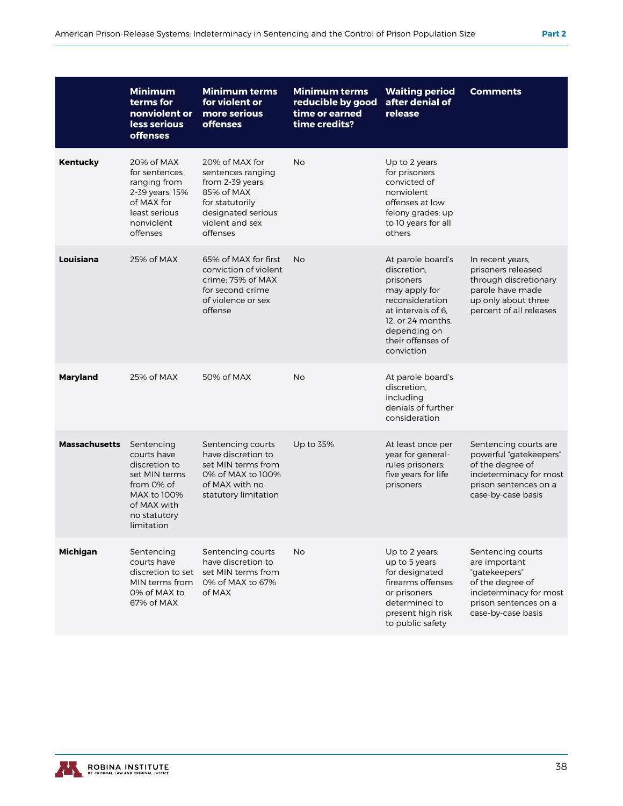|                      | <b>Minimum</b><br>terms for<br>nonviolent or<br>less serious<br><b>offenses</b>                                                       | <b>Minimum terms</b><br>for violent or<br>more serious<br><b>offenses</b>                                                                     | <b>Minimum terms</b><br>reducible by good<br>time or earned<br>time credits? | <b>Waiting period</b><br>after denial of<br>release                                                                                                                             | <b>Comments</b>                                                                                                                                  |
|----------------------|---------------------------------------------------------------------------------------------------------------------------------------|-----------------------------------------------------------------------------------------------------------------------------------------------|------------------------------------------------------------------------------|---------------------------------------------------------------------------------------------------------------------------------------------------------------------------------|--------------------------------------------------------------------------------------------------------------------------------------------------|
| <b>Kentucky</b>      | 20% of MAX<br>for sentences<br>ranging from<br>2-39 years; 15%<br>of MAX for<br>least serious<br>nonviolent<br>offenses               | 20% of MAX for<br>sentences ranging<br>from 2-39 years;<br>85% of MAX<br>for statutorily<br>designated serious<br>violent and sex<br>offenses | <b>No</b>                                                                    | Up to 2 years<br>for prisoners<br>convicted of<br>nonviolent<br>offenses at low<br>felony grades; up<br>to 10 years for all<br>others                                           |                                                                                                                                                  |
| Louisiana            | 25% of MAX                                                                                                                            | 65% of MAX for first<br>conviction of violent<br>crime; 75% of MAX<br>for second crime<br>of violence or sex<br>offense                       | <b>No</b>                                                                    | At parole board's<br>discretion.<br>prisoners<br>may apply for<br>reconsideration<br>at intervals of 6.<br>12, or 24 months,<br>depending on<br>their offenses of<br>conviction | In recent years,<br>prisoners released<br>through discretionary<br>parole have made<br>up only about three<br>percent of all releases            |
| <b>Maryland</b>      | 25% of MAX                                                                                                                            | 50% of MAX                                                                                                                                    | <b>No</b>                                                                    | At parole board's<br>discretion,<br>including<br>denials of further<br>consideration                                                                                            |                                                                                                                                                  |
| <b>Massachusetts</b> | Sentencing<br>courts have<br>discretion to<br>set MIN terms<br>from 0% of<br>MAX to 100%<br>of MAX with<br>no statutory<br>limitation | Sentencing courts<br>have discretion to<br>set MIN terms from<br>0% of MAX to 100%<br>of MAX with no<br>statutory limitation                  | Up to 35%                                                                    | At least once per<br>year for general-<br>rules prisoners;<br>five years for life<br>prisoners                                                                                  | Sentencing courts are<br>powerful "gatekeepers"<br>of the degree of<br>indeterminacy for most<br>prison sentences on a<br>case-by-case basis     |
| <b>Michigan</b>      | Sentencing<br>courts have<br>discretion to set<br>MIN terms from<br>0% of MAX to<br>67% of MAX                                        | Sentencing courts<br>have discretion to<br>set MIN terms from<br>0% of MAX to 67%<br>of MAX                                                   | No                                                                           | Up to 2 years:<br>up to 5 years<br>for designated<br>firearms offenses<br>or prisoners<br>determined to<br>present high risk<br>to public safety                                | Sentencing courts<br>are important<br>"gatekeepers"<br>of the degree of<br>indeterminacy for most<br>prison sentences on a<br>case-by-case basis |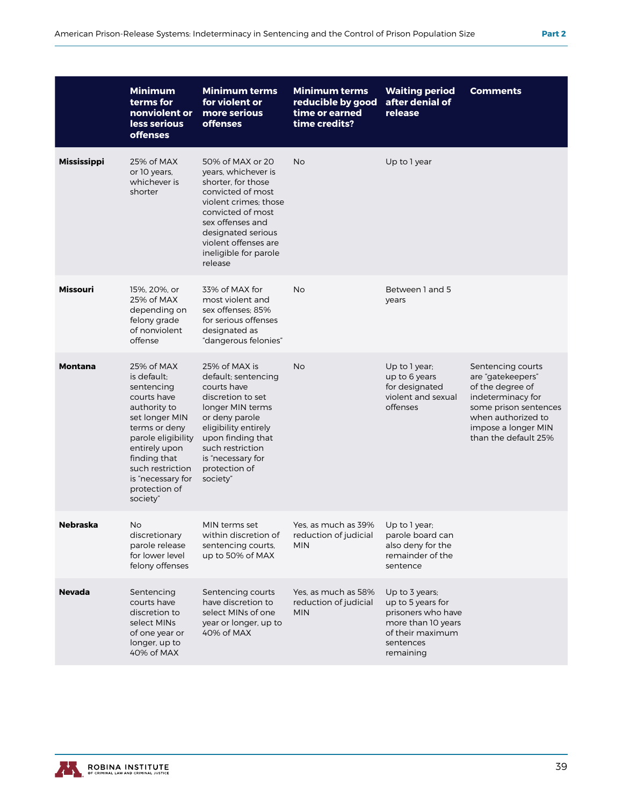|                    | <b>Minimum</b><br>terms for<br>nonviolent or<br>less serious<br><b>offenses</b>                                                                                                                                                        | <b>Minimum terms</b><br>for violent or<br>more serious<br><b>offenses</b>                                                                                                                                                              | <b>Minimum terms</b><br>reducible by good<br>time or earned<br>time credits? | <b>Waiting period</b><br>after denial of<br>release                                                                           | <b>Comments</b>                                                                                                                                                               |
|--------------------|----------------------------------------------------------------------------------------------------------------------------------------------------------------------------------------------------------------------------------------|----------------------------------------------------------------------------------------------------------------------------------------------------------------------------------------------------------------------------------------|------------------------------------------------------------------------------|-------------------------------------------------------------------------------------------------------------------------------|-------------------------------------------------------------------------------------------------------------------------------------------------------------------------------|
| <b>Mississippi</b> | 25% of MAX<br>or 10 years,<br>whichever is<br>shorter                                                                                                                                                                                  | 50% of MAX or 20<br>years, whichever is<br>shorter, for those<br>convicted of most<br>violent crimes; those<br>convicted of most<br>sex offenses and<br>designated serious<br>violent offenses are<br>ineligible for parole<br>release | <b>No</b>                                                                    | Up to 1 year                                                                                                                  |                                                                                                                                                                               |
| <b>Missouri</b>    | 15%, 20%, or<br>25% of MAX<br>depending on<br>felony grade<br>of nonviolent<br>offense                                                                                                                                                 | 33% of MAX for<br>most violent and<br>sex offenses: 85%<br>for serious offenses<br>designated as<br>"dangerous felonies"                                                                                                               | No                                                                           | Between 1 and 5<br>years                                                                                                      |                                                                                                                                                                               |
| <b>Montana</b>     | 25% of MAX<br>is default:<br>sentencing<br>courts have<br>authority to<br>set longer MIN<br>terms or deny<br>parole eligibility<br>entirely upon<br>finding that<br>such restriction<br>is "necessary for<br>protection of<br>society" | 25% of MAX is<br>default; sentencing<br>courts have<br>discretion to set<br>longer MIN terms<br>or deny parole<br>eligibility entirely<br>upon finding that<br>such restriction<br>is "necessary for<br>protection of<br>society"      | <b>No</b>                                                                    | Up to 1 year;<br>up to 6 years<br>for designated<br>violent and sexual<br>offenses                                            | Sentencing courts<br>are "gatekeepers"<br>of the degree of<br>indeterminacy for<br>some prison sentences<br>when authorized to<br>impose a longer MIN<br>than the default 25% |
| Nebraska           | No<br>discretionary<br>parole release<br>for lower level<br>felony offenses                                                                                                                                                            | MIN terms set<br>within discretion of<br>sentencing courts,<br>up to 50% of MAX                                                                                                                                                        | Yes, as much as 39%<br>reduction of judicial<br>MIN                          | Up to 1 year:<br>parole board can<br>also deny for the<br>remainder of the<br>sentence                                        |                                                                                                                                                                               |
| <b>Nevada</b>      | Sentencing<br>courts have<br>discretion to<br>select MINs<br>of one year or<br>longer, up to<br>40% of MAX                                                                                                                             | Sentencing courts<br>have discretion to<br>select MINs of one<br>year or longer, up to<br>40% of MAX                                                                                                                                   | Yes, as much as 58%<br>reduction of judicial<br><b>MIN</b>                   | Up to 3 years;<br>up to 5 years for<br>prisoners who have<br>more than 10 years<br>of their maximum<br>sentences<br>remaining |                                                                                                                                                                               |

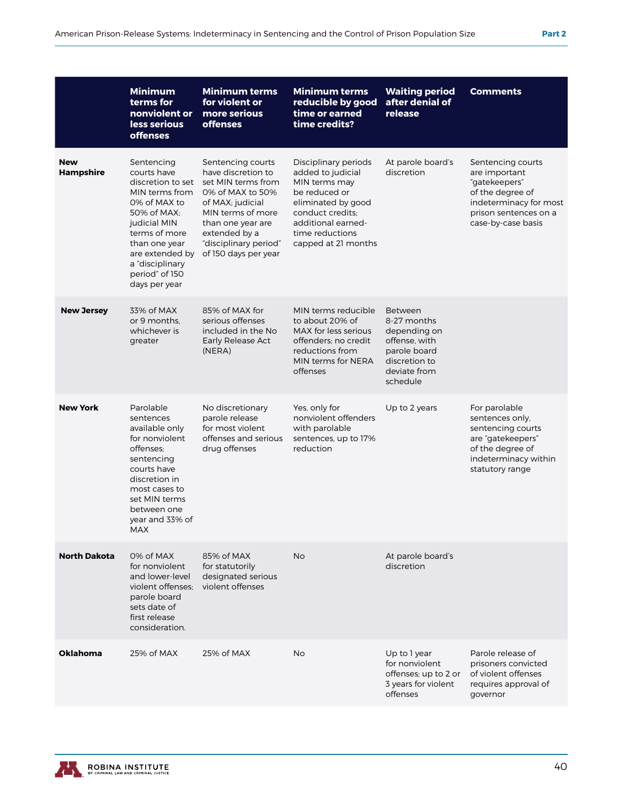|                                | <b>Minimum</b><br>terms for<br>nonviolent or<br>less serious<br><b>offenses</b>                                                                                                                                            | <b>Minimum terms</b><br>for violent or<br>more serious<br><b>offenses</b>                                                                                                                                         | <b>Minimum terms</b><br>reducible by good<br>time or earned<br>time credits?                                                                                                          | <b>Waiting period</b><br>after denial of<br>release                                                                  | <b>Comments</b>                                                                                                                                  |
|--------------------------------|----------------------------------------------------------------------------------------------------------------------------------------------------------------------------------------------------------------------------|-------------------------------------------------------------------------------------------------------------------------------------------------------------------------------------------------------------------|---------------------------------------------------------------------------------------------------------------------------------------------------------------------------------------|----------------------------------------------------------------------------------------------------------------------|--------------------------------------------------------------------------------------------------------------------------------------------------|
| <b>New</b><br><b>Hampshire</b> | Sentencing<br>courts have<br>discretion to set<br>MIN terms from<br>0% of MAX to<br>50% of MAX:<br>judicial MIN<br>terms of more<br>than one year<br>are extended by<br>a "disciplinary<br>period" of 150<br>days per year | Sentencing courts<br>have discretion to<br>set MIN terms from<br>0% of MAX to 50%<br>of MAX; judicial<br>MIN terms of more<br>than one year are<br>extended by a<br>"disciplinary period"<br>of 150 days per year | Disciplinary periods<br>added to judicial<br>MIN terms may<br>be reduced or<br>eliminated by good<br>conduct credits;<br>additional earned-<br>time reductions<br>capped at 21 months | At parole board's<br>discretion                                                                                      | Sentencing courts<br>are important<br>"gatekeepers"<br>of the degree of<br>indeterminacy for most<br>prison sentences on a<br>case-by-case basis |
| <b>New Jersey</b>              | 33% of MAX<br>or 9 months.<br>whichever is<br>greater                                                                                                                                                                      | 85% of MAX for<br>serious offenses<br>included in the No<br>Early Release Act<br>(NERA)                                                                                                                           | MIN terms reducible<br>to about 20% of<br>MAX for less serious<br>offenders: no credit<br>reductions from<br>MIN terms for NERA<br>offenses                                           | Between<br>8-27 months<br>depending on<br>offense, with<br>parole board<br>discretion to<br>deviate from<br>schedule |                                                                                                                                                  |
| <b>New York</b>                | Parolable<br>sentences<br>available only<br>for nonviolent<br>offenses;<br>sentencing<br>courts have<br>discretion in<br>most cases to<br>set MIN terms<br>between one<br>year and 33% of<br>MAX                           | No discretionary<br>parole release<br>for most violent<br>offenses and serious<br>drug offenses                                                                                                                   | Yes, only for<br>nonviolent offenders<br>with parolable<br>sentences, up to 17%<br>reduction                                                                                          | Up to 2 years                                                                                                        | For parolable<br>sentences only,<br>sentencing courts<br>are "gatekeepers"<br>of the degree of<br>indeterminacy within<br>statutory range        |
| <b>North Dakota</b>            | 0% of MAX<br>for nonviolent<br>and lower-level<br>violent offenses:<br>parole board<br>sets date of<br>first release<br>consideration.                                                                                     | 85% of MAX<br>for statutorily<br>designated serious<br>violent offenses                                                                                                                                           | <b>No</b>                                                                                                                                                                             | At parole board's<br>discretion                                                                                      |                                                                                                                                                  |
| <b>Oklahoma</b>                | 25% of MAX                                                                                                                                                                                                                 | 25% of MAX                                                                                                                                                                                                        | No                                                                                                                                                                                    | Up to 1 year<br>for nonviolent<br>offenses; up to 2 or<br>3 years for violent<br>offenses                            | Parole release of<br>prisoners convicted<br>of violent offenses<br>requires approval of<br>governor                                              |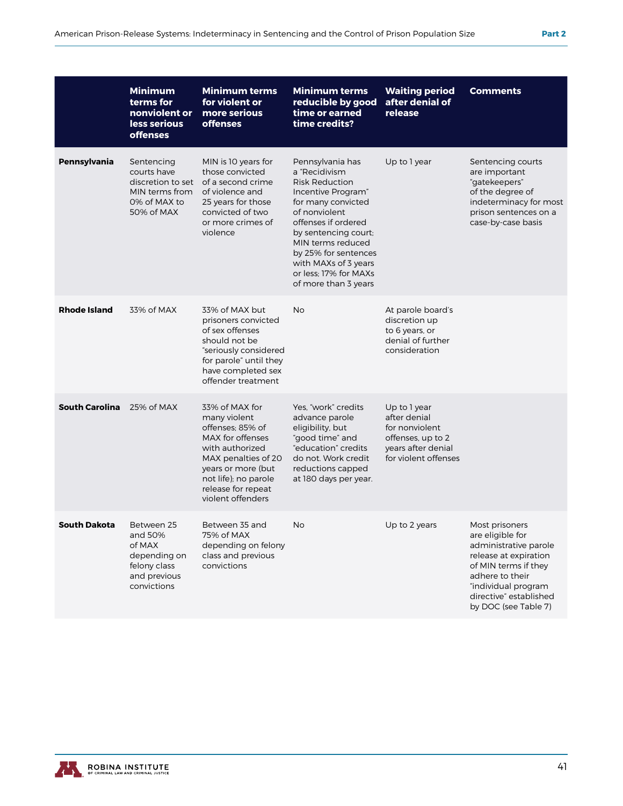|                       | <b>Minimum</b><br>terms for<br>nonviolent or<br>less serious<br><b>offenses</b>                | <b>Minimum terms</b><br>for violent or<br>more serious<br><b>offenses</b>                                                                                                                                 | <b>Minimum terms</b><br>reducible by good<br>time or earned<br>time credits?                                                                                                                                                                                                                 | <b>Waiting period</b><br>after denial of<br>release                                                               | <b>Comments</b>                                                                                                                                                                                          |
|-----------------------|------------------------------------------------------------------------------------------------|-----------------------------------------------------------------------------------------------------------------------------------------------------------------------------------------------------------|----------------------------------------------------------------------------------------------------------------------------------------------------------------------------------------------------------------------------------------------------------------------------------------------|-------------------------------------------------------------------------------------------------------------------|----------------------------------------------------------------------------------------------------------------------------------------------------------------------------------------------------------|
| Pennsylvania          | Sentencing<br>courts have<br>discretion to set<br>MIN terms from<br>0% of MAX to<br>50% of MAX | MIN is 10 years for<br>those convicted<br>of a second crime<br>of violence and<br>25 years for those<br>convicted of two<br>or more crimes of<br>violence                                                 | Pennsylvania has<br>a "Recidivism<br><b>Risk Reduction</b><br>Incentive Program"<br>for many convicted<br>of nonviolent<br>offenses if ordered<br>by sentencing court;<br>MIN terms reduced<br>by 25% for sentences<br>with MAXs of 3 years<br>or less: 17% for MAXs<br>of more than 3 years | Up to 1 year                                                                                                      | Sentencing courts<br>are important<br>"gatekeepers"<br>of the degree of<br>indeterminacy for most<br>prison sentences on a<br>case-by-case basis                                                         |
| <b>Rhode Island</b>   | 33% of MAX                                                                                     | 33% of MAX but<br>prisoners convicted<br>of sex offenses<br>should not be<br>"seriously considered<br>for parole" until they<br>have completed sex<br>offender treatment                                  | No                                                                                                                                                                                                                                                                                           | At parole board's<br>discretion up<br>to 6 years, or<br>denial of further<br>consideration                        |                                                                                                                                                                                                          |
| <b>South Carolina</b> | 25% of MAX                                                                                     | 33% of MAX for<br>many violent<br>offenses: 85% of<br>MAX for offenses<br>with authorized<br>MAX penalties of 20<br>years or more (but<br>not life); no parole<br>release for repeat<br>violent offenders | Yes, "work" credits<br>advance parole<br>eligibility, but<br>"good time" and<br>"education" credits<br>do not. Work credit<br>reductions capped<br>at 180 days per year.                                                                                                                     | Up to 1 year<br>after denial<br>for nonviolent<br>offenses, up to 2<br>years after denial<br>for violent offenses |                                                                                                                                                                                                          |
| <b>South Dakota</b>   | Between 25<br>and 50%<br>of MAX<br>depending on<br>felony class<br>and previous<br>convictions | Between 35 and<br>75% of MAX<br>depending on felony<br>class and previous<br>convictions                                                                                                                  | No                                                                                                                                                                                                                                                                                           | Up to 2 years                                                                                                     | Most prisoners<br>are eligible for<br>administrative parole<br>release at expiration<br>of MIN terms if they<br>adhere to their<br>"individual program<br>directive" established<br>by DOC (see Table 7) |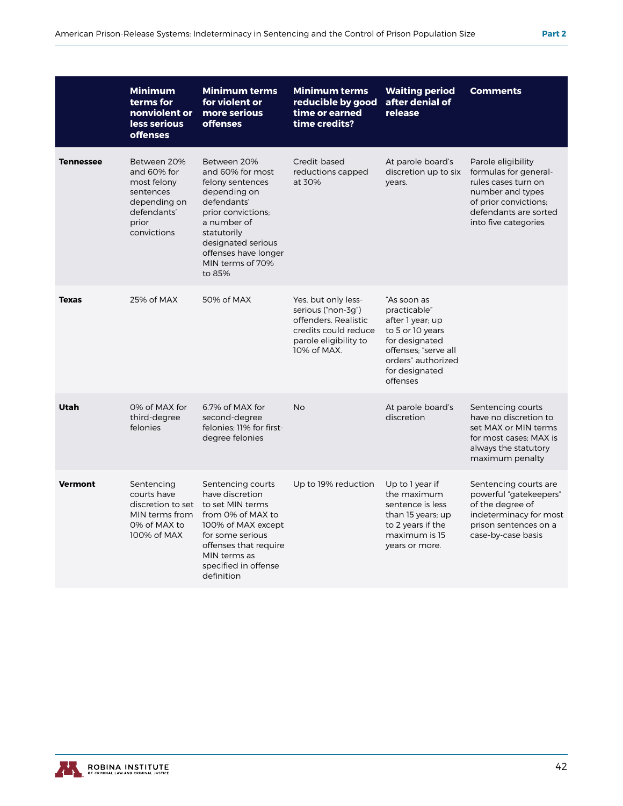|                  | <b>Minimum</b><br>terms for<br>nonviolent or<br>less serious<br><b>offenses</b>                               | <b>Minimum terms</b><br>for violent or<br>more serious<br><b>offenses</b>                                                                                                                                          | <b>Minimum terms</b><br>reducible by good<br>time or earned<br>time credits?                                                      | <b>Waiting period</b><br>after denial of<br>release                                                                                                               | <b>Comments</b>                                                                                                                                                  |
|------------------|---------------------------------------------------------------------------------------------------------------|--------------------------------------------------------------------------------------------------------------------------------------------------------------------------------------------------------------------|-----------------------------------------------------------------------------------------------------------------------------------|-------------------------------------------------------------------------------------------------------------------------------------------------------------------|------------------------------------------------------------------------------------------------------------------------------------------------------------------|
| <b>Tennessee</b> | Between 20%<br>and 60% for<br>most felony<br>sentences<br>depending on<br>defendants'<br>prior<br>convictions | Between 20%<br>and 60% for most<br>felony sentences<br>depending on<br>defendants'<br>prior convictions;<br>a number of<br>statutorily<br>designated serious<br>offenses have longer<br>MIN terms of 70%<br>to 85% | Credit-based<br>reductions capped<br>at 30%                                                                                       | At parole board's<br>discretion up to six<br>years.                                                                                                               | Parole eligibility<br>formulas for general-<br>rules cases turn on<br>number and types<br>of prior convictions;<br>defendants are sorted<br>into five categories |
| <b>Texas</b>     | 25% of MAX                                                                                                    | 50% of MAX                                                                                                                                                                                                         | Yes, but only less-<br>serious ("non-3q")<br>offenders. Realistic<br>credits could reduce<br>parole eligibility to<br>10% of MAX. | "As soon as<br>practicable"<br>after 1 year; up<br>to 5 or 10 years<br>for designated<br>offenses: "serve all<br>orders" authorized<br>for designated<br>offenses |                                                                                                                                                                  |
| Utah             | 0% of MAX for<br>third-degree<br>felonies                                                                     | 6.7% of MAX for<br>second-degree<br>felonies: 11% for first-<br>degree felonies                                                                                                                                    | <b>No</b>                                                                                                                         | At parole board's<br>discretion                                                                                                                                   | Sentencing courts<br>have no discretion to<br>set MAX or MIN terms<br>for most cases: MAX is<br>always the statutory<br>maximum penalty                          |
| <b>Vermont</b>   | Sentencing<br>courts have<br>discretion to set<br>MIN terms from<br>0% of MAX to<br>100% of MAX               | Sentencing courts<br>have discretion<br>to set MIN terms<br>from 0% of MAX to<br>100% of MAX except<br>for some serious<br>offenses that require<br>MIN terms as<br>specified in offense<br>definition             | Up to 19% reduction                                                                                                               | Up to 1 year if<br>the maximum<br>sentence is less<br>than 15 years; up<br>to 2 years if the<br>maximum is 15<br>years or more.                                   | Sentencing courts are<br>powerful "gatekeepers"<br>of the degree of<br>indeterminacy for most<br>prison sentences on a<br>case-by-case basis                     |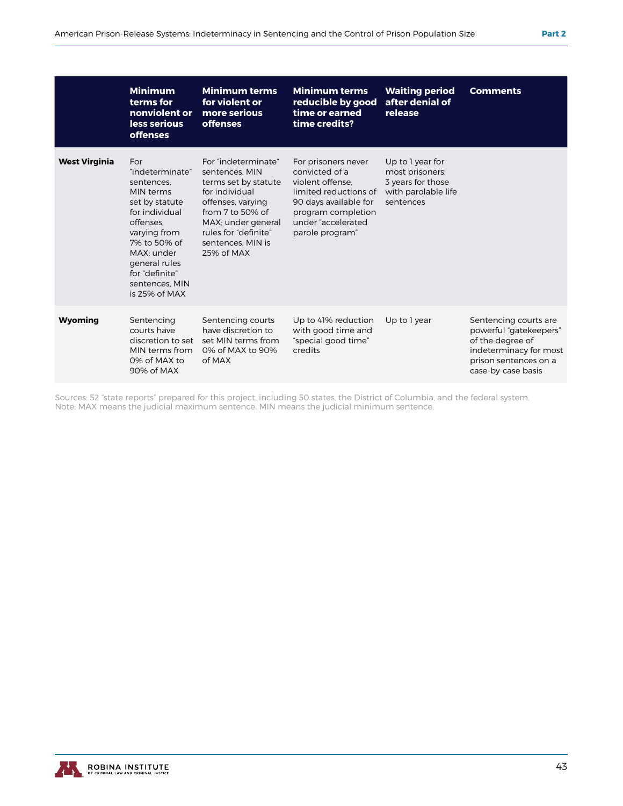|                      | <b>Minimum</b><br>terms for<br>nonviolent or<br>less serious<br><b>offenses</b>                                                                                                                                        | <b>Minimum terms</b><br>for violent or<br>more serious<br><b>offenses</b>                                                                                                                                   | <b>Minimum terms</b><br>reducible by good<br>time or earned<br>time credits?                                                                                               | <b>Waiting period</b><br>after denial of<br>release                                          | <b>Comments</b>                                                                                                                              |
|----------------------|------------------------------------------------------------------------------------------------------------------------------------------------------------------------------------------------------------------------|-------------------------------------------------------------------------------------------------------------------------------------------------------------------------------------------------------------|----------------------------------------------------------------------------------------------------------------------------------------------------------------------------|----------------------------------------------------------------------------------------------|----------------------------------------------------------------------------------------------------------------------------------------------|
| <b>West Virginia</b> | For<br>"indeterminate"<br>sentences.<br>MIN terms<br>set by statute<br>for individual<br>offenses.<br>varying from<br>7% to 50% of<br>MAX: under<br>general rules<br>for "definite"<br>sentences. MIN<br>is 25% of MAX | For "indeterminate"<br>sentences. MIN<br>terms set by statute<br>for individual<br>offenses, varying<br>from $7$ to 50% of<br>MAX; under general<br>rules for "definite"<br>sentences, MIN is<br>25% of MAX | For prisoners never<br>convicted of a<br>violent offense.<br>limited reductions of<br>90 days available for<br>program completion<br>under "accelerated<br>parole program" | Up to 1 year for<br>most prisoners;<br>3 years for those<br>with parolable life<br>sentences |                                                                                                                                              |
| Wyoming              | Sentencing<br>courts have<br>discretion to set<br>MIN terms from<br>0% of MAX to<br>90% of MAX                                                                                                                         | Sentencing courts<br>have discretion to<br>set MIN terms from<br>0% of MAX to 90%<br>of MAX                                                                                                                 | Up to 41% reduction<br>with good time and<br>"special good time"<br>credits                                                                                                | Up to 1 year                                                                                 | Sentencing courts are<br>powerful "gatekeepers"<br>of the degree of<br>indeterminacy for most<br>prison sentences on a<br>case-by-case basis |

Sources: 52 "state reports" prepared for this project, including 50 states, the District of Columbia, and the federal system. Note: MAX means the judicial maximum sentence. MIN means the judicial minimum sentence.



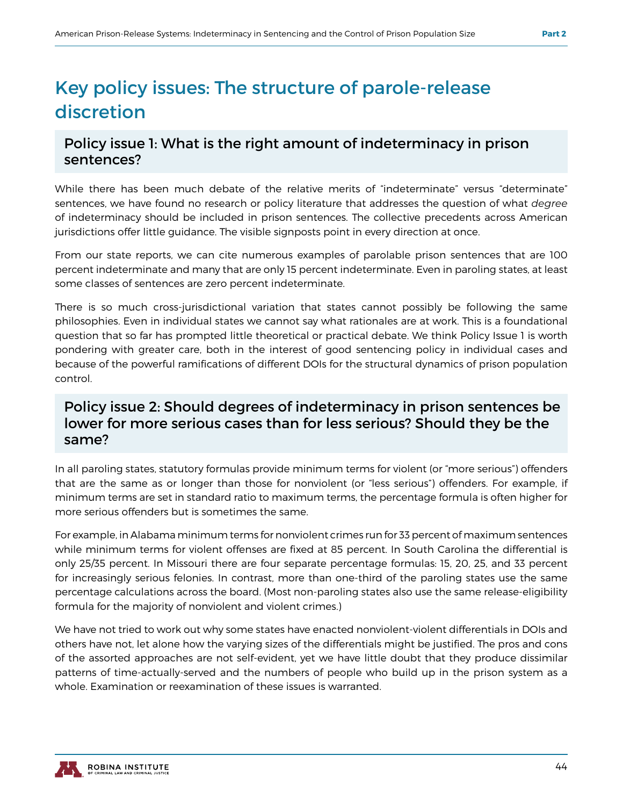## Key policy issues: The structure of parole-release discretion

#### Policy issue 1: What is the right amount of indeterminacy in prison sentences?

While there has been much debate of the relative merits of "indeterminate" versus "determinate" sentences, we have found no research or policy literature that addresses the question of what *degree*  of indeterminacy should be included in prison sentences. The collective precedents across American jurisdictions offer little guidance. The visible signposts point in every direction at once.

From our state reports, we can cite numerous examples of parolable prison sentences that are 100 percent indeterminate and many that are only 15 percent indeterminate. Even in paroling states, at least some classes of sentences are zero percent indeterminate.

There is so much cross-jurisdictional variation that states cannot possibly be following the same philosophies. Even in individual states we cannot say what rationales are at work. This is a foundational question that so far has prompted little theoretical or practical debate. We think Policy Issue 1 is worth pondering with greater care, both in the interest of good sentencing policy in individual cases and because of the powerful ramifications of different DOIs for the structural dynamics of prison population control.

#### Policy issue 2: Should degrees of indeterminacy in prison sentences be lower for more serious cases than for less serious? Should they be the same?

In all paroling states, statutory formulas provide minimum terms for violent (or "more serious") offenders that are the same as or longer than those for nonviolent (or "less serious") offenders. For example, if minimum terms are set in standard ratio to maximum terms, the percentage formula is often higher for more serious offenders but is sometimes the same.

For example, in Alabama minimum terms for nonviolent crimes run for 33 percent of maximum sentences while minimum terms for violent offenses are fixed at 85 percent. In South Carolina the differential is only 25/35 percent. In Missouri there are four separate percentage formulas: 15, 20, 25, and 33 percent for increasingly serious felonies. In contrast, more than one-third of the paroling states use the same percentage calculations across the board. (Most non-paroling states also use the same release-eligibility formula for the majority of nonviolent and violent crimes.)

We have not tried to work out why some states have enacted nonviolent-violent differentials in DOIs and others have not, let alone how the varying sizes of the differentials might be justified. The pros and cons of the assorted approaches are not self-evident, yet we have little doubt that they produce dissimilar patterns of time-actually-served and the numbers of people who build up in the prison system as a whole. Examination or reexamination of these issues is warranted.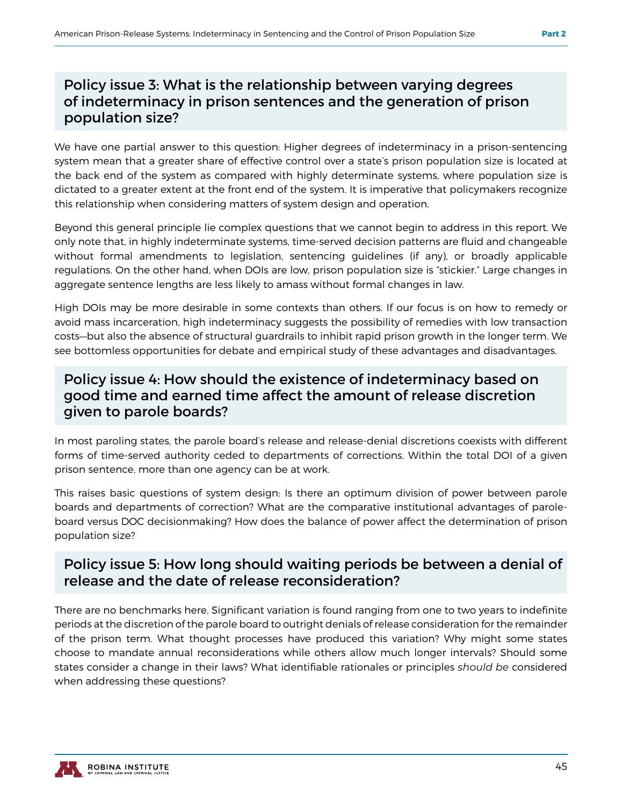#### Policy issue 3: What is the relationship between varying degrees of indeterminacy in prison sentences and the generation of prison population size?

We have one partial answer to this question: Higher degrees of indeterminacy in a prison-sentencing system mean that a greater share of effective control over a state's prison population size is located at the back end of the system as compared with highly determinate systems, where population size is dictated to a greater extent at the front end of the system. It is imperative that policymakers recognize this relationship when considering matters of system design and operation.

Beyond this general principle lie complex questions that we cannot begin to address in this report. We only note that, in highly indeterminate systems, time-served decision patterns are fluid and changeable without formal amendments to legislation, sentencing guidelines (if any), or broadly applicable regulations. On the other hand, when DOIs are low, prison population size is "stickier." Large changes in aggregate sentence lengths are less likely to amass without formal changes in law.

High DOIs may be more desirable in some contexts than others. If our focus is on how to remedy or avoid mass incarceration, high indeterminacy suggests the possibility of remedies with low transaction costs—but also the absence of structural guardrails to inhibit rapid prison growth in the longer term. We see bottomless opportunities for debate and empirical study of these advantages and disadvantages.

#### Policy issue 4: How should the existence of indeterminacy based on good time and earned time affect the amount of release discretion given to parole boards?

In most paroling states, the parole board's release and release-denial discretions coexists with different forms of time-served authority ceded to departments of corrections. Within the total DOI of a given prison sentence, more than one agency can be at work.

This raises basic questions of system design: Is there an optimum division of power between parole boards and departments of correction? What are the comparative institutional advantages of paroleboard versus DOC decisionmaking? How does the balance of power affect the determination of prison population size?

#### Policy issue 5: How long should waiting periods be between a denial of release and the date of release reconsideration?

There are no benchmarks here. Significant variation is found ranging from one to two years to indefinite periods at the discretion of the parole board to outright denials of release consideration for the remainder of the prison term. What thought processes have produced this variation? Why might some states choose to mandate annual reconsiderations while others allow much longer intervals? Should some states consider a change in their laws? What identifiable rationales or principles *should be* considered when addressing these questions?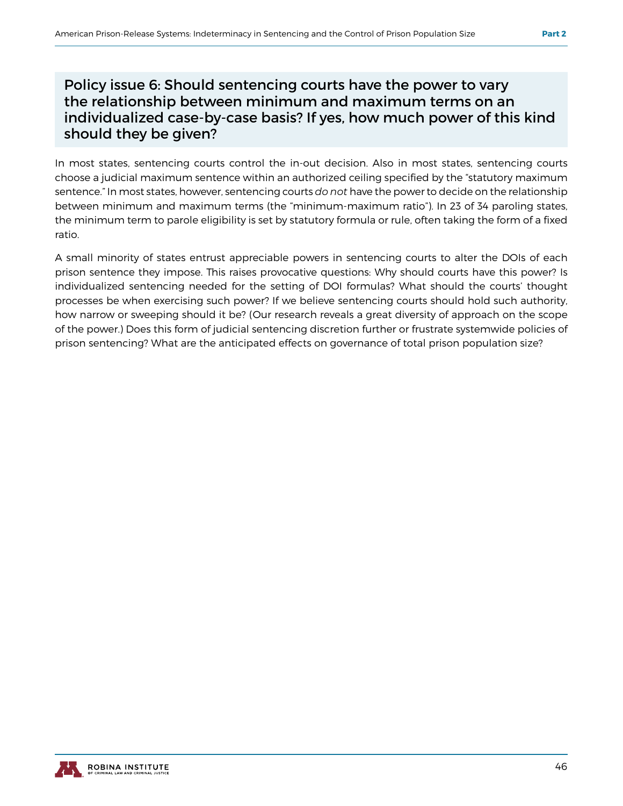#### Policy issue 6: Should sentencing courts have the power to vary the relationship between minimum and maximum terms on an individualized case-by-case basis? If yes, how much power of this kind should they be given?

In most states, sentencing courts control the in-out decision. Also in most states, sentencing courts choose a judicial maximum sentence within an authorized ceiling specified by the "statutory maximum sentence." In most states, however, sentencing courts *do not* have the power to decide on the relationship between minimum and maximum terms (the "minimum-maximum ratio"). In 23 of 34 paroling states, the minimum term to parole eligibility is set by statutory formula or rule, often taking the form of a fixed ratio.

A small minority of states entrust appreciable powers in sentencing courts to alter the DOIs of each prison sentence they impose. This raises provocative questions: Why should courts have this power? Is individualized sentencing needed for the setting of DOI formulas? What should the courts' thought processes be when exercising such power? If we believe sentencing courts should hold such authority, how narrow or sweeping should it be? (Our research reveals a great diversity of approach on the scope of the power.) Does this form of judicial sentencing discretion further or frustrate systemwide policies of prison sentencing? What are the anticipated effects on governance of total prison population size?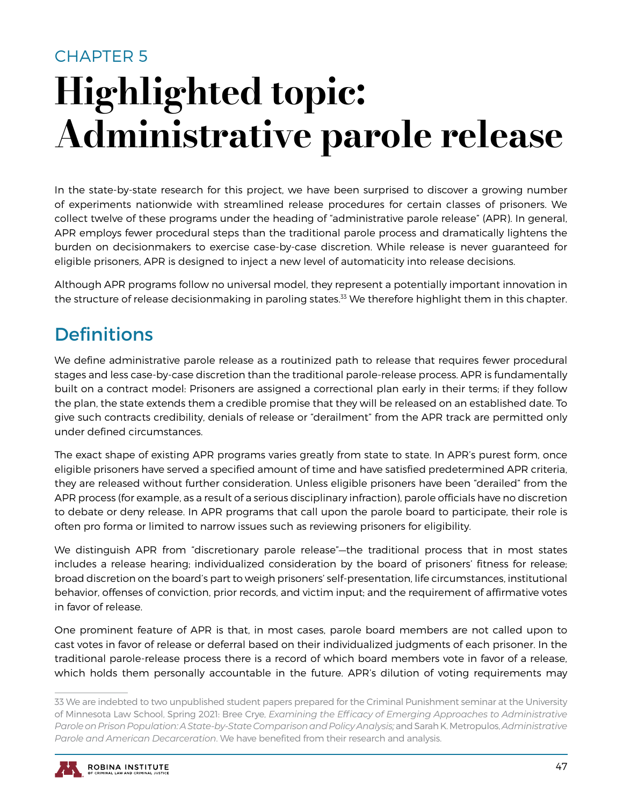## CHAPTER 5 Highlighted topic: Administrative parole release

In the state-by-state research for this project, we have been surprised to discover a growing number of experiments nationwide with streamlined release procedures for certain classes of prisoners. We collect twelve of these programs under the heading of "administrative parole release" (APR). In general, APR employs fewer procedural steps than the traditional parole process and dramatically lightens the burden on decisionmakers to exercise case-by-case discretion. While release is never guaranteed for eligible prisoners, APR is designed to inject a new level of automaticity into release decisions.

Although APR programs follow no universal model, they represent a potentially important innovation in the structure of release decisionmaking in paroling states.<sup>33</sup> We therefore highlight them in this chapter.

## **Definitions**

We define administrative parole release as a routinized path to release that requires fewer procedural stages and less case-by-case discretion than the traditional parole-release process. APR is fundamentally built on a contract model: Prisoners are assigned a correctional plan early in their terms; if they follow the plan, the state extends them a credible promise that they will be released on an established date. To give such contracts credibility, denials of release or "derailment" from the APR track are permitted only under defined circumstances.

The exact shape of existing APR programs varies greatly from state to state. In APR's purest form, once eligible prisoners have served a specified amount of time and have satisfied predetermined APR criteria, they are released without further consideration. Unless eligible prisoners have been "derailed" from the APR process (for example, as a result of a serious disciplinary infraction), parole officials have no discretion to debate or deny release. In APR programs that call upon the parole board to participate, their role is often pro forma or limited to narrow issues such as reviewing prisoners for eligibility.

We distinguish APR from "discretionary parole release"—the traditional process that in most states includes a release hearing; individualized consideration by the board of prisoners' fitness for release; broad discretion on the board's part to weigh prisoners' self-presentation, life circumstances, institutional behavior, offenses of conviction, prior records, and victim input; and the requirement of affirmative votes in favor of release.

One prominent feature of APR is that, in most cases, parole board members are not called upon to cast votes in favor of release or deferral based on their individualized judgments of each prisoner. In the traditional parole-release process there is a record of which board members vote in favor of a release, which holds them personally accountable in the future. APR's dilution of voting requirements may

<sup>33</sup> We are indebted to two unpublished student papers prepared for the Criminal Punishment seminar at the University of Minnesota Law School, Spring 2021: Bree Crye, *Examining the Efficacy of Emerging Approaches to Administrative Parole on Prison Population: A State-by-State Comparison and Policy Analysis;* and Sarah K. Metropulos, *Administrative Parole and American Decarceration*. We have benefited from their research and analysis.

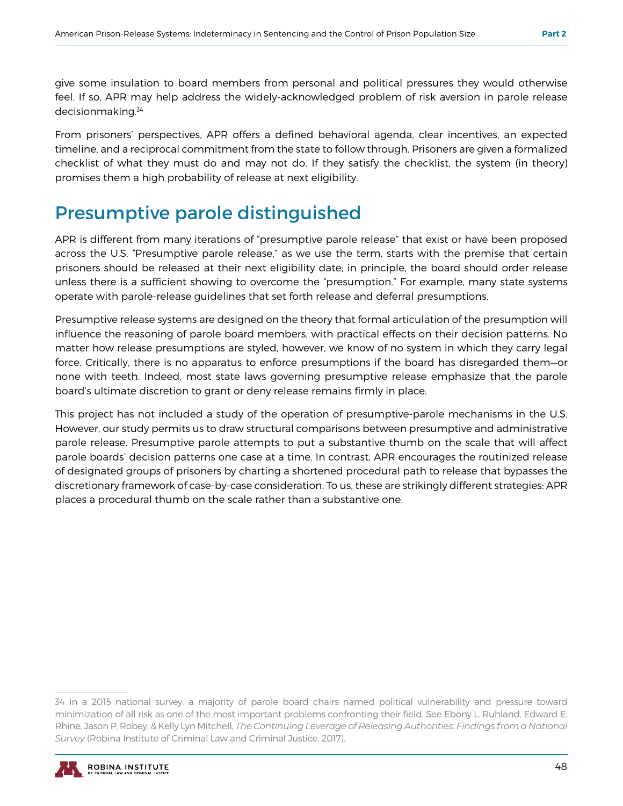give some insulation to board members from personal and political pressures they would otherwise feel. If so, APR may help address the widely-acknowledged problem of risk aversion in parole release decisionmaking.34

From prisoners' perspectives, APR offers a defined behavioral agenda, clear incentives, an expected timeline, and a reciprocal commitment from the state to follow through. Prisoners are given a formalized checklist of what they must do and may not do. If they satisfy the checklist, the system (in theory) promises them a high probability of release at next eligibility.

## Presumptive parole distinguished

APR is different from many iterations of "presumptive parole release" that exist or have been proposed across the U.S. "Presumptive parole release," as we use the term, starts with the premise that certain prisoners should be released at their next eligibility date; in principle, the board should order release unless there is a sufficient showing to overcome the "presumption." For example, many state systems operate with parole-release guidelines that set forth release and deferral presumptions.

Presumptive release systems are designed on the theory that formal articulation of the presumption will influence the reasoning of parole board members, with practical effects on their decision patterns. No matter how release presumptions are styled, however, we know of no system in which they carry legal force. Critically, there is no apparatus to enforce presumptions if the board has disregarded them—or none with teeth. Indeed, most state laws governing presumptive release emphasize that the parole board's ultimate discretion to grant or deny release remains firmly in place.

This project has not included a study of the operation of presumptive-parole mechanisms in the U.S. However, our study permits us to draw structural comparisons between presumptive and administrative parole release. Presumptive parole attempts to put a substantive thumb on the scale that will affect parole boards' decision patterns one case at a time. In contrast, APR encourages the routinized release of designated groups of prisoners by charting a shortened procedural path to release that bypasses the discretionary framework of case-by-case consideration. To us, these are strikingly different strategies: APR places a procedural thumb on the scale rather than a substantive one.

<sup>34</sup> In a 2015 national survey, a majority of parole board chairs named political vulnerability and pressure toward minimization of all risk as one of the most important problems confronting their field. See Ebony L. Ruhland, Edward E. Rhine, Jason P. Robey, & Kelly Lyn Mitchell, *The Continuing Leverage of Releasing Authorities: Findings from a National Survey* (Robina Institute of Criminal Law and Criminal Justice, 2017).

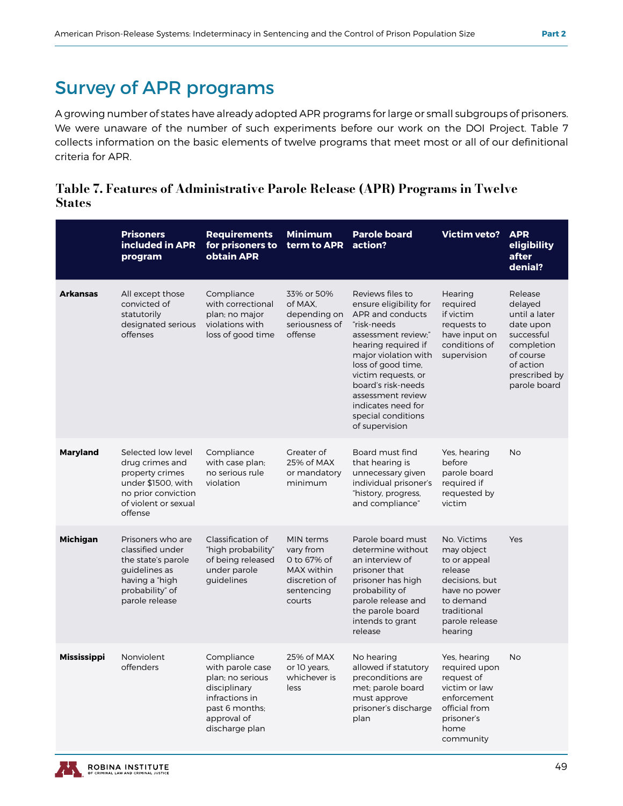## Survey of APR programs

A growing number of states have already adopted APR programs for large or small subgroups of prisoners. We were unaware of the number of such experiments before our work on the DOI Project. Table 7 collects information on the basic elements of twelve programs that meet most or all of our definitional criteria for APR.

#### Table 7. Features of Administrative Parole Release (APR) Programs in Twelve States

|                    | <b>Prisoners</b><br>included in APR<br>program                                                                                           | <b>Requirements</b><br>for prisoners to<br>obtain APR                                                                                   | <b>Minimum</b><br>term to APR                                                                | <b>Parole board</b><br>action?                                                                                                                                                                                                                                                                            | <b>Victim veto?</b>                                                                                                                              | <b>APR</b><br>eligibility<br>after<br>denial?                                                                                           |
|--------------------|------------------------------------------------------------------------------------------------------------------------------------------|-----------------------------------------------------------------------------------------------------------------------------------------|----------------------------------------------------------------------------------------------|-----------------------------------------------------------------------------------------------------------------------------------------------------------------------------------------------------------------------------------------------------------------------------------------------------------|--------------------------------------------------------------------------------------------------------------------------------------------------|-----------------------------------------------------------------------------------------------------------------------------------------|
| <b>Arkansas</b>    | All except those<br>convicted of<br>statutorily<br>designated serious<br>offenses                                                        | Compliance<br>with correctional<br>plan; no major<br>violations with<br>loss of good time                                               | 33% or 50%<br>of MAX,<br>depending on<br>seriousness of<br>offense                           | Reviews files to<br>ensure eligibility for<br>APR and conducts<br>"risk-needs<br>assessment review;"<br>hearing required if<br>major violation with<br>loss of good time,<br>victim requests, or<br>board's risk-needs<br>assessment review<br>indicates need for<br>special conditions<br>of supervision | Hearing<br>required<br>if victim<br>requests to<br>have input on<br>conditions of<br>supervision                                                 | Release<br>delayed<br>until a later<br>date upon<br>successful<br>completion<br>of course<br>of action<br>prescribed by<br>parole board |
| <b>Maryland</b>    | Selected low level<br>drug crimes and<br>property crimes<br>under \$1500, with<br>no prior conviction<br>of violent or sexual<br>offense | Compliance<br>with case plan;<br>no serious rule<br>violation                                                                           | Greater of<br>25% of MAX<br>or mandatory<br>minimum                                          | Board must find<br>that hearing is<br>unnecessary given<br>individual prisoner's<br>"history, progress,<br>and compliance"                                                                                                                                                                                | Yes, hearing<br>before<br>parole board<br>required if<br>requested by<br>victim                                                                  | <b>No</b>                                                                                                                               |
| <b>Michigan</b>    | Prisoners who are<br>classified under<br>the state's parole<br>quidelines as<br>having a "high<br>probability" of<br>parole release      | Classification of<br>"high probability"<br>of being released<br>under parole<br>guidelines                                              | MIN terms<br>vary from<br>0 to 67% of<br>MAX within<br>discretion of<br>sentencing<br>courts | Parole board must<br>determine without<br>an interview of<br>prisoner that<br>prisoner has high<br>probability of<br>parole release and<br>the parole board<br>intends to grant<br>release                                                                                                                | No. Victims<br>may object<br>to or appeal<br>release<br>decisions, but<br>have no power<br>to demand<br>traditional<br>parole release<br>hearing | Yes                                                                                                                                     |
| <b>Mississippi</b> | Nonviolent<br>offenders                                                                                                                  | Compliance<br>with parole case<br>plan; no serious<br>disciplinary<br>infractions in<br>past 6 months:<br>approval of<br>discharge plan | 25% of MAX<br>or 10 years,<br>whichever is<br>less                                           | No hearing<br>allowed if statutory<br>preconditions are<br>met; parole board<br>must approve<br>prisoner's discharge<br>plan                                                                                                                                                                              | Yes, hearing<br>required upon<br>request of<br>victim or law<br>enforcement<br>official from<br>prisoner's<br>home<br>community                  | <b>No</b>                                                                                                                               |

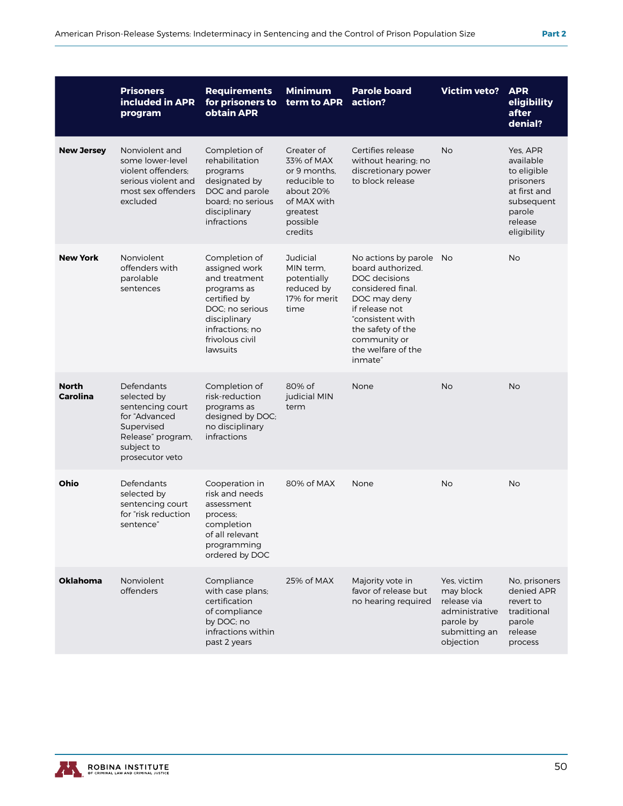|                          | <b>Prisoners</b><br>included in APR<br>program                                                                                     | <b>Requirements</b><br>for prisoners to<br>obtain APR                                                                                                               | <b>Minimum</b><br>term to APR                                                                                           | <b>Parole board</b><br>action?                                                                                                                                                                                 | <b>Victim veto?</b>                                                                                  | <b>APR</b><br>eligibility<br>after<br>denial?                                                                       |
|--------------------------|------------------------------------------------------------------------------------------------------------------------------------|---------------------------------------------------------------------------------------------------------------------------------------------------------------------|-------------------------------------------------------------------------------------------------------------------------|----------------------------------------------------------------------------------------------------------------------------------------------------------------------------------------------------------------|------------------------------------------------------------------------------------------------------|---------------------------------------------------------------------------------------------------------------------|
| <b>New Jersey</b>        | Nonviolent and<br>some lower-level<br>violent offenders:<br>serious violent and<br>most sex offenders<br>excluded                  | Completion of<br>rehabilitation<br>programs<br>designated by<br>DOC and parole<br>board; no serious<br>disciplinary<br>infractions                                  | Greater of<br>33% of MAX<br>or 9 months.<br>reducible to<br>about 20%<br>of MAX with<br>greatest<br>possible<br>credits | Certifies release<br>without hearing; no<br>discretionary power<br>to block release                                                                                                                            | No                                                                                                   | Yes, APR<br>available<br>to eligible<br>prisoners<br>at first and<br>subsequent<br>parole<br>release<br>eligibility |
| <b>New York</b>          | Nonviolent<br>offenders with<br>parolable<br>sentences                                                                             | Completion of<br>assigned work<br>and treatment<br>programs as<br>certified by<br>DOC; no serious<br>disciplinary<br>infractions: no<br>frivolous civil<br>lawsuits | Judicial<br>MIN term.<br>potentially<br>reduced by<br>17% for merit<br>time                                             | No actions by parole No<br>board authorized.<br>DOC decisions<br>considered final.<br>DOC may deny<br>if release not<br>"consistent with<br>the safety of the<br>community or<br>the welfare of the<br>inmate" |                                                                                                      | <b>No</b>                                                                                                           |
| <b>North</b><br>Carolina | Defendants<br>selected by<br>sentencing court<br>for "Advanced<br>Supervised<br>Release" program,<br>subject to<br>prosecutor veto | Completion of<br>risk-reduction<br>programs as<br>designed by DOC;<br>no disciplinary<br>infractions                                                                | 80% of<br>judicial MIN<br>term                                                                                          | None                                                                                                                                                                                                           | <b>No</b>                                                                                            | <b>No</b>                                                                                                           |
| Ohio                     | Defendants<br>selected by<br>sentencing court<br>for "risk reduction<br>sentence"                                                  | Cooperation in<br>risk and needs<br>assessment<br>process;<br>completion<br>of all relevant<br>programming<br>ordered by DOC                                        | 80% of MAX                                                                                                              | None                                                                                                                                                                                                           | <b>No</b>                                                                                            | <b>No</b>                                                                                                           |
| <b>Oklahoma</b>          | Nonviolent<br>offenders                                                                                                            | Compliance<br>with case plans;<br>certification<br>of compliance<br>by DOC; no<br>infractions within<br>past 2 years                                                | 25% of MAX                                                                                                              | Majority vote in<br>favor of release but<br>no hearing required                                                                                                                                                | Yes, victim<br>may block<br>release via<br>administrative<br>parole by<br>submitting an<br>objection | No, prisoners<br>denied APR<br>revert to<br>traditional<br>parole<br>release<br>process                             |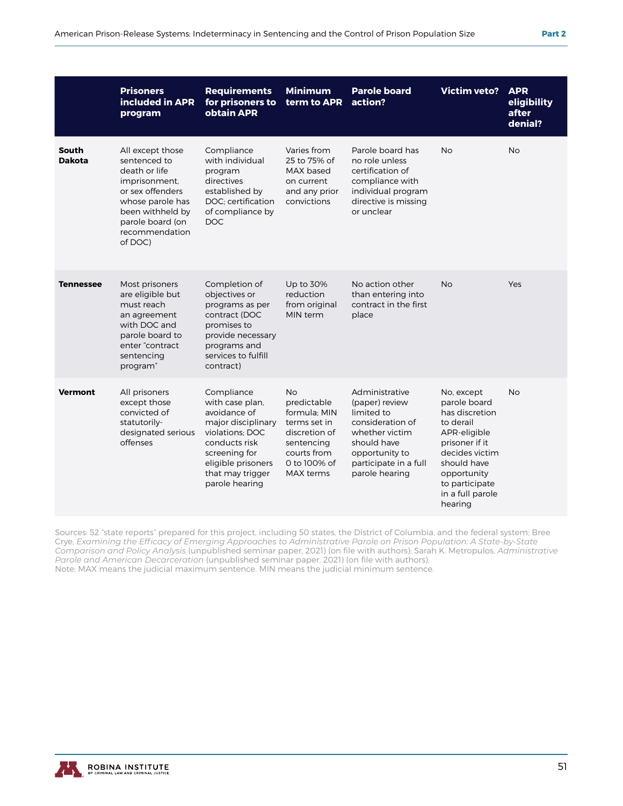|                        | <b>Prisoners</b><br>included in APR<br>program                                                                                                                                  | <b>Requirements</b><br>for prisoners to<br>obtain APR                                                                                                                                | <b>Minimum</b><br>term to APR                                                                                                       | <b>Parole board</b><br>action?                                                                                                                                   | <b>Victim veto?</b>                                                                                                                                                                          | <b>APR</b><br>eligibility<br>after<br>denial? |
|------------------------|---------------------------------------------------------------------------------------------------------------------------------------------------------------------------------|--------------------------------------------------------------------------------------------------------------------------------------------------------------------------------------|-------------------------------------------------------------------------------------------------------------------------------------|------------------------------------------------------------------------------------------------------------------------------------------------------------------|----------------------------------------------------------------------------------------------------------------------------------------------------------------------------------------------|-----------------------------------------------|
| South<br><b>Dakota</b> | All except those<br>sentenced to<br>death or life<br>imprisonment,<br>or sex offenders<br>whose parole has<br>been withheld by<br>parole board (on<br>recommendation<br>of DOC) | Compliance<br>with individual<br>program<br>directives<br>established by<br>DOC: certification<br>of compliance by<br><b>DOC</b>                                                     | Varies from<br>25 to 75% of<br>MAX based<br>on current<br>and any prior<br>convictions                                              | Parole board has<br>no role unless<br>certification of<br>compliance with<br>individual program<br>directive is missing<br>or unclear                            | <b>No</b>                                                                                                                                                                                    | <b>No</b>                                     |
| <b>Tennessee</b>       | Most prisoners<br>are eligible but<br>must reach<br>an agreement<br>with DOC and<br>parole board to<br>enter "contract<br>sentencing<br>program"                                | Completion of<br>objectives or<br>programs as per<br>contract (DOC<br>promises to<br>provide necessary<br>programs and<br>services to fulfill<br>contract)                           | Up to 30%<br>reduction<br>from original<br>MIN term                                                                                 | No action other<br>than entering into<br>contract in the first<br>place                                                                                          | <b>No</b>                                                                                                                                                                                    | Yes                                           |
| <b>Vermont</b>         | All prisoners<br>except those<br>convicted of<br>statutorily-<br>designated serious<br>offenses                                                                                 | Compliance<br>with case plan,<br>avoidance of<br>major disciplinary<br>violations: DOC<br>conducts risk<br>screening for<br>eligible prisoners<br>that may trigger<br>parole hearing | <b>No</b><br>predictable<br>formula: MIN<br>terms set in<br>discretion of<br>sentencing<br>courts from<br>0 to 100% of<br>MAX terms | Administrative<br>(paper) review<br>limited to<br>consideration of<br>whether victim<br>should have<br>opportunity to<br>participate in a full<br>parole hearing | No, except<br>parole board<br>has discretion<br>to derail<br>APR-eligible<br>prisoner if it<br>decides victim<br>should have<br>opportunity<br>to participate<br>in a full parole<br>hearing | <b>No</b>                                     |

Sources: 52 "state reports" prepared for this project, including 50 states, the District of Columbia, and the federal system; Bree Crye, *Examining the Efficacy of Emerging Approaches to Administrative Parole on Prison Population: A State-by-State Comparison and Policy Analysis* (unpublished seminar paper, 2021) (on file with authors); Sarah K. Metropulos, *Administrative Parole and American Decarceration* (unpublished seminar paper, 2021) (on file with authors). Note: MAX means the judicial maximum sentence. MIN means the judicial minimum sentence.

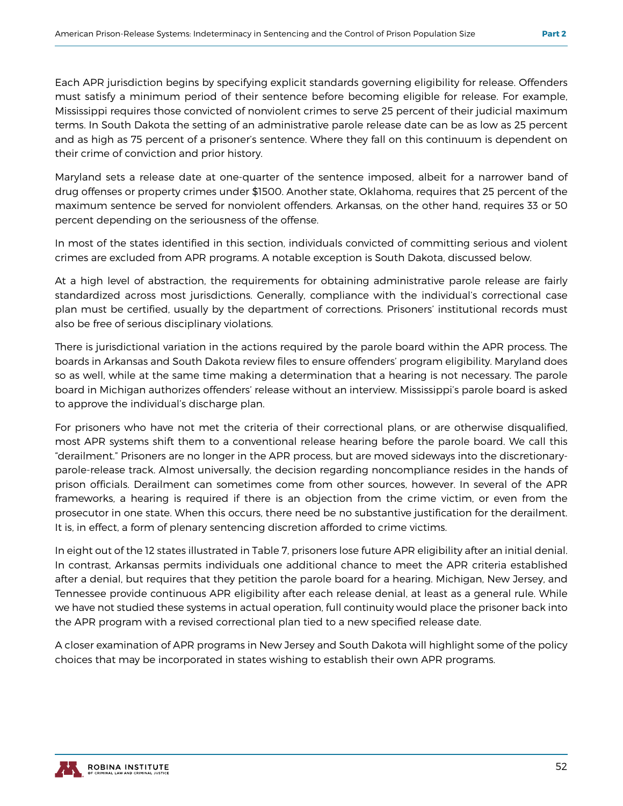Each APR jurisdiction begins by specifying explicit standards governing eligibility for release. Offenders must satisfy a minimum period of their sentence before becoming eligible for release. For example, Mississippi requires those convicted of nonviolent crimes to serve 25 percent of their judicial maximum terms. In South Dakota the setting of an administrative parole release date can be as low as 25 percent and as high as 75 percent of a prisoner's sentence. Where they fall on this continuum is dependent on their crime of conviction and prior history.

Maryland sets a release date at one-quarter of the sentence imposed, albeit for a narrower band of drug offenses or property crimes under \$1500. Another state, Oklahoma, requires that 25 percent of the maximum sentence be served for nonviolent offenders. Arkansas, on the other hand, requires 33 or 50 percent depending on the seriousness of the offense.

In most of the states identified in this section, individuals convicted of committing serious and violent crimes are excluded from APR programs. A notable exception is South Dakota, discussed below.

At a high level of abstraction, the requirements for obtaining administrative parole release are fairly standardized across most jurisdictions. Generally, compliance with the individual's correctional case plan must be certified, usually by the department of corrections. Prisoners' institutional records must also be free of serious disciplinary violations.

There is jurisdictional variation in the actions required by the parole board within the APR process. The boards in Arkansas and South Dakota review files to ensure offenders' program eligibility. Maryland does so as well, while at the same time making a determination that a hearing is not necessary. The parole board in Michigan authorizes offenders' release without an interview. Mississippi's parole board is asked to approve the individual's discharge plan.

For prisoners who have not met the criteria of their correctional plans, or are otherwise disqualified, most APR systems shift them to a conventional release hearing before the parole board. We call this "derailment." Prisoners are no longer in the APR process, but are moved sideways into the discretionaryparole-release track. Almost universally, the decision regarding noncompliance resides in the hands of prison officials. Derailment can sometimes come from other sources, however. In several of the APR frameworks, a hearing is required if there is an objection from the crime victim, or even from the prosecutor in one state. When this occurs, there need be no substantive justification for the derailment. It is, in effect, a form of plenary sentencing discretion afforded to crime victims.

In eight out of the 12 states illustrated in Table 7, prisoners lose future APR eligibility after an initial denial. In contrast, Arkansas permits individuals one additional chance to meet the APR criteria established after a denial, but requires that they petition the parole board for a hearing. Michigan, New Jersey, and Tennessee provide continuous APR eligibility after each release denial, at least as a general rule. While we have not studied these systems in actual operation, full continuity would place the prisoner back into the APR program with a revised correctional plan tied to a new specified release date.

A closer examination of APR programs in New Jersey and South Dakota will highlight some of the policy choices that may be incorporated in states wishing to establish their own APR programs.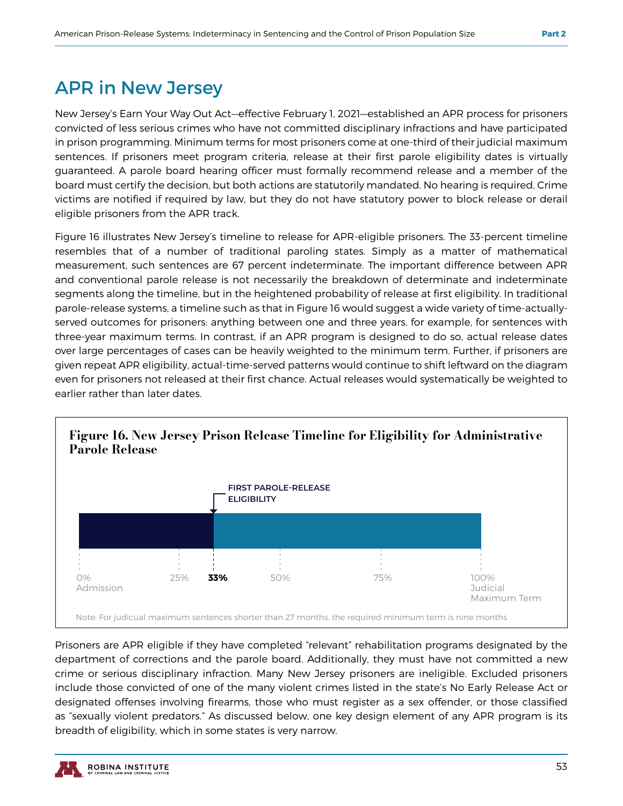## APR in New Jersey

New Jersey's Earn Your Way Out Act—effective February 1, 2021—established an APR process for prisoners convicted of less serious crimes who have not committed disciplinary infractions and have participated in prison programming. Minimum terms for most prisoners come at one-third of their judicial maximum sentences. If prisoners meet program criteria, release at their first parole eligibility dates is virtually guaranteed. A parole board hearing officer must formally recommend release and a member of the board must certify the decision, but both actions are statutorily mandated. No hearing is required. Crime victims are notified if required by law, but they do not have statutory power to block release or derail eligible prisoners from the APR track.

Figure 16 illustrates New Jersey's timeline to release for APR-eligible prisoners. The 33-percent timeline resembles that of a number of traditional paroling states. Simply as a matter of mathematical measurement, such sentences are 67 percent indeterminate. The important difference between APR and conventional parole release is not necessarily the breakdown of determinate and indeterminate segments along the timeline, but in the heightened probability of release at first eligibility. In traditional parole-release systems, a timeline such as that in Figure 16 would suggest a wide variety of time-actuallyserved outcomes for prisoners: anything between one and three years, for example, for sentences with three-year maximum terms. In contrast, if an APR program is designed to do so, actual release dates over large percentages of cases can be heavily weighted to the minimum term. Further, if prisoners are given repeat APR eligibility, actual-time-served patterns would continue to shift leftward on the diagram even for prisoners not released at their first chance. Actual releases would systematically be weighted to earlier rather than later dates.



Prisoners are APR eligible if they have completed "relevant" rehabilitation programs designated by the department of corrections and the parole board. Additionally, they must have not committed a new crime or serious disciplinary infraction. Many New Jersey prisoners are ineligible. Excluded prisoners include those convicted of one of the many violent crimes listed in the state's No Early Release Act or designated offenses involving firearms, those who must register as a sex offender, or those classified as "sexually violent predators." As discussed below, one key design element of any APR program is its breadth of eligibility, which in some states is very narrow.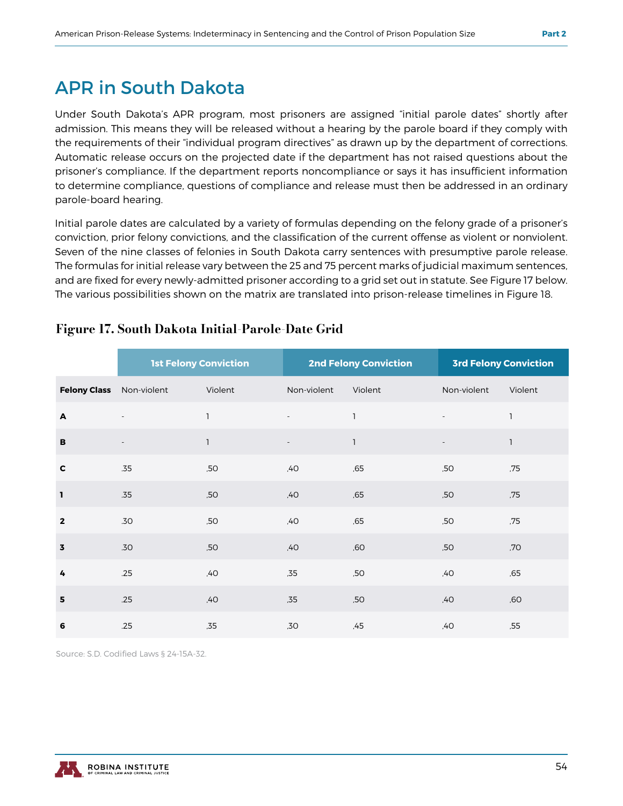## APR in South Dakota

Under South Dakota's APR program, most prisoners are assigned "initial parole dates" shortly after admission. This means they will be released without a hearing by the parole board if they comply with the requirements of their "individual program directives" as drawn up by the department of corrections. Automatic release occurs on the projected date if the department has not raised questions about the prisoner's compliance. If the department reports noncompliance or says it has insufficient information to determine compliance, questions of compliance and release must then be addressed in an ordinary parole-board hearing.

Initial parole dates are calculated by a variety of formulas depending on the felony grade of a prisoner's conviction, prior felony convictions, and the classification of the current offense as violent or nonviolent. Seven of the nine classes of felonies in South Dakota carry sentences with presumptive parole release. The formulas for initial release vary between the 25 and 75 percent marks of judicial maximum sentences, and are fixed for every newly-admitted prisoner according to a grid set out in statute. See Figure 17 below. The various possibilities shown on the matrix are translated into prison-release timelines in Figure 18.

|                         | <b>1st Felony Conviction</b> |              |                          | <b>2nd Felony Conviction</b> |                          | <b>3rd Felony Conviction</b> |
|-------------------------|------------------------------|--------------|--------------------------|------------------------------|--------------------------|------------------------------|
| <b>Felony Class</b>     | Non-violent                  | Violent      | Non-violent              | Violent                      | Non-violent              | Violent                      |
| A                       |                              | $\mathbf{1}$ | $\overline{\phantom{a}}$ | $\overline{1}$               | $\overline{\phantom{a}}$ | $\mathbf{I}$                 |
| В                       |                              | $\mathbf{1}$ |                          | $\mathbf{1}$                 |                          | $\mathbf{1}$                 |
| $\mathbf c$             | .35                          | ,50          | ,40                      | ,65                          | ,50                      | ,75                          |
| $\mathbf{1}$            | .35                          | ,50          | ,40                      | ,65                          | ,50                      | ,75                          |
| $\mathbf{2}$            | .30                          | ,50          | ,40                      | ,65                          | ,50                      | ,75                          |
| $\overline{\mathbf{3}}$ | .30                          | ,50          | ,40                      | ,60                          | ,50                      | ,70                          |
| 4                       | .25                          | ,40          | ,35                      | ,50                          | ,40                      | ,65                          |
| 5                       | .25                          | ,40          | ,35                      | ,50                          | ,40                      | ,60                          |
| 6                       | .25                          | ,35          | ,30                      | ,45                          | ,40                      | ,55                          |

#### Figure 17. South Dakota Initial-Parole-Date Grid

Source: S.D. Codified Laws § 24-15A-32.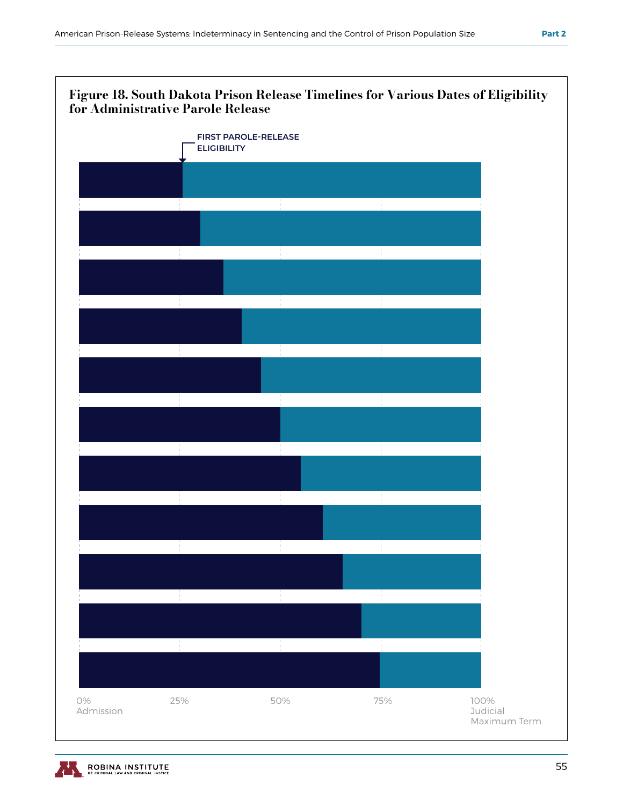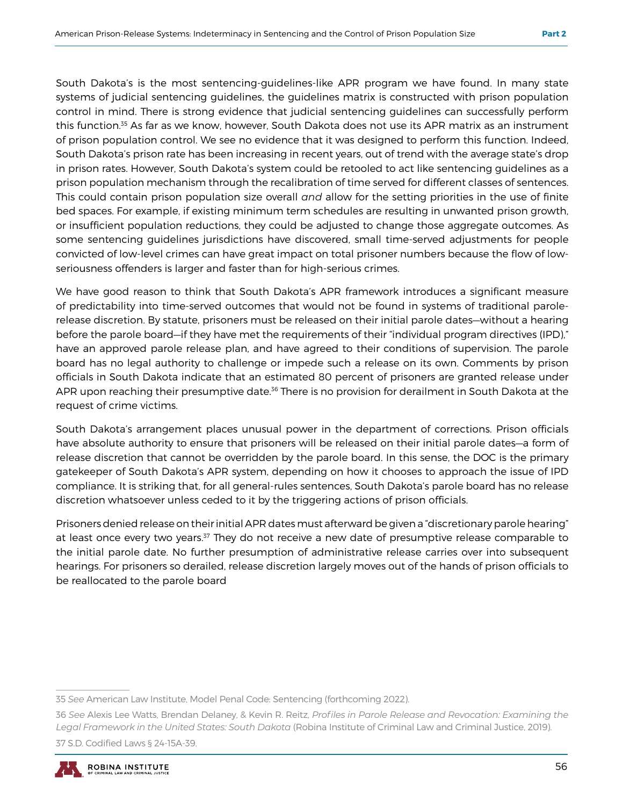South Dakota's is the most sentencing-guidelines-like APR program we have found. In many state systems of judicial sentencing guidelines, the guidelines matrix is constructed with prison population control in mind. There is strong evidence that judicial sentencing guidelines can successfully perform this function.<sup>35</sup> As far as we know, however, South Dakota does not use its APR matrix as an instrument of prison population control. We see no evidence that it was designed to perform this function. Indeed, South Dakota's prison rate has been increasing in recent years, out of trend with the average state's drop in prison rates. However, South Dakota's system could be retooled to act like sentencing guidelines as a prison population mechanism through the recalibration of time served for different classes of sentences. This could contain prison population size overall *and* allow for the setting priorities in the use of finite bed spaces. For example, if existing minimum term schedules are resulting in unwanted prison growth, or insufficient population reductions, they could be adjusted to change those aggregate outcomes. As some sentencing guidelines jurisdictions have discovered, small time-served adjustments for people convicted of low-level crimes can have great impact on total prisoner numbers because the flow of lowseriousness offenders is larger and faster than for high-serious crimes.

We have good reason to think that South Dakota's APR framework introduces a significant measure of predictability into time-served outcomes that would not be found in systems of traditional parolerelease discretion. By statute, prisoners must be released on their initial parole dates—without a hearing before the parole board—if they have met the requirements of their "individual program directives (IPD)," have an approved parole release plan, and have agreed to their conditions of supervision. The parole board has no legal authority to challenge or impede such a release on its own. Comments by prison officials in South Dakota indicate that an estimated 80 percent of prisoners are granted release under APR upon reaching their presumptive date.<sup>36</sup> There is no provision for derailment in South Dakota at the request of crime victims.

South Dakota's arrangement places unusual power in the department of corrections. Prison officials have absolute authority to ensure that prisoners will be released on their initial parole dates—a form of release discretion that cannot be overridden by the parole board. In this sense, the DOC is the primary gatekeeper of South Dakota's APR system, depending on how it chooses to approach the issue of IPD compliance. It is striking that, for all general-rules sentences, South Dakota's parole board has no release discretion whatsoever unless ceded to it by the triggering actions of prison officials.

Prisoners denied release on their initial APR dates must afterward be given a "discretionary parole hearing" at least once every two years.<sup>37</sup> They do not receive a new date of presumptive release comparable to the initial parole date. No further presumption of administrative release carries over into subsequent hearings. For prisoners so derailed, release discretion largely moves out of the hands of prison officials to be reallocated to the parole board

<sup>36</sup> *See* Alexis Lee Watts, Brendan Delaney, & Kevin R. Reitz, *Profiles in Parole Release and Revocation: Examining the Legal Framework in the United States: South Dakota* (Robina Institute of Criminal Law and Criminal Justice, 2019). 37 S.D. Codified Laws § 24-15A-39.



<sup>35</sup> *See* American Law Institute, Model Penal Code: Sentencing (forthcoming 2022).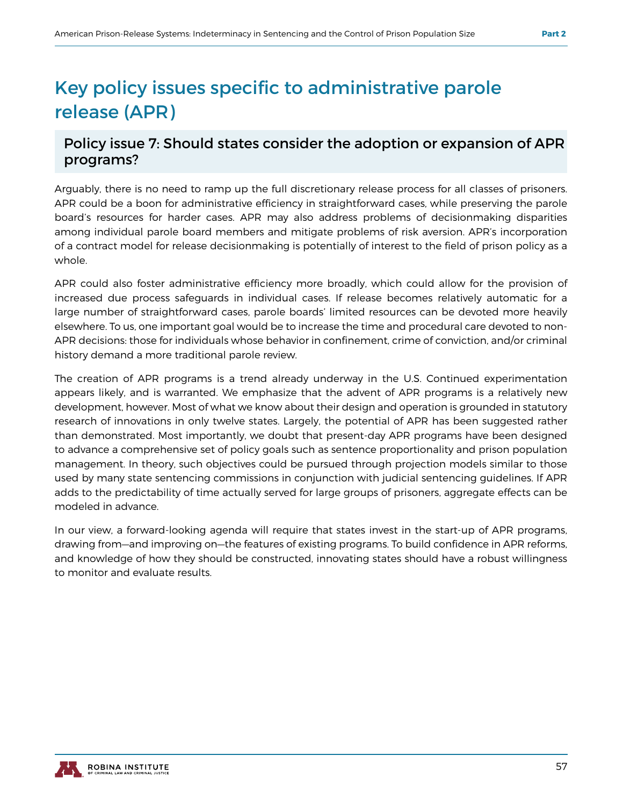## Key policy issues specific to administrative parole release (APR)

#### Policy issue 7: Should states consider the adoption or expansion of APR programs?

Arguably, there is no need to ramp up the full discretionary release process for all classes of prisoners. APR could be a boon for administrative efficiency in straightforward cases, while preserving the parole board's resources for harder cases. APR may also address problems of decisionmaking disparities among individual parole board members and mitigate problems of risk aversion. APR's incorporation of a contract model for release decisionmaking is potentially of interest to the field of prison policy as a whole.

APR could also foster administrative efficiency more broadly, which could allow for the provision of increased due process safeguards in individual cases. If release becomes relatively automatic for a large number of straightforward cases, parole boards' limited resources can be devoted more heavily elsewhere. To us, one important goal would be to increase the time and procedural care devoted to non-APR decisions: those for individuals whose behavior in confinement, crime of conviction, and/or criminal history demand a more traditional parole review.

The creation of APR programs is a trend already underway in the U.S. Continued experimentation appears likely, and is warranted. We emphasize that the advent of APR programs is a relatively new development, however. Most of what we know about their design and operation is grounded in statutory research of innovations in only twelve states. Largely, the potential of APR has been suggested rather than demonstrated. Most importantly, we doubt that present-day APR programs have been designed to advance a comprehensive set of policy goals such as sentence proportionality and prison population management. In theory, such objectives could be pursued through projection models similar to those used by many state sentencing commissions in conjunction with judicial sentencing guidelines. If APR adds to the predictability of time actually served for large groups of prisoners, aggregate effects can be modeled in advance.

In our view, a forward-looking agenda will require that states invest in the start-up of APR programs, drawing from—and improving on—the features of existing programs. To build confidence in APR reforms, and knowledge of how they should be constructed, innovating states should have a robust willingness to monitor and evaluate results.

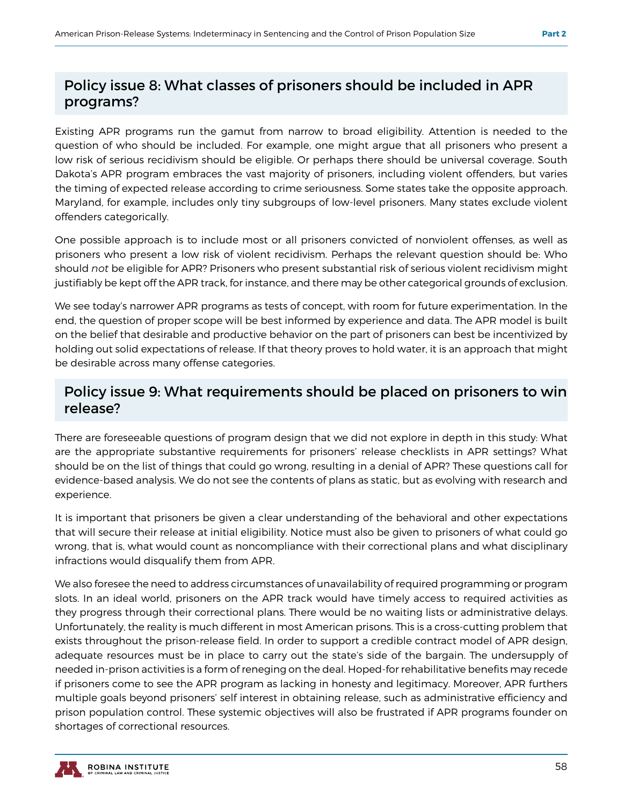#### Policy issue 8: What classes of prisoners should be included in APR programs?

Existing APR programs run the gamut from narrow to broad eligibility. Attention is needed to the question of who should be included. For example, one might argue that all prisoners who present a low risk of serious recidivism should be eligible. Or perhaps there should be universal coverage. South Dakota's APR program embraces the vast majority of prisoners, including violent offenders, but varies the timing of expected release according to crime seriousness. Some states take the opposite approach. Maryland, for example, includes only tiny subgroups of low-level prisoners. Many states exclude violent offenders categorically.

One possible approach is to include most or all prisoners convicted of nonviolent offenses, as well as prisoners who present a low risk of violent recidivism. Perhaps the relevant question should be: Who should *not* be eligible for APR? Prisoners who present substantial risk of serious violent recidivism might justifiably be kept off the APR track, for instance, and there may be other categorical grounds of exclusion.

We see today's narrower APR programs as tests of concept, with room for future experimentation. In the end, the question of proper scope will be best informed by experience and data. The APR model is built on the belief that desirable and productive behavior on the part of prisoners can best be incentivized by holding out solid expectations of release. If that theory proves to hold water, it is an approach that might be desirable across many offense categories.

#### Policy issue 9: What requirements should be placed on prisoners to win release?

There are foreseeable questions of program design that we did not explore in depth in this study: What are the appropriate substantive requirements for prisoners' release checklists in APR settings? What should be on the list of things that could go wrong, resulting in a denial of APR? These questions call for evidence-based analysis. We do not see the contents of plans as static, but as evolving with research and experience.

It is important that prisoners be given a clear understanding of the behavioral and other expectations that will secure their release at initial eligibility. Notice must also be given to prisoners of what could go wrong, that is, what would count as noncompliance with their correctional plans and what disciplinary infractions would disqualify them from APR.

We also foresee the need to address circumstances of unavailability of required programming or program slots. In an ideal world, prisoners on the APR track would have timely access to required activities as they progress through their correctional plans. There would be no waiting lists or administrative delays. Unfortunately, the reality is much different in most American prisons. This is a cross-cutting problem that exists throughout the prison-release field. In order to support a credible contract model of APR design, adequate resources must be in place to carry out the state's side of the bargain. The undersupply of needed in-prison activities is a form of reneging on the deal. Hoped-for rehabilitative benefits may recede if prisoners come to see the APR program as lacking in honesty and legitimacy. Moreover, APR furthers multiple goals beyond prisoners' self interest in obtaining release, such as administrative efficiency and prison population control. These systemic objectives will also be frustrated if APR programs founder on shortages of correctional resources.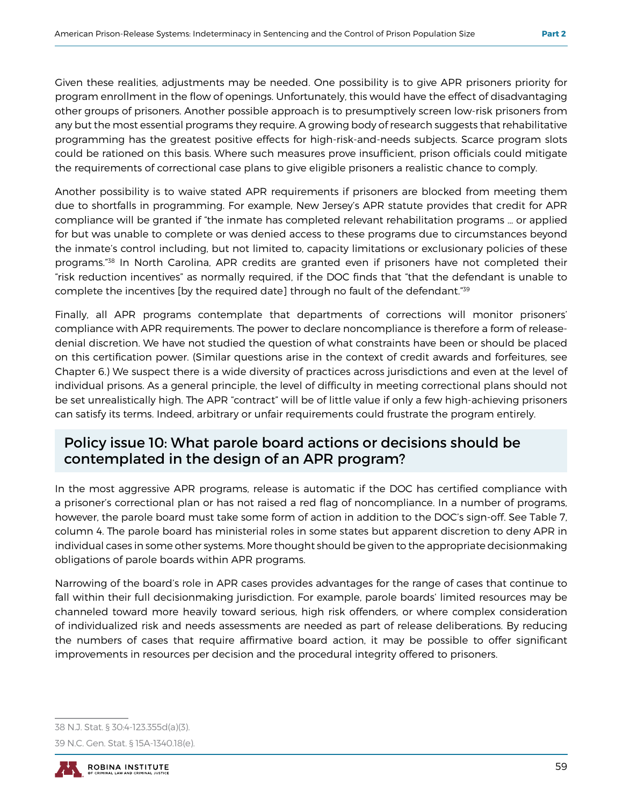Given these realities, adjustments may be needed. One possibility is to give APR prisoners priority for program enrollment in the flow of openings. Unfortunately, this would have the effect of disadvantaging other groups of prisoners. Another possible approach is to presumptively screen low-risk prisoners from any but the most essential programs they require. A growing body of research suggests that rehabilitative programming has the greatest positive effects for high-risk-and-needs subjects. Scarce program slots could be rationed on this basis. Where such measures prove insufficient, prison officials could mitigate the requirements of correctional case plans to give eligible prisoners a realistic chance to comply.

Another possibility is to waive stated APR requirements if prisoners are blocked from meeting them due to shortfalls in programming. For example, New Jersey's APR statute provides that credit for APR compliance will be granted if "the inmate has completed relevant rehabilitation programs … or applied for but was unable to complete or was denied access to these programs due to circumstances beyond the inmate's control including, but not limited to, capacity limitations or exclusionary policies of these programs."<sup>38</sup> In North Carolina, APR credits are granted even if prisoners have not completed their "risk reduction incentives" as normally required, if the DOC finds that "that the defendant is unable to complete the incentives [by the required date] through no fault of the defendant."39

Finally, all APR programs contemplate that departments of corrections will monitor prisoners' compliance with APR requirements. The power to declare noncompliance is therefore a form of releasedenial discretion. We have not studied the question of what constraints have been or should be placed on this certification power. (Similar questions arise in the context of credit awards and forfeitures, see Chapter 6.) We suspect there is a wide diversity of practices across jurisdictions and even at the level of individual prisons. As a general principle, the level of difficulty in meeting correctional plans should not be set unrealistically high. The APR "contract" will be of little value if only a few high-achieving prisoners can satisfy its terms. Indeed, arbitrary or unfair requirements could frustrate the program entirely.

#### Policy issue 10: What parole board actions or decisions should be contemplated in the design of an APR program?

In the most aggressive APR programs, release is automatic if the DOC has certified compliance with a prisoner's correctional plan or has not raised a red flag of noncompliance. In a number of programs, however, the parole board must take some form of action in addition to the DOC's sign-off. See Table 7, column 4. The parole board has ministerial roles in some states but apparent discretion to deny APR in individual cases in some other systems. More thought should be given to the appropriate decisionmaking obligations of parole boards within APR programs.

Narrowing of the board's role in APR cases provides advantages for the range of cases that continue to fall within their full decisionmaking jurisdiction. For example, parole boards' limited resources may be channeled toward more heavily toward serious, high risk offenders, or where complex consideration of individualized risk and needs assessments are needed as part of release deliberations. By reducing the numbers of cases that require affirmative board action, it may be possible to offer significant improvements in resources per decision and the procedural integrity offered to prisoners.

<sup>39</sup> N.C. Gen. Stat. § 15A-1340.18(e).



<sup>38</sup> N.J. Stat. § 30:4-123.355d(a)(3).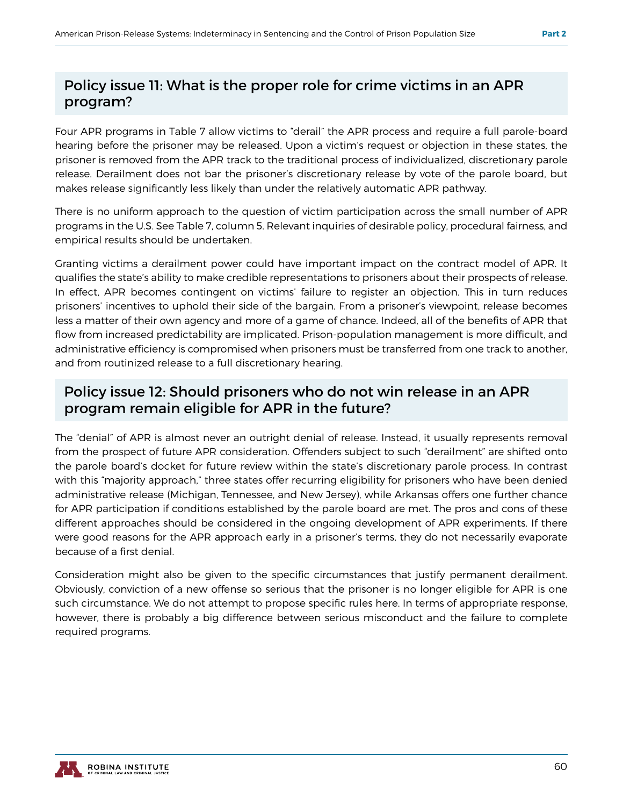#### Policy issue 11: What is the proper role for crime victims in an APR program?

Four APR programs in Table 7 allow victims to "derail" the APR process and require a full parole-board hearing before the prisoner may be released. Upon a victim's request or objection in these states, the prisoner is removed from the APR track to the traditional process of individualized, discretionary parole release. Derailment does not bar the prisoner's discretionary release by vote of the parole board, but makes release significantly less likely than under the relatively automatic APR pathway.

There is no uniform approach to the question of victim participation across the small number of APR programs in the U.S. See Table 7, column 5. Relevant inquiries of desirable policy, procedural fairness, and empirical results should be undertaken.

Granting victims a derailment power could have important impact on the contract model of APR. It qualifies the state's ability to make credible representations to prisoners about their prospects of release. In effect, APR becomes contingent on victims' failure to register an objection. This in turn reduces prisoners' incentives to uphold their side of the bargain. From a prisoner's viewpoint, release becomes less a matter of their own agency and more of a game of chance. Indeed, all of the benefits of APR that flow from increased predictability are implicated. Prison-population management is more difficult, and administrative efficiency is compromised when prisoners must be transferred from one track to another, and from routinized release to a full discretionary hearing.

#### Policy issue 12: Should prisoners who do not win release in an APR program remain eligible for APR in the future?

The "denial" of APR is almost never an outright denial of release. Instead, it usually represents removal from the prospect of future APR consideration. Offenders subject to such "derailment" are shifted onto the parole board's docket for future review within the state's discretionary parole process. In contrast with this "majority approach," three states offer recurring eligibility for prisoners who have been denied administrative release (Michigan, Tennessee, and New Jersey), while Arkansas offers one further chance for APR participation if conditions established by the parole board are met. The pros and cons of these different approaches should be considered in the ongoing development of APR experiments. If there were good reasons for the APR approach early in a prisoner's terms, they do not necessarily evaporate because of a first denial.

Consideration might also be given to the specific circumstances that justify permanent derailment. Obviously, conviction of a new offense so serious that the prisoner is no longer eligible for APR is one such circumstance. We do not attempt to propose specific rules here. In terms of appropriate response, however, there is probably a big difference between serious misconduct and the failure to complete required programs.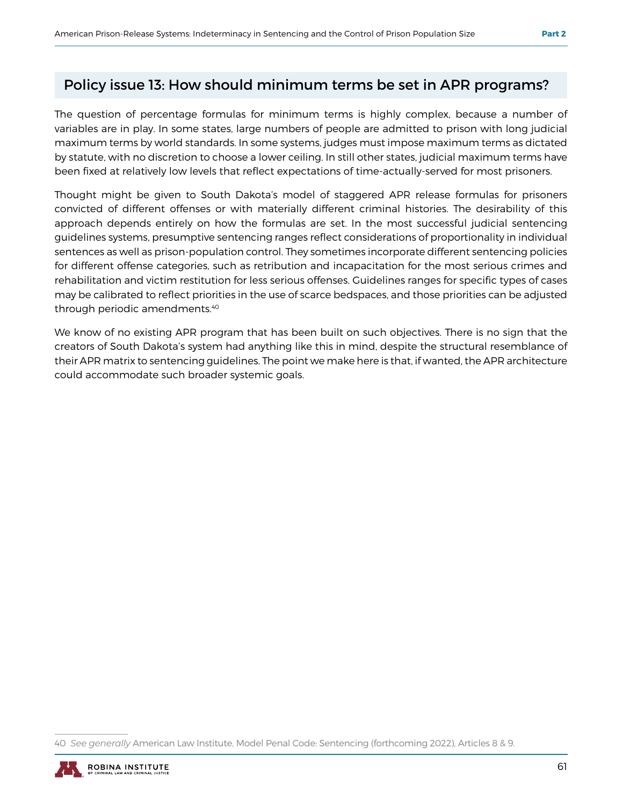#### Policy issue 13: How should minimum terms be set in APR programs?

The question of percentage formulas for minimum terms is highly complex, because a number of variables are in play. In some states, large numbers of people are admitted to prison with long judicial maximum terms by world standards. In some systems, judges must impose maximum terms as dictated by statute, with no discretion to choose a lower ceiling. In still other states, judicial maximum terms have been fixed at relatively low levels that reflect expectations of time-actually-served for most prisoners.

Thought might be given to South Dakota's model of staggered APR release formulas for prisoners convicted of different offenses or with materially different criminal histories. The desirability of this approach depends entirely on how the formulas are set. In the most successful judicial sentencing guidelines systems, presumptive sentencing ranges reflect considerations of proportionality in individual sentences as well as prison-population control. They sometimes incorporate different sentencing policies for different offense categories, such as retribution and incapacitation for the most serious crimes and rehabilitation and victim restitution for less serious offenses. Guidelines ranges for specific types of cases may be calibrated to reflect priorities in the use of scarce bedspaces, and those priorities can be adjusted through periodic amendments.40

We know of no existing APR program that has been built on such objectives. There is no sign that the creators of South Dakota's system had anything like this in mind, despite the structural resemblance of their APR matrix to sentencing guidelines. The point we make here is that, if wanted, the APR architecture could accommodate such broader systemic goals.

<sup>40</sup> *See generally* American Law Institute, Model Penal Code: Sentencing (forthcoming 2022), Articles 8 & 9.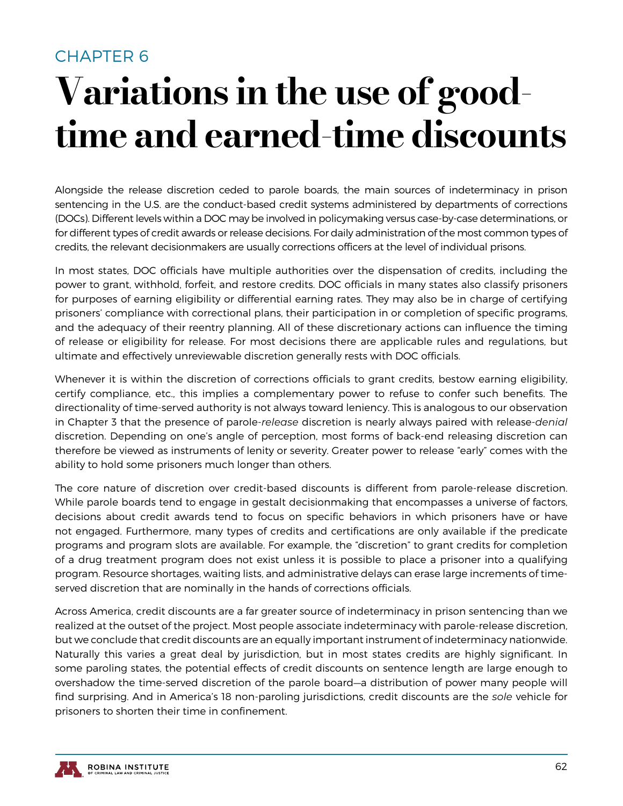### CHAPTER 6

# Variations in the use of goodtime and earned-time discounts

Alongside the release discretion ceded to parole boards, the main sources of indeterminacy in prison sentencing in the U.S. are the conduct-based credit systems administered by departments of corrections (DOCs). Different levels within a DOC may be involved in policymaking versus case-by-case determinations, or for different types of credit awards or release decisions. For daily administration of the most common types of credits, the relevant decisionmakers are usually corrections officers at the level of individual prisons.

In most states, DOC officials have multiple authorities over the dispensation of credits, including the power to grant, withhold, forfeit, and restore credits. DOC officials in many states also classify prisoners for purposes of earning eligibility or differential earning rates. They may also be in charge of certifying prisoners' compliance with correctional plans, their participation in or completion of specific programs, and the adequacy of their reentry planning. All of these discretionary actions can influence the timing of release or eligibility for release. For most decisions there are applicable rules and regulations, but ultimate and effectively unreviewable discretion generally rests with DOC officials.

Whenever it is within the discretion of corrections officials to grant credits, bestow earning eligibility, certify compliance, etc., this implies a complementary power to refuse to confer such benefits. The directionality of time-served authority is not always toward leniency. This is analogous to our observation in Chapter 3 that the presence of parole-*release* discretion is nearly always paired with release-*denial* discretion. Depending on one's angle of perception, most forms of back-end releasing discretion can therefore be viewed as instruments of lenity or severity. Greater power to release "early" comes with the ability to hold some prisoners much longer than others.

The core nature of discretion over credit-based discounts is different from parole-release discretion. While parole boards tend to engage in gestalt decisionmaking that encompasses a universe of factors, decisions about credit awards tend to focus on specific behaviors in which prisoners have or have not engaged. Furthermore, many types of credits and certifications are only available if the predicate programs and program slots are available. For example, the "discretion" to grant credits for completion of a drug treatment program does not exist unless it is possible to place a prisoner into a qualifying program. Resource shortages, waiting lists, and administrative delays can erase large increments of timeserved discretion that are nominally in the hands of corrections officials.

Across America, credit discounts are a far greater source of indeterminacy in prison sentencing than we realized at the outset of the project. Most people associate indeterminacy with parole-release discretion, but we conclude that credit discounts are an equally important instrument of indeterminacy nationwide. Naturally this varies a great deal by jurisdiction, but in most states credits are highly significant. In some paroling states, the potential effects of credit discounts on sentence length are large enough to overshadow the time-served discretion of the parole board—a distribution of power many people will find surprising. And in America's 18 non-paroling jurisdictions, credit discounts are the *sole* vehicle for prisoners to shorten their time in confinement.

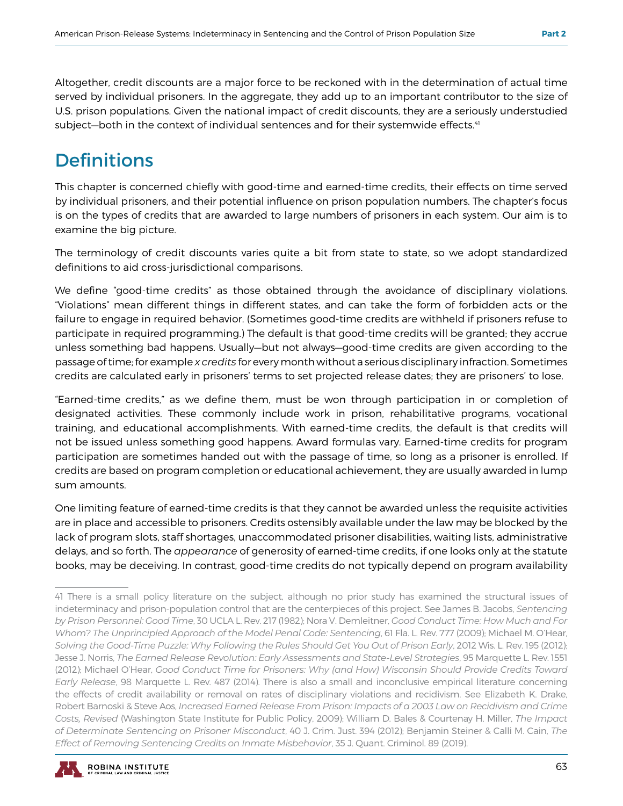Altogether, credit discounts are a major force to be reckoned with in the determination of actual time served by individual prisoners. In the aggregate, they add up to an important contributor to the size of U.S. prison populations. Given the national impact of credit discounts, they are a seriously understudied subject—both in the context of individual sentences and for their systemwide effects.<sup>41</sup>

## **Definitions**

This chapter is concerned chiefly with good-time and earned-time credits, their effects on time served by individual prisoners, and their potential influence on prison population numbers. The chapter's focus is on the types of credits that are awarded to large numbers of prisoners in each system. Our aim is to examine the big picture.

The terminology of credit discounts varies quite a bit from state to state, so we adopt standardized definitions to aid cross-jurisdictional comparisons.

We define "good-time credits" as those obtained through the avoidance of disciplinary violations. "Violations" mean different things in different states, and can take the form of forbidden acts or the failure to engage in required behavior. (Sometimes good-time credits are withheld if prisoners refuse to participate in required programming.) The default is that good-time credits will be granted; they accrue unless something bad happens. Usually—but not always—good-time credits are given according to the passage of time; for example *x credits* for every month without a serious disciplinary infraction. Sometimes credits are calculated early in prisoners' terms to set projected release dates; they are prisoners' to lose.

"Earned-time credits," as we define them, must be won through participation in or completion of designated activities. These commonly include work in prison, rehabilitative programs, vocational training, and educational accomplishments. With earned-time credits, the default is that credits will not be issued unless something good happens. Award formulas vary. Earned-time credits for program participation are sometimes handed out with the passage of time, so long as a prisoner is enrolled. If credits are based on program completion or educational achievement, they are usually awarded in lump sum amounts.

One limiting feature of earned-time credits is that they cannot be awarded unless the requisite activities are in place and accessible to prisoners. Credits ostensibly available under the law may be blocked by the lack of program slots, staff shortages, unaccommodated prisoner disabilities, waiting lists, administrative delays, and so forth. The *appearance* of generosity of earned-time credits, if one looks only at the statute books, may be deceiving. In contrast, good-time credits do not typically depend on program availability

<sup>41</sup> There is a small policy literature on the subject, although no prior study has examined the structural issues of indeterminacy and prison-population control that are the centerpieces of this project. See James B. Jacobs, *Sentencing by Prison Personnel: Good Time*, 30 UCLA L. Rev. 217 (1982); Nora V. Demleitner, *Good Conduct Time: How Much and For Whom? The Unprincipled Approach of the Model Penal Code: Sentencing*, 61 Fla. L. Rev. 777 (2009); Michael M. O'Hear, *Solving the Good-Time Puzzle: Why Following the Rules Should Get You Out of Prison Early*, 2012 Wis. L. Rev. 195 (2012); Jesse J. Norris, *The Earned Release Revolution: Early Assessments and State-Level Strategies*, 95 Marquette L. Rev. 1551 (2012); Michael O'Hear, *Good Conduct Time for Prisoners: Why (and How) Wisconsin Should Provide Credits Toward Early Release*, 98 Marquette L. Rev. 487 (2014). There is also a small and inconclusive empirical literature concerning the effects of credit availability or removal on rates of disciplinary violations and recidivism. See Elizabeth K. Drake, Robert Barnoski & Steve Aos, *Increased Earned Release From Prison: Impacts of a 2003 Law on Recidivism and Crime Costs, Revised* (Washington State Institute for Public Policy, 2009); William D. Bales & Courtenay H. Miller, *The Impact of Determinate Sentencing on Prisoner Misconduct*, 40 J. Crim. Just. 394 (2012); Benjamin Steiner & Calli M. Cain, *The Effect of Removing Sentencing Credits on Inmate Misbehavior*, 35 J. Quant. Criminol. 89 (2019).

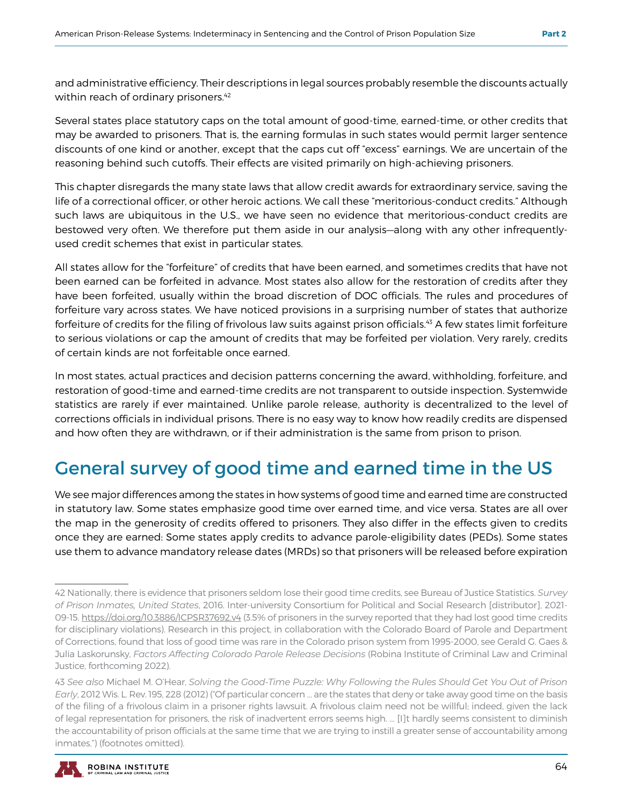and administrative efficiency. Their descriptions in legal sources probably resemble the discounts actually within reach of ordinary prisoners.<sup>42</sup>

Several states place statutory caps on the total amount of good-time, earned-time, or other credits that may be awarded to prisoners. That is, the earning formulas in such states would permit larger sentence discounts of one kind or another, except that the caps cut off "excess" earnings. We are uncertain of the reasoning behind such cutoffs. Their effects are visited primarily on high-achieving prisoners.

This chapter disregards the many state laws that allow credit awards for extraordinary service, saving the life of a correctional officer, or other heroic actions. We call these "meritorious-conduct credits." Although such laws are ubiquitous in the U.S., we have seen no evidence that meritorious-conduct credits are bestowed very often. We therefore put them aside in our analysis—along with any other infrequentlyused credit schemes that exist in particular states.

All states allow for the "forfeiture" of credits that have been earned, and sometimes credits that have not been earned can be forfeited in advance. Most states also allow for the restoration of credits after they have been forfeited, usually within the broad discretion of DOC officials. The rules and procedures of forfeiture vary across states. We have noticed provisions in a surprising number of states that authorize forfeiture of credits for the filing of frivolous law suits against prison officials.<sup>43</sup> A few states limit forfeiture to serious violations or cap the amount of credits that may be forfeited per violation. Very rarely, credits of certain kinds are not forfeitable once earned.

In most states, actual practices and decision patterns concerning the award, withholding, forfeiture, and restoration of good-time and earned-time credits are not transparent to outside inspection. Systemwide statistics are rarely if ever maintained. Unlike parole release, authority is decentralized to the level of corrections officials in individual prisons. There is no easy way to know how readily credits are dispensed and how often they are withdrawn, or if their administration is the same from prison to prison.

## General survey of good time and earned time in the US

We see major differences among the states in how systems of good time and earned time are constructed in statutory law. Some states emphasize good time over earned time, and vice versa. States are all over the map in the generosity of credits offered to prisoners. They also differ in the effects given to credits once they are earned: Some states apply credits to advance parole-eligibility dates (PEDs). Some states use them to advance mandatory release dates (MRDs) so that prisoners will be released before expiration

<sup>43</sup> *See also* Michael M. O'Hear, *Solving the Good-Time Puzzle: Why Following the Rules Should Get You Out of Prison Early*, 2012 Wis. L. Rev. 195, 228 (2012) ("Of particular concern … are the states that deny or take away good time on the basis of the filing of a frivolous claim in a prisoner rights lawsuit. A frivolous claim need not be willful; indeed, given the lack of legal representation for prisoners, the risk of inadvertent errors seems high. … [I]t hardly seems consistent to diminish the accountability of prison officials at the same time that we are trying to instill a greater sense of accountability among inmates.") (footnotes omitted).



<sup>42</sup> Nationally, there is evidence that prisoners seldom lose their good time credits, see Bureau of Justice Statistics. *Survey of Prison Inmates, United States*, 2016. Inter-university Consortium for Political and Social Research [distributor], 2021- 09-15. https://doi.org/10.3886/ICPSR37692.v4 (3.5% of prisoners in the survey reported that they had lost good time credits for disciplinary violations). Research in this project, in collaboration with the Colorado Board of Parole and Department of Corrections, found that loss of good time was rare in the Colorado prison system from 1995-2000, see Gerald G. Gaes & Julia Laskorunsky, *Factors Affecting Colorado Parole Release Decisions* (Robina Institute of Criminal Law and Criminal Justice, forthcoming 2022).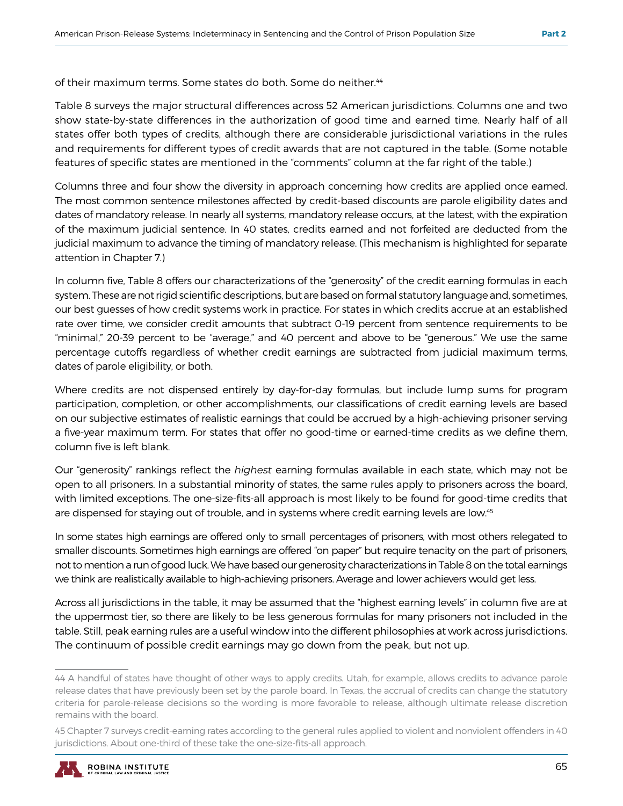of their maximum terms. Some states do both. Some do neither.<sup>44</sup>

Table 8 surveys the major structural differences across 52 American jurisdictions. Columns one and two show state-by-state differences in the authorization of good time and earned time. Nearly half of all states offer both types of credits, although there are considerable jurisdictional variations in the rules and requirements for different types of credit awards that are not captured in the table. (Some notable features of specific states are mentioned in the "comments" column at the far right of the table.)

Columns three and four show the diversity in approach concerning how credits are applied once earned. The most common sentence milestones affected by credit-based discounts are parole eligibility dates and dates of mandatory release. In nearly all systems, mandatory release occurs, at the latest, with the expiration of the maximum judicial sentence. In 40 states, credits earned and not forfeited are deducted from the judicial maximum to advance the timing of mandatory release. (This mechanism is highlighted for separate attention in Chapter 7.)

In column five, Table 8 offers our characterizations of the "generosity" of the credit earning formulas in each system. These are not rigid scientific descriptions, but are based on formal statutory language and, sometimes, our best guesses of how credit systems work in practice. For states in which credits accrue at an established rate over time, we consider credit amounts that subtract 0-19 percent from sentence requirements to be "minimal," 20-39 percent to be "average," and 40 percent and above to be "generous." We use the same percentage cutoffs regardless of whether credit earnings are subtracted from judicial maximum terms, dates of parole eligibility, or both.

Where credits are not dispensed entirely by day-for-day formulas, but include lump sums for program participation, completion, or other accomplishments, our classifications of credit earning levels are based on our subjective estimates of realistic earnings that could be accrued by a high-achieving prisoner serving a five-year maximum term. For states that offer no good-time or earned-time credits as we define them, column five is left blank.

Our "generosity" rankings reflect the *highest* earning formulas available in each state, which may not be open to all prisoners. In a substantial minority of states, the same rules apply to prisoners across the board, with limited exceptions. The one-size-fits-all approach is most likely to be found for good-time credits that are dispensed for staying out of trouble, and in systems where credit earning levels are low.<sup>45</sup>

In some states high earnings are offered only to small percentages of prisoners, with most others relegated to smaller discounts. Sometimes high earnings are offered "on paper" but require tenacity on the part of prisoners, not to mention a run of good luck. We have based our generosity characterizations in Table 8 on the total earnings we think are realistically available to high-achieving prisoners. Average and lower achievers would get less.

Across all jurisdictions in the table, it may be assumed that the "highest earning levels" in column five are at the uppermost tier, so there are likely to be less generous formulas for many prisoners not included in the table. Still, peak earning rules are a useful window into the different philosophies at work across jurisdictions. The continuum of possible credit earnings may go down from the peak, but not up.

<sup>45</sup> Chapter 7 surveys credit-earning rates according to the general rules applied to violent and nonviolent offenders in 40 jurisdictions. About one-third of these take the one-size-fits-all approach.



<sup>44</sup> A handful of states have thought of other ways to apply credits. Utah, for example, allows credits to advance parole release dates that have previously been set by the parole board. In Texas, the accrual of credits can change the statutory criteria for parole-release decisions so the wording is more favorable to release, although ultimate release discretion remains with the board.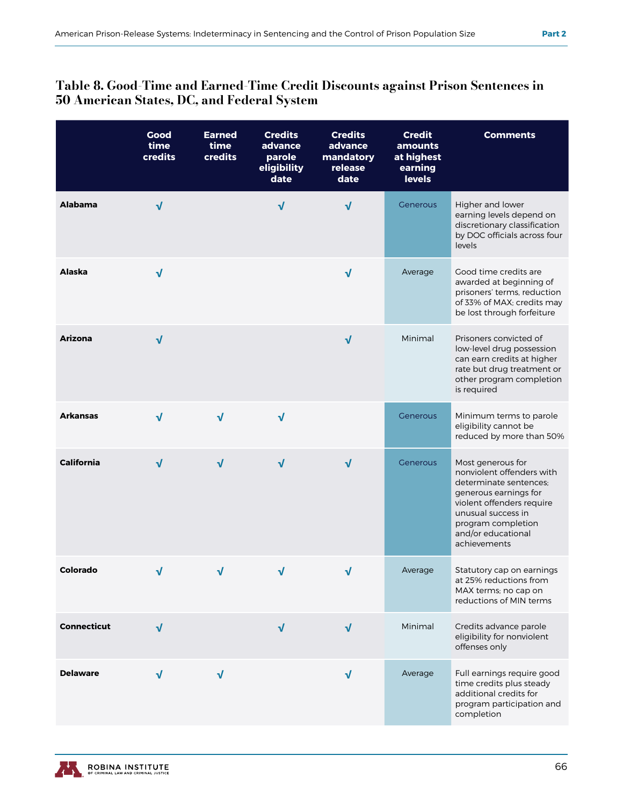#### Table 8. Good-Time and Earned-Time Credit Discounts against Prison Sentences in 50 American States, DC, and Federal System

|                    | Good<br>time<br>credits | <b>Earned</b><br>time<br>credits | <b>Credits</b><br>advance<br>parole<br>eligibility<br>date | <b>Credits</b><br>advance<br>mandatory<br>release<br>date | <b>Credit</b><br>amounts<br>at highest<br>earning<br><b>levels</b> | <b>Comments</b>                                                                                                                                                                                                  |
|--------------------|-------------------------|----------------------------------|------------------------------------------------------------|-----------------------------------------------------------|--------------------------------------------------------------------|------------------------------------------------------------------------------------------------------------------------------------------------------------------------------------------------------------------|
| <b>Alabama</b>     | $\sqrt{}$               |                                  | √                                                          | √                                                         | Generous                                                           | Higher and lower<br>earning levels depend on<br>discretionary classification<br>by DOC officials across four<br>levels                                                                                           |
| Alaska             | $\sqrt{}$               |                                  |                                                            | $\sqrt{}$                                                 | Average                                                            | Good time credits are<br>awarded at beginning of<br>prisoners' terms, reduction<br>of 33% of MAX; credits may<br>be lost through forfeiture                                                                      |
| <b>Arizona</b>     | $\sqrt{}$               |                                  |                                                            | $\sqrt{ }$                                                | Minimal                                                            | Prisoners convicted of<br>low-level drug possession<br>can earn credits at higher<br>rate but drug treatment or<br>other program completion<br>is required                                                       |
| <b>Arkansas</b>    | $\sqrt{ }$              | $\sqrt{ }$                       | $\sqrt{ }$                                                 |                                                           | Generous                                                           | Minimum terms to parole<br>eligibility cannot be<br>reduced by more than 50%                                                                                                                                     |
| <b>California</b>  | $\sqrt{}$               | $\sqrt{}$                        | $\sqrt{ }$                                                 | $\sqrt{ }$                                                | Generous                                                           | Most generous for<br>nonviolent offenders with<br>determinate sentences;<br>generous earnings for<br>violent offenders require<br>unusual success in<br>program completion<br>and/or educational<br>achievements |
| Colorado           | √                       | √                                | √                                                          | $\sqrt{}$                                                 | Average                                                            | Statutory cap on earnings<br>at 25% reductions from<br>MAX terms; no cap on<br>reductions of MIN terms                                                                                                           |
| <b>Connecticut</b> | $\sqrt{ }$              |                                  | $\sqrt{ }$                                                 | $\sqrt{ }$                                                | Minimal                                                            | Credits advance parole<br>eligibility for nonviolent<br>offenses only                                                                                                                                            |
| <b>Delaware</b>    | √                       | V                                |                                                            | $\sqrt{ }$                                                | Average                                                            | Full earnings require good<br>time credits plus steady<br>additional credits for<br>program participation and<br>completion                                                                                      |

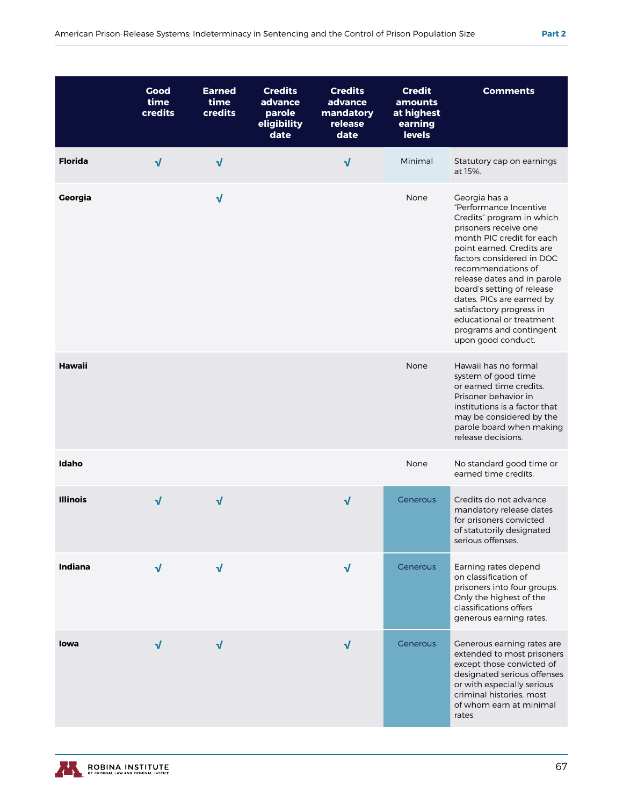|                 | Good<br>time<br>credits | <b>Earned</b><br>time<br>credits | <b>Credits</b><br>advance<br>parole<br>eligibility<br>date | <b>Credits</b><br>advance<br>mandatory<br>release<br>date | <b>Credit</b><br>amounts<br>at highest<br>earning<br><b>levels</b> | <b>Comments</b>                                                                                                                                                                                                                                                                                                                                                                                               |
|-----------------|-------------------------|----------------------------------|------------------------------------------------------------|-----------------------------------------------------------|--------------------------------------------------------------------|---------------------------------------------------------------------------------------------------------------------------------------------------------------------------------------------------------------------------------------------------------------------------------------------------------------------------------------------------------------------------------------------------------------|
| <b>Florida</b>  | $\sqrt{}$               | $\sqrt{ }$                       |                                                            | $\sqrt{}$                                                 | Minimal                                                            | Statutory cap on earnings<br>at 15%.                                                                                                                                                                                                                                                                                                                                                                          |
| Georgia         |                         | $\sqrt{}$                        |                                                            |                                                           | None                                                               | Georgia has a<br>"Performance Incentive<br>Credits" program in which<br>prisoners receive one<br>month PIC credit for each<br>point earned. Credits are<br>factors considered in DOC<br>recommendations of<br>release dates and in parole<br>board's setting of release<br>dates. PICs are earned by<br>satisfactory progress in<br>educational or treatment<br>programs and contingent<br>upon good conduct. |
| Hawaii          |                         |                                  |                                                            |                                                           | None                                                               | Hawaii has no formal<br>system of good time<br>or earned time credits.<br>Prisoner behavior in<br>institutions is a factor that<br>may be considered by the<br>parole board when making<br>release decisions.                                                                                                                                                                                                 |
| Idaho           |                         |                                  |                                                            |                                                           | None                                                               | No standard good time or<br>earned time credits.                                                                                                                                                                                                                                                                                                                                                              |
| <b>Illinois</b> | $\sqrt{}$               | √                                |                                                            | $\sqrt{}$                                                 | Generous                                                           | Credits do not advance<br>mandatory release dates<br>for prisoners convicted<br>of statutorily designated<br>serious offenses.                                                                                                                                                                                                                                                                                |
| Indiana         | $\sqrt{ }$              | $\sqrt{ }$                       |                                                            | $\sqrt{ }$                                                | Generous                                                           | Earning rates depend<br>on classification of<br>prisoners into four groups.<br>Only the highest of the<br>classifications offers<br>generous earning rates.                                                                                                                                                                                                                                                   |
| Iowa            | $\sqrt{ }$              | $\sqrt{ }$                       |                                                            | $\sqrt{ }$                                                | Generous                                                           | Generous earning rates are<br>extended to most prisoners<br>except those convicted of<br>designated serious offenses<br>or with especially serious<br>criminal histories, most<br>of whom earn at minimal                                                                                                                                                                                                     |



rates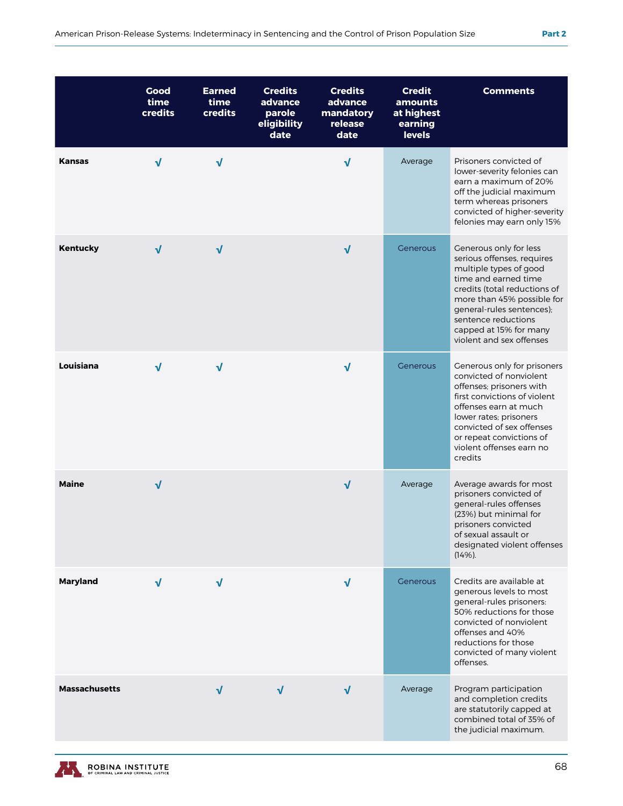|                      | Good<br>time<br>credits | <b>Earned</b><br>time<br>credits | <b>Credits</b><br>advance<br>parole<br>eligibility<br>date | <b>Credits</b><br>advance<br>mandatory<br>release<br>date | <b>Credit</b><br>amounts<br>at highest<br>earning<br><b>levels</b> | <b>Comments</b>                                                                                                                                                                                                                                                                |
|----------------------|-------------------------|----------------------------------|------------------------------------------------------------|-----------------------------------------------------------|--------------------------------------------------------------------|--------------------------------------------------------------------------------------------------------------------------------------------------------------------------------------------------------------------------------------------------------------------------------|
| <b>Kansas</b>        | $\sqrt{ }$              | $\sqrt{ }$                       |                                                            | $\sqrt{ }$                                                | Average                                                            | Prisoners convicted of<br>lower-severity felonies can<br>earn a maximum of 20%<br>off the judicial maximum<br>term whereas prisoners<br>convicted of higher-severity<br>felonies may earn only 15%                                                                             |
| <b>Kentucky</b>      | $\sqrt{ }$              | $\sqrt{ }$                       |                                                            | $\sqrt{ }$                                                | Generous                                                           | Generous only for less<br>serious offenses, requires<br>multiple types of good<br>time and earned time<br>credits (total reductions of<br>more than 45% possible for<br>general-rules sentences);<br>sentence reductions<br>capped at 15% for many<br>violent and sex offenses |
| Louisiana            | $\sqrt{ }$              | $\sqrt{ }$                       |                                                            | $\sqrt{ }$                                                | Generous                                                           | Generous only for prisoners<br>convicted of nonviolent<br>offenses; prisoners with<br>first convictions of violent<br>offenses earn at much<br>lower rates; prisoners<br>convicted of sex offenses<br>or repeat convictions of<br>violent offenses earn no<br>credits          |
| <b>Maine</b>         | √                       |                                  |                                                            | $\sqrt{ }$                                                | Average                                                            | Average awards for most<br>prisoners convicted of<br>general-rules offenses<br>(23%) but minimal for<br>prisoners convicted<br>of sexual assault or<br>designated violent offenses<br>(14%).                                                                                   |
| <b>Maryland</b>      | $\sqrt{ }$              | $\sqrt{ }$                       |                                                            | $\sqrt{ }$                                                | <b>Generous</b>                                                    | Credits are available at<br>generous levels to most<br>general-rules prisoners:<br>50% reductions for those<br>convicted of nonviolent<br>offenses and 40%<br>reductions for those<br>convicted of many violent<br>offenses.                                                   |
| <b>Massachusetts</b> |                         | $\sqrt{ }$                       | $\sqrt{ }$                                                 | $\sqrt{ }$                                                | Average                                                            | Program participation<br>and completion credits<br>are statutorily capped at<br>combined total of 35% of<br>the judicial maximum.                                                                                                                                              |

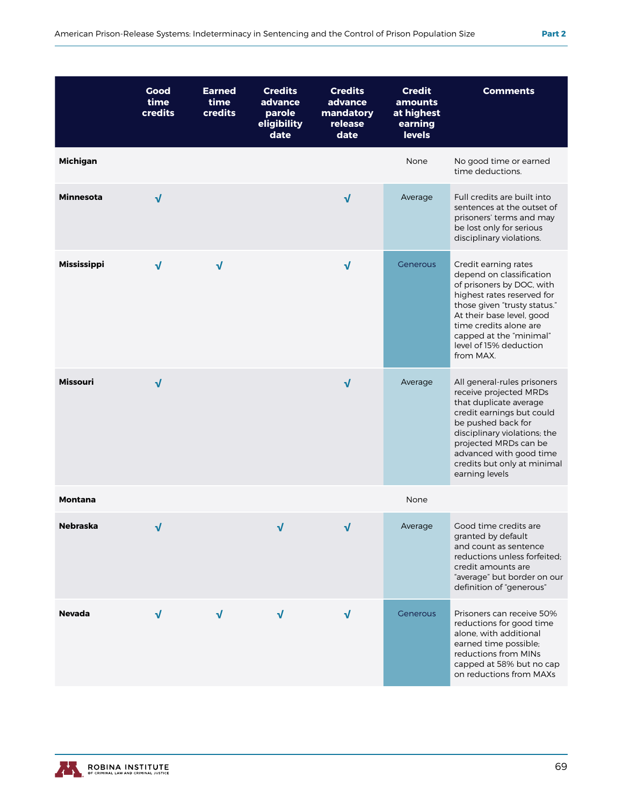|                    | Good<br>time<br>credits | <b>Earned</b><br>time<br>credits | <b>Credits</b><br>advance<br>parole<br>eligibility<br>date | <b>Credits</b><br>advance<br>mandatory<br>release<br>date | <b>Credit</b><br>amounts<br>at highest<br>earning<br><b>levels</b> | <b>Comments</b>                                                                                                                                                                                                                                                         |
|--------------------|-------------------------|----------------------------------|------------------------------------------------------------|-----------------------------------------------------------|--------------------------------------------------------------------|-------------------------------------------------------------------------------------------------------------------------------------------------------------------------------------------------------------------------------------------------------------------------|
| <b>Michigan</b>    |                         |                                  |                                                            |                                                           | None                                                               | No good time or earned<br>time deductions.                                                                                                                                                                                                                              |
| <b>Minnesota</b>   | $\sqrt{}$               |                                  |                                                            | $\sqrt{ }$                                                | Average                                                            | Full credits are built into<br>sentences at the outset of<br>prisoners' terms and may<br>be lost only for serious<br>disciplinary violations.                                                                                                                           |
| <b>Mississippi</b> | $\sqrt{}$               | $\sqrt{ }$                       |                                                            | $\sqrt{ }$                                                | <b>Generous</b>                                                    | Credit earning rates<br>depend on classification<br>of prisoners by DOC, with<br>highest rates reserved for<br>those given "trusty status."<br>At their base level, good<br>time credits alone are<br>capped at the "minimal"<br>level of 15% deduction<br>from MAX.    |
| <b>Missouri</b>    | $\sqrt{}$               |                                  |                                                            | $\sqrt{ }$                                                | Average                                                            | All general-rules prisoners<br>receive projected MRDs<br>that duplicate average<br>credit earnings but could<br>be pushed back for<br>disciplinary violations; the<br>projected MRDs can be<br>advanced with good time<br>credits but only at minimal<br>earning levels |
| <b>Montana</b>     |                         |                                  |                                                            |                                                           | None                                                               |                                                                                                                                                                                                                                                                         |
| <b>Nebraska</b>    | √                       |                                  | $\sqrt{}$                                                  | $\sqrt{}$                                                 | Average                                                            | Good time credits are<br>granted by default<br>and count as sentence<br>reductions unless forfeited;<br>credit amounts are<br>"average" but border on our<br>definition of "generous"                                                                                   |
| <b>Nevada</b>      | $\sqrt{ }$              | √                                | $\sqrt{ }$                                                 | $\sqrt{ }$                                                | Generous                                                           | Prisoners can receive 50%<br>reductions for good time<br>alone, with additional<br>earned time possible;<br>reductions from MINs<br>capped at 58% but no cap<br>on reductions from MAXs                                                                                 |

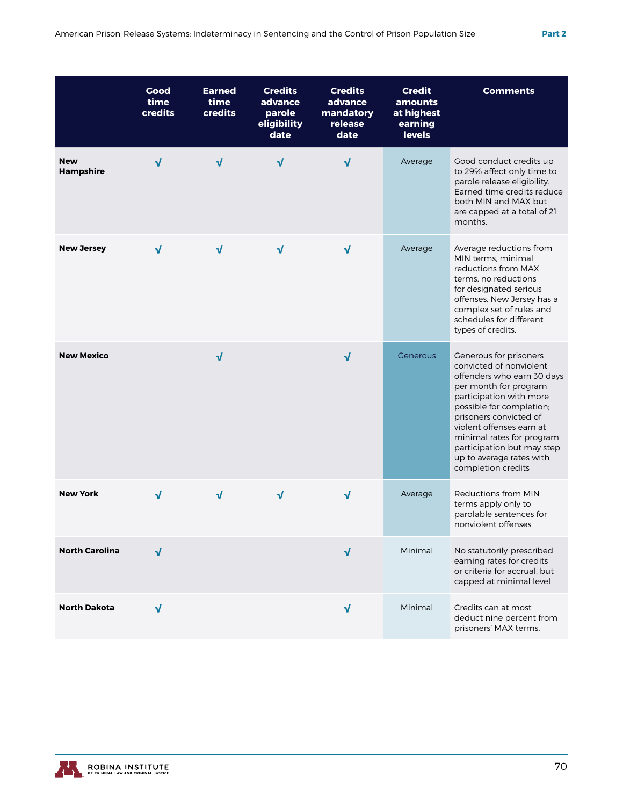|                                | Good<br>time<br>credits | <b>Earned</b><br>time<br>credits | <b>Credits</b><br>advance<br>parole<br>eligibility<br>date | <b>Credits</b><br>advance<br>mandatory<br>release<br>date | <b>Credit</b><br>amounts<br>at highest<br>earning<br><b>levels</b> | <b>Comments</b>                                                                                                                                                                                                                                                                                                                    |
|--------------------------------|-------------------------|----------------------------------|------------------------------------------------------------|-----------------------------------------------------------|--------------------------------------------------------------------|------------------------------------------------------------------------------------------------------------------------------------------------------------------------------------------------------------------------------------------------------------------------------------------------------------------------------------|
| <b>New</b><br><b>Hampshire</b> | √                       | $\sqrt{ }$                       | √                                                          | $\sqrt{ }$                                                | Average                                                            | Good conduct credits up<br>to 29% affect only time to<br>parole release eligibility.<br>Earned time credits reduce<br>both MIN and MAX but<br>are capped at a total of 21<br>months.                                                                                                                                               |
| <b>New Jersey</b>              | $\sqrt{}$               | $\sqrt{ }$                       | $\sqrt{ }$                                                 | $\sqrt{ }$                                                | Average                                                            | Average reductions from<br>MIN terms, minimal<br>reductions from MAX<br>terms, no reductions<br>for designated serious<br>offenses. New Jersey has a<br>complex set of rules and<br>schedules for different<br>types of credits.                                                                                                   |
| <b>New Mexico</b>              |                         | $\sqrt{}$                        |                                                            | $\sqrt{ }$                                                | <b>Generous</b>                                                    | Generous for prisoners<br>convicted of nonviolent<br>offenders who earn 30 days<br>per month for program<br>participation with more<br>possible for completion;<br>prisoners convicted of<br>violent offenses earn at<br>minimal rates for program<br>participation but may step<br>up to average rates with<br>completion credits |
| <b>New York</b>                | $\sqrt{}$               | $\sqrt{ }$                       | √                                                          | $\sqrt{ }$                                                | Average                                                            | Reductions from MIN<br>terms apply only to<br>parolable sentences for<br>nonviolent offenses                                                                                                                                                                                                                                       |
| <b>North Carolina</b>          | $\sqrt{ }$              |                                  |                                                            | $\sqrt{ }$                                                | Minimal                                                            | No statutorily-prescribed<br>earning rates for credits<br>or criteria for accrual, but<br>capped at minimal level                                                                                                                                                                                                                  |
| <b>North Dakota</b>            | $\sqrt{}$               |                                  |                                                            | $\sqrt{ }$                                                | Minimal                                                            | Credits can at most<br>deduct nine percent from<br>prisoners' MAX terms.                                                                                                                                                                                                                                                           |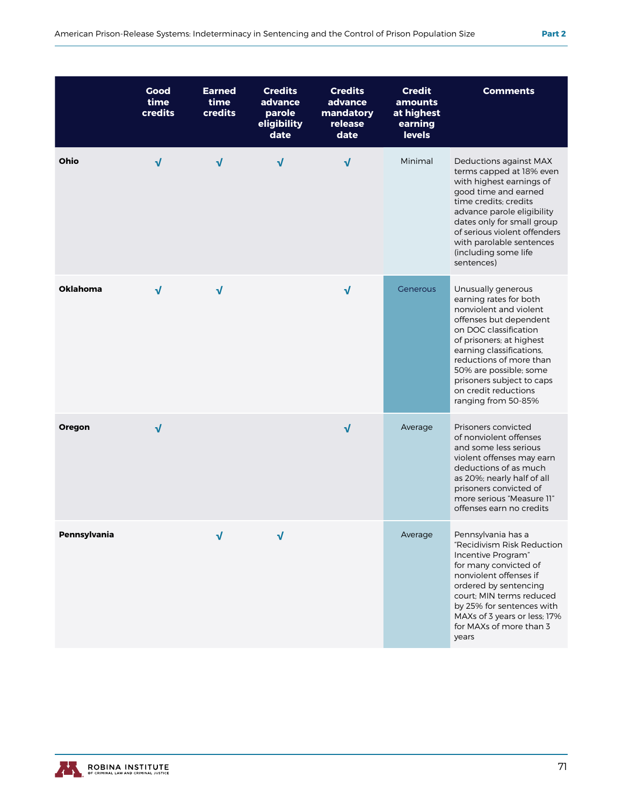|                 | <b>Good</b><br>time<br>credits | <b>Earned</b><br>time<br>credits | <b>Credits</b><br>advance<br>parole<br>eligibility<br>date | <b>Credits</b><br>advance<br>mandatory<br>release<br>date | <b>Credit</b><br>amounts<br>at highest<br>earning<br><b>levels</b> | <b>Comments</b>                                                                                                                                                                                                                                                                                                    |
|-----------------|--------------------------------|----------------------------------|------------------------------------------------------------|-----------------------------------------------------------|--------------------------------------------------------------------|--------------------------------------------------------------------------------------------------------------------------------------------------------------------------------------------------------------------------------------------------------------------------------------------------------------------|
| Ohio            | $\sqrt{ }$                     | $\sqrt{ }$                       | $\sqrt{ }$                                                 | $\sqrt{ }$                                                | Minimal                                                            | Deductions against MAX<br>terms capped at 18% even<br>with highest earnings of<br>good time and earned<br>time credits; credits<br>advance parole eligibility<br>dates only for small group<br>of serious violent offenders<br>with parolable sentences<br>(including some life<br>sentences)                      |
| <b>Oklahoma</b> | $\sqrt{ }$                     | √                                |                                                            | $\sqrt{ }$                                                | Generous                                                           | Unusually generous<br>earning rates for both<br>nonviolent and violent<br>offenses but dependent<br>on DOC classification<br>of prisoners; at highest<br>earning classifications,<br>reductions of more than<br>50% are possible; some<br>prisoners subject to caps<br>on credit reductions<br>ranging from 50-85% |
| Oregon          | $\sqrt{ }$                     |                                  |                                                            | $\sqrt{ }$                                                | Average                                                            | Prisoners convicted<br>of nonviolent offenses<br>and some less serious<br>violent offenses may earn<br>deductions of as much<br>as 20%; nearly half of all<br>prisoners convicted of<br>more serious "Measure 11"<br>offenses earn no credits                                                                      |
| Pennsylvania    |                                | √                                | $\sqrt{ }$                                                 |                                                           | Average                                                            | Pennsylvania has a<br>"Recidivism Risk Reduction<br>Incentive Program"<br>for many convicted of<br>nonviolent offenses if<br>ordered by sentencing<br>court; MIN terms reduced<br>by 25% for sentences with<br>MAXs of 3 years or less; 17%<br>for MAXs of more than 3<br>years                                    |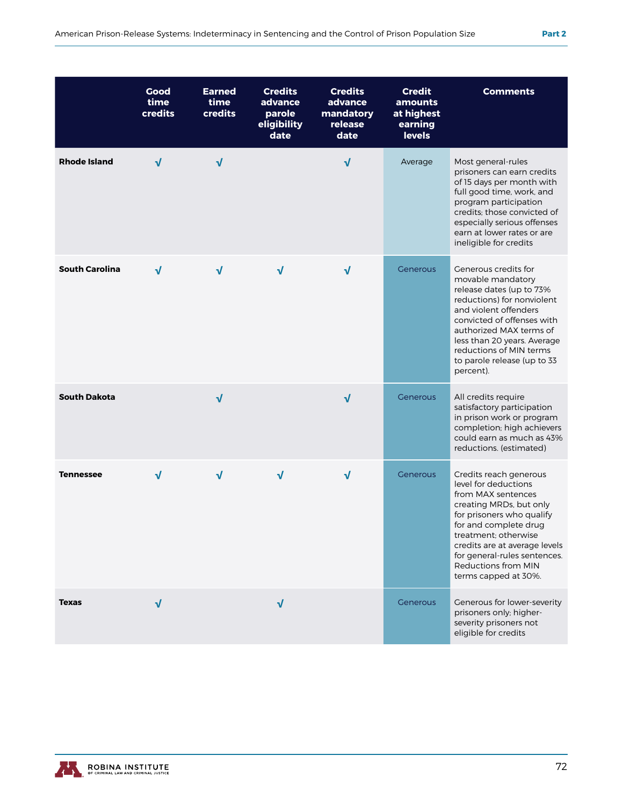|                       | Good<br>time<br>credits | <b>Earned</b><br>time<br><b>credits</b> | <b>Credits</b><br>advance<br>parole<br>eligibility<br>date | <b>Credits</b><br>advance<br>mandatory<br>release<br>date | <b>Credit</b><br>amounts<br>at highest<br>earning<br><b>levels</b> | <b>Comments</b>                                                                                                                                                                                                                                                                               |
|-----------------------|-------------------------|-----------------------------------------|------------------------------------------------------------|-----------------------------------------------------------|--------------------------------------------------------------------|-----------------------------------------------------------------------------------------------------------------------------------------------------------------------------------------------------------------------------------------------------------------------------------------------|
| <b>Rhode Island</b>   | $\sqrt{ }$              | $\sqrt{ }$                              |                                                            | $\sqrt{ }$                                                | Average                                                            | Most general-rules<br>prisoners can earn credits<br>of 15 days per month with<br>full good time, work, and<br>program participation<br>credits; those convicted of<br>especially serious offenses<br>earn at lower rates or are<br>ineligible for credits                                     |
| <b>South Carolina</b> | $\sqrt{ }$              | $\sqrt{ }$                              | $\sqrt{ }$                                                 | $\sqrt{ }$                                                | Generous                                                           | Generous credits for<br>movable mandatory<br>release dates (up to 73%<br>reductions) for nonviolent<br>and violent offenders<br>convicted of offenses with<br>authorized MAX terms of<br>less than 20 years. Average<br>reductions of MIN terms<br>to parole release (up to 33<br>percent).   |
| <b>South Dakota</b>   |                         | $\sqrt{ }$                              |                                                            | $\sqrt{ }$                                                | Generous                                                           | All credits require<br>satisfactory participation<br>in prison work or program<br>completion; high achievers<br>could earn as much as 43%<br>reductions. (estimated)                                                                                                                          |
| <b>Tennessee</b>      | $\sqrt{ }$              | $\sqrt{ }$                              | √                                                          | $\sqrt{ }$                                                | Generous                                                           | Credits reach generous<br>level for deductions<br>from MAX sentences<br>creating MRDs, but only<br>for prisoners who qualify<br>for and complete drug<br>treatment; otherwise<br>credits are at average levels<br>for general-rules sentences.<br>Reductions from MIN<br>terms capped at 30%. |
| <b>Texas</b>          | √                       |                                         | $\sqrt{ }$                                                 |                                                           | Generous                                                           | Generous for lower-severity<br>prisoners only; higher-<br>severity prisoners not<br>eligible for credits                                                                                                                                                                                      |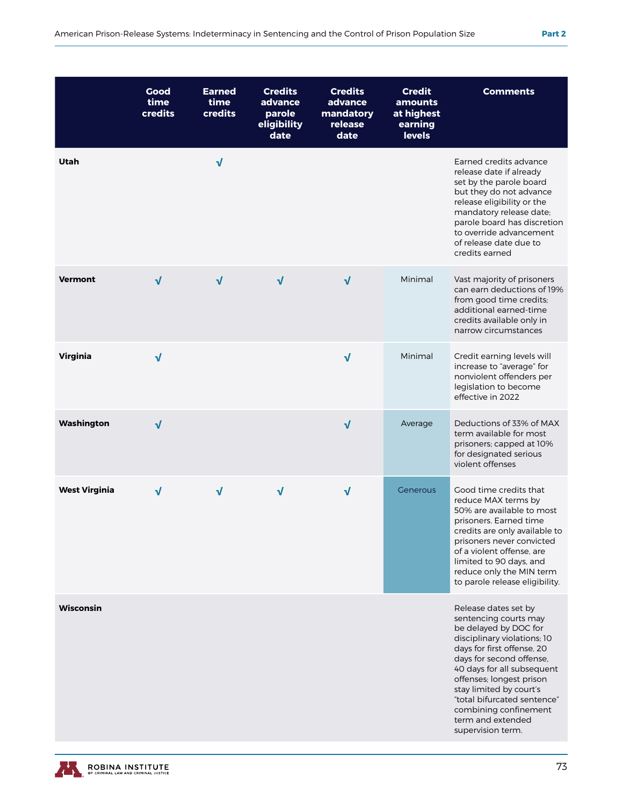|                      | Good<br>time<br>credits | <b>Earned</b><br>time<br>credits | <b>Credits</b><br>advance<br>parole<br>eligibility<br>date | <b>Credits</b><br>advance<br>mandatory<br>release<br>date | <b>Credit</b><br>amounts<br>at highest<br>earning<br><b>levels</b> | <b>Comments</b>                                                                                                                                                                                                                                                                                                                                        |
|----------------------|-------------------------|----------------------------------|------------------------------------------------------------|-----------------------------------------------------------|--------------------------------------------------------------------|--------------------------------------------------------------------------------------------------------------------------------------------------------------------------------------------------------------------------------------------------------------------------------------------------------------------------------------------------------|
| Utah                 |                         | $\sqrt{}$                        |                                                            |                                                           |                                                                    | Earned credits advance<br>release date if already<br>set by the parole board<br>but they do not advance<br>release eligibility or the<br>mandatory release date;<br>parole board has discretion<br>to override advancement<br>of release date due to<br>credits earned                                                                                 |
| <b>Vermont</b>       | $\sqrt{}$               | $\sqrt{ }$                       | $\sqrt{ }$                                                 | $\sqrt{}$                                                 | Minimal                                                            | Vast majority of prisoners<br>can earn deductions of 19%<br>from good time credits;<br>additional earned-time<br>credits available only in<br>narrow circumstances                                                                                                                                                                                     |
| Virginia             | $\sqrt{}$               |                                  |                                                            | $\sqrt{}$                                                 | Minimal                                                            | Credit earning levels will<br>increase to "average" for<br>nonviolent offenders per<br>legislation to become<br>effective in 2022                                                                                                                                                                                                                      |
| Washington           | $\sqrt{}$               |                                  |                                                            | $\sqrt{}$                                                 | Average                                                            | Deductions of 33% of MAX<br>term available for most<br>prisoners; capped at 10%<br>for designated serious<br>violent offenses                                                                                                                                                                                                                          |
| <b>West Virginia</b> | $\sqrt{}$               | $\sqrt{}$                        | $\sqrt{ }$                                                 | $\sqrt{}$                                                 | Generous                                                           | Good time credits that<br>reduce MAX terms by<br>50% are available to most<br>prisoners. Earned time<br>credits are only available to<br>prisoners never convicted<br>of a violent offense, are<br>limited to 90 days, and<br>reduce only the MIN term<br>to parole release eligibility.                                                               |
| Wisconsin            |                         |                                  |                                                            |                                                           |                                                                    | Release dates set by<br>sentencing courts may<br>be delayed by DOC for<br>disciplinary violations; 10<br>days for first offense, 20<br>days for second offense,<br>40 days for all subsequent<br>offenses; longest prison<br>stay limited by court's<br>"total bifurcated sentence"<br>combining confinement<br>term and extended<br>supervision term. |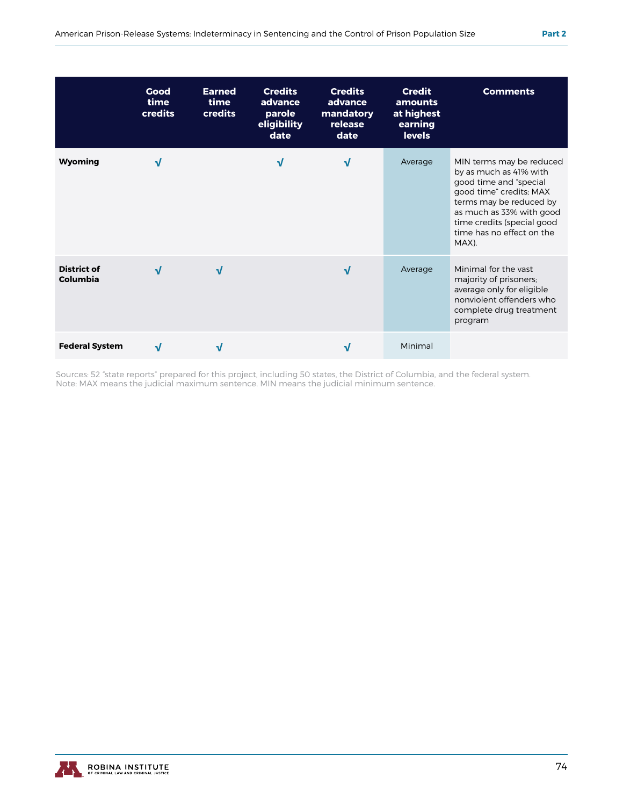|                                       | Good<br>time<br>credits | <b>Earned</b><br>time<br>credits | <b>Credits</b><br>advance<br>parole<br>eligibility<br>date | <b>Credits</b><br>advance<br>mandatory<br>release<br>date | <b>Credit</b><br>amounts<br>at highest<br>earning<br>levels | <b>Comments</b>                                                                                                                                                                                                                    |
|---------------------------------------|-------------------------|----------------------------------|------------------------------------------------------------|-----------------------------------------------------------|-------------------------------------------------------------|------------------------------------------------------------------------------------------------------------------------------------------------------------------------------------------------------------------------------------|
| <b>Wyoming</b>                        | $\sqrt{ }$              |                                  | $\sqrt{ }$                                                 | $\sqrt{ }$                                                | Average                                                     | MIN terms may be reduced<br>by as much as 41% with<br>good time and "special<br>good time" credits; MAX<br>terms may be reduced by<br>as much as 33% with good<br>time credits (special good<br>time has no effect on the<br>MAX). |
| <b>District of</b><br><b>Columbia</b> | $\sqrt{ }$              | V                                |                                                            | $\sqrt{ }$                                                | Average                                                     | Minimal for the vast<br>majority of prisoners;<br>average only for eligible<br>nonviolent offenders who<br>complete drug treatment<br>program                                                                                      |
| <b>Federal System</b>                 | J                       |                                  |                                                            | N                                                         | Minimal                                                     |                                                                                                                                                                                                                                    |

Sources: 52 "state reports" prepared for this project, including 50 states, the District of Columbia, and the federal system. Note: MAX means the judicial maximum sentence. MIN means the judicial minimum sentence.

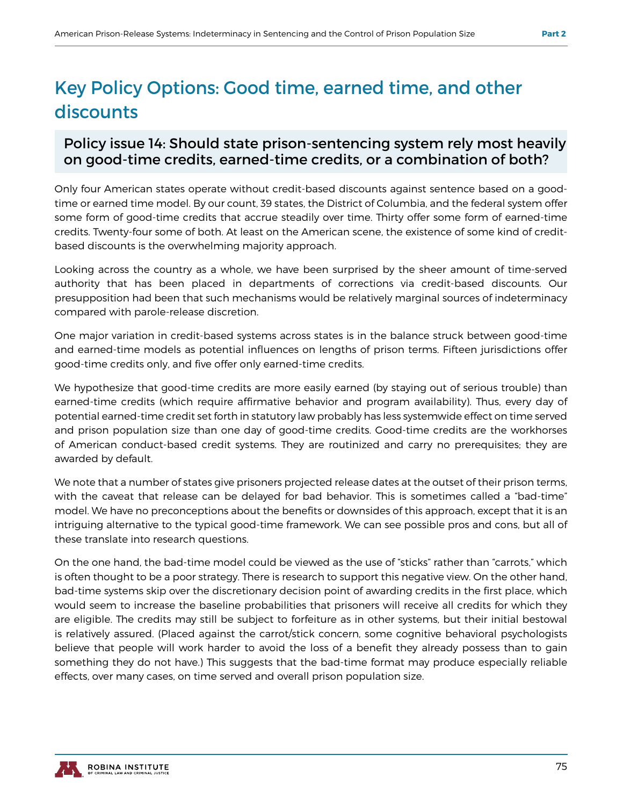## Key Policy Options: Good time, earned time, and other discounts

#### Policy issue 14: Should state prison-sentencing system rely most heavily on good-time credits, earned-time credits, or a combination of both?

Only four American states operate without credit-based discounts against sentence based on a goodtime or earned time model. By our count, 39 states, the District of Columbia, and the federal system offer some form of good-time credits that accrue steadily over time. Thirty offer some form of earned-time credits. Twenty-four some of both. At least on the American scene, the existence of some kind of creditbased discounts is the overwhelming majority approach.

Looking across the country as a whole, we have been surprised by the sheer amount of time-served authority that has been placed in departments of corrections via credit-based discounts. Our presupposition had been that such mechanisms would be relatively marginal sources of indeterminacy compared with parole-release discretion.

One major variation in credit-based systems across states is in the balance struck between good-time and earned-time models as potential influences on lengths of prison terms. Fifteen jurisdictions offer good-time credits only, and five offer only earned-time credits.

We hypothesize that good-time credits are more easily earned (by staying out of serious trouble) than earned-time credits (which require affirmative behavior and program availability). Thus, every day of potential earned-time credit set forth in statutory law probably has less systemwide effect on time served and prison population size than one day of good-time credits. Good-time credits are the workhorses of American conduct-based credit systems. They are routinized and carry no prerequisites; they are awarded by default.

We note that a number of states give prisoners projected release dates at the outset of their prison terms, with the caveat that release can be delayed for bad behavior. This is sometimes called a "bad-time" model. We have no preconceptions about the benefits or downsides of this approach, except that it is an intriguing alternative to the typical good-time framework. We can see possible pros and cons, but all of these translate into research questions.

On the one hand, the bad-time model could be viewed as the use of "sticks" rather than "carrots," which is often thought to be a poor strategy. There is research to support this negative view. On the other hand, bad-time systems skip over the discretionary decision point of awarding credits in the first place, which would seem to increase the baseline probabilities that prisoners will receive all credits for which they are eligible. The credits may still be subject to forfeiture as in other systems, but their initial bestowal is relatively assured. (Placed against the carrot/stick concern, some cognitive behavioral psychologists believe that people will work harder to avoid the loss of a benefit they already possess than to gain something they do not have.) This suggests that the bad-time format may produce especially reliable effects, over many cases, on time served and overall prison population size.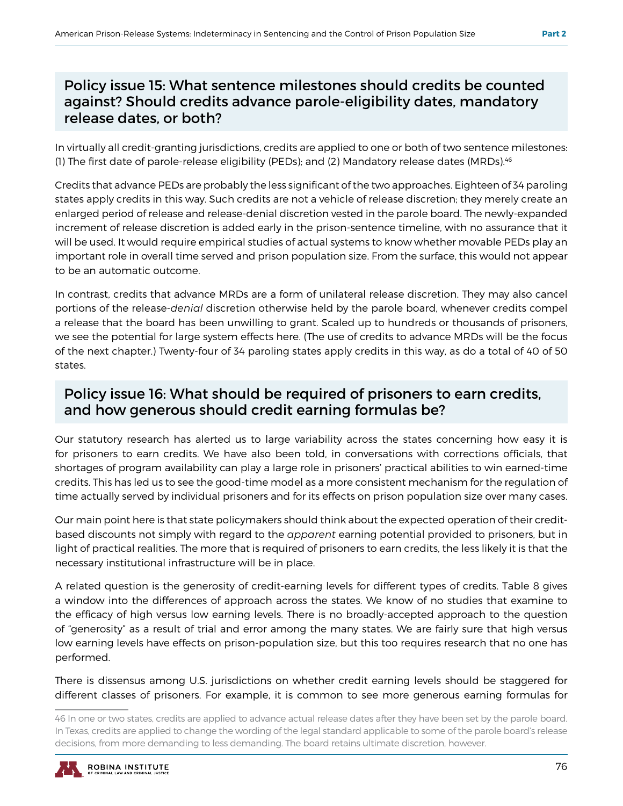#### Policy issue 15: What sentence milestones should credits be counted against? Should credits advance parole-eligibility dates, mandatory release dates, or both?

In virtually all credit-granting jurisdictions, credits are applied to one or both of two sentence milestones: (1) The first date of parole-release eligibility (PEDs); and (2) Mandatory release dates (MRDs).46

Credits that advance PEDs are probably the less significant of the two approaches. Eighteen of 34 paroling states apply credits in this way. Such credits are not a vehicle of release discretion; they merely create an enlarged period of release and release-denial discretion vested in the parole board. The newly-expanded increment of release discretion is added early in the prison-sentence timeline, with no assurance that it will be used. It would require empirical studies of actual systems to know whether movable PEDs play an important role in overall time served and prison population size. From the surface, this would not appear to be an automatic outcome.

In contrast, credits that advance MRDs are a form of unilateral release discretion. They may also cancel portions of the release-*denial* discretion otherwise held by the parole board, whenever credits compel a release that the board has been unwilling to grant. Scaled up to hundreds or thousands of prisoners, we see the potential for large system effects here. (The use of credits to advance MRDs will be the focus of the next chapter.) Twenty-four of 34 paroling states apply credits in this way, as do a total of 40 of 50 states.

#### Policy issue 16: What should be required of prisoners to earn credits, and how generous should credit earning formulas be?

Our statutory research has alerted us to large variability across the states concerning how easy it is for prisoners to earn credits. We have also been told, in conversations with corrections officials, that shortages of program availability can play a large role in prisoners' practical abilities to win earned-time credits. This has led us to see the good-time model as a more consistent mechanism for the regulation of time actually served by individual prisoners and for its effects on prison population size over many cases.

Our main point here is that state policymakers should think about the expected operation of their creditbased discounts not simply with regard to the *apparent* earning potential provided to prisoners, but in light of practical realities. The more that is required of prisoners to earn credits, the less likely it is that the necessary institutional infrastructure will be in place.

A related question is the generosity of credit-earning levels for different types of credits. Table 8 gives a window into the differences of approach across the states. We know of no studies that examine to the efficacy of high versus low earning levels. There is no broadly-accepted approach to the question of "generosity" as a result of trial and error among the many states. We are fairly sure that high versus low earning levels have effects on prison-population size, but this too requires research that no one has performed.

There is dissensus among U.S. jurisdictions on whether credit earning levels should be staggered for different classes of prisoners. For example, it is common to see more generous earning formulas for

<sup>46</sup> In one or two states, credits are applied to advance actual release dates after they have been set by the parole board. In Texas, credits are applied to change the wording of the legal standard applicable to some of the parole board's release decisions, from more demanding to less demanding. The board retains ultimate discretion, however.

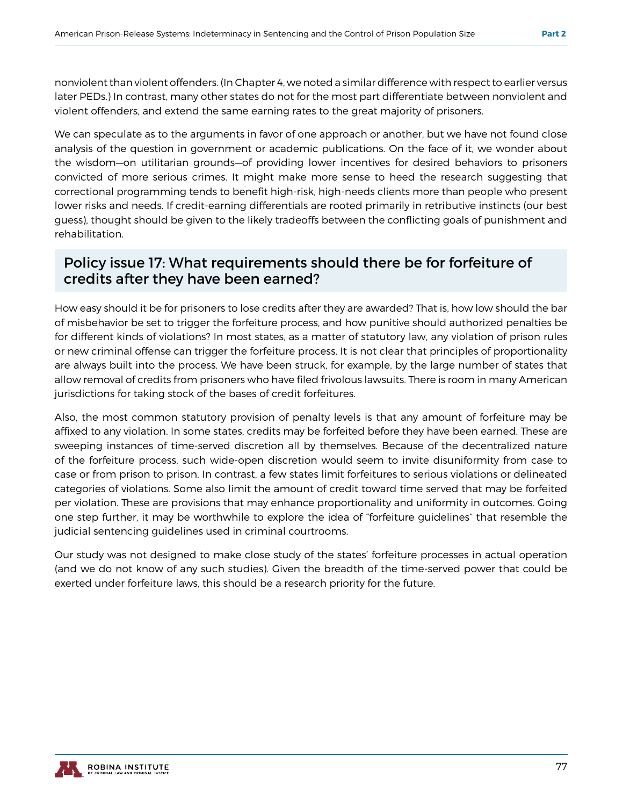nonviolent than violent offenders. (In Chapter 4, we noted a similar difference with respect to earlier versus later PEDs.) In contrast, many other states do not for the most part differentiate between nonviolent and violent offenders, and extend the same earning rates to the great majority of prisoners.

We can speculate as to the arguments in favor of one approach or another, but we have not found close analysis of the question in government or academic publications. On the face of it, we wonder about the wisdom—on utilitarian grounds—of providing lower incentives for desired behaviors to prisoners convicted of more serious crimes. It might make more sense to heed the research suggesting that correctional programming tends to benefit high-risk, high-needs clients more than people who present lower risks and needs. If credit-earning differentials are rooted primarily in retributive instincts (our best guess), thought should be given to the likely tradeoffs between the conflicting goals of punishment and rehabilitation.

#### Policy issue 17: What requirements should there be for forfeiture of credits after they have been earned?

How easy should it be for prisoners to lose credits after they are awarded? That is, how low should the bar of misbehavior be set to trigger the forfeiture process, and how punitive should authorized penalties be for different kinds of violations? In most states, as a matter of statutory law, any violation of prison rules or new criminal offense can trigger the forfeiture process. It is not clear that principles of proportionality are always built into the process. We have been struck, for example, by the large number of states that allow removal of credits from prisoners who have filed frivolous lawsuits. There is room in many American jurisdictions for taking stock of the bases of credit forfeitures.

Also, the most common statutory provision of penalty levels is that any amount of forfeiture may be affixed to any violation. In some states, credits may be forfeited before they have been earned. These are sweeping instances of time-served discretion all by themselves. Because of the decentralized nature of the forfeiture process, such wide-open discretion would seem to invite disuniformity from case to case or from prison to prison. In contrast, a few states limit forfeitures to serious violations or delineated categories of violations. Some also limit the amount of credit toward time served that may be forfeited per violation. These are provisions that may enhance proportionality and uniformity in outcomes. Going one step further, it may be worthwhile to explore the idea of "forfeiture guidelines" that resemble the judicial sentencing guidelines used in criminal courtrooms.

Our study was not designed to make close study of the states' forfeiture processes in actual operation (and we do not know of any such studies). Given the breadth of the time-served power that could be exerted under forfeiture laws, this should be a research priority for the future.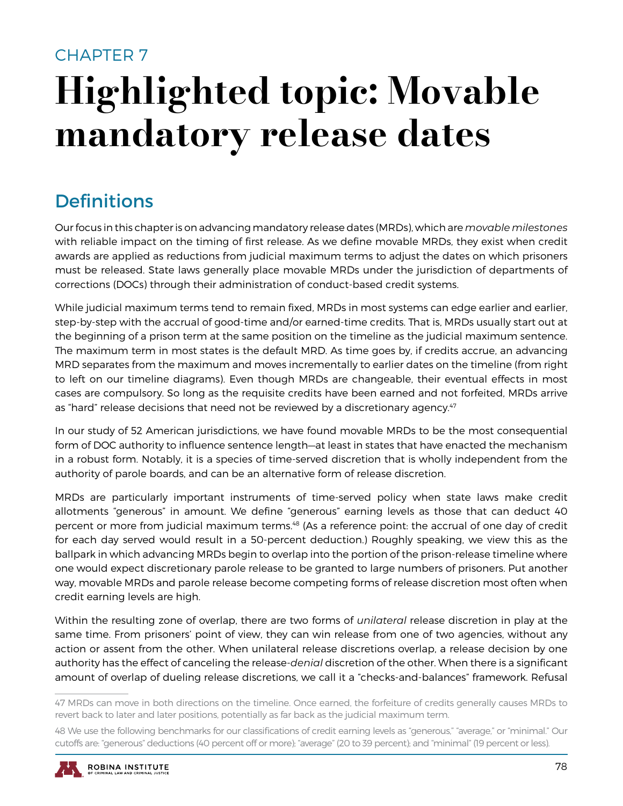## CHAPTER 7 Highlighted topic: Movable mandatory release dates

## **Definitions**

Our focus in this chapter is on advancing mandatory release dates (MRDs), which are *movable milestones*  with reliable impact on the timing of first release. As we define movable MRDs, they exist when credit awards are applied as reductions from judicial maximum terms to adjust the dates on which prisoners must be released. State laws generally place movable MRDs under the jurisdiction of departments of corrections (DOCs) through their administration of conduct-based credit systems.

While judicial maximum terms tend to remain fixed, MRDs in most systems can edge earlier and earlier, step-by-step with the accrual of good-time and/or earned-time credits. That is, MRDs usually start out at the beginning of a prison term at the same position on the timeline as the judicial maximum sentence. The maximum term in most states is the default MRD. As time goes by, if credits accrue, an advancing MRD separates from the maximum and moves incrementally to earlier dates on the timeline (from right to left on our timeline diagrams). Even though MRDs are changeable, their eventual effects in most cases are compulsory. So long as the requisite credits have been earned and not forfeited, MRDs arrive as "hard" release decisions that need not be reviewed by a discretionary agency.<sup>47</sup>

In our study of 52 American jurisdictions, we have found movable MRDs to be the most consequential form of DOC authority to influence sentence length—at least in states that have enacted the mechanism in a robust form. Notably, it is a species of time-served discretion that is wholly independent from the authority of parole boards, and can be an alternative form of release discretion.

MRDs are particularly important instruments of time-served policy when state laws make credit allotments "generous" in amount. We define "generous" earning levels as those that can deduct 40 percent or more from judicial maximum terms.<sup>48</sup> (As a reference point: the accrual of one day of credit for each day served would result in a 50-percent deduction.) Roughly speaking, we view this as the ballpark in which advancing MRDs begin to overlap into the portion of the prison-release timeline where one would expect discretionary parole release to be granted to large numbers of prisoners. Put another way, movable MRDs and parole release become competing forms of release discretion most often when credit earning levels are high.

Within the resulting zone of overlap, there are two forms of *unilateral* release discretion in play at the same time. From prisoners' point of view, they can win release from one of two agencies, without any action or assent from the other. When unilateral release discretions overlap, a release decision by one authority has the effect of canceling the release-*denial* discretion of the other. When there is a significant amount of overlap of dueling release discretions, we call it a "checks-and-balances" framework. Refusal

<sup>48</sup> We use the following benchmarks for our classifications of credit earning levels as "generous," "average," or "minimal." Our cutoffs are: "generous" deductions (40 percent off or more); "average" (20 to 39 percent); and "minimal" (19 percent or less).



<sup>47</sup> MRDs can move in both directions on the timeline. Once earned, the forfeiture of credits generally causes MRDs to revert back to later and later positions, potentially as far back as the judicial maximum term.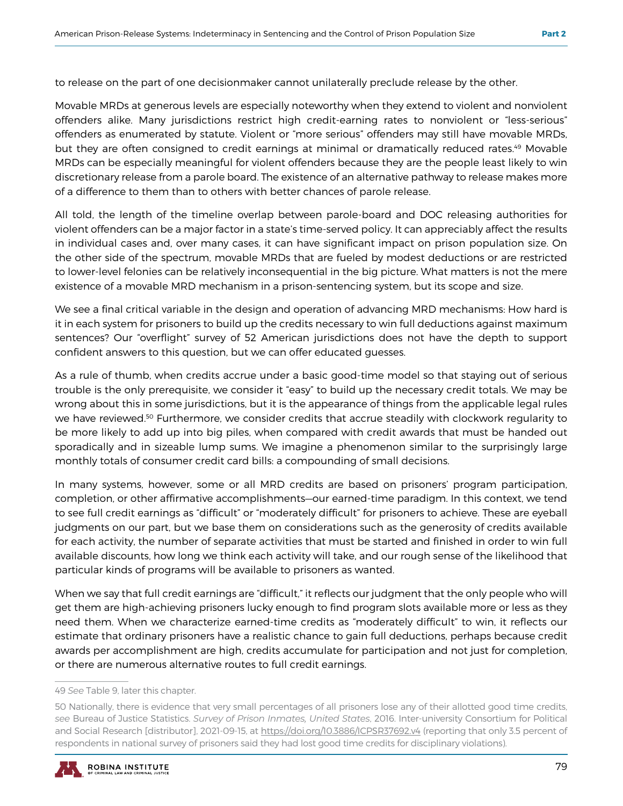to release on the part of one decisionmaker cannot unilaterally preclude release by the other.

Movable MRDs at generous levels are especially noteworthy when they extend to violent and nonviolent offenders alike. Many jurisdictions restrict high credit-earning rates to nonviolent or "less-serious" offenders as enumerated by statute. Violent or "more serious" offenders may still have movable MRDs, but they are often consigned to credit earnings at minimal or dramatically reduced rates.<sup>49</sup> Movable MRDs can be especially meaningful for violent offenders because they are the people least likely to win discretionary release from a parole board. The existence of an alternative pathway to release makes more of a difference to them than to others with better chances of parole release.

All told, the length of the timeline overlap between parole-board and DOC releasing authorities for violent offenders can be a major factor in a state's time-served policy. It can appreciably affect the results in individual cases and, over many cases, it can have significant impact on prison population size. On the other side of the spectrum, movable MRDs that are fueled by modest deductions or are restricted to lower-level felonies can be relatively inconsequential in the big picture. What matters is not the mere existence of a movable MRD mechanism in a prison-sentencing system, but its scope and size.

We see a final critical variable in the design and operation of advancing MRD mechanisms: How hard is it in each system for prisoners to build up the credits necessary to win full deductions against maximum sentences? Our "overflight" survey of 52 American jurisdictions does not have the depth to support confident answers to this question, but we can offer educated guesses.

As a rule of thumb, when credits accrue under a basic good-time model so that staying out of serious trouble is the only prerequisite, we consider it "easy" to build up the necessary credit totals. We may be wrong about this in some jurisdictions, but it is the appearance of things from the applicable legal rules we have reviewed.<sup>50</sup> Furthermore, we consider credits that accrue steadily with clockwork regularity to be more likely to add up into big piles, when compared with credit awards that must be handed out sporadically and in sizeable lump sums. We imagine a phenomenon similar to the surprisingly large monthly totals of consumer credit card bills: a compounding of small decisions.

In many systems, however, some or all MRD credits are based on prisoners' program participation, completion, or other affirmative accomplishments—our earned-time paradigm. In this context, we tend to see full credit earnings as "difficult" or "moderately difficult" for prisoners to achieve. These are eyeball judgments on our part, but we base them on considerations such as the generosity of credits available for each activity, the number of separate activities that must be started and finished in order to win full available discounts, how long we think each activity will take, and our rough sense of the likelihood that particular kinds of programs will be available to prisoners as wanted.

When we say that full credit earnings are "difficult," it reflects our judgment that the only people who will get them are high-achieving prisoners lucky enough to find program slots available more or less as they need them. When we characterize earned-time credits as "moderately difficult" to win, it reflects our estimate that ordinary prisoners have a realistic chance to gain full deductions, perhaps because credit awards per accomplishment are high, credits accumulate for participation and not just for completion, or there are numerous alternative routes to full credit earnings.

<sup>50</sup> Nationally, there is evidence that very small percentages of all prisoners lose any of their allotted good time credits, *see* Bureau of Justice Statistics. *Survey of Prison Inmates, United States*, 2016. Inter-university Consortium for Political and Social Research [distributor], 2021-09-15, at https://doi.org/10.3886/ICPSR37692.v4 (reporting that only 3.5 percent of respondents in national survey of prisoners said they had lost good time credits for disciplinary violations).



<sup>49</sup> *See* Table 9, later this chapter.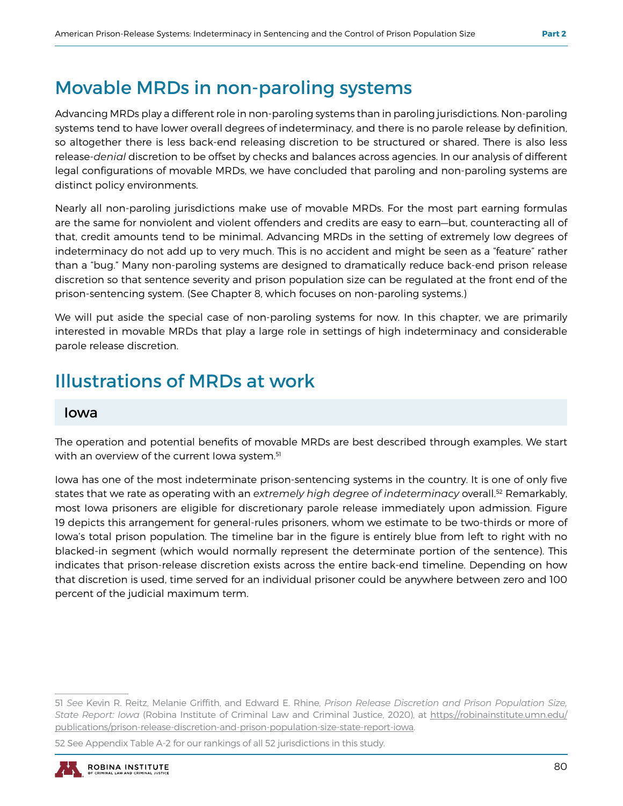## Movable MRDs in non-paroling systems

Advancing MRDs play a different role in non-paroling systems than in paroling jurisdictions. Non-paroling systems tend to have lower overall degrees of indeterminacy, and there is no parole release by definition, so altogether there is less back-end releasing discretion to be structured or shared. There is also less release-*denial* discretion to be offset by checks and balances across agencies. In our analysis of different legal configurations of movable MRDs, we have concluded that paroling and non-paroling systems are distinct policy environments.

Nearly all non-paroling jurisdictions make use of movable MRDs. For the most part earning formulas are the same for nonviolent and violent offenders and credits are easy to earn—but, counteracting all of that, credit amounts tend to be minimal. Advancing MRDs in the setting of extremely low degrees of indeterminacy do not add up to very much. This is no accident and might be seen as a "feature" rather than a "bug." Many non-paroling systems are designed to dramatically reduce back-end prison release discretion so that sentence severity and prison population size can be regulated at the front end of the prison-sentencing system. (See Chapter 8, which focuses on non-paroling systems.)

We will put aside the special case of non-paroling systems for now. In this chapter, we are primarily interested in movable MRDs that play a large role in settings of high indeterminacy and considerable parole release discretion.

## Illustrations of MRDs at work

#### Iowa

The operation and potential benefits of movable MRDs are best described through examples. We start with an overview of the current lowa system.<sup>51</sup>

Iowa has one of the most indeterminate prison-sentencing systems in the country. It is one of only five states that we rate as operating with an *extremely high degree of indeterminacy* overall.52 Remarkably, most Iowa prisoners are eligible for discretionary parole release immediately upon admission. Figure 19 depicts this arrangement for general-rules prisoners, whom we estimate to be two-thirds or more of Iowa's total prison population. The timeline bar in the figure is entirely blue from left to right with no blacked-in segment (which would normally represent the determinate portion of the sentence). This indicates that prison-release discretion exists across the entire back-end timeline. Depending on how that discretion is used, time served for an individual prisoner could be anywhere between zero and 100 percent of the judicial maximum term.

<sup>52</sup> See Appendix Table A-2 for our rankings of all 52 jurisdictions in this study.



<sup>51</sup> *See* Kevin R. Reitz, Melanie Griffith, and Edward E. Rhine, *Prison Release Discretion and Prison Population Size, State Report: Iowa* (Robina Institute of Criminal Law and Criminal Justice, 2020), at https://robinainstitute.umn.edu/ publications/prison-release-discretion-and-prison-population-size-state-report-iowa.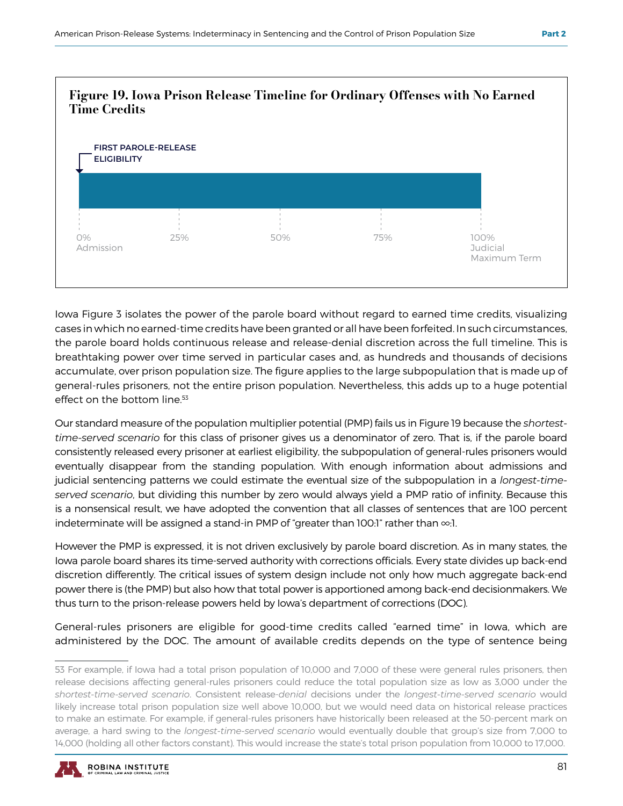

Iowa Figure 3 isolates the power of the parole board without regard to earned time credits, visualizing cases in which no earned-time credits have been granted or all have been forfeited. In such circumstances, the parole board holds continuous release and release-denial discretion across the full timeline. This is breathtaking power over time served in particular cases and, as hundreds and thousands of decisions accumulate, over prison population size. The figure applies to the large subpopulation that is made up of general-rules prisoners, not the entire prison population. Nevertheless, this adds up to a huge potential effect on the bottom line.<sup>53</sup>

Our standard measure of the population multiplier potential (PMP) fails us in Figure 19 because the *shortesttime-served scenario* for this class of prisoner gives us a denominator of zero. That is, if the parole board consistently released every prisoner at earliest eligibility, the subpopulation of general-rules prisoners would eventually disappear from the standing population. With enough information about admissions and judicial sentencing patterns we could estimate the eventual size of the subpopulation in a *longest-timeserved scenario*, but dividing this number by zero would always yield a PMP ratio of infinity. Because this is a nonsensical result, we have adopted the convention that all classes of sentences that are 100 percent indeterminate will be assigned a stand-in PMP of "greater than 100:1" rather than ∞:1.

However the PMP is expressed, it is not driven exclusively by parole board discretion. As in many states, the Iowa parole board shares its time-served authority with corrections officials. Every state divides up back-end discretion differently. The critical issues of system design include not only how much aggregate back-end power there is (the PMP) but also how that total power is apportioned among back-end decisionmakers. We thus turn to the prison-release powers held by Iowa's department of corrections (DOC).

General-rules prisoners are eligible for good-time credits called "earned time" in Iowa, which are administered by the DOC. The amount of available credits depends on the type of sentence being

<sup>53</sup> For example, if Iowa had a total prison population of 10,000 and 7,000 of these were general rules prisoners, then release decisions affecting general-rules prisoners could reduce the total population size as low as 3,000 under the *shortest-time-served scenario*. Consistent release-*denial* decisions under the *longest-time-served scenario* would likely increase total prison population size well above 10,000, but we would need data on historical release practices to make an estimate. For example, if general-rules prisoners have historically been released at the 50-percent mark on average, a hard swing to the *longest-time-served scenario* would eventually double that group's size from 7,000 to 14,000 (holding all other factors constant). This would increase the state's total prison population from 10,000 to 17,000.

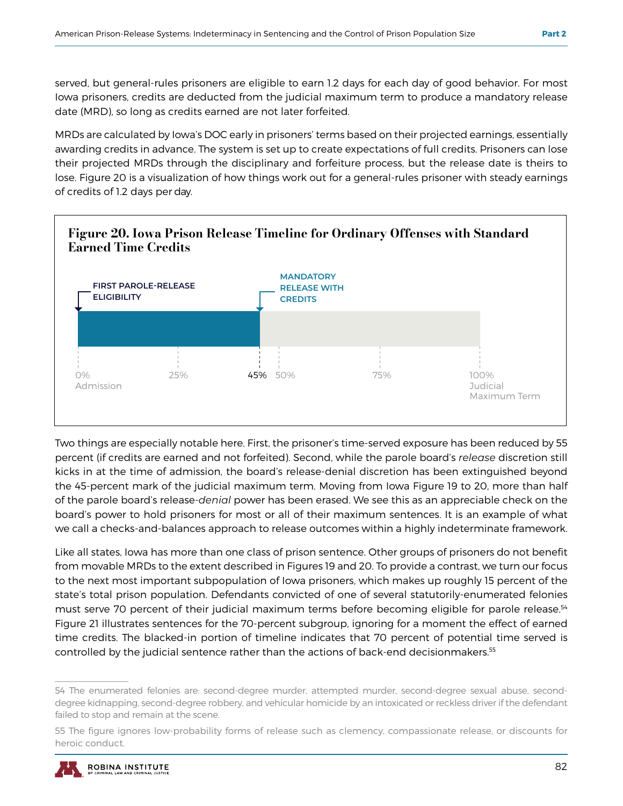served, but general-rules prisoners are eligible to earn 1.2 days for each day of good behavior. For most Iowa prisoners, credits are deducted from the judicial maximum term to produce a mandatory release date (MRD), so long as credits earned are not later forfeited.

MRDs are calculated by Iowa's DOC early in prisoners' terms based on their projected earnings, essentially awarding credits in advance. The system is set up to create expectations of full credits. Prisoners can lose their projected MRDs through the disciplinary and forfeiture process, but the release date is theirs to lose. Figure 20 is a visualization of how things work out for a general-rules prisoner with steady earnings of credits of 1.2 days per day.



Two things are especially notable here. First, the prisoner's time-served exposure has been reduced by 55 percent (if credits are earned and not forfeited). Second, while the parole board's *release* discretion still kicks in at the time of admission, the board's release-denial discretion has been extinguished beyond the 45-percent mark of the judicial maximum term. Moving from Iowa Figure 19 to 20, more than half of the parole board's release-*denial* power has been erased. We see this as an appreciable check on the board's power to hold prisoners for most or all of their maximum sentences. It is an example of what we call a checks-and-balances approach to release outcomes within a highly indeterminate framework.

Like all states, Iowa has more than one class of prison sentence. Other groups of prisoners do not benefit from movable MRDs to the extent described in Figures 19 and 20. To provide a contrast, we turn our focus to the next most important subpopulation of Iowa prisoners, which makes up roughly 15 percent of the state's total prison population. Defendants convicted of one of several statutorily-enumerated felonies must serve 70 percent of their judicial maximum terms before becoming eligible for parole release.<sup>54</sup> Figure 21 illustrates sentences for the 70-percent subgroup, ignoring for a moment the effect of earned time credits. The blacked-in portion of timeline indicates that 70 percent of potential time served is controlled by the judicial sentence rather than the actions of back-end decisionmakers.55

<sup>54</sup> The enumerated felonies are: second-degree murder, attempted murder, second-degree sexual abuse, seconddegree kidnapping, second-degree robbery, and vehicular homicide by an intoxicated or reckless driver if the defendant failed to stop and remain at the scene.

<sup>55</sup> The figure ignores low-probability forms of release such as clemency, compassionate release, or discounts for heroic conduct.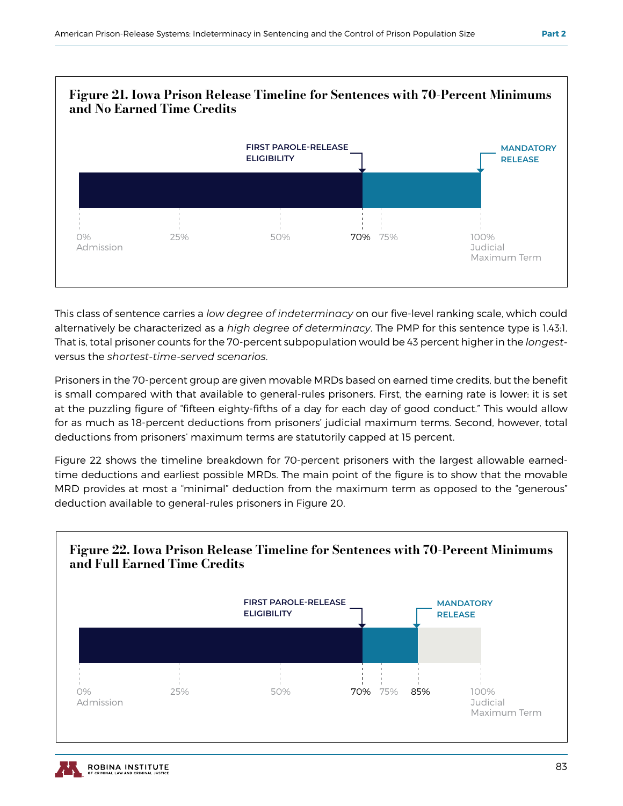

This class of sentence carries a *low degree of indeterminacy* on our five-level ranking scale, which could alternatively be characterized as a *high degree of determinacy*. The PMP for this sentence type is 1.43:1. That is, total prisoner counts for the 70-percent subpopulation would be 43 percent higher in the *longest*versus the *shortest-time-served scenarios*.

Prisoners in the 70-percent group are given movable MRDs based on earned time credits, but the benefit is small compared with that available to general-rules prisoners. First, the earning rate is lower: it is set at the puzzling figure of "fifteen eighty-fifths of a day for each day of good conduct." This would allow for as much as 18-percent deductions from prisoners' judicial maximum terms. Second, however, total deductions from prisoners' maximum terms are statutorily capped at 15 percent.

Figure 22 shows the timeline breakdown for 70-percent prisoners with the largest allowable earnedtime deductions and earliest possible MRDs. The main point of the figure is to show that the movable MRD provides at most a "minimal" deduction from the maximum term as opposed to the "generous" deduction available to general-rules prisoners in Figure 20.

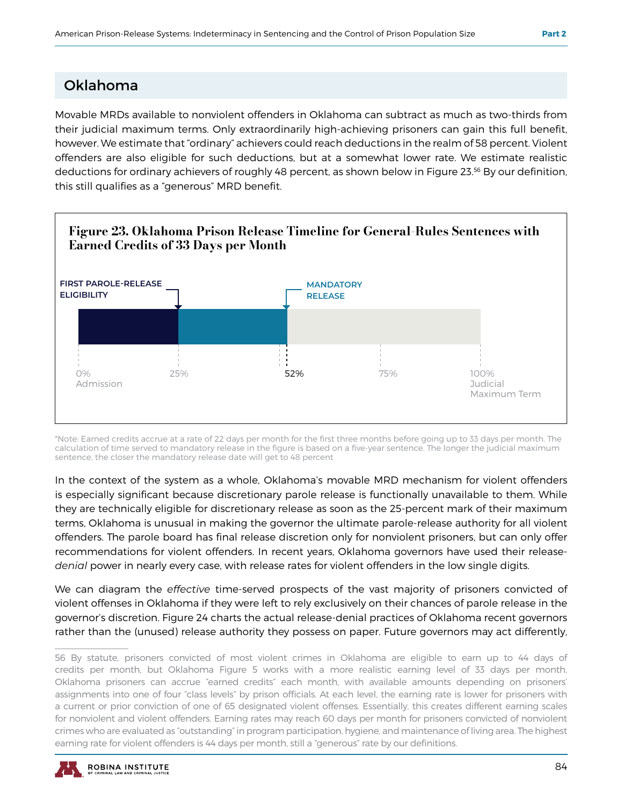#### Oklahoma

Movable MRDs available to nonviolent offenders in Oklahoma can subtract as much as two-thirds from their judicial maximum terms. Only extraordinarily high-achieving prisoners can gain this full benefit, however. We estimate that "ordinary" achievers could reach deductions in the realm of 58 percent. Violent offenders are also eligible for such deductions, but at a somewhat lower rate. We estimate realistic deductions for ordinary achievers of roughly 48 percent, as shown below in Figure 23.56 By our definition, this still qualifies as a "generous" MRD benefit.



\*Note: Earned credits accrue at a rate of 22 days per month for the first three months before going up to 33 days per month. The calculation of time served to mandatory release in the figure is based on a five-year sentence. The longer the judicial maximum sentence, the closer the mandatory release date will get to 48 percent

In the context of the system as a whole, Oklahoma's movable MRD mechanism for violent offenders is especially significant because discretionary parole release is functionally unavailable to them. While they are technically eligible for discretionary release as soon as the 25-percent mark of their maximum terms, Oklahoma is unusual in making the governor the ultimate parole-release authority for all violent offenders. The parole board has final release discretion only for nonviolent prisoners, but can only offer recommendations for violent offenders. In recent years, Oklahoma governors have used their release*denial* power in nearly every case, with release rates for violent offenders in the low single digits.

We can diagram the *effective* time-served prospects of the vast majority of prisoners convicted of violent offenses in Oklahoma if they were left to rely exclusively on their chances of parole release in the governor's discretion. Figure 24 charts the actual release-denial practices of Oklahoma recent governors rather than the (unused) release authority they possess on paper. Future governors may act differently,

<sup>56</sup> By statute, prisoners convicted of most violent crimes in Oklahoma are eligible to earn up to 44 days of credits per month, but Oklahoma Figure 5 works with a more realistic earning level of 33 days per month. Oklahoma prisoners can accrue "earned credits" each month, with available amounts depending on prisoners' assignments into one of four "class levels" by prison officials. At each level, the earning rate is lower for prisoners with a current or prior conviction of one of 65 designated violent offenses. Essentially, this creates different earning scales for nonviolent and violent offenders. Earning rates may reach 60 days per month for prisoners convicted of nonviolent crimes who are evaluated as "outstanding" in program participation, hygiene, and maintenance of living area. The highest earning rate for violent offenders is 44 days per month, still a "generous" rate by our definitions.

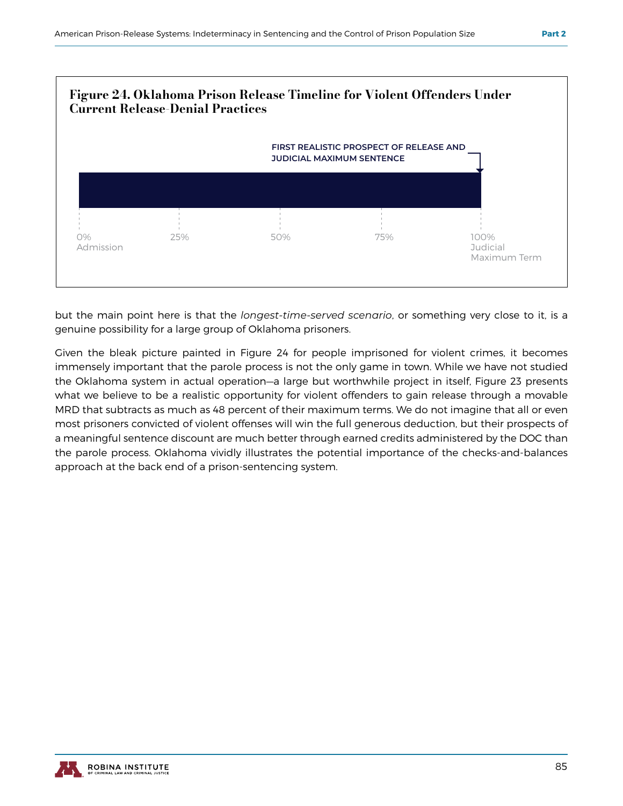

but the main point here is that the *longest-time-served scenario*, or something very close to it, is a genuine possibility for a large group of Oklahoma prisoners.

Given the bleak picture painted in Figure 24 for people imprisoned for violent crimes, it becomes immensely important that the parole process is not the only game in town. While we have not studied the Oklahoma system in actual operation—a large but worthwhile project in itself, Figure 23 presents what we believe to be a realistic opportunity for violent offenders to gain release through a movable MRD that subtracts as much as 48 percent of their maximum terms. We do not imagine that all or even most prisoners convicted of violent offenses will win the full generous deduction, but their prospects of a meaningful sentence discount are much better through earned credits administered by the DOC than the parole process. Oklahoma vividly illustrates the potential importance of the checks-and-balances approach at the back end of a prison-sentencing system.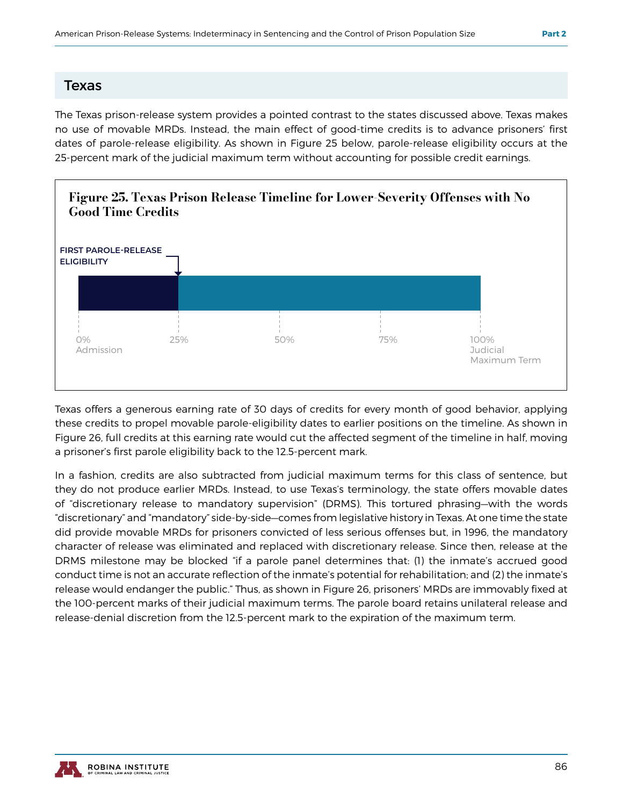#### Texas

The Texas prison-release system provides a pointed contrast to the states discussed above. Texas makes no use of movable MRDs. Instead, the main effect of good-time credits is to advance prisoners' first dates of parole-release eligibility. As shown in Figure 25 below, parole-release eligibility occurs at the 25-percent mark of the judicial maximum term without accounting for possible credit earnings.



Texas offers a generous earning rate of 30 days of credits for every month of good behavior, applying these credits to propel movable parole-eligibility dates to earlier positions on the timeline. As shown in Figure 26, full credits at this earning rate would cut the affected segment of the timeline in half, moving a prisoner's first parole eligibility back to the 12.5-percent mark.

In a fashion, credits are also subtracted from judicial maximum terms for this class of sentence, but they do not produce earlier MRDs. Instead, to use Texas's terminology, the state offers movable dates of "discretionary release to mandatory supervision" (DRMS). This tortured phrasing—with the words "discretionary" and "mandatory" side-by-side—comes from legislative history in Texas. At one time the state did provide movable MRDs for prisoners convicted of less serious offenses but, in 1996, the mandatory character of release was eliminated and replaced with discretionary release. Since then, release at the DRMS milestone may be blocked "if a parole panel determines that: (1) the inmate's accrued good conduct time is not an accurate reflection of the inmate's potential for rehabilitation; and (2) the inmate's release would endanger the public." Thus, as shown in Figure 26, prisoners' MRDs are immovably fixed at the 100-percent marks of their judicial maximum terms. The parole board retains unilateral release and release-denial discretion from the 12.5-percent mark to the expiration of the maximum term.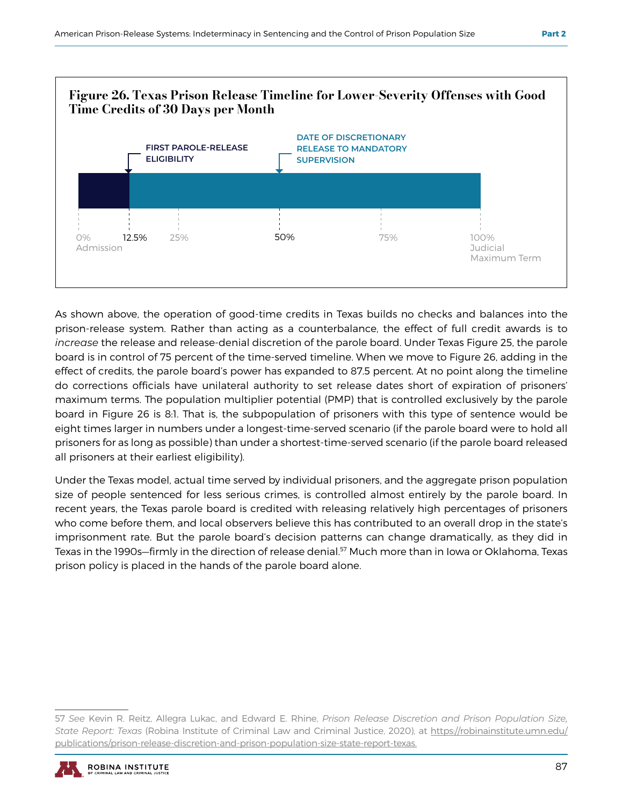

As shown above, the operation of good-time credits in Texas builds no checks and balances into the prison-release system. Rather than acting as a counterbalance, the effect of full credit awards is to *increase* the release and release-denial discretion of the parole board. Under Texas Figure 25, the parole board is in control of 75 percent of the time-served timeline. When we move to Figure 26, adding in the effect of credits, the parole board's power has expanded to 87.5 percent. At no point along the timeline do corrections officials have unilateral authority to set release dates short of expiration of prisoners' maximum terms. The population multiplier potential (PMP) that is controlled exclusively by the parole board in Figure 26 is 8:1. That is, the subpopulation of prisoners with this type of sentence would be eight times larger in numbers under a longest-time-served scenario (if the parole board were to hold all prisoners for as long as possible) than under a shortest-time-served scenario (if the parole board released all prisoners at their earliest eligibility).

Under the Texas model, actual time served by individual prisoners, and the aggregate prison population size of people sentenced for less serious crimes, is controlled almost entirely by the parole board. In recent years, the Texas parole board is credited with releasing relatively high percentages of prisoners who come before them, and local observers believe this has contributed to an overall drop in the state's imprisonment rate. But the parole board's decision patterns can change dramatically, as they did in Texas in the 1990s–firmly in the direction of release denial.<sup>57</sup> Much more than in Iowa or Oklahoma, Texas prison policy is placed in the hands of the parole board alone.

<sup>57</sup> *See* Kevin R. Reitz, Allegra Lukac, and Edward E. Rhine, *Prison Release Discretion and Prison Population Size, State Report: Texas* (Robina Institute of Criminal Law and Criminal Justice, 2020), at https://robinainstitute.umn.edu/ publications/prison-release-discretion-and-prison-population-size-state-report-texas.

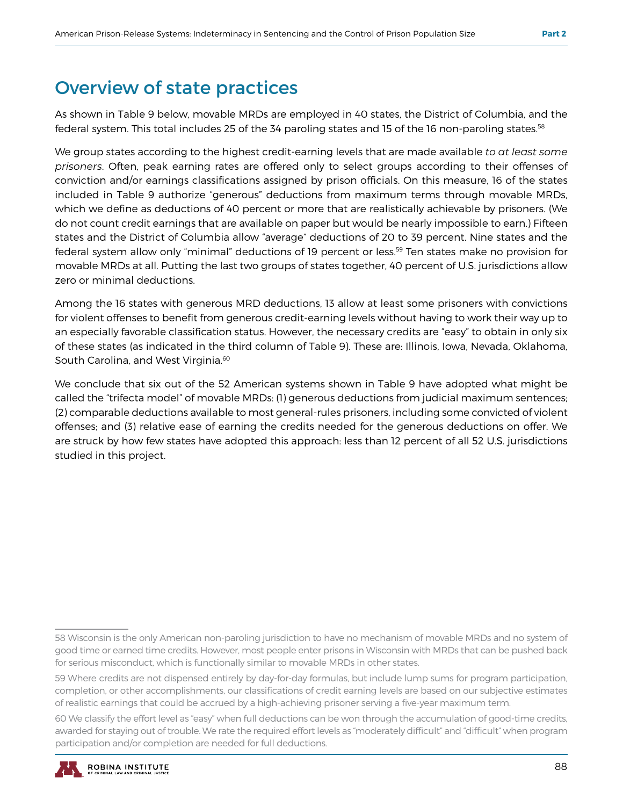## Overview of state practices

As shown in Table 9 below, movable MRDs are employed in 40 states, the District of Columbia, and the federal system. This total includes 25 of the 34 paroling states and 15 of the 16 non-paroling states.58

We group states according to the highest credit-earning levels that are made available *to at least some prisoners*. Often, peak earning rates are offered only to select groups according to their offenses of conviction and/or earnings classifications assigned by prison officials. On this measure, 16 of the states included in Table 9 authorize "generous" deductions from maximum terms through movable MRDs, which we define as deductions of 40 percent or more that are realistically achievable by prisoners. (We do not count credit earnings that are available on paper but would be nearly impossible to earn.) Fifteen states and the District of Columbia allow "average" deductions of 20 to 39 percent. Nine states and the federal system allow only "minimal" deductions of 19 percent or less.59 Ten states make no provision for movable MRDs at all. Putting the last two groups of states together, 40 percent of U.S. jurisdictions allow zero or minimal deductions.

Among the 16 states with generous MRD deductions, 13 allow at least some prisoners with convictions for violent offenses to benefit from generous credit-earning levels without having to work their way up to an especially favorable classification status. However, the necessary credits are "easy" to obtain in only six of these states (as indicated in the third column of Table 9). These are: Illinois, Iowa, Nevada, Oklahoma, South Carolina, and West Virginia.<sup>60</sup>

We conclude that six out of the 52 American systems shown in Table 9 have adopted what might be called the "trifecta model" of movable MRDs: (1) generous deductions from judicial maximum sentences; (2) comparable deductions available to most general-rules prisoners, including some convicted of violent offenses; and (3) relative ease of earning the credits needed for the generous deductions on offer. We are struck by how few states have adopted this approach: less than 12 percent of all 52 U.S. jurisdictions studied in this project.

<sup>60</sup> We classify the effort level as "easy" when full deductions can be won through the accumulation of good-time credits, awarded for staying out of trouble. We rate the required effort levels as "moderately difficult" and "difficult" when program participation and/or completion are needed for full deductions.



<sup>58</sup> Wisconsin is the only American non-paroling jurisdiction to have no mechanism of movable MRDs and no system of good time or earned time credits. However, most people enter prisons in Wisconsin with MRDs that can be pushed back for serious misconduct, which is functionally similar to movable MRDs in other states.

<sup>59</sup> Where credits are not dispensed entirely by day-for-day formulas, but include lump sums for program participation, completion, or other accomplishments, our classifications of credit earning levels are based on our subjective estimates of realistic earnings that could be accrued by a high-achieving prisoner serving a five-year maximum term.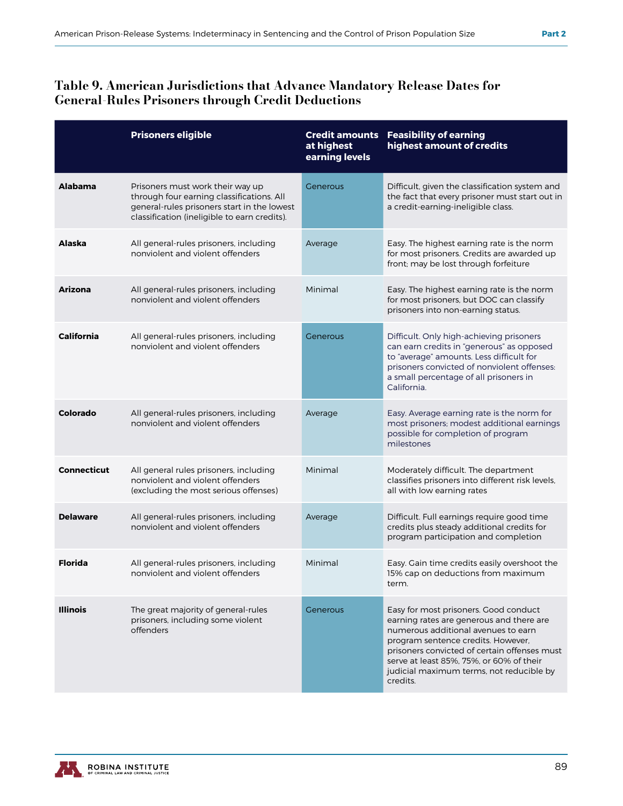#### Table 9. American Jurisdictions that Advance Mandatory Release Dates for General-Rules Prisoners through Credit Deductions

|                   | <b>Prisoners eligible</b>                                                                                                                                                    | <b>Credit amounts</b><br>at highest<br>earning levels | <b>Feasibility of earning</b><br>highest amount of credits                                                                                                                                                                                                                                                         |
|-------------------|------------------------------------------------------------------------------------------------------------------------------------------------------------------------------|-------------------------------------------------------|--------------------------------------------------------------------------------------------------------------------------------------------------------------------------------------------------------------------------------------------------------------------------------------------------------------------|
| <b>Alabama</b>    | Prisoners must work their way up<br>through four earning classifications. All<br>general-rules prisoners start in the lowest<br>classification (ineligible to earn credits). | Generous                                              | Difficult, given the classification system and<br>the fact that every prisoner must start out in<br>a credit-earning-ineligible class.                                                                                                                                                                             |
| Alaska            | All general-rules prisoners, including<br>nonviolent and violent offenders                                                                                                   | Average                                               | Easy. The highest earning rate is the norm<br>for most prisoners. Credits are awarded up<br>front; may be lost through forfeiture                                                                                                                                                                                  |
| Arizona           | All general-rules prisoners, including<br>nonviolent and violent offenders                                                                                                   | Minimal                                               | Easy. The highest earning rate is the norm<br>for most prisoners, but DOC can classify<br>prisoners into non-earning status.                                                                                                                                                                                       |
| <b>California</b> | All general-rules prisoners, including<br>nonviolent and violent offenders                                                                                                   | Generous                                              | Difficult. Only high-achieving prisoners<br>can earn credits in "generous" as opposed<br>to "average" amounts. Less difficult for<br>prisoners convicted of nonviolent offenses:<br>a small percentage of all prisoners in<br>California.                                                                          |
| Colorado          | All general-rules prisoners, including<br>nonviolent and violent offenders                                                                                                   | Average                                               | Easy. Average earning rate is the norm for<br>most prisoners; modest additional earnings<br>possible for completion of program<br>milestones                                                                                                                                                                       |
| Connecticut       | All general rules prisoners, including<br>nonviolent and violent offenders<br>(excluding the most serious offenses)                                                          | Minimal                                               | Moderately difficult. The department<br>classifies prisoners into different risk levels,<br>all with low earning rates                                                                                                                                                                                             |
| <b>Delaware</b>   | All general-rules prisoners, including<br>nonviolent and violent offenders                                                                                                   | Average                                               | Difficult. Full earnings require good time<br>credits plus steady additional credits for<br>program participation and completion                                                                                                                                                                                   |
| <b>Florida</b>    | All general-rules prisoners, including<br>nonviolent and violent offenders                                                                                                   | Minimal                                               | Easy. Gain time credits easily overshoot the<br>15% cap on deductions from maximum<br>term.                                                                                                                                                                                                                        |
| <b>Illinois</b>   | The great majority of general-rules<br>prisoners, including some violent<br>offenders                                                                                        | Generous                                              | Easy for most prisoners. Good conduct<br>earning rates are generous and there are<br>numerous additional avenues to earn<br>program sentence credits. However,<br>prisoners convicted of certain offenses must<br>serve at least 85%, 75%, or 60% of their<br>judicial maximum terms, not reducible by<br>credits. |

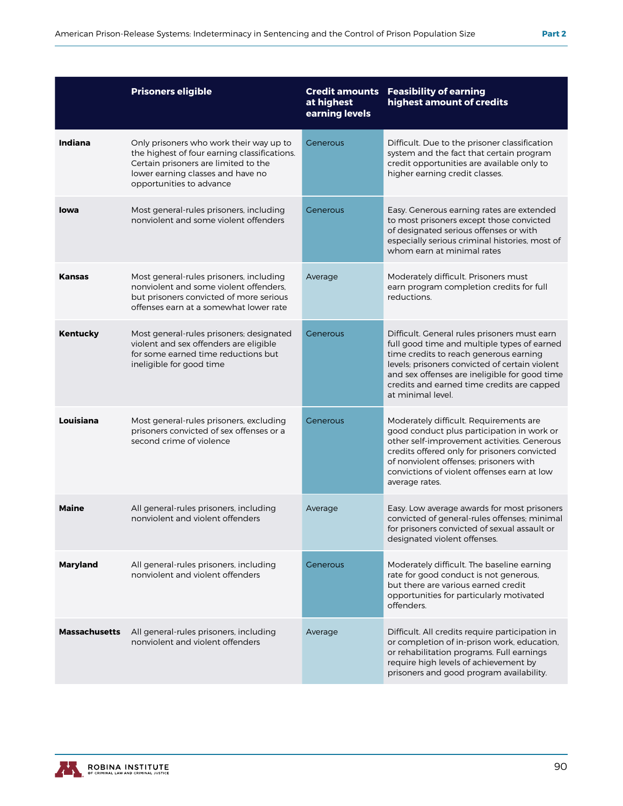|                      | <b>Prisoners eligible</b>                                                                                                                                                                        | <b>Credit amounts</b><br>at highest<br>earning levels | <b>Feasibility of earning</b><br>highest amount of credits                                                                                                                                                                                                                                                  |
|----------------------|--------------------------------------------------------------------------------------------------------------------------------------------------------------------------------------------------|-------------------------------------------------------|-------------------------------------------------------------------------------------------------------------------------------------------------------------------------------------------------------------------------------------------------------------------------------------------------------------|
| Indiana              | Only prisoners who work their way up to<br>the highest of four earning classifications.<br>Certain prisoners are limited to the<br>lower earning classes and have no<br>opportunities to advance | Generous                                              | Difficult. Due to the prisoner classification<br>system and the fact that certain program<br>credit opportunities are available only to<br>higher earning credit classes.                                                                                                                                   |
| lowa                 | Most general-rules prisoners, including<br>nonviolent and some violent offenders                                                                                                                 | Generous                                              | Easy. Generous earning rates are extended<br>to most prisoners except those convicted<br>of designated serious offenses or with<br>especially serious criminal histories, most of<br>whom earn at minimal rates                                                                                             |
| <b>Kansas</b>        | Most general-rules prisoners, including<br>nonviolent and some violent offenders,<br>but prisoners convicted of more serious<br>offenses earn at a somewhat lower rate                           | Average                                               | Moderately difficult. Prisoners must<br>earn program completion credits for full<br>reductions.                                                                                                                                                                                                             |
| <b>Kentucky</b>      | Most general-rules prisoners; designated<br>violent and sex offenders are eligible<br>for some earned time reductions but<br>ineligible for good time                                            | Generous                                              | Difficult. General rules prisoners must earn<br>full good time and multiple types of earned<br>time credits to reach generous earning<br>levels; prisoners convicted of certain violent<br>and sex offenses are ineligible for good time<br>credits and earned time credits are capped<br>at minimal level. |
| Louisiana            | Most general-rules prisoners, excluding<br>prisoners convicted of sex offenses or a<br>second crime of violence                                                                                  | Generous                                              | Moderately difficult. Requirements are<br>good conduct plus participation in work or<br>other self-improvement activities. Generous<br>credits offered only for prisoners convicted<br>of nonviolent offenses; prisoners with<br>convictions of violent offenses earn at low<br>average rates.              |
| <b>Maine</b>         | All general-rules prisoners, including<br>nonviolent and violent offenders                                                                                                                       | Average                                               | Easy. Low average awards for most prisoners<br>convicted of general-rules offenses; minimal<br>for prisoners convicted of sexual assault or<br>designated violent offenses.                                                                                                                                 |
| <b>Maryland</b>      | All general-rules prisoners, including<br>nonviolent and violent offenders                                                                                                                       | Generous                                              | Moderately difficult. The baseline earning<br>rate for good conduct is not generous,<br>but there are various earned credit<br>opportunities for particularly motivated<br>offenders                                                                                                                        |
| <b>Massachusetts</b> | All general-rules prisoners, including<br>nonviolent and violent offenders                                                                                                                       | Average                                               | Difficult. All credits require participation in<br>or completion of in-prison work, education,<br>or rehabilitation programs. Full earnings<br>require high levels of achievement by<br>prisoners and good program availability.                                                                            |

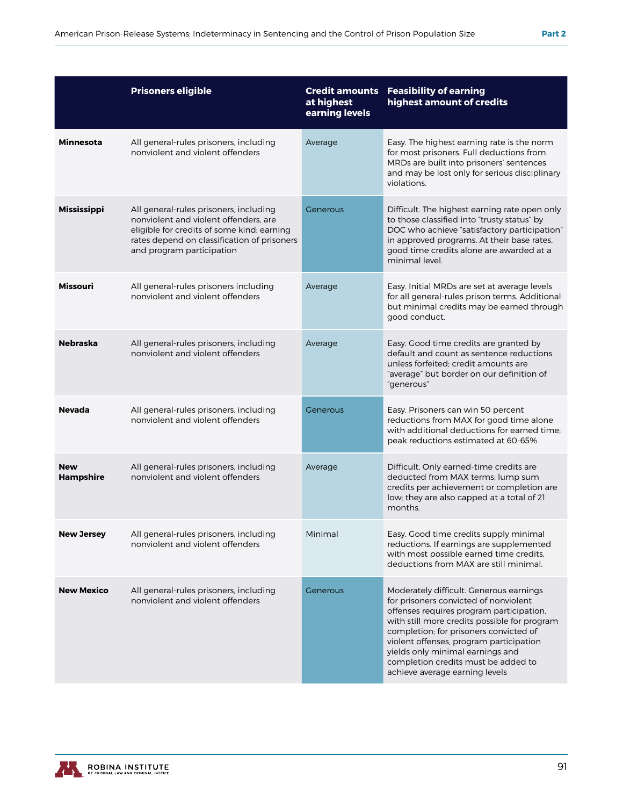|                                | <b>Prisoners eligible</b>                                                                                                                                                                                 | <b>Credit amounts</b><br>at highest<br>earning levels | <b>Feasibility of earning</b><br>highest amount of credits                                                                                                                                                                                                                                                                                                                     |
|--------------------------------|-----------------------------------------------------------------------------------------------------------------------------------------------------------------------------------------------------------|-------------------------------------------------------|--------------------------------------------------------------------------------------------------------------------------------------------------------------------------------------------------------------------------------------------------------------------------------------------------------------------------------------------------------------------------------|
| <b>Minnesota</b>               | All general-rules prisoners, including<br>nonviolent and violent offenders                                                                                                                                | Average                                               | Easy. The highest earning rate is the norm<br>for most prisoners. Full deductions from<br>MRDs are built into prisoners' sentences<br>and may be lost only for serious disciplinary<br>violations                                                                                                                                                                              |
| <b>Mississippi</b>             | All general-rules prisoners, including<br>nonviolent and violent offenders, are<br>eligible for credits of some kind; earning<br>rates depend on classification of prisoners<br>and program participation | Generous                                              | Difficult. The highest earning rate open only<br>to those classified into "trusty status" by<br>DOC who achieve "satisfactory participation"<br>in approved programs. At their base rates,<br>good time credits alone are awarded at a<br>minimal level.                                                                                                                       |
| <b>Missouri</b>                | All general-rules prisoners including<br>nonviolent and violent offenders                                                                                                                                 | Average                                               | Easy. Initial MRDs are set at average levels<br>for all general-rules prison terms. Additional<br>but minimal credits may be earned through<br>good conduct.                                                                                                                                                                                                                   |
| <b>Nebraska</b>                | All general-rules prisoners, including<br>nonviolent and violent offenders                                                                                                                                | Average                                               | Easy. Good time credits are granted by<br>default and count as sentence reductions<br>unless forfeited: credit amounts are<br>"average" but border on our definition of<br>"generous"                                                                                                                                                                                          |
| <b>Nevada</b>                  | All general-rules prisoners, including<br>nonviolent and violent offenders                                                                                                                                | Generous                                              | Easy. Prisoners can win 50 percent<br>reductions from MAX for good time alone<br>with additional deductions for earned time;<br>peak reductions estimated at 60-65%                                                                                                                                                                                                            |
| <b>New</b><br><b>Hampshire</b> | All general-rules prisoners, including<br>nonviolent and violent offenders                                                                                                                                | Average                                               | Difficult. Only earned-time credits are<br>deducted from MAX terms; lump sum<br>credits per achievement or completion are<br>low; they are also capped at a total of 21<br>months.                                                                                                                                                                                             |
| <b>New Jersey</b>              | All general-rules prisoners, including<br>nonviolent and violent offenders                                                                                                                                | Minimal                                               | Easy. Good time credits supply minimal<br>reductions. If earnings are supplemented<br>with most possible earned time credits,<br>deductions from MAX are still minimal.                                                                                                                                                                                                        |
| <b>New Mexico</b>              | All general-rules prisoners, including<br>nonviolent and violent offenders                                                                                                                                | Generous                                              | Moderately difficult. Generous earnings<br>for prisoners convicted of nonviolent<br>offenses requires program participation,<br>with still more credits possible for program<br>completion; for prisoners convicted of<br>violent offenses, program participation<br>yields only minimal earnings and<br>completion credits must be added to<br>achieve average earning levels |

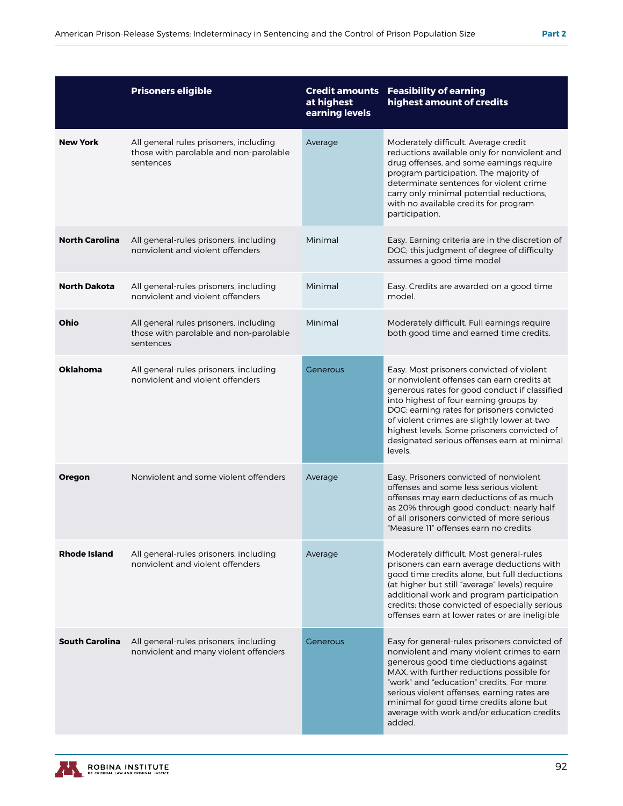|                       | <b>Prisoners eligible</b>                                                                     | <b>Credit amounts</b><br>at highest<br>earning levels | <b>Feasibility of earning</b><br>highest amount of credits                                                                                                                                                                                                                                                                                                                               |
|-----------------------|-----------------------------------------------------------------------------------------------|-------------------------------------------------------|------------------------------------------------------------------------------------------------------------------------------------------------------------------------------------------------------------------------------------------------------------------------------------------------------------------------------------------------------------------------------------------|
| <b>New York</b>       | All general rules prisoners, including<br>those with parolable and non-parolable<br>sentences | Average                                               | Moderately difficult. Average credit<br>reductions available only for nonviolent and<br>drug offenses, and some earnings require<br>program participation. The majority of<br>determinate sentences for violent crime<br>carry only minimal potential reductions,<br>with no available credits for program<br>participation.                                                             |
| <b>North Carolina</b> | All general-rules prisoners, including<br>nonviolent and violent offenders                    | Minimal                                               | Easy. Earning criteria are in the discretion of<br>DOC; this judgment of degree of difficulty<br>assumes a good time model                                                                                                                                                                                                                                                               |
| <b>North Dakota</b>   | All general-rules prisoners, including<br>nonviolent and violent offenders                    | Minimal                                               | Easy. Credits are awarded on a good time<br>model.                                                                                                                                                                                                                                                                                                                                       |
| Ohio                  | All general rules prisoners, including<br>those with parolable and non-parolable<br>sentences | Minimal                                               | Moderately difficult. Full earnings require<br>both good time and earned time credits.                                                                                                                                                                                                                                                                                                   |
| <b>Oklahoma</b>       | All general-rules prisoners, including<br>nonviolent and violent offenders                    | Generous                                              | Easy. Most prisoners convicted of violent<br>or nonviolent offenses can earn credits at<br>generous rates for good conduct if classified<br>into highest of four earning groups by<br>DOC; earning rates for prisoners convicted<br>of violent crimes are slightly lower at two<br>highest levels. Some prisoners convicted of<br>designated serious offenses earn at minimal<br>levels. |
| Oregon                | Nonviolent and some violent offenders                                                         | Average                                               | Easy. Prisoners convicted of nonviolent<br>offenses and some less serious violent<br>offenses may earn deductions of as much<br>as 20% through good conduct; nearly half<br>of all prisoners convicted of more serious<br>"Measure 11" offenses earn no credits                                                                                                                          |
| <b>Rhode Island</b>   | All general-rules prisoners, including<br>nonviolent and violent offenders                    | Average                                               | Moderately difficult. Most general-rules<br>prisoners can earn average deductions with<br>good time credits alone, but full deductions<br>(at higher but still "average" levels) require<br>additional work and program participation<br>credits; those convicted of especially serious<br>offenses earn at lower rates or are ineligible                                                |
| <b>South Carolina</b> | All general-rules prisoners, including<br>nonviolent and many violent offenders               | <b>Generous</b>                                       | Easy for general-rules prisoners convicted of<br>nonviolent and many violent crimes to earn<br>generous good time deductions against<br>MAX, with further reductions possible for<br>"work" and "education" credits. For more<br>serious violent offenses, earning rates are<br>minimal for good time credits alone but<br>average with work and/or education credits<br>added.          |

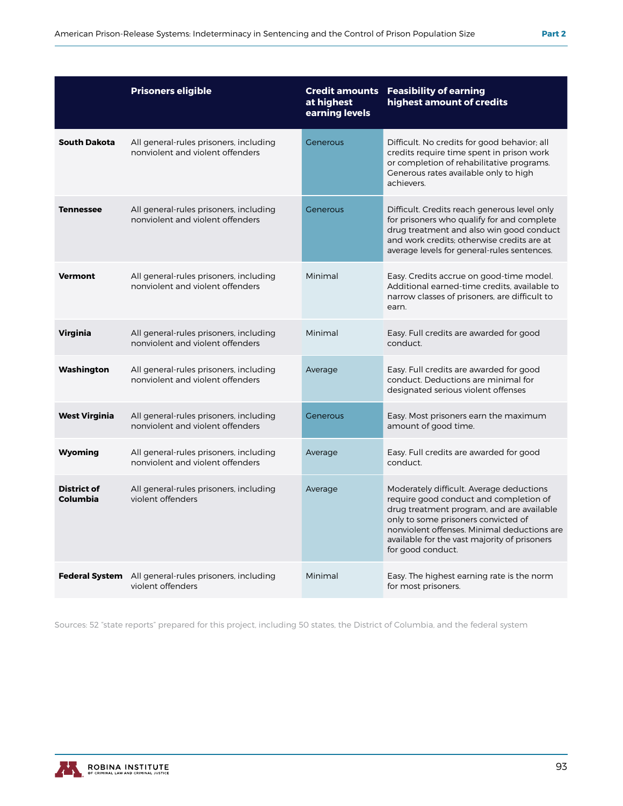|                                | <b>Prisoners eligible</b>                                                  | at highest<br>earning levels | <b>Credit amounts Feasibility of earning</b><br>highest amount of credits                                                                                                                                                                                                                  |
|--------------------------------|----------------------------------------------------------------------------|------------------------------|--------------------------------------------------------------------------------------------------------------------------------------------------------------------------------------------------------------------------------------------------------------------------------------------|
| <b>South Dakota</b>            | All general-rules prisoners, including<br>nonviolent and violent offenders | Generous                     | Difficult. No credits for good behavior; all<br>credits require time spent in prison work<br>or completion of rehabilitative programs.<br>Generous rates available only to high<br>achievers.                                                                                              |
| <b>Tennessee</b>               | All general-rules prisoners, including<br>nonviolent and violent offenders | Generous                     | Difficult. Credits reach generous level only<br>for prisoners who qualify for and complete<br>drug treatment and also win good conduct<br>and work credits; otherwise credits are at<br>average levels for general-rules sentences.                                                        |
| <b>Vermont</b>                 | All general-rules prisoners, including<br>nonviolent and violent offenders | Minimal                      | Easy. Credits accrue on good-time model.<br>Additional earned-time credits, available to<br>narrow classes of prisoners, are difficult to<br>earn.                                                                                                                                         |
| <b>Virginia</b>                | All general-rules prisoners, including<br>nonviolent and violent offenders | Minimal                      | Easy. Full credits are awarded for good<br>conduct.                                                                                                                                                                                                                                        |
| Washington                     | All general-rules prisoners, including<br>nonviolent and violent offenders | Average                      | Easy. Full credits are awarded for good<br>conduct. Deductions are minimal for<br>designated serious violent offenses                                                                                                                                                                      |
| <b>West Virginia</b>           | All general-rules prisoners, including<br>nonviolent and violent offenders | Generous                     | Easy. Most prisoners earn the maximum<br>amount of good time.                                                                                                                                                                                                                              |
| Wyoming                        | All general-rules prisoners, including<br>nonviolent and violent offenders | Average                      | Easy. Full credits are awarded for good<br>conduct.                                                                                                                                                                                                                                        |
| <b>District of</b><br>Columbia | All general-rules prisoners, including<br>violent offenders                | Average                      | Moderately difficult. Average deductions<br>require good conduct and completion of<br>drug treatment program, and are available<br>only to some prisoners convicted of<br>nonviolent offenses. Minimal deductions are<br>available for the vast majority of prisoners<br>for good conduct. |
| <b>Federal System</b>          | All general-rules prisoners, including<br>violent offenders                | Minimal                      | Easy. The highest earning rate is the norm<br>for most prisoners.                                                                                                                                                                                                                          |

Sources: 52 "state reports" prepared for this project, including 50 states, the District of Columbia, and the federal system

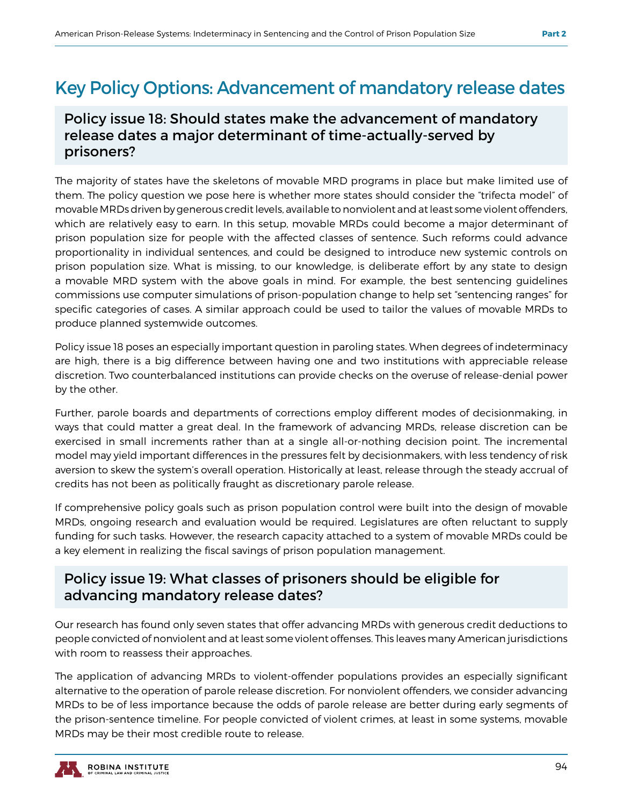## Key Policy Options: Advancement of mandatory release dates

#### Policy issue 18: Should states make the advancement of mandatory release dates a major determinant of time-actually-served by prisoners?

The majority of states have the skeletons of movable MRD programs in place but make limited use of them. The policy question we pose here is whether more states should consider the "trifecta model" of movable MRDs driven by generous credit levels, available to nonviolent and at least some violent offenders, which are relatively easy to earn. In this setup, movable MRDs could become a major determinant of prison population size for people with the affected classes of sentence. Such reforms could advance proportionality in individual sentences, and could be designed to introduce new systemic controls on prison population size. What is missing, to our knowledge, is deliberate effort by any state to design a movable MRD system with the above goals in mind. For example, the best sentencing guidelines commissions use computer simulations of prison-population change to help set "sentencing ranges" for specific categories of cases. A similar approach could be used to tailor the values of movable MRDs to produce planned systemwide outcomes.

Policy issue 18 poses an especially important question in paroling states. When degrees of indeterminacy are high, there is a big difference between having one and two institutions with appreciable release discretion. Two counterbalanced institutions can provide checks on the overuse of release-denial power by the other.

Further, parole boards and departments of corrections employ different modes of decisionmaking, in ways that could matter a great deal. In the framework of advancing MRDs, release discretion can be exercised in small increments rather than at a single all-or-nothing decision point. The incremental model may yield important differences in the pressures felt by decisionmakers, with less tendency of risk aversion to skew the system's overall operation. Historically at least, release through the steady accrual of credits has not been as politically fraught as discretionary parole release.

If comprehensive policy goals such as prison population control were built into the design of movable MRDs, ongoing research and evaluation would be required. Legislatures are often reluctant to supply funding for such tasks. However, the research capacity attached to a system of movable MRDs could be a key element in realizing the fiscal savings of prison population management.

#### Policy issue 19: What classes of prisoners should be eligible for advancing mandatory release dates?

Our research has found only seven states that offer advancing MRDs with generous credit deductions to people convicted of nonviolent and at least some violent offenses. This leaves many American jurisdictions with room to reassess their approaches.

The application of advancing MRDs to violent-offender populations provides an especially significant alternative to the operation of parole release discretion. For nonviolent offenders, we consider advancing MRDs to be of less importance because the odds of parole release are better during early segments of the prison-sentence timeline. For people convicted of violent crimes, at least in some systems, movable MRDs may be their most credible route to release.

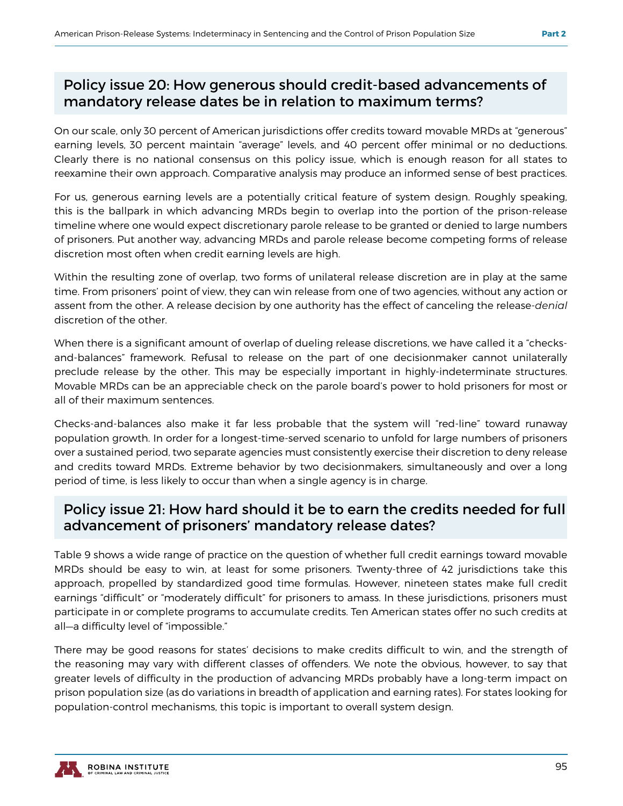#### Policy issue 20: How generous should credit-based advancements of mandatory release dates be in relation to maximum terms?

On our scale, only 30 percent of American jurisdictions offer credits toward movable MRDs at "generous" earning levels, 30 percent maintain "average" levels, and 40 percent offer minimal or no deductions. Clearly there is no national consensus on this policy issue, which is enough reason for all states to reexamine their own approach. Comparative analysis may produce an informed sense of best practices.

For us, generous earning levels are a potentially critical feature of system design. Roughly speaking, this is the ballpark in which advancing MRDs begin to overlap into the portion of the prison-release timeline where one would expect discretionary parole release to be granted or denied to large numbers of prisoners. Put another way, advancing MRDs and parole release become competing forms of release discretion most often when credit earning levels are high.

Within the resulting zone of overlap, two forms of unilateral release discretion are in play at the same time. From prisoners' point of view, they can win release from one of two agencies, without any action or assent from the other. A release decision by one authority has the effect of canceling the release-*denial*  discretion of the other.

When there is a significant amount of overlap of dueling release discretions, we have called it a "checksand-balances" framework. Refusal to release on the part of one decisionmaker cannot unilaterally preclude release by the other. This may be especially important in highly-indeterminate structures. Movable MRDs can be an appreciable check on the parole board's power to hold prisoners for most or all of their maximum sentences.

Checks-and-balances also make it far less probable that the system will "red-line" toward runaway population growth. In order for a longest-time-served scenario to unfold for large numbers of prisoners over a sustained period, two separate agencies must consistently exercise their discretion to deny release and credits toward MRDs. Extreme behavior by two decisionmakers, simultaneously and over a long period of time, is less likely to occur than when a single agency is in charge.

#### Policy issue 21: How hard should it be to earn the credits needed for full advancement of prisoners' mandatory release dates?

Table 9 shows a wide range of practice on the question of whether full credit earnings toward movable MRDs should be easy to win, at least for some prisoners. Twenty-three of 42 jurisdictions take this approach, propelled by standardized good time formulas. However, nineteen states make full credit earnings "difficult" or "moderately difficult" for prisoners to amass. In these jurisdictions, prisoners must participate in or complete programs to accumulate credits. Ten American states offer no such credits at all—a difficulty level of "impossible."

There may be good reasons for states' decisions to make credits difficult to win, and the strength of the reasoning may vary with different classes of offenders. We note the obvious, however, to say that greater levels of difficulty in the production of advancing MRDs probably have a long-term impact on prison population size (as do variations in breadth of application and earning rates). For states looking for population-control mechanisms, this topic is important to overall system design.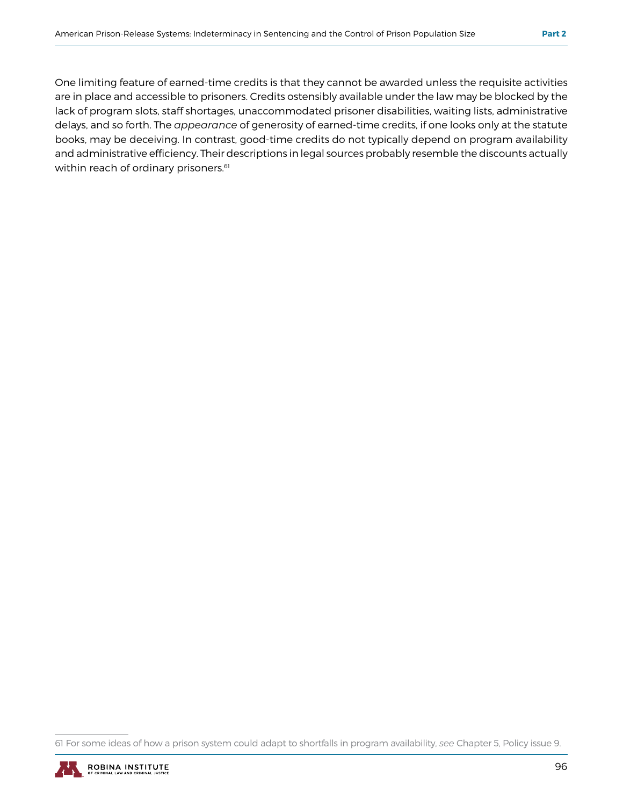One limiting feature of earned-time credits is that they cannot be awarded unless the requisite activities are in place and accessible to prisoners. Credits ostensibly available under the law may be blocked by the lack of program slots, staff shortages, unaccommodated prisoner disabilities, waiting lists, administrative delays, and so forth. The *appearance* of generosity of earned-time credits, if one looks only at the statute books, may be deceiving. In contrast, good-time credits do not typically depend on program availability and administrative efficiency. Their descriptions in legal sources probably resemble the discounts actually within reach of ordinary prisoners.<sup>61</sup>

<sup>61</sup> For some ideas of how a prison system could adapt to shortfalls in program availability, *see* Chapter 5, Policy issue 9.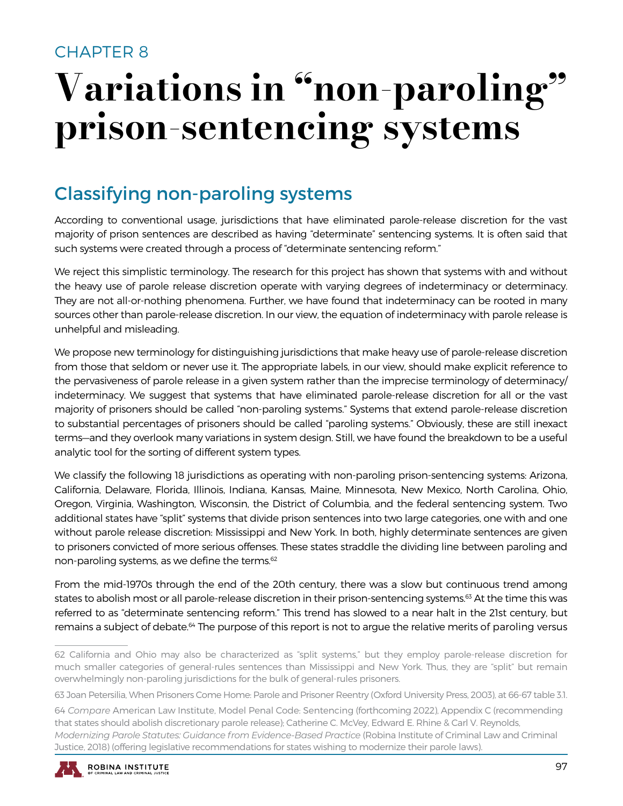## CHAPTER 8

# Variations in "non-paroling" prison-sentencing systems

## Classifying non-paroling systems

According to conventional usage, jurisdictions that have eliminated parole-release discretion for the vast majority of prison sentences are described as having "determinate" sentencing systems. It is often said that such systems were created through a process of "determinate sentencing reform."

We reject this simplistic terminology. The research for this project has shown that systems with and without the heavy use of parole release discretion operate with varying degrees of indeterminacy or determinacy. They are not all-or-nothing phenomena. Further, we have found that indeterminacy can be rooted in many sources other than parole-release discretion. In our view, the equation of indeterminacy with parole release is unhelpful and misleading.

We propose new terminology for distinguishing jurisdictions that make heavy use of parole-release discretion from those that seldom or never use it. The appropriate labels, in our view, should make explicit reference to the pervasiveness of parole release in a given system rather than the imprecise terminology of determinacy/ indeterminacy. We suggest that systems that have eliminated parole-release discretion for all or the vast majority of prisoners should be called "non-paroling systems." Systems that extend parole-release discretion to substantial percentages of prisoners should be called "paroling systems." Obviously, these are still inexact terms—and they overlook many variations in system design. Still, we have found the breakdown to be a useful analytic tool for the sorting of different system types.

We classify the following 18 jurisdictions as operating with non-paroling prison-sentencing systems: Arizona, California, Delaware, Florida, Illinois, Indiana, Kansas, Maine, Minnesota, New Mexico, North Carolina, Ohio, Oregon, Virginia, Washington, Wisconsin, the District of Columbia, and the federal sentencing system. Two additional states have "split" systems that divide prison sentences into two large categories, one with and one without parole release discretion: Mississippi and New York. In both, highly determinate sentences are given to prisoners convicted of more serious offenses. These states straddle the dividing line between paroling and non-paroling systems, as we define the terms.<sup>62</sup>

From the mid-1970s through the end of the 20th century, there was a slow but continuous trend among states to abolish most or all parole-release discretion in their prison-sentencing systems.<sup>63</sup> At the time this was referred to as "determinate sentencing reform." This trend has slowed to a near halt in the 21st century, but remains a subject of debate.<sup>64</sup> The purpose of this report is not to argue the relative merits of paroling versus

<sup>64</sup> *Compare* American Law Institute, Model Penal Code: Sentencing (forthcoming 2022), Appendix C (recommending that states should abolish discretionary parole release); Catherine C. McVey, Edward E. Rhine & Carl V. Reynolds, *Modernizing Parole Statutes: Guidance from Evidence-Based Practice* (Robina Institute of Criminal Law and Criminal Justice, 2018) (offering legislative recommendations for states wishing to modernize their parole laws).



<sup>62</sup> California and Ohio may also be characterized as "split systems," but they employ parole-release discretion for much smaller categories of general-rules sentences than Mississippi and New York. Thus, they are "split" but remain overwhelmingly non-paroling jurisdictions for the bulk of general-rules prisoners.

<sup>63</sup> Joan Petersilia, When Prisoners Come Home: Parole and Prisoner Reentry (Oxford University Press, 2003), at 66-67 table 3.1.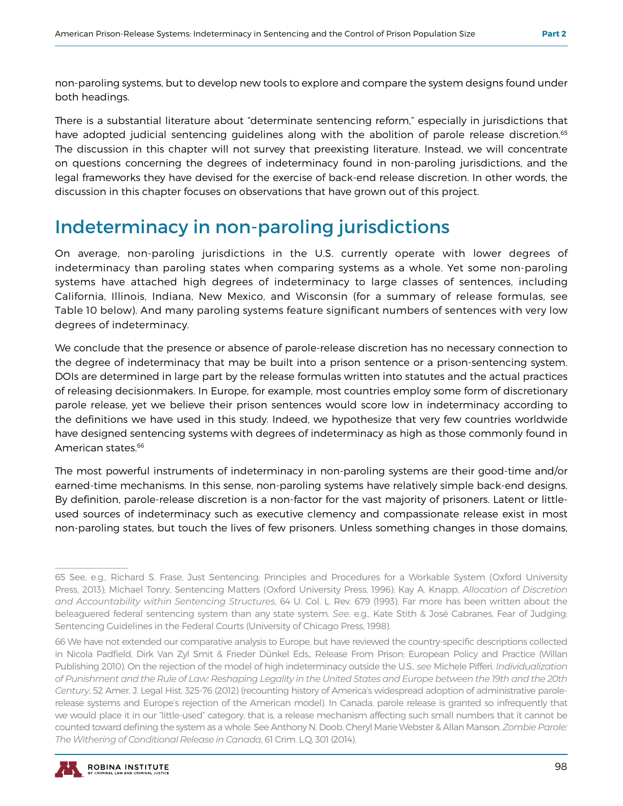non-paroling systems, but to develop new tools to explore and compare the system designs found under both headings.

There is a substantial literature about "determinate sentencing reform," especially in jurisdictions that have adopted judicial sentencing guidelines along with the abolition of parole release discretion.<sup>65</sup> The discussion in this chapter will not survey that preexisting literature. Instead, we will concentrate on questions concerning the degrees of indeterminacy found in non-paroling jurisdictions, and the legal frameworks they have devised for the exercise of back-end release discretion. In other words, the discussion in this chapter focuses on observations that have grown out of this project.

## Indeterminacy in non-paroling jurisdictions

On average, non-paroling jurisdictions in the U.S. currently operate with lower degrees of indeterminacy than paroling states when comparing systems as a whole. Yet some non-paroling systems have attached high degrees of indeterminacy to large classes of sentences, including California, Illinois, Indiana, New Mexico, and Wisconsin (for a summary of release formulas, see Table 10 below). And many paroling systems feature significant numbers of sentences with very low degrees of indeterminacy.

We conclude that the presence or absence of parole-release discretion has no necessary connection to the degree of indeterminacy that may be built into a prison sentence or a prison-sentencing system. DOIs are determined in large part by the release formulas written into statutes and the actual practices of releasing decisionmakers. In Europe, for example, most countries employ some form of discretionary parole release, yet we believe their prison sentences would score low in indeterminacy according to the definitions we have used in this study. Indeed, we hypothesize that very few countries worldwide have designed sentencing systems with degrees of indeterminacy as high as those commonly found in American states.<sup>66</sup>

The most powerful instruments of indeterminacy in non-paroling systems are their good-time and/or earned-time mechanisms. In this sense, non-paroling systems have relatively simple back-end designs. By definition, parole-release discretion is a non-factor for the vast majority of prisoners. Latent or littleused sources of indeterminacy such as executive clemency and compassionate release exist in most non-paroling states, but touch the lives of few prisoners. Unless something changes in those domains,

<sup>66</sup> We have not extended our comparative analysis to Europe, but have reviewed the country-specific descriptions collected in Nicola Padfield, Dirk Van Zyl Smit & Frieder Dünkel Eds., Release From Prison: European Policy and Practice (Willan Publishing 2010). On the rejection of the model of high indeterminacy outside the U.S., *see* Michele Pifferi, *Individualization of Punishment and the Rule of Law: Reshaping Legality in the United States and Europe between the 19th and the 20th Century*, 52 Amer. J. Legal Hist. 325-76 (2012) (recounting history of America's widespread adoption of administrative parolerelease systems and Europe's rejection of the American model). In Canada, parole release is granted so infrequently that we would place it in our "little-used" category, that is, a release mechanism affecting such small numbers that it cannot be counted toward defining the system as a whole. See Anthony N. Doob, Cheryl Marie Webster & Allan Manson, *Zombie Parole: The Withering of Conditional Release in Canada*, 61 Crim. L.Q. 301 (2014).



<sup>65</sup> See, e.g., Richard S. Frase, Just Sentencing: Principles and Procedures for a Workable System (Oxford University Press, 2013); Michael Tonry, Sentencing Matters (Oxford University Press, 1996); Kay A. Knapp, *Allocation of Discretion and Accountability within Sentencing Structures*, 64 U. Col. L. Rev. 679 (1993). Far more has been written about the beleaguered federal sentencing system than any state system. *See*, e.g., Kate Stith & José Cabranes, Fear of Judging: Sentencing Guidelines in the Federal Courts (University of Chicago Press, 1998).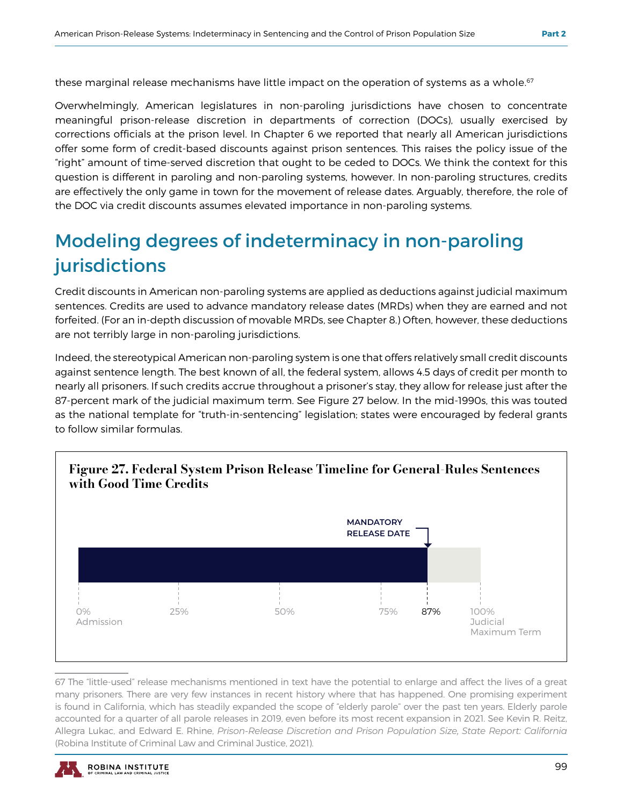these marginal release mechanisms have little impact on the operation of systems as a whole.<sup>67</sup>

Overwhelmingly, American legislatures in non-paroling jurisdictions have chosen to concentrate meaningful prison-release discretion in departments of correction (DOCs), usually exercised by corrections officials at the prison level. In Chapter 6 we reported that nearly all American jurisdictions offer some form of credit-based discounts against prison sentences. This raises the policy issue of the "right" amount of time-served discretion that ought to be ceded to DOCs. We think the context for this question is different in paroling and non-paroling systems, however. In non-paroling structures, credits are effectively the only game in town for the movement of release dates. Arguably, therefore, the role of the DOC via credit discounts assumes elevated importance in non-paroling systems.

## Modeling degrees of indeterminacy in non-paroling jurisdictions

Credit discounts in American non-paroling systems are applied as deductions against judicial maximum sentences. Credits are used to advance mandatory release dates (MRDs) when they are earned and not forfeited. (For an in-depth discussion of movable MRDs, see Chapter 8.) Often, however, these deductions are not terribly large in non-paroling jurisdictions.

Indeed, the stereotypical American non-paroling system is one that offers relatively small credit discounts against sentence length. The best known of all, the federal system, allows 4.5 days of credit per month to nearly all prisoners. If such credits accrue throughout a prisoner's stay, they allow for release just after the 87-percent mark of the judicial maximum term. See Figure 27 below. In the mid-1990s, this was touted as the national template for "truth-in-sentencing" legislation; states were encouraged by federal grants to follow similar formulas.



67 The "little-used" release mechanisms mentioned in text have the potential to enlarge and affect the lives of a great many prisoners. There are very few instances in recent history where that has happened. One promising experiment is found in California, which has steadily expanded the scope of "elderly parole" over the past ten years. Elderly parole accounted for a quarter of all parole releases in 2019, even before its most recent expansion in 2021. See Kevin R. Reitz, Allegra Lukac, and Edward E. Rhine, *Prison-Release Discretion and Prison Population Size, State Report: California*  (Robina Institute of Criminal Law and Criminal Justice, 2021).

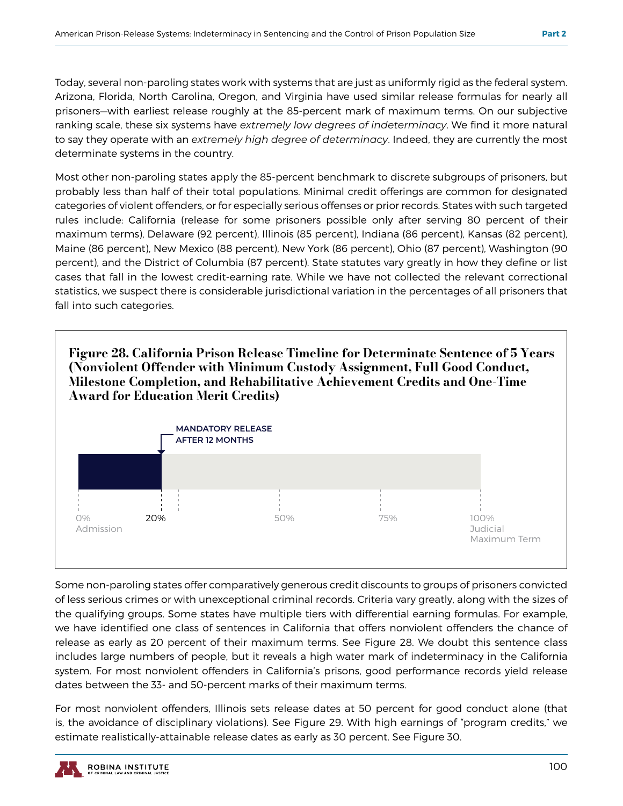Today, several non-paroling states work with systems that are just as uniformly rigid as the federal system. Arizona, Florida, North Carolina, Oregon, and Virginia have used similar release formulas for nearly all prisoners—with earliest release roughly at the 85-percent mark of maximum terms. On our subjective ranking scale, these six systems have *extremely low degrees of indeterminacy*. We find it more natural to say they operate with an *extremely high degree of determinacy*. Indeed, they are currently the most determinate systems in the country.

Most other non-paroling states apply the 85-percent benchmark to discrete subgroups of prisoners, but probably less than half of their total populations. Minimal credit offerings are common for designated categories of violent offenders, or for especially serious offenses or prior records. States with such targeted rules include: California (release for some prisoners possible only after serving 80 percent of their maximum terms), Delaware (92 percent), Illinois (85 percent), Indiana (86 percent), Kansas (82 percent), Maine (86 percent), New Mexico (88 percent), New York (86 percent), Ohio (87 percent), Washington (90 percent), and the District of Columbia (87 percent). State statutes vary greatly in how they define or list cases that fall in the lowest credit-earning rate. While we have not collected the relevant correctional statistics, we suspect there is considerable jurisdictional variation in the percentages of all prisoners that fall into such categories.

Figure 28. California Prison Release Timeline for Determinate Sentence of 5 Years (Nonviolent Offender with Minimum Custody Assignment, Full Good Conduct, Milestone Completion, and Rehabilitative Achievement Credits and One-Time Award for Education Merit Credits)



Some non-paroling states offer comparatively generous credit discounts to groups of prisoners convicted of less serious crimes or with unexceptional criminal records. Criteria vary greatly, along with the sizes of the qualifying groups. Some states have multiple tiers with differential earning formulas. For example, we have identified one class of sentences in California that offers nonviolent offenders the chance of release as early as 20 percent of their maximum terms. See Figure 28. We doubt this sentence class includes large numbers of people, but it reveals a high water mark of indeterminacy in the California system. For most nonviolent offenders in California's prisons, good performance records yield release dates between the 33- and 50-percent marks of their maximum terms.

For most nonviolent offenders, Illinois sets release dates at 50 percent for good conduct alone (that is, the avoidance of disciplinary violations). See Figure 29. With high earnings of "program credits," we estimate realistically-attainable release dates as early as 30 percent. See Figure 30.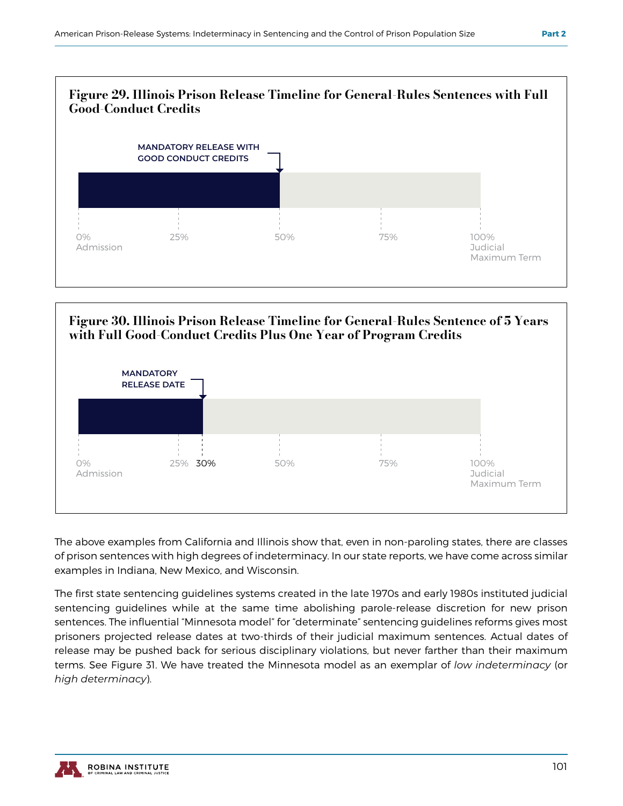



The above examples from California and Illinois show that, even in non-paroling states, there are classes of prison sentences with high degrees of indeterminacy. In our state reports, we have come across similar examples in Indiana, New Mexico, and Wisconsin.

The first state sentencing guidelines systems created in the late 1970s and early 1980s instituted judicial sentencing guidelines while at the same time abolishing parole-release discretion for new prison sentences. The influential "Minnesota model" for "determinate" sentencing guidelines reforms gives most prisoners projected release dates at two-thirds of their judicial maximum sentences. Actual dates of release may be pushed back for serious disciplinary violations, but never farther than their maximum terms. See Figure 31. We have treated the Minnesota model as an exemplar of *low indeterminacy* (or *high determinacy*).

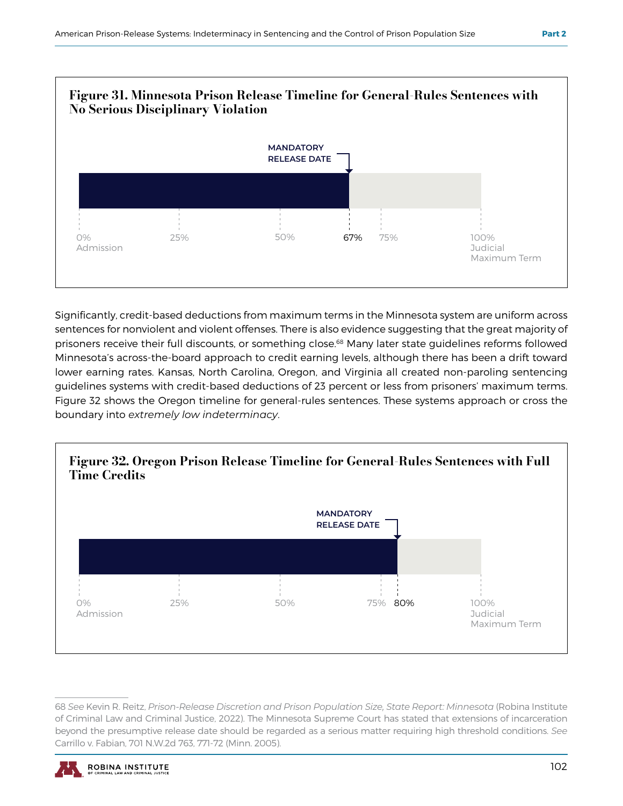

Significantly, credit-based deductions from maximum terms in the Minnesota system are uniform across sentences for nonviolent and violent offenses. There is also evidence suggesting that the great majority of prisoners receive their full discounts, or something close.68 Many later state guidelines reforms followed Minnesota's across-the-board approach to credit earning levels, although there has been a drift toward lower earning rates. Kansas, North Carolina, Oregon, and Virginia all created non-paroling sentencing guidelines systems with credit-based deductions of 23 percent or less from prisoners' maximum terms. Figure 32 shows the Oregon timeline for general-rules sentences. These systems approach or cross the boundary into *extremely low indeterminacy*.



<sup>68</sup> *See* Kevin R. Reitz, *Prison-Release Discretion and Prison Population Size, State Report: Minnesota* (Robina Institute of Criminal Law and Criminal Justice, 2022). The Minnesota Supreme Court has stated that extensions of incarceration beyond the presumptive release date should be regarded as a serious matter requiring high threshold conditions. *See*  Carrillo v. Fabian, 701 N.W.2d 763, 771-72 (Minn. 2005).

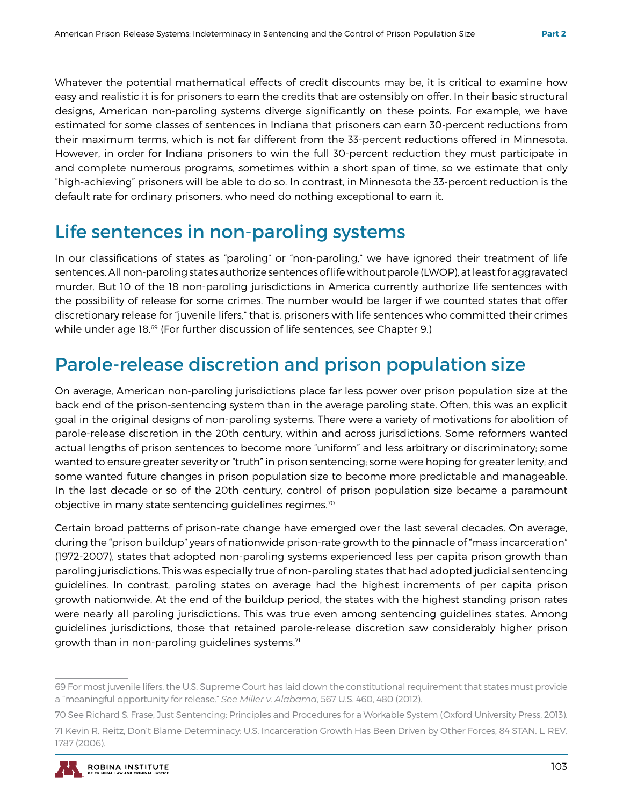Whatever the potential mathematical effects of credit discounts may be, it is critical to examine how easy and realistic it is for prisoners to earn the credits that are ostensibly on offer. In their basic structural designs, American non-paroling systems diverge significantly on these points. For example, we have estimated for some classes of sentences in Indiana that prisoners can earn 30-percent reductions from their maximum terms, which is not far different from the 33-percent reductions offered in Minnesota. However, in order for Indiana prisoners to win the full 30-percent reduction they must participate in and complete numerous programs, sometimes within a short span of time, so we estimate that only "high-achieving" prisoners will be able to do so. In contrast, in Minnesota the 33-percent reduction is the default rate for ordinary prisoners, who need do nothing exceptional to earn it.

## Life sentences in non-paroling systems

In our classifications of states as "paroling" or "non-paroling," we have ignored their treatment of life sentences. All non-paroling states authorize sentences of life without parole (LWOP), at least for aggravated murder. But 10 of the 18 non-paroling jurisdictions in America currently authorize life sentences with the possibility of release for some crimes. The number would be larger if we counted states that offer discretionary release for "juvenile lifers," that is, prisoners with life sentences who committed their crimes while under age 18.<sup>69</sup> (For further discussion of life sentences, see Chapter 9.)

## Parole-release discretion and prison population size

On average, American non-paroling jurisdictions place far less power over prison population size at the back end of the prison-sentencing system than in the average paroling state. Often, this was an explicit goal in the original designs of non-paroling systems. There were a variety of motivations for abolition of parole-release discretion in the 20th century, within and across jurisdictions. Some reformers wanted actual lengths of prison sentences to become more "uniform" and less arbitrary or discriminatory; some wanted to ensure greater severity or "truth" in prison sentencing; some were hoping for greater lenity; and some wanted future changes in prison population size to become more predictable and manageable. In the last decade or so of the 20th century, control of prison population size became a paramount objective in many state sentencing guidelines regimes.70

Certain broad patterns of prison-rate change have emerged over the last several decades. On average, during the "prison buildup" years of nationwide prison-rate growth to the pinnacle of "mass incarceration" (1972-2007), states that adopted non-paroling systems experienced less per capita prison growth than paroling jurisdictions. This was especially true of non-paroling states that had adopted judicial sentencing guidelines. In contrast, paroling states on average had the highest increments of per capita prison growth nationwide. At the end of the buildup period, the states with the highest standing prison rates were nearly all paroling jurisdictions. This was true even among sentencing guidelines states. Among guidelines jurisdictions, those that retained parole-release discretion saw considerably higher prison growth than in non-paroling guidelines systems. $71$ 

<sup>69</sup> For most juvenile lifers, the U.S. Supreme Court has laid down the constitutional requirement that states must provide a "meaningful opportunity for release." *See Miller v. Alabama*, 567 U.S. 460, 480 (2012).

<sup>70</sup> See Richard S. Frase, Just Sentencing: Principles and Procedures for a Workable System (Oxford University Press, 2013).

<sup>71</sup> Kevin R. Reitz, Don't Blame Determinacy: U.S. Incarceration Growth Has Been Driven by Other Forces, 84 STAN. L. REV. 1787 (2006).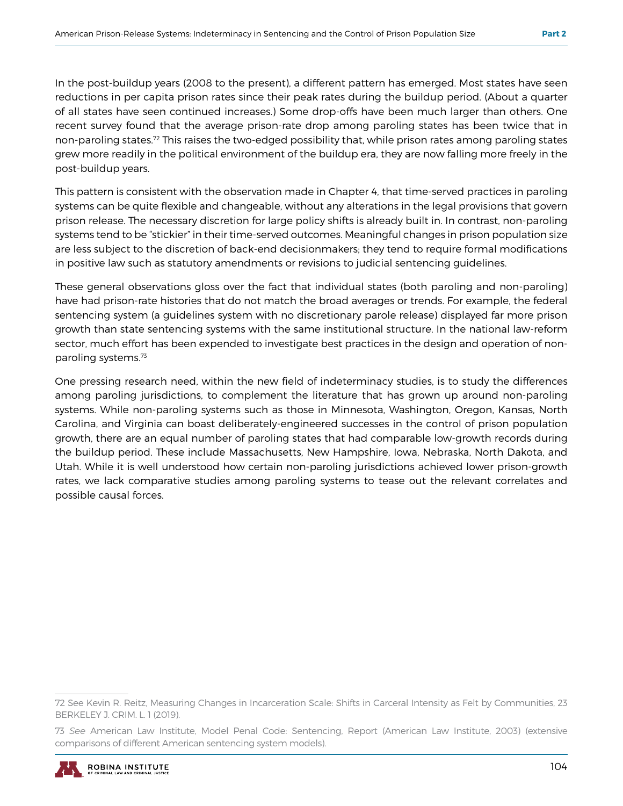In the post-buildup years (2008 to the present), a different pattern has emerged. Most states have seen reductions in per capita prison rates since their peak rates during the buildup period. (About a quarter of all states have seen continued increases.) Some drop-offs have been much larger than others. One recent survey found that the average prison-rate drop among paroling states has been twice that in non-paroling states.72 This raises the two-edged possibility that, while prison rates among paroling states grew more readily in the political environment of the buildup era, they are now falling more freely in the post-buildup years.

This pattern is consistent with the observation made in Chapter 4, that time-served practices in paroling systems can be quite flexible and changeable, without any alterations in the legal provisions that govern prison release. The necessary discretion for large policy shifts is already built in. In contrast, non-paroling systems tend to be "stickier" in their time-served outcomes. Meaningful changes in prison population size are less subject to the discretion of back-end decisionmakers; they tend to require formal modifications in positive law such as statutory amendments or revisions to judicial sentencing guidelines.

These general observations gloss over the fact that individual states (both paroling and non-paroling) have had prison-rate histories that do not match the broad averages or trends. For example, the federal sentencing system (a guidelines system with no discretionary parole release) displayed far more prison growth than state sentencing systems with the same institutional structure. In the national law-reform sector, much effort has been expended to investigate best practices in the design and operation of nonparoling systems.73

One pressing research need, within the new field of indeterminacy studies, is to study the differences among paroling jurisdictions, to complement the literature that has grown up around non-paroling systems. While non-paroling systems such as those in Minnesota, Washington, Oregon, Kansas, North Carolina, and Virginia can boast deliberately-engineered successes in the control of prison population growth, there are an equal number of paroling states that had comparable low-growth records during the buildup period. These include Massachusetts, New Hampshire, Iowa, Nebraska, North Dakota, and Utah. While it is well understood how certain non-paroling jurisdictions achieved lower prison-growth rates, we lack comparative studies among paroling systems to tease out the relevant correlates and possible causal forces.

<sup>73</sup> *See* American Law Institute, Model Penal Code: Sentencing, Report (American Law Institute, 2003) (extensive comparisons of different American sentencing system models).



<sup>72</sup> See Kevin R. Reitz, Measuring Changes in Incarceration Scale: Shifts in Carceral Intensity as Felt by Communities, 23 BERKELEY J. CRIM. L. 1 (2019).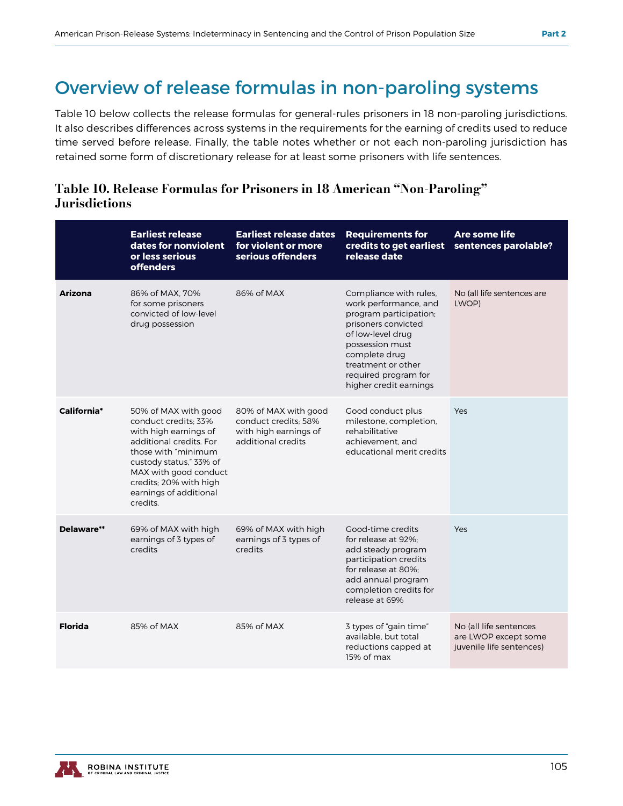## Overview of release formulas in non-paroling systems

Table 10 below collects the release formulas for general-rules prisoners in 18 non-paroling jurisdictions. It also describes differences across systems in the requirements for the earning of credits used to reduce time served before release. Finally, the table notes whether or not each non-paroling jurisdiction has retained some form of discretionary release for at least some prisoners with life sentences.

#### Table 10. Release Formulas for Prisoners in 18 American "Non-Paroling" **Jurisdictions**

|                | <b>Earliest release</b><br>dates for nonviolent<br>or less serious<br><b>offenders</b>                                                                                                                                                      | <b>Earliest release dates</b><br>for violent or more<br>serious offenders                   | <b>Requirements for</b><br>credits to get earliest<br>release date                                                                                                                                                                | Are some life<br>sentences parolable?                                      |
|----------------|---------------------------------------------------------------------------------------------------------------------------------------------------------------------------------------------------------------------------------------------|---------------------------------------------------------------------------------------------|-----------------------------------------------------------------------------------------------------------------------------------------------------------------------------------------------------------------------------------|----------------------------------------------------------------------------|
| <b>Arizona</b> | 86% of MAX, 70%<br>for some prisoners<br>convicted of low-level<br>drug possession                                                                                                                                                          | 86% of MAX                                                                                  | Compliance with rules,<br>work performance, and<br>program participation;<br>prisoners convicted<br>of low-level drug<br>possession must<br>complete drug<br>treatment or other<br>required program for<br>higher credit earnings | No (all life sentences are<br>LWOP)                                        |
| California*    | 50% of MAX with good<br>conduct credits: 33%<br>with high earnings of<br>additional credits. For<br>those with "minimum<br>custody status," 33% of<br>MAX with good conduct<br>credits; 20% with high<br>earnings of additional<br>credits. | 80% of MAX with good<br>conduct credits: 58%<br>with high earnings of<br>additional credits | Good conduct plus<br>milestone, completion,<br>rehabilitative<br>achievement, and<br>educational merit credits                                                                                                                    | <b>Yes</b>                                                                 |
| Delaware**     | 69% of MAX with high<br>earnings of 3 types of<br>credits                                                                                                                                                                                   | 69% of MAX with high<br>earnings of 3 types of<br>credits                                   | Good-time credits<br>for release at 92%:<br>add steady program<br>participation credits<br>for release at 80%:<br>add annual program<br>completion credits for<br>release at 69%                                                  | Yes                                                                        |
| <b>Florida</b> | 85% of MAX                                                                                                                                                                                                                                  | 85% of MAX                                                                                  | 3 types of "gain time"<br>available, but total<br>reductions capped at<br>15% of max                                                                                                                                              | No (all life sentences<br>are LWOP except some<br>juvenile life sentences) |

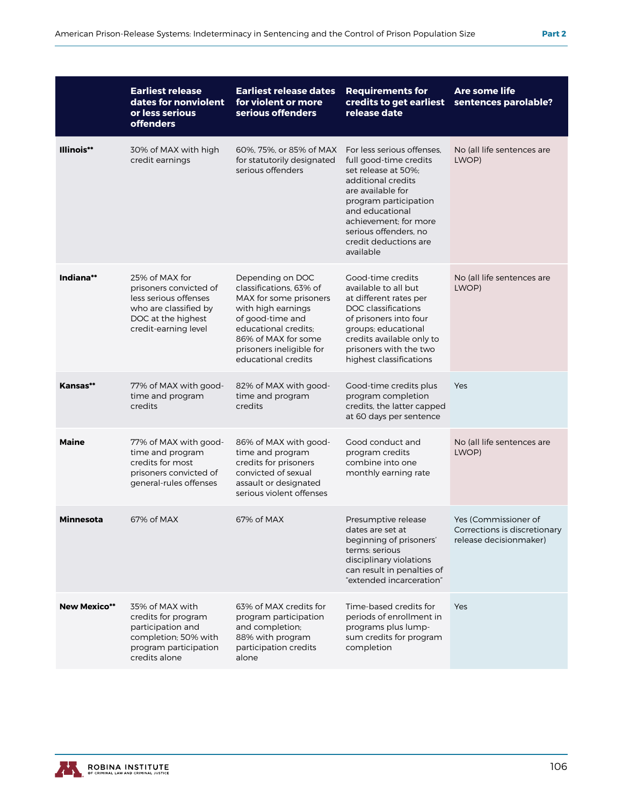|                     | <b>Earliest release</b><br>dates for nonviolent<br>or less serious<br><b>offenders</b>                                                   | <b>Earliest release dates</b><br>for violent or more<br>serious offenders                                                                                                                                         | <b>Requirements for</b><br>credits to get earliest<br>release date                                                                                                                                                                                         | Are some life<br>sentences parolable?                                          |
|---------------------|------------------------------------------------------------------------------------------------------------------------------------------|-------------------------------------------------------------------------------------------------------------------------------------------------------------------------------------------------------------------|------------------------------------------------------------------------------------------------------------------------------------------------------------------------------------------------------------------------------------------------------------|--------------------------------------------------------------------------------|
| Illinois**          | 30% of MAX with high<br>credit earnings                                                                                                  | 60%, 75%, or 85% of MAX<br>for statutorily designated<br>serious offenders                                                                                                                                        | For less serious offenses.<br>full good-time credits<br>set release at 50%;<br>additional credits<br>are available for<br>program participation<br>and educational<br>achievement: for more<br>serious offenders, no<br>credit deductions are<br>available | No (all life sentences are<br>LWOP)                                            |
| Indiana**           | 25% of MAX for<br>prisoners convicted of<br>less serious offenses<br>who are classified by<br>DOC at the highest<br>credit-earning level | Depending on DOC<br>classifications, 63% of<br>MAX for some prisoners<br>with high earnings<br>of good-time and<br>educational credits:<br>86% of MAX for some<br>prisoners ineligible for<br>educational credits | Good-time credits<br>available to all but<br>at different rates per<br>DOC classifications<br>of prisoners into four<br>groups; educational<br>credits available only to<br>prisoners with the two<br>highest classifications                              | No (all life sentences are<br>LWOP)                                            |
| Kansas**            | 77% of MAX with good-<br>time and program<br>credits                                                                                     | 82% of MAX with good-<br>time and program<br>credits                                                                                                                                                              | Good-time credits plus<br>program completion<br>credits, the latter capped<br>at 60 days per sentence                                                                                                                                                      | Yes                                                                            |
| <b>Maine</b>        | 77% of MAX with good-<br>time and program<br>credits for most<br>prisoners convicted of<br>general-rules offenses                        | 86% of MAX with good-<br>time and program<br>credits for prisoners<br>convicted of sexual<br>assault or designated<br>serious violent offenses                                                                    | Good conduct and<br>program credits<br>combine into one<br>monthly earning rate                                                                                                                                                                            | No (all life sentences are<br>LWOP)                                            |
| Minnesota           | 67% of MAX                                                                                                                               | 67% of MAX                                                                                                                                                                                                        | Presumptive release<br>dates are set at<br>beginning of prisoners'<br>terms: serious<br>disciplinary violations<br>can result in penalties of<br>"extended incarceration"                                                                                  | Yes (Commissioner of<br>Corrections is discretionary<br>release decisionmaker) |
| <b>New Mexico**</b> | 35% of MAX with<br>credits for program<br>participation and<br>completion; 50% with<br>program participation<br>credits alone            | 63% of MAX credits for<br>program participation<br>and completion;<br>88% with program<br>participation credits<br>alone                                                                                          | Time-based credits for<br>periods of enrollment in<br>programs plus lump-<br>sum credits for program<br>completion                                                                                                                                         | Yes                                                                            |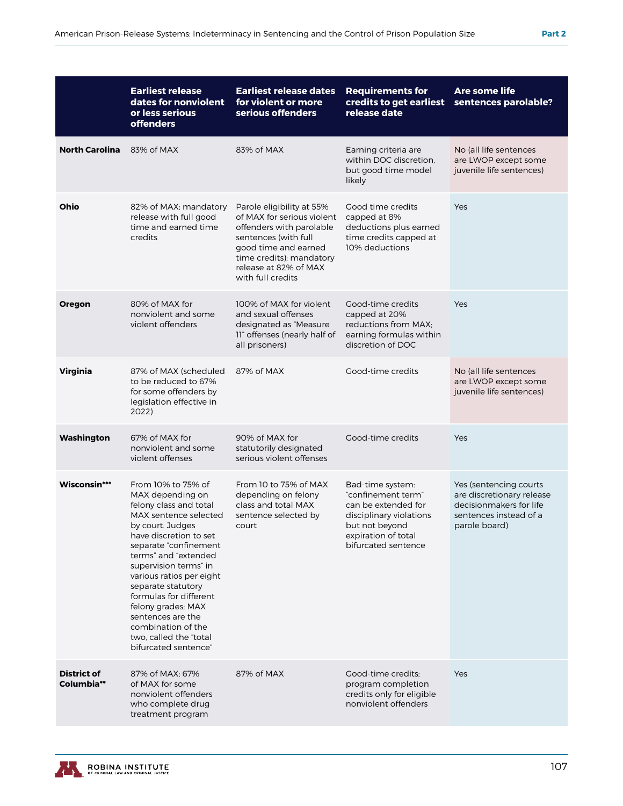|                                  | <b>Earliest release</b><br>dates for nonviolent<br>or less serious<br><b>offenders</b>                                                                                                                                                                                                                                                                                                                            | <b>Earliest release dates</b><br>for violent or more<br>serious offenders                                                                                                                                     | <b>Requirements for</b><br>credits to get earliest<br>release date                                                                                       | Are some life<br>sentences parolable?                                                                                     |
|----------------------------------|-------------------------------------------------------------------------------------------------------------------------------------------------------------------------------------------------------------------------------------------------------------------------------------------------------------------------------------------------------------------------------------------------------------------|---------------------------------------------------------------------------------------------------------------------------------------------------------------------------------------------------------------|----------------------------------------------------------------------------------------------------------------------------------------------------------|---------------------------------------------------------------------------------------------------------------------------|
| <b>North Carolina</b>            | 83% of MAX                                                                                                                                                                                                                                                                                                                                                                                                        | 83% of MAX                                                                                                                                                                                                    | Earning criteria are<br>within DOC discretion.<br>but good time model<br>likely                                                                          | No (all life sentences<br>are LWOP except some<br>juvenile life sentences)                                                |
| Ohio                             | 82% of MAX; mandatory<br>release with full good<br>time and earned time<br>credits                                                                                                                                                                                                                                                                                                                                | Parole eligibility at 55%<br>of MAX for serious violent<br>offenders with parolable<br>sentences (with full<br>good time and earned<br>time credits); mandatory<br>release at 82% of MAX<br>with full credits | Good time credits<br>capped at 8%<br>deductions plus earned<br>time credits capped at<br>10% deductions                                                  | Yes                                                                                                                       |
| <b>Oregon</b>                    | 80% of MAX for<br>nonviolent and some<br>violent offenders                                                                                                                                                                                                                                                                                                                                                        | 100% of MAX for violent<br>and sexual offenses<br>designated as "Measure"<br>11" offenses (nearly half of<br>all prisoners)                                                                                   | Good-time credits<br>capped at 20%<br>reductions from MAX;<br>earning formulas within<br>discretion of DOC                                               | Yes                                                                                                                       |
| <b>Virginia</b>                  | 87% of MAX (scheduled<br>to be reduced to 67%<br>for some offenders by<br>legislation effective in<br>2022)                                                                                                                                                                                                                                                                                                       | 87% of MAX                                                                                                                                                                                                    | Good-time credits                                                                                                                                        | No (all life sentences<br>are LWOP except some<br>juvenile life sentences)                                                |
| Washington                       | 67% of MAX for<br>nonviolent and some<br>violent offenses                                                                                                                                                                                                                                                                                                                                                         | 90% of MAX for<br>statutorily designated<br>serious violent offenses                                                                                                                                          | Good-time credits                                                                                                                                        | Yes                                                                                                                       |
| Wisconsin***                     | From 10% to 75% of<br>MAX depending on<br>felony class and total<br>MAX sentence selected<br>by court. Judges<br>have discretion to set<br>separate "confinement<br>terms" and "extended<br>supervision terms" in<br>various ratios per eight<br>separate statutory<br>formulas for different<br>felony grades; MAX<br>sentences are the<br>combination of the<br>two, called the "total"<br>bifurcated sentence" | From 10 to 75% of MAX<br>depending on felony<br>class and total MAX<br>sentence selected by<br>court                                                                                                          | Bad-time system:<br>"confinement term"<br>can be extended for<br>disciplinary violations<br>but not beyond<br>expiration of total<br>bifurcated sentence | Yes (sentencing courts<br>are discretionary release<br>decisionmakers for life<br>sentences instead of a<br>parole board) |
| <b>District of</b><br>Columbia** | 87% of MAX; 67%<br>of MAX for some<br>nonviolent offenders<br>who complete drug<br>treatment program                                                                                                                                                                                                                                                                                                              | 87% of MAX                                                                                                                                                                                                    | Good-time credits;<br>program completion<br>credits only for eligible<br>nonviolent offenders                                                            | Yes                                                                                                                       |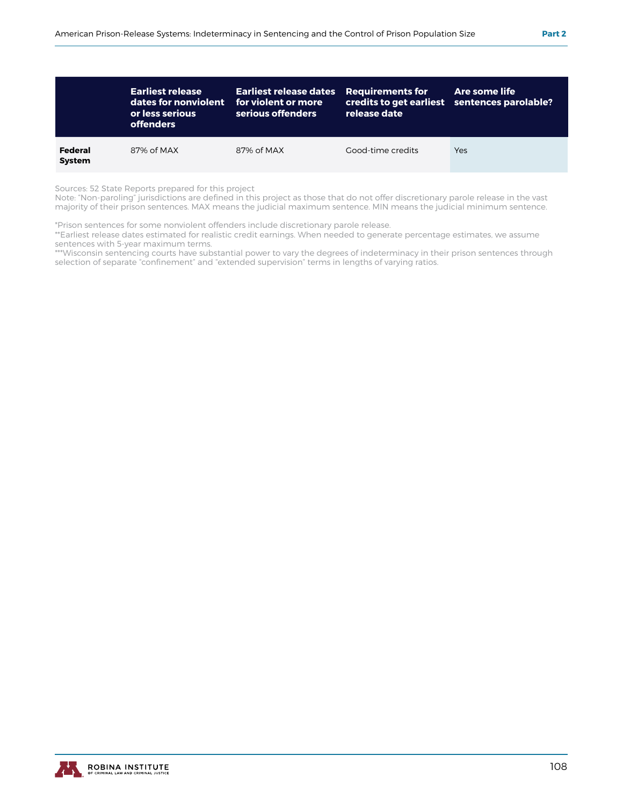|                          | <b>Earliest release</b><br>dates for nonviolent<br>or less serious<br><b>offenders</b> | <b>Earliest release dates</b> Requirements for<br>for violent or more<br>serious offenders | release date      | Are some life<br>credits to get earliest sentences parolable? |
|--------------------------|----------------------------------------------------------------------------------------|--------------------------------------------------------------------------------------------|-------------------|---------------------------------------------------------------|
| Federal<br><b>System</b> | 87% of MAX                                                                             | 87% of MAX                                                                                 | Good-time credits | Yes                                                           |

Sources: 52 State Reports prepared for this project

Note: "Non-paroling" jurisdictions are defined in this project as those that do not offer discretionary parole release in the vast majority of their prison sentences. MAX means the judicial maximum sentence. MIN means the judicial minimum sentence.

\*Prison sentences for some nonviolent offenders include discretionary parole release.

\*\*Earliest release dates estimated for realistic credit earnings. When needed to generate percentage estimates, we assume sentences with 5-year maximum terms.

\*\*\*Wisconsin sentencing courts have substantial power to vary the degrees of indeterminacy in their prison sentences through selection of separate "confinement" and "extended supervision" terms in lengths of varying ratios.

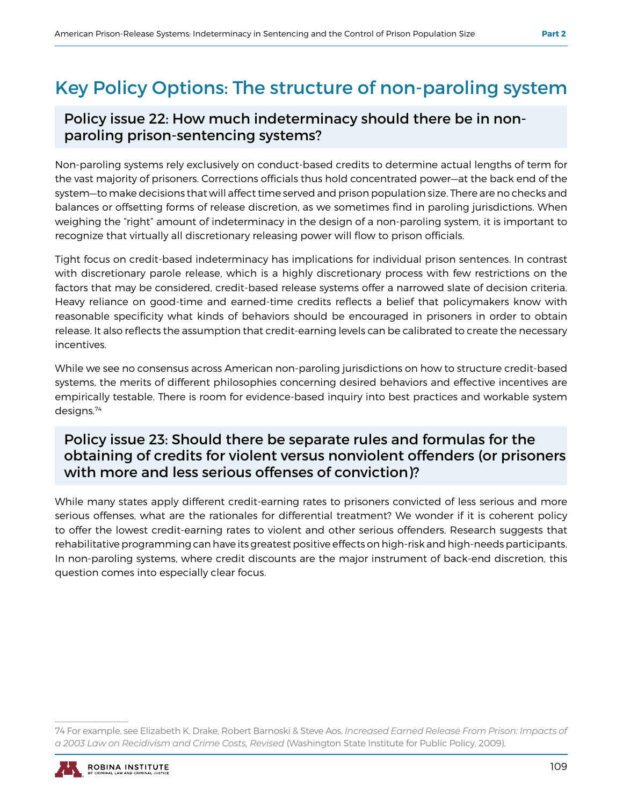## Key Policy Options: The structure of non-paroling system

#### Policy issue 22: How much indeterminacy should there be in nonparoling prison-sentencing systems?

Non-paroling systems rely exclusively on conduct-based credits to determine actual lengths of term for the vast majority of prisoners. Corrections officials thus hold concentrated power—at the back end of the system—to make decisions that will affect time served and prison population size. There are no checks and balances or offsetting forms of release discretion, as we sometimes find in paroling jurisdictions. When weighing the "right" amount of indeterminacy in the design of a non-paroling system, it is important to recognize that virtually all discretionary releasing power will flow to prison officials.

Tight focus on credit-based indeterminacy has implications for individual prison sentences. In contrast with discretionary parole release, which is a highly discretionary process with few restrictions on the factors that may be considered, credit-based release systems offer a narrowed slate of decision criteria. Heavy reliance on good-time and earned-time credits reflects a belief that policymakers know with reasonable specificity what kinds of behaviors should be encouraged in prisoners in order to obtain release. It also reflects the assumption that credit-earning levels can be calibrated to create the necessary incentives.

While we see no consensus across American non-paroling jurisdictions on how to structure credit-based systems, the merits of different philosophies concerning desired behaviors and effective incentives are empirically testable. There is room for evidence-based inquiry into best practices and workable system designs.74

#### Policy issue 23: Should there be separate rules and formulas for the obtaining of credits for violent versus nonviolent offenders (or prisoners with more and less serious offenses of conviction)?

While many states apply different credit-earning rates to prisoners convicted of less serious and more serious offenses, what are the rationales for differential treatment? We wonder if it is coherent policy to offer the lowest credit-earning rates to violent and other serious offenders. Research suggests that rehabilitative programming can have its greatest positive effects on high-risk and high-needs participants. In non-paroling systems, where credit discounts are the major instrument of back-end discretion, this question comes into especially clear focus.

<sup>74</sup> For example, see Elizabeth K. Drake, Robert Barnoski & Steve Aos, *Increased Earned Release From Prison: Impacts of a 2003 Law on Recidivism and Crime Costs, Revised* (Washington State Institute for Public Policy, 2009).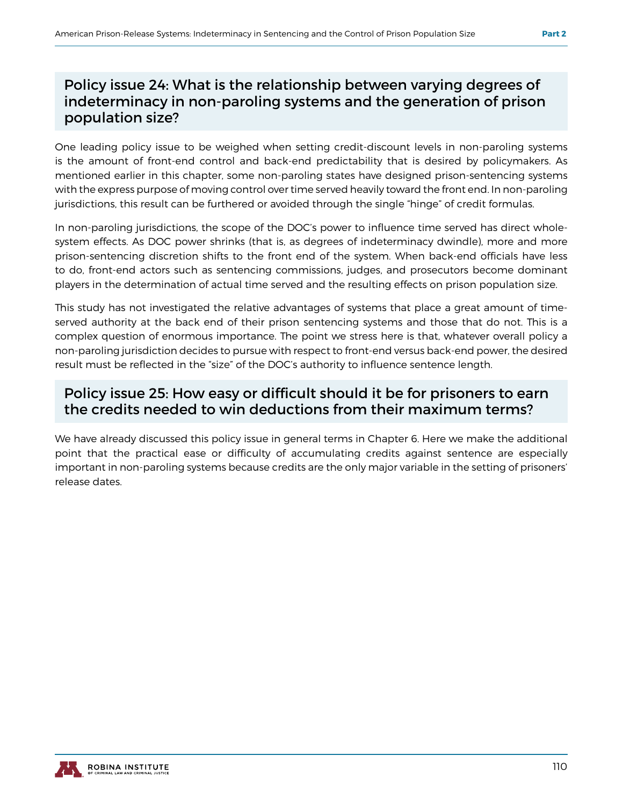#### Policy issue 24: What is the relationship between varying degrees of indeterminacy in non-paroling systems and the generation of prison population size?

One leading policy issue to be weighed when setting credit-discount levels in non-paroling systems is the amount of front-end control and back-end predictability that is desired by policymakers. As mentioned earlier in this chapter, some non-paroling states have designed prison-sentencing systems with the express purpose of moving control over time served heavily toward the front end. In non-paroling jurisdictions, this result can be furthered or avoided through the single "hinge" of credit formulas.

In non-paroling jurisdictions, the scope of the DOC's power to influence time served has direct wholesystem effects. As DOC power shrinks (that is, as degrees of indeterminacy dwindle), more and more prison-sentencing discretion shifts to the front end of the system. When back-end officials have less to do, front-end actors such as sentencing commissions, judges, and prosecutors become dominant players in the determination of actual time served and the resulting effects on prison population size.

This study has not investigated the relative advantages of systems that place a great amount of timeserved authority at the back end of their prison sentencing systems and those that do not. This is a complex question of enormous importance. The point we stress here is that, whatever overall policy a non-paroling jurisdiction decides to pursue with respect to front-end versus back-end power, the desired result must be reflected in the "size" of the DOC's authority to influence sentence length.

#### Policy issue 25: How easy or difficult should it be for prisoners to earn the credits needed to win deductions from their maximum terms?

We have already discussed this policy issue in general terms in Chapter 6. Here we make the additional point that the practical ease or difficulty of accumulating credits against sentence are especially important in non-paroling systems because credits are the only major variable in the setting of prisoners' release dates.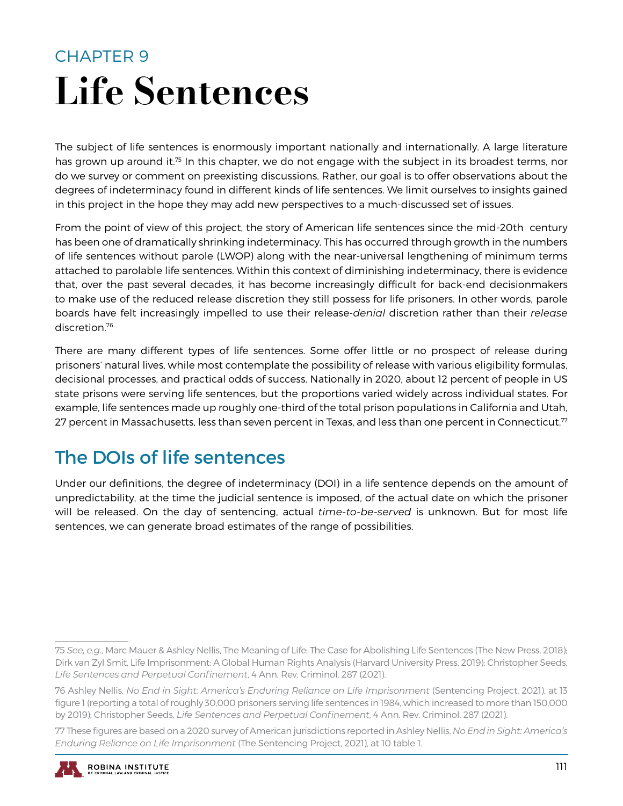## CHAPTER 9 Life Sentences

The subject of life sentences is enormously important nationally and internationally. A large literature has grown up around it.<sup>75</sup> In this chapter, we do not engage with the subject in its broadest terms, nor do we survey or comment on preexisting discussions. Rather, our goal is to offer observations about the degrees of indeterminacy found in different kinds of life sentences. We limit ourselves to insights gained in this project in the hope they may add new perspectives to a much-discussed set of issues.

From the point of view of this project, the story of American life sentences since the mid-20th century has been one of dramatically shrinking indeterminacy. This has occurred through growth in the numbers of life sentences without parole (LWOP) along with the near-universal lengthening of minimum terms attached to parolable life sentences. Within this context of diminishing indeterminacy, there is evidence that, over the past several decades, it has become increasingly difficult for back-end decisionmakers to make use of the reduced release discretion they still possess for life prisoners. In other words, parole boards have felt increasingly impelled to use their release-*denial* discretion rather than their *release*  discretion.76

There are many different types of life sentences. Some offer little or no prospect of release during prisoners' natural lives, while most contemplate the possibility of release with various eligibility formulas, decisional processes, and practical odds of success. Nationally in 2020, about 12 percent of people in US state prisons were serving life sentences, but the proportions varied widely across individual states. For example, life sentences made up roughly one-third of the total prison populations in California and Utah, 27 percent in Massachusetts, less than seven percent in Texas, and less than one percent in Connecticut.<sup>77</sup>

## The DOIs of life sentences

Under our definitions, the degree of indeterminacy (DOI) in a life sentence depends on the amount of unpredictability, at the time the judicial sentence is imposed, of the actual date on which the prisoner will be released. On the day of sentencing, actual *time-to-be-served* is unknown. But for most life sentences, we can generate broad estimates of the range of possibilities.

<sup>77</sup> These figures are based on a 2020 survey of American jurisdictions reported in Ashley Nellis, *No End in Sight: America's Enduring Reliance on Life Imprisonment* (The Sentencing Project, 2021), at 10 table 1.



<sup>75</sup> *See, e.g.*, Marc Mauer & Ashley Nellis, The Meaning of Life: The Case for Abolishing Life Sentences (The New Press, 2018); Dirk van Zyl Smit, Life Imprisonment: A Global Human Rights Analysis (Harvard University Press, 2019); Christopher Seeds, *Life Sentences and Perpetual Confinement*, 4 Ann. Rev. Criminol. 287 (2021).

<sup>76</sup> Ashley Nellis, *No End in Sight: America's Enduring Reliance on Life Imprisonment* (Sentencing Project, 2021), at 13 figure 1 (reporting a total of roughly 30,000 prisoners serving life sentences in 1984, which increased to more than 150,000 by 2019); Christopher Seeds, *Life Sentences and Perpetual Confinement*, 4 Ann. Rev. Criminol. 287 (2021).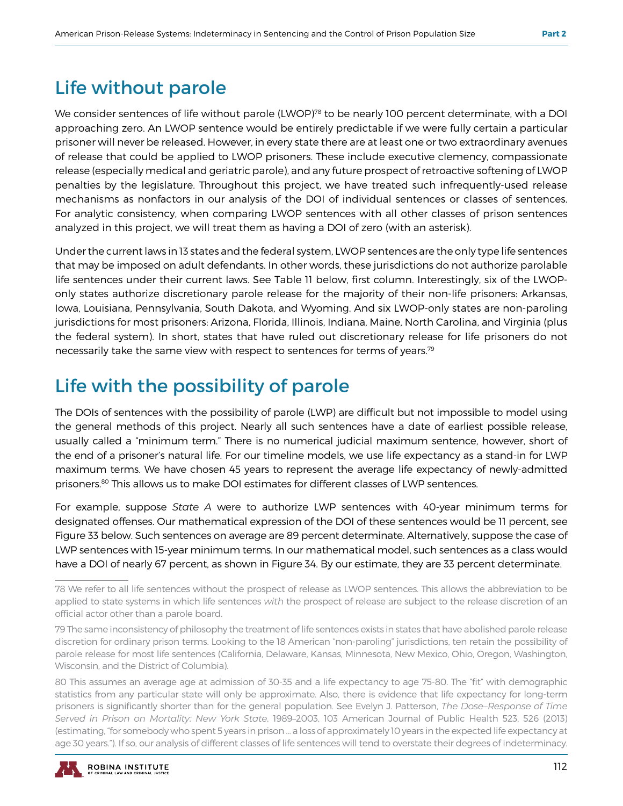### Life without parole

We consider sentences of life without parole (LWOP)<sup>78</sup> to be nearly 100 percent determinate, with a DOI approaching zero. An LWOP sentence would be entirely predictable if we were fully certain a particular prisoner will never be released. However, in every state there are at least one or two extraordinary avenues of release that could be applied to LWOP prisoners. These include executive clemency, compassionate release (especially medical and geriatric parole), and any future prospect of retroactive softening of LWOP penalties by the legislature. Throughout this project, we have treated such infrequently-used release mechanisms as nonfactors in our analysis of the DOI of individual sentences or classes of sentences. For analytic consistency, when comparing LWOP sentences with all other classes of prison sentences analyzed in this project, we will treat them as having a DOI of zero (with an asterisk).

Under the current laws in 13 states and the federal system, LWOP sentences are the only type life sentences that may be imposed on adult defendants. In other words, these jurisdictions do not authorize parolable life sentences under their current laws. See Table 11 below, first column. Interestingly, six of the LWOPonly states authorize discretionary parole release for the majority of their non-life prisoners: Arkansas, Iowa, Louisiana, Pennsylvania, South Dakota, and Wyoming. And six LWOP-only states are non-paroling jurisdictions for most prisoners: Arizona, Florida, Illinois, Indiana, Maine, North Carolina, and Virginia (plus the federal system). In short, states that have ruled out discretionary release for life prisoners do not necessarily take the same view with respect to sentences for terms of years.79

## Life with the possibility of parole

The DOIs of sentences with the possibility of parole (LWP) are difficult but not impossible to model using the general methods of this project. Nearly all such sentences have a date of earliest possible release, usually called a "minimum term." There is no numerical judicial maximum sentence, however, short of the end of a prisoner's natural life. For our timeline models, we use life expectancy as a stand-in for LWP maximum terms. We have chosen 45 years to represent the average life expectancy of newly-admitted prisoners.80 This allows us to make DOI estimates for different classes of LWP sentences.

For example, suppose *State A* were to authorize LWP sentences with 40-year minimum terms for designated offenses. Our mathematical expression of the DOI of these sentences would be 11 percent, see Figure 33 below. Such sentences on average are 89 percent determinate. Alternatively, suppose the case of LWP sentences with 15-year minimum terms. In our mathematical model, such sentences as a class would have a DOI of nearly 67 percent, as shown in Figure 34. By our estimate, they are 33 percent determinate.

<sup>80</sup> This assumes an average age at admission of 30-35 and a life expectancy to age 75-80. The "fit" with demographic statistics from any particular state will only be approximate. Also, there is evidence that life expectancy for long-term prisoners is significantly shorter than for the general population. See Evelyn J. Patterson, *The Dose–Response of Time Served in Prison on Mortality: New York State*, 1989–2003, 103 American Journal of Public Health 523, 526 (2013) (estimating, "for somebody who spent 5 years in prison … a loss of approximately 10 years in the expected life expectancy at age 30 years."). If so, our analysis of different classes of life sentences will tend to overstate their degrees of indeterminacy.



<sup>78</sup> We refer to all life sentences without the prospect of release as LWOP sentences. This allows the abbreviation to be applied to state systems in which life sentences *with* the prospect of release are subject to the release discretion of an official actor other than a parole board.

<sup>79</sup> The same inconsistency of philosophy the treatment of life sentences exists in states that have abolished parole release discretion for ordinary prison terms. Looking to the 18 American "non-paroling" jurisdictions, ten retain the possibility of parole release for most life sentences (California, Delaware, Kansas, Minnesota, New Mexico, Ohio, Oregon, Washington, Wisconsin, and the District of Columbia).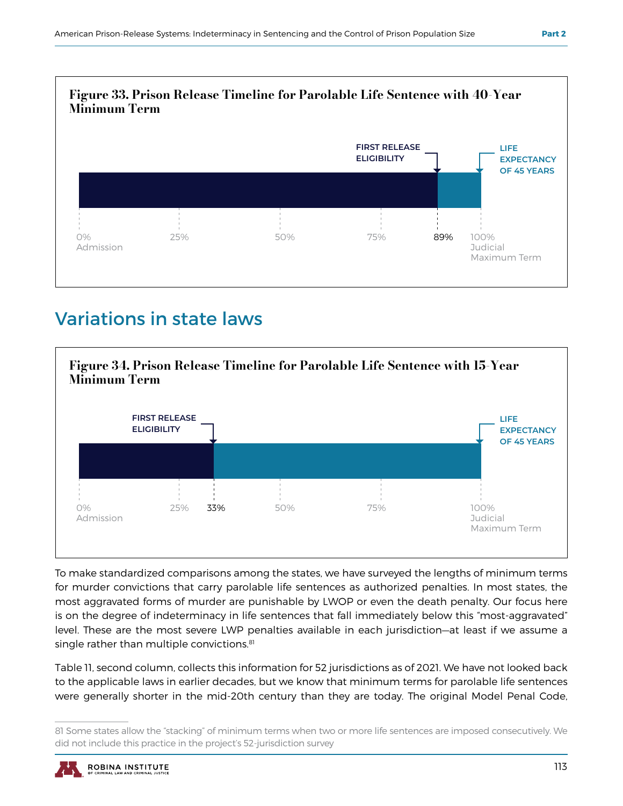

## Variations in state laws



To make standardized comparisons among the states, we have surveyed the lengths of minimum terms for murder convictions that carry parolable life sentences as authorized penalties. In most states, the most aggravated forms of murder are punishable by LWOP or even the death penalty. Our focus here is on the degree of indeterminacy in life sentences that fall immediately below this "most-aggravated" level. These are the most severe LWP penalties available in each jurisdiction—at least if we assume a single rather than multiple convictions.<sup>81</sup>

Table 11, second column, collects this information for 52 jurisdictions as of 2021. We have not looked back to the applicable laws in earlier decades, but we know that minimum terms for parolable life sentences were generally shorter in the mid-20th century than they are today. The original Model Penal Code,

<sup>81</sup> Some states allow the "stacking" of minimum terms when two or more life sentences are imposed consecutively. We did not include this practice in the project's 52-jurisdiction survey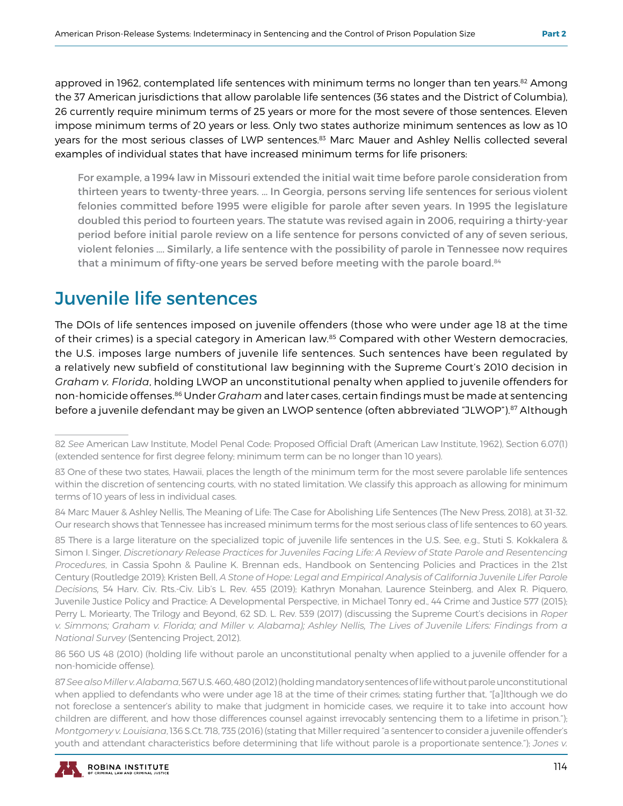approved in 1962, contemplated life sentences with minimum terms no longer than ten years.<sup>82</sup> Among the 37 American jurisdictions that allow parolable life sentences (36 states and the District of Columbia), 26 currently require minimum terms of 25 years or more for the most severe of those sentences. Eleven impose minimum terms of 20 years or less. Only two states authorize minimum sentences as low as 10 years for the most serious classes of LWP sentences.<sup>83</sup> Marc Mauer and Ashley Nellis collected several examples of individual states that have increased minimum terms for life prisoners:

For example, a 1994 law in Missouri extended the initial wait time before parole consideration from thirteen years to twenty-three years. … In Georgia, persons serving life sentences for serious violent felonies committed before 1995 were eligible for parole after seven years. In 1995 the legislature doubled this period to fourteen years. The statute was revised again in 2006, requiring a thirty-year period before initial parole review on a life sentence for persons convicted of any of seven serious, violent felonies …. Similarly, a life sentence with the possibility of parole in Tennessee now requires that a minimum of fifty-one years be served before meeting with the parole board.<sup>84</sup>

## Juvenile life sentences

The DOIs of life sentences imposed on juvenile offenders (those who were under age 18 at the time of their crimes) is a special category in American law.<sup>85</sup> Compared with other Western democracies, the U.S. imposes large numbers of juvenile life sentences. Such sentences have been regulated by a relatively new subfield of constitutional law beginning with the Supreme Court's 2010 decision in *Graham v. Florida*, holding LWOP an unconstitutional penalty when applied to juvenile offenders for non-homicide offenses.86 Under *Graham* and later cases, certain findings must be made at sentencing before a juvenile defendant may be given an LWOP sentence (often abbreviated "JLWOP").87 Although

86 560 US 48 (2010) (holding life without parole an unconstitutional penalty when applied to a juvenile offender for a non-homicide offense).

<sup>87</sup> *See also Miller v. Alabama*, 567 U.S. 460, 480 (2012) (holding mandatory sentences of life without parole unconstitutional when applied to defendants who were under age 18 at the time of their crimes; stating further that, "[a]lthough we do not foreclose a sentencer's ability to make that judgment in homicide cases, we require it to take into account how children are different, and how those differences counsel against irrevocably sentencing them to a lifetime in prison."); *Montgomery v. Louisiana*, 136 S.Ct. 718, 735 (2016) (stating that Miller required "a sentencer to consider a juvenile offender's youth and attendant characteristics before determining that life without parole is a proportionate sentence."); *Jones v.* 



<sup>82</sup> *See* American Law Institute, Model Penal Code: Proposed Official Draft (American Law Institute, 1962), Section 6.07(1) (extended sentence for first degree felony; minimum term can be no longer than 10 years).

<sup>83</sup> One of these two states, Hawaii, places the length of the minimum term for the most severe parolable life sentences within the discretion of sentencing courts, with no stated limitation. We classify this approach as allowing for minimum terms of 10 years of less in individual cases.

<sup>84</sup> Marc Mauer & Ashley Nellis, The Meaning of Life: The Case for Abolishing Life Sentences (The New Press, 2018), at 31-32. Our research shows that Tennessee has increased minimum terms for the most serious class of life sentences to 60 years.

<sup>85</sup> There is a large literature on the specialized topic of juvenile life sentences in the U.S. See, e.g., Stuti S. Kokkalera & Simon I. Singer, *Discretionary Release Practices for Juveniles Facing Life: A Review of State Parole and Resentencing Procedures*, in Cassia Spohn & Pauline K. Brennan eds., Handbook on Sentencing Policies and Practices in the 21st Century (Routledge 2019); Kristen Bell, *A Stone of Hope: Legal and Empirical Analysis of California Juvenile Lifer Parole Decisions,* 54 Harv. Civ. Rts.-Civ. Lib's L. Rev. 455 (2019); Kathryn Monahan, Laurence Steinberg, and Alex R. Piquero, Juvenile Justice Policy and Practice: A Developmental Perspective, in Michael Tonry ed., 44 Crime and Justice 577 (2015); Perry L. Moriearty, The Trilogy and Beyond, 62 SD. L. Rev. 539 (2017) (discussing the Supreme Court's decisions in *Roper v. Simmons; Graham v. Florida; and Miller v. Alabama); Ashley Nellis, The Lives of Juvenile Lifers: Findings from a National Survey* (Sentencing Project, 2012).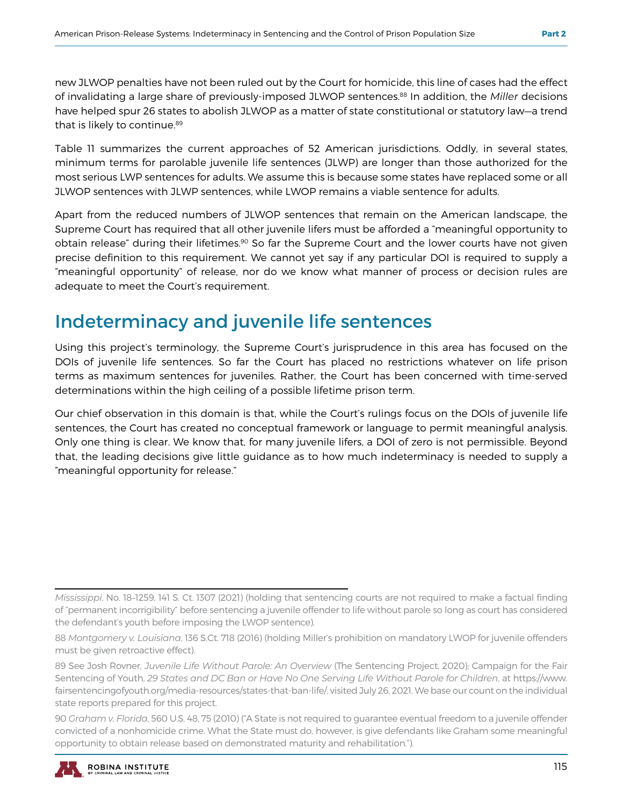new JLWOP penalties have not been ruled out by the Court for homicide, this line of cases had the effect of invalidating a large share of previously-imposed JLWOP sentences.<sup>88</sup> In addition, the *Miller* decisions have helped spur 26 states to abolish JLWOP as a matter of state constitutional or statutory law—a trend that is likely to continue.<sup>89</sup>

Table 11 summarizes the current approaches of 52 American jurisdictions. Oddly, in several states, minimum terms for parolable juvenile life sentences (JLWP) are longer than those authorized for the most serious LWP sentences for adults. We assume this is because some states have replaced some or all JLWOP sentences with JLWP sentences, while LWOP remains a viable sentence for adults.

Apart from the reduced numbers of JLWOP sentences that remain on the American landscape, the Supreme Court has required that all other juvenile lifers must be afforded a "meaningful opportunity to obtain release" during their lifetimes.<sup>90</sup> So far the Supreme Court and the lower courts have not given precise definition to this requirement. We cannot yet say if any particular DOI is required to supply a "meaningful opportunity" of release, nor do we know what manner of process or decision rules are adequate to meet the Court's requirement.

### Indeterminacy and juvenile life sentences

Using this project's terminology, the Supreme Court's jurisprudence in this area has focused on the DOIs of juvenile life sentences. So far the Court has placed no restrictions whatever on life prison terms as maximum sentences for juveniles. Rather, the Court has been concerned with time-served determinations within the high ceiling of a possible lifetime prison term.

Our chief observation in this domain is that, while the Court's rulings focus on the DOIs of juvenile life sentences, the Court has created no conceptual framework or language to permit meaningful analysis. Only one thing is clear. We know that, for many juvenile lifers, a DOI of zero is not permissible. Beyond that, the leading decisions give little guidance as to how much indeterminacy is needed to supply a "meaningful opportunity for release."

<sup>90</sup> *Graham v. Florida*, 560 U.S. 48, 75 (2010) ("A State is not required to guarantee eventual freedom to a juvenile offender convicted of a nonhomicide crime. What the State must do, however, is give defendants like Graham some meaningful opportunity to obtain release based on demonstrated maturity and rehabilitation.").



*Mississippi*, No. 18–1259, 141 S. Ct. 1307 (2021) (holding that sentencing courts are not required to make a factual finding of "permanent incorrigibility" before sentencing a juvenile offender to life without parole so long as court has considered the defendant's youth before imposing the LWOP sentence).

<sup>88</sup> *Montgomery v. Louisiana*, 136 S.Ct. 718 (2016) (holding Miller's prohibition on mandatory LWOP for juvenile offenders must be given retroactive effect).

<sup>89</sup> See Josh Rovner, *Juvenile Life Without Parole: An Overview* (The Sentencing Project, 2020); Campaign for the Fair Sentencing of Youth, *29 States and DC Ban or Have No One Serving Life Without Parole for Children*, at https://www. fairsentencingofyouth.org/media-resources/states-that-ban-life/, visited July 26, 2021. We base our count on the individual state reports prepared for this project.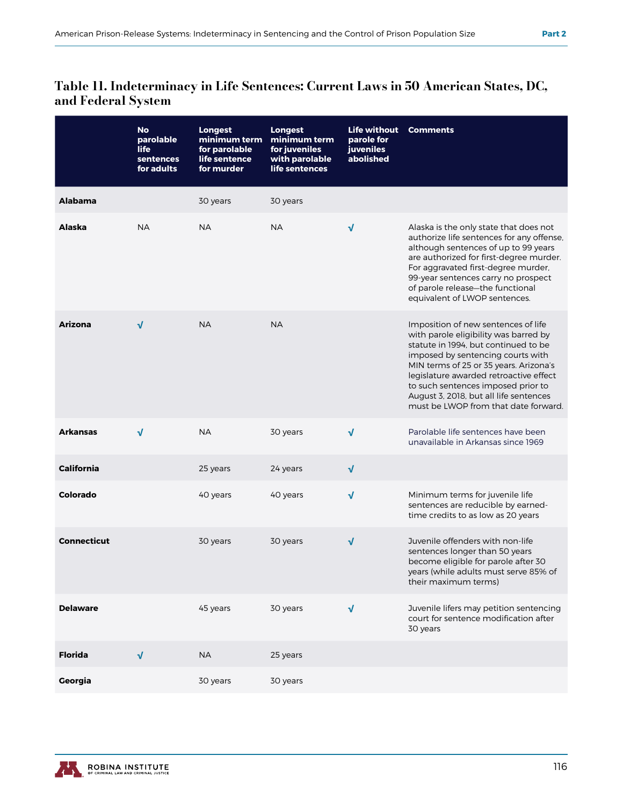#### Table 11. Indeterminacy in Life Sentences: Current Laws in 50 American States, DC, and Federal System

|                    | <b>No</b><br>parolable<br><b>life</b><br>sentences<br>for adults | <b>Longest</b><br>minimum term<br>for parolable<br>life sentence<br>for murder | <b>Longest</b><br>minimum term<br>for juveniles<br>with parolable<br>life sentences | <b>Life without</b><br>parole for<br><b>juveniles</b><br>abolished | <b>Comments</b>                                                                                                                                                                                                                                                                                                                                                       |
|--------------------|------------------------------------------------------------------|--------------------------------------------------------------------------------|-------------------------------------------------------------------------------------|--------------------------------------------------------------------|-----------------------------------------------------------------------------------------------------------------------------------------------------------------------------------------------------------------------------------------------------------------------------------------------------------------------------------------------------------------------|
| <b>Alabama</b>     |                                                                  | 30 years                                                                       | 30 years                                                                            |                                                                    |                                                                                                                                                                                                                                                                                                                                                                       |
| Alaska             | <b>NA</b>                                                        | <b>NA</b>                                                                      | <b>NA</b>                                                                           | $\sqrt{ }$                                                         | Alaska is the only state that does not<br>authorize life sentences for any offense,<br>although sentences of up to 99 years<br>are authorized for first-degree murder.<br>For aggravated first-degree murder,<br>99-year sentences carry no prospect<br>of parole release-the functional<br>equivalent of LWOP sentences.                                             |
| <b>Arizona</b>     | $\sqrt{ }$                                                       | <b>NA</b>                                                                      | <b>NA</b>                                                                           |                                                                    | Imposition of new sentences of life<br>with parole eligibility was barred by<br>statute in 1994, but continued to be<br>imposed by sentencing courts with<br>MIN terms of 25 or 35 years. Arizona's<br>legislature awarded retroactive effect<br>to such sentences imposed prior to<br>August 3, 2018, but all life sentences<br>must be LWOP from that date forward. |
| <b>Arkansas</b>    | $\sqrt{ }$                                                       | <b>NA</b>                                                                      | 30 years                                                                            | $\sqrt{ }$                                                         | Parolable life sentences have been<br>unavailable in Arkansas since 1969                                                                                                                                                                                                                                                                                              |
| <b>California</b>  |                                                                  | 25 years                                                                       | 24 years                                                                            | $\sqrt{ }$                                                         |                                                                                                                                                                                                                                                                                                                                                                       |
| Colorado           |                                                                  | 40 years                                                                       | 40 years                                                                            | $\sqrt{ }$                                                         | Minimum terms for juvenile life<br>sentences are reducible by earned-<br>time credits to as low as 20 years                                                                                                                                                                                                                                                           |
| <b>Connecticut</b> |                                                                  | 30 years                                                                       | 30 years                                                                            | $\sqrt{ }$                                                         | Juvenile offenders with non-life<br>sentences longer than 50 years<br>become eligible for parole after 30<br>years (while adults must serve 85% of<br>their maximum terms)                                                                                                                                                                                            |
| <b>Delaware</b>    |                                                                  | 45 years                                                                       | 30 years                                                                            | $\sqrt{ }$                                                         | Juvenile lifers may petition sentencing<br>court for sentence modification after<br>30 years                                                                                                                                                                                                                                                                          |
| <b>Florida</b>     | $\sqrt{ }$                                                       | <b>NA</b>                                                                      | 25 years                                                                            |                                                                    |                                                                                                                                                                                                                                                                                                                                                                       |
| Georgia            |                                                                  | 30 years                                                                       | 30 years                                                                            |                                                                    |                                                                                                                                                                                                                                                                                                                                                                       |

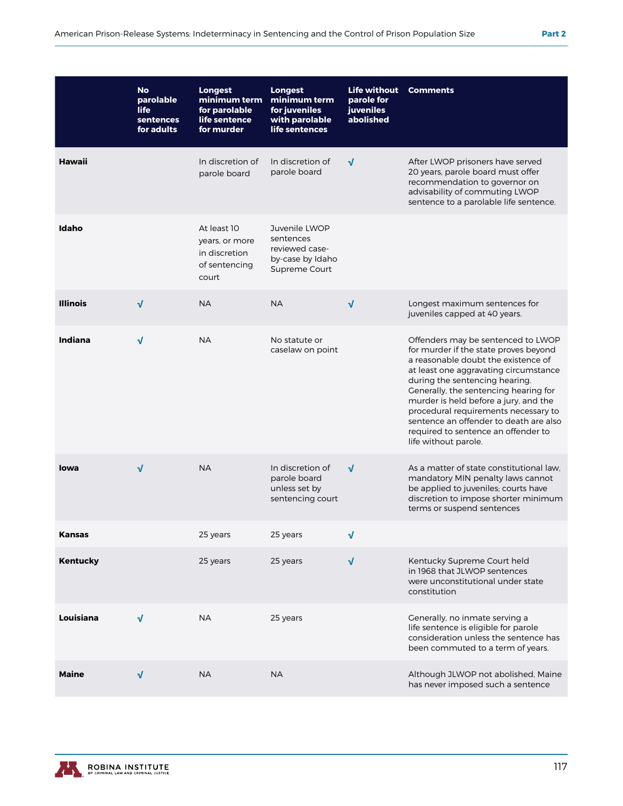|                 | <b>No</b><br>parolable<br><b>life</b><br>sentences<br>for adults | <b>Longest</b><br>minimum term<br>for parolable<br>life sentence<br>for murder | <b>Longest</b><br>minimum term<br>for juveniles<br>with parolable<br>life sentences | <b>Life without</b><br>parole for<br>juveniles<br>abolished | <b>Comments</b>                                                                                                                                                                                                                                                                                                                                                                                                                  |
|-----------------|------------------------------------------------------------------|--------------------------------------------------------------------------------|-------------------------------------------------------------------------------------|-------------------------------------------------------------|----------------------------------------------------------------------------------------------------------------------------------------------------------------------------------------------------------------------------------------------------------------------------------------------------------------------------------------------------------------------------------------------------------------------------------|
| Hawaii          |                                                                  | In discretion of<br>parole board                                               | In discretion of<br>parole board                                                    | $\sqrt{ }$                                                  | After LWOP prisoners have served<br>20 years, parole board must offer<br>recommendation to governor on<br>advisability of commuting LWOP<br>sentence to a parolable life sentence.                                                                                                                                                                                                                                               |
| Idaho           |                                                                  | At least 10<br>years, or more<br>in discretion<br>of sentencing<br>court       | Juvenile LWOP<br>sentences<br>reviewed case-<br>by-case by Idaho<br>Supreme Court   |                                                             |                                                                                                                                                                                                                                                                                                                                                                                                                                  |
| <b>Illinois</b> | $\sqrt{ }$                                                       | <b>NA</b>                                                                      | <b>NA</b>                                                                           | $\sqrt{ }$                                                  | Longest maximum sentences for<br>juveniles capped at 40 years.                                                                                                                                                                                                                                                                                                                                                                   |
| Indiana         | $\sqrt{ }$                                                       | <b>NA</b>                                                                      | No statute or<br>caselaw on point                                                   |                                                             | Offenders may be sentenced to LWOP<br>for murder if the state proves beyond<br>a reasonable doubt the existence of<br>at least one aggravating circumstance<br>during the sentencing hearing.<br>Generally, the sentencing hearing for<br>murder is held before a jury, and the<br>procedural requirements necessary to<br>sentence an offender to death are also<br>required to sentence an offender to<br>life without parole. |
| lowa            | $\sqrt{ }$                                                       | <b>NA</b>                                                                      | In discretion of<br>parole board<br>unless set by<br>sentencing court               | $\sqrt{ }$                                                  | As a matter of state constitutional law,<br>mandatory MIN penalty laws cannot<br>be applied to juveniles; courts have<br>discretion to impose shorter minimum<br>terms or suspend sentences                                                                                                                                                                                                                                      |
| <b>Kansas</b>   |                                                                  | 25 years                                                                       | 25 years                                                                            | $\sqrt{}$                                                   |                                                                                                                                                                                                                                                                                                                                                                                                                                  |
| Kentucky        |                                                                  | 25 years                                                                       | 25 years                                                                            | $\sqrt{}$                                                   | Kentucky Supreme Court held<br>in 1968 that JLWOP sentences<br>were unconstitutional under state<br>constitution                                                                                                                                                                                                                                                                                                                 |
| Louisiana       | $\sqrt{ }$                                                       | <b>NA</b>                                                                      | 25 years                                                                            |                                                             | Generally, no inmate serving a<br>life sentence is eligible for parole<br>consideration unless the sentence has<br>been commuted to a term of years.                                                                                                                                                                                                                                                                             |
| Maine           | $\sqrt{ }$                                                       | <b>NA</b>                                                                      | <b>NA</b>                                                                           |                                                             | Although JLWOP not abolished, Maine<br>has never imposed such a sentence                                                                                                                                                                                                                                                                                                                                                         |

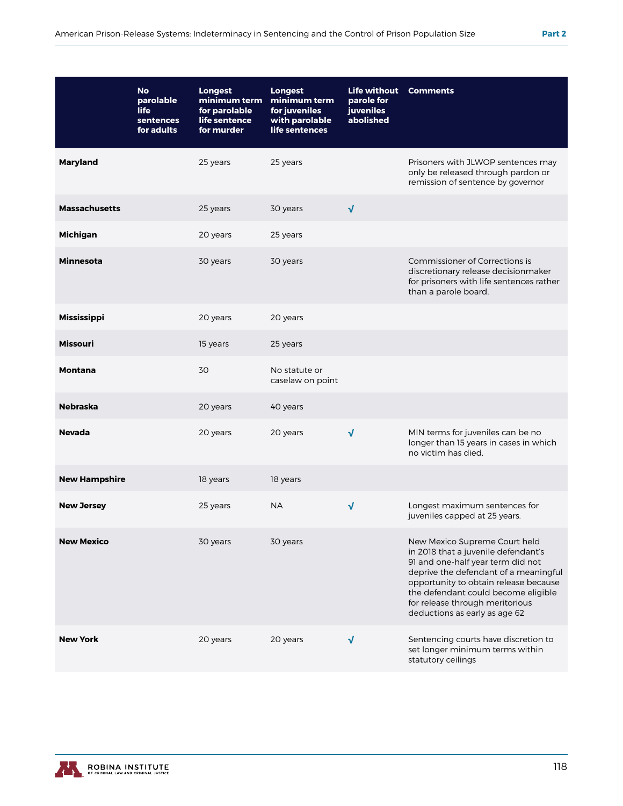|                      | <b>No</b><br>parolable<br><b>life</b><br>sentences<br>for adults | <b>Longest</b><br>minimum term<br>for parolable<br>life sentence<br>for murder | <b>Longest</b><br>minimum term<br>for juveniles<br>with parolable<br>life sentences | <b>Life without</b><br>parole for<br><b>juveniles</b><br>abolished | <b>Comments</b>                                                                                                                                                                                                                                                                                        |
|----------------------|------------------------------------------------------------------|--------------------------------------------------------------------------------|-------------------------------------------------------------------------------------|--------------------------------------------------------------------|--------------------------------------------------------------------------------------------------------------------------------------------------------------------------------------------------------------------------------------------------------------------------------------------------------|
| Maryland             |                                                                  | 25 years                                                                       | 25 years                                                                            |                                                                    | Prisoners with JLWOP sentences may<br>only be released through pardon or<br>remission of sentence by governor                                                                                                                                                                                          |
| <b>Massachusetts</b> |                                                                  | 25 years                                                                       | 30 years                                                                            | $\sqrt{ }$                                                         |                                                                                                                                                                                                                                                                                                        |
| <b>Michigan</b>      |                                                                  | 20 years                                                                       | 25 years                                                                            |                                                                    |                                                                                                                                                                                                                                                                                                        |
| <b>Minnesota</b>     |                                                                  | 30 years                                                                       | 30 years                                                                            |                                                                    | Commissioner of Corrections is<br>discretionary release decisionmaker<br>for prisoners with life sentences rather<br>than a parole board.                                                                                                                                                              |
| Mississippi          |                                                                  | 20 years                                                                       | 20 years                                                                            |                                                                    |                                                                                                                                                                                                                                                                                                        |
| <b>Missouri</b>      |                                                                  | 15 years                                                                       | 25 years                                                                            |                                                                    |                                                                                                                                                                                                                                                                                                        |
| <b>Montana</b>       |                                                                  | 30                                                                             | No statute or<br>caselaw on point                                                   |                                                                    |                                                                                                                                                                                                                                                                                                        |
| <b>Nebraska</b>      |                                                                  | 20 years                                                                       | 40 years                                                                            |                                                                    |                                                                                                                                                                                                                                                                                                        |
| <b>Nevada</b>        |                                                                  | 20 years                                                                       | 20 years                                                                            | $\sqrt{ }$                                                         | MIN terms for juveniles can be no<br>longer than 15 years in cases in which<br>no victim has died.                                                                                                                                                                                                     |
| <b>New Hampshire</b> |                                                                  | 18 years                                                                       | 18 years                                                                            |                                                                    |                                                                                                                                                                                                                                                                                                        |
| <b>New Jersey</b>    |                                                                  | 25 years                                                                       | <b>NA</b>                                                                           | $\sqrt{}$                                                          | Longest maximum sentences for<br>juveniles capped at 25 years.                                                                                                                                                                                                                                         |
| <b>New Mexico</b>    |                                                                  | 30 years                                                                       | 30 years                                                                            |                                                                    | New Mexico Supreme Court held<br>in 2018 that a juvenile defendant's<br>91 and one-half year term did not<br>deprive the defendant of a meaningful<br>opportunity to obtain release because<br>the defendant could become eligible<br>for release through meritorious<br>deductions as early as age 62 |
| <b>New York</b>      |                                                                  | 20 years                                                                       | 20 years                                                                            | √                                                                  | Sentencing courts have discretion to<br>set longer minimum terms within<br>statutory ceilings                                                                                                                                                                                                          |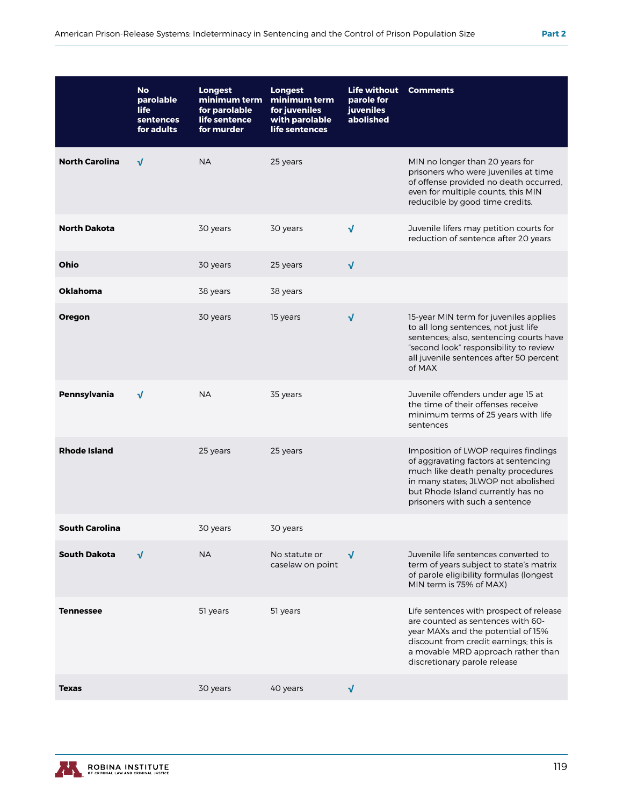|                       | <b>No</b><br>parolable<br>life<br>sentences<br>for adults | <b>Longest</b><br>minimum term<br>for parolable<br>life sentence<br>for murder | <b>Longest</b><br>minimum term<br>for juveniles<br>with parolable<br>life sentences | <b>Life without</b><br>parole for<br><b>juveniles</b><br>abolished | <b>Comments</b>                                                                                                                                                                                                                    |
|-----------------------|-----------------------------------------------------------|--------------------------------------------------------------------------------|-------------------------------------------------------------------------------------|--------------------------------------------------------------------|------------------------------------------------------------------------------------------------------------------------------------------------------------------------------------------------------------------------------------|
| <b>North Carolina</b> | √                                                         | <b>NA</b>                                                                      | 25 years                                                                            |                                                                    | MIN no longer than 20 years for<br>prisoners who were juveniles at time<br>of offense provided no death occurred,<br>even for multiple counts, this MIN<br>reducible by good time credits.                                         |
| North Dakota          |                                                           | 30 years                                                                       | 30 years                                                                            | $\sqrt{}$                                                          | Juvenile lifers may petition courts for<br>reduction of sentence after 20 years                                                                                                                                                    |
| Ohio                  |                                                           | 30 years                                                                       | 25 years                                                                            | $\sqrt{ }$                                                         |                                                                                                                                                                                                                                    |
| Oklahoma              |                                                           | 38 years                                                                       | 38 years                                                                            |                                                                    |                                                                                                                                                                                                                                    |
| Oregon                |                                                           | 30 years                                                                       | 15 years                                                                            | $\sqrt{ }$                                                         | 15-year MIN term for juveniles applies<br>to all long sentences, not just life<br>sentences; also, sentencing courts have<br>"second look" responsibility to review<br>all juvenile sentences after 50 percent<br>of MAX           |
| Pennsylvania          | √                                                         | <b>NA</b>                                                                      | 35 years                                                                            |                                                                    | Juvenile offenders under age 15 at<br>the time of their offenses receive<br>minimum terms of 25 years with life<br>sentences                                                                                                       |
| <b>Rhode Island</b>   |                                                           | 25 years                                                                       | 25 years                                                                            |                                                                    | Imposition of LWOP requires findings<br>of aggravating factors at sentencing<br>much like death penalty procedures<br>in many states; JLWOP not abolished<br>but Rhode Island currently has no<br>prisoners with such a sentence   |
| South Carolina        |                                                           | 30 years                                                                       | 30 years                                                                            |                                                                    |                                                                                                                                                                                                                                    |
| South Dakota          | √                                                         | <b>NA</b>                                                                      | No statute or<br>caselaw on point                                                   | √                                                                  | Juvenile life sentences converted to<br>term of years subject to state's matrix<br>of parole eligibility formulas (longest<br>MIN term is 75% of MAX)                                                                              |
| <b>Tennessee</b>      |                                                           | 51 years                                                                       | 51 years                                                                            |                                                                    | Life sentences with prospect of release<br>are counted as sentences with 60-<br>year MAXs and the potential of 15%<br>discount from credit earnings; this is<br>a movable MRD approach rather than<br>discretionary parole release |
| Texas                 |                                                           | 30 years                                                                       | 40 years                                                                            | √                                                                  |                                                                                                                                                                                                                                    |

ROBINA INSTITUTE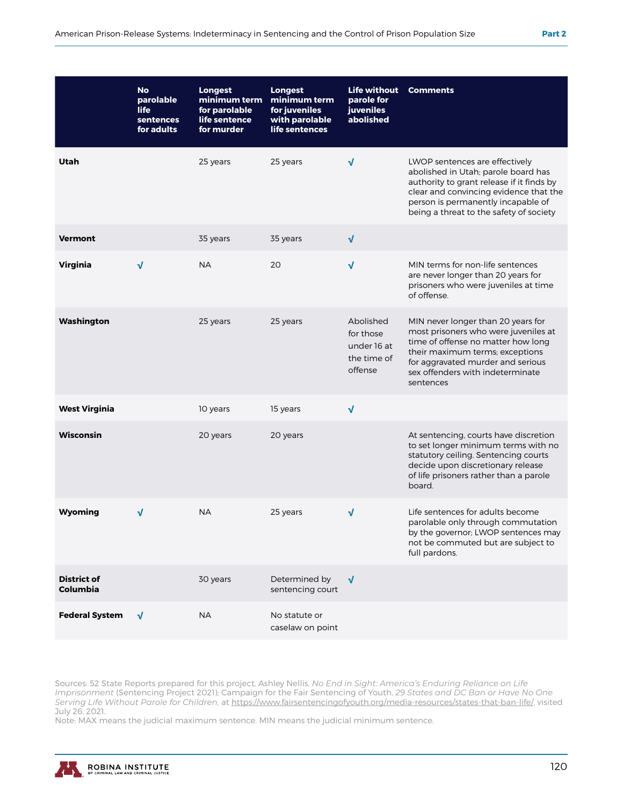|                                       | <b>No</b><br>parolable<br><b>life</b><br>sentences<br>for adults | <b>Longest</b><br>minimum term<br>for parolable<br>life sentence<br>for murder | <b>Longest</b><br>minimum term<br>for juveniles<br>with parolable<br>life sentences | <b>Life without</b><br>parole for<br><b>juveniles</b><br>abolished | <b>Comments</b>                                                                                                                                                                                                                               |
|---------------------------------------|------------------------------------------------------------------|--------------------------------------------------------------------------------|-------------------------------------------------------------------------------------|--------------------------------------------------------------------|-----------------------------------------------------------------------------------------------------------------------------------------------------------------------------------------------------------------------------------------------|
| Utah                                  |                                                                  | 25 years                                                                       | 25 years                                                                            | $\sqrt{}$                                                          | LWOP sentences are effectively<br>abolished in Utah; parole board has<br>authority to grant release if it finds by<br>clear and convincing evidence that the<br>person is permanently incapable of<br>being a threat to the safety of society |
| <b>Vermont</b>                        |                                                                  | 35 years                                                                       | 35 years                                                                            | $\sqrt{ }$                                                         |                                                                                                                                                                                                                                               |
| <b>Virginia</b>                       | $\sqrt{ }$                                                       | <b>NA</b>                                                                      | 20                                                                                  | $\sqrt{}$                                                          | MIN terms for non-life sentences<br>are never longer than 20 years for<br>prisoners who were juveniles at time<br>of offense.                                                                                                                 |
| Washington                            |                                                                  | 25 years                                                                       | 25 years                                                                            | Abolished<br>for those<br>under 16 at<br>the time of<br>offense    | MIN never longer than 20 years for<br>most prisoners who were juveniles at<br>time of offense no matter how long<br>their maximum terms; exceptions<br>for aggravated murder and serious<br>sex offenders with indeterminate<br>sentences     |
| <b>West Virginia</b>                  |                                                                  | 10 years                                                                       | 15 years                                                                            | $\sqrt{ }$                                                         |                                                                                                                                                                                                                                               |
| <b>Wisconsin</b>                      |                                                                  | 20 years                                                                       | 20 years                                                                            |                                                                    | At sentencing, courts have discretion<br>to set longer minimum terms with no<br>statutory ceiling. Sentencing courts<br>decide upon discretionary release<br>of life prisoners rather than a parole<br>board.                                 |
| Wyoming                               | √                                                                | <b>NA</b>                                                                      | 25 years                                                                            | $\sqrt{ }$                                                         | Life sentences for adults become<br>parolable only through commutation<br>by the governor; LWOP sentences may<br>not be commuted but are subject to<br>full pardons.                                                                          |
| <b>District of</b><br><b>Columbia</b> |                                                                  | 30 years                                                                       | Determined by<br>sentencing court                                                   | $\sqrt{ }$                                                         |                                                                                                                                                                                                                                               |
| <b>Federal System</b>                 | $\sqrt{ }$                                                       | <b>NA</b>                                                                      | No statute or<br>caselaw on point                                                   |                                                                    |                                                                                                                                                                                                                                               |

Sources: 52 State Reports prepared for this project, Ashley Nellis, *No End in Sight: America's Enduring Reliance on Life Imprisonment* (Sentencing Project 2021); Campaign for the Fair Sentencing of Youth, *29 States and DC Ban or Have No One Serving Life Without Parole for Children*, at https://www.fairsentencingofyouth.org/media-resources/states-that-ban-life/, visited July 26, 2021.

Note: MAX means the judicial maximum sentence. MIN means the judicial minimum sentence.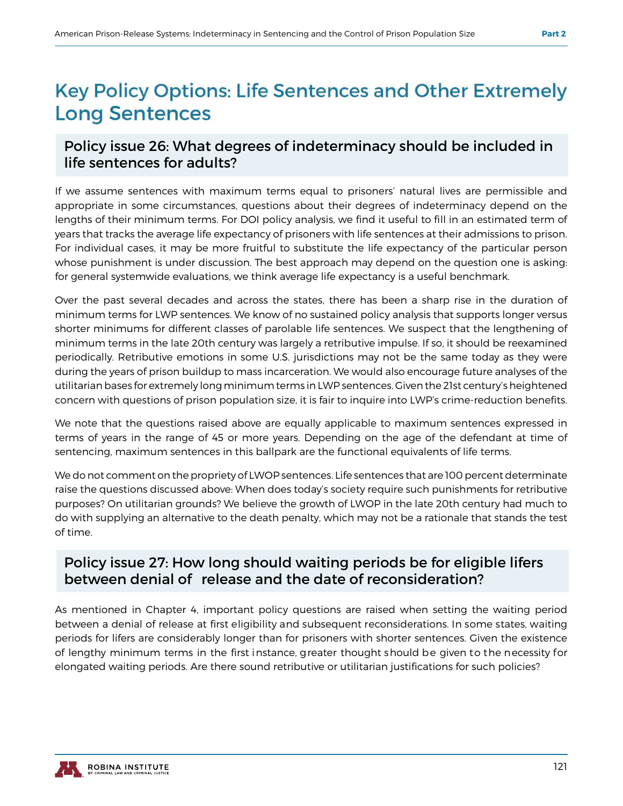## **Key Policy Options: Life Sentences and Other Extremely Long Sentences**

#### Policy issue 26: What degrees of indeterminacy should be included in life sentences for adults?

If we assume sentences with maximum terms equal to prisoners' natural lives are permissible and appropriate in some circumstances, questions about their degrees of indeterminacy depend on the lengths of their minimum terms. For DOI policy analysis, we find it useful to fill in an estimated term of years that tracks the average life expectancy of prisoners with life sentences at their admissions to prison. For individual cases, it may be more fruitful to substitute the life expectancy of the particular person whose punishment is under discussion. The best approach may depend on the question one is asking: for general systemwide evaluations, we think average life expectancy is a useful benchmark.

Over the past several decades and across the states, there has been a sharp rise in the duration of minimum terms for LWP sentences. We know of no sustained policy analysis that supports longer versus shorter minimums for different classes of parolable life sentences. We suspect that the lengthening of minimum terms in the late 20th century was largely a retributive impulse. If so, it should be reexamined periodically. Retributive emotions in some U.S. jurisdictions may not be the same today as they were during the years of prison buildup to mass incarceration. We would also encourage future analyses of the utilitarian bases for extremely long minimum terms in LWP sentences. Given the 21st century's heightened concern with questions of prison population size, it is fair to inquire into LWP's crime-reduction benefits.

We note that the questions raised above are equally applicable to maximum sentences expressed in terms of years in the range of 45 or more years. Depending on the age of the defendant at time of sentencing, maximum sentences in this ballpark are the functional equivalents of life terms.

We do not comment on the propriety of LWOP sentences. Life sentences that are 100 percent determinate raise the questions discussed above: When does today's society require such punishments for retributive purposes? On utilitarian grounds? We believe the growth of LWOP in the late 20th century had much to do with supplying an alternative to the death penalty, which may not be a rationale that stands the test of time.

#### Policy issue 27: How long should waiting periods be for eligible lifers between denial of release and the date of reconsideration?

As mentioned in Chapter 4, important policy questions are raised when setting the waiting period between a denial of release at first eligibility and subsequent reconsiderations. In some states, waiting periods for lifers are considerably longer than for prisoners with shorter sentences. Given the existence of lengthy minimum terms in the first instance, greater thought should be given to the necessity for elongated waiting periods. Are there sound retributive or utilitarian justifications for such policies?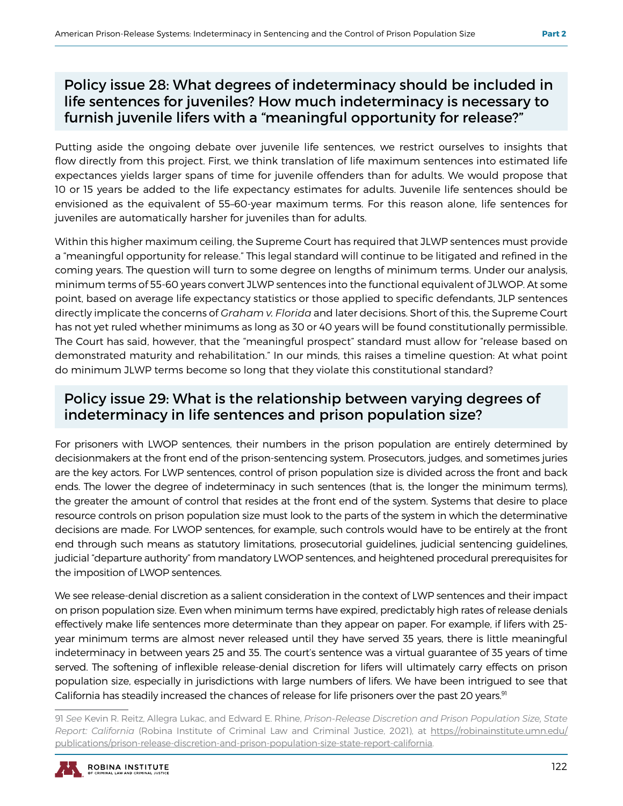#### Policy issue 28: What degrees of indeterminacy should be included in life sentences for juveniles? How much indeterminacy is necessary to furnish juvenile lifers with a "meaningful opportunity for release?"

Putting aside the ongoing debate over juvenile life sentences, we restrict ourselves to insights that flow directly from this project. First, we think translation of life maximum sentences into estimated life expectances yields larger spans of time for juvenile offenders than for adults. We would propose that 10 or 15 years be added to the life expectancy estimates for adults. Juvenile life sentences should be envisioned as the equivalent of 55–60-year maximum terms. For this reason alone, life sentences for juveniles are automatically harsher for juveniles than for adults.

Within this higher maximum ceiling, the Supreme Court has required that JLWP sentences must provide a "meaningful opportunity for release." This legal standard will continue to be litigated and refined in the coming years. The question will turn to some degree on lengths of minimum terms. Under our analysis, minimum terms of 55-60 years convert JLWP sentences into the functional equivalent of JLWOP. At some point, based on average life expectancy statistics or those applied to specific defendants, JLP sentences directly implicate the concerns of *Graham v. Florida* and later decisions. Short of this, the Supreme Court has not yet ruled whether minimums as long as 30 or 40 years will be found constitutionally permissible. The Court has said, however, that the "meaningful prospect" standard must allow for "release based on demonstrated maturity and rehabilitation." In our minds, this raises a timeline question: At what point do minimum JLWP terms become so long that they violate this constitutional standard?

#### Policy issue 29: What is the relationship between varying degrees of indeterminacy in life sentences and prison population size?

For prisoners with LWOP sentences, their numbers in the prison population are entirely determined by decisionmakers at the front end of the prison-sentencing system. Prosecutors, judges, and sometimes juries are the key actors. For LWP sentences, control of prison population size is divided across the front and back ends. The lower the degree of indeterminacy in such sentences (that is, the longer the minimum terms), the greater the amount of control that resides at the front end of the system. Systems that desire to place resource controls on prison population size must look to the parts of the system in which the determinative decisions are made. For LWOP sentences, for example, such controls would have to be entirely at the front end through such means as statutory limitations, prosecutorial guidelines, judicial sentencing guidelines, judicial "departure authority" from mandatory LWOP sentences, and heightened procedural prerequisites for the imposition of LWOP sentences.

We see release-denial discretion as a salient consideration in the context of LWP sentences and their impact on prison population size. Even when minimum terms have expired, predictably high rates of release denials effectively make life sentences more determinate than they appear on paper. For example, if lifers with 25 year minimum terms are almost never released until they have served 35 years, there is little meaningful indeterminacy in between years 25 and 35. The court's sentence was a virtual guarantee of 35 years of time served. The softening of inflexible release-denial discretion for lifers will ultimately carry effects on prison population size, especially in jurisdictions with large numbers of lifers. We have been intrigued to see that California has steadily increased the chances of release for life prisoners over the past 20 years.<sup>91</sup>

<sup>91</sup> *See* Kevin R. Reitz, Allegra Lukac, and Edward E. Rhine, *Prison-Release Discretion and Prison Population Size, State Report: California* (Robina Institute of Criminal Law and Criminal Justice, 2021), at https://robinainstitute.umn.edu/ publications/prison-release-discretion-and-prison-population-size-state-report-california.

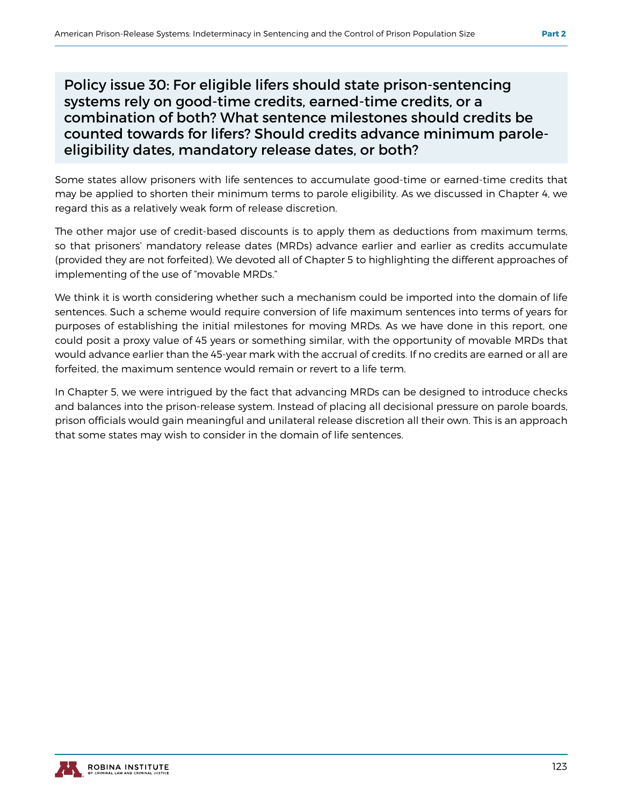Policy issue 30: For eligible lifers should state prison-sentencing systems rely on good-time credits, earned-time credits, or a combination of both? What sentence milestones should credits be counted towards for lifers? Should credits advance minimum paroleeligibility dates, mandatory release dates, or both?

Some states allow prisoners with life sentences to accumulate good-time or earned-time credits that may be applied to shorten their minimum terms to parole eligibility. As we discussed in Chapter 4, we regard this as a relatively weak form of release discretion.

The other major use of credit-based discounts is to apply them as deductions from maximum terms, so that prisoners' mandatory release dates (MRDs) advance earlier and earlier as credits accumulate (provided they are not forfeited). We devoted all of Chapter 5 to highlighting the different approaches of implementing of the use of "movable MRDs."

We think it is worth considering whether such a mechanism could be imported into the domain of life sentences. Such a scheme would require conversion of life maximum sentences into terms of years for purposes of establishing the initial milestones for moving MRDs. As we have done in this report, one could posit a proxy value of 45 years or something similar, with the opportunity of movable MRDs that would advance earlier than the 45-year mark with the accrual of credits. If no credits are earned or all are forfeited, the maximum sentence would remain or revert to a life term.

In Chapter 5, we were intrigued by the fact that advancing MRDs can be designed to introduce checks and balances into the prison-release system. Instead of placing all decisional pressure on parole boards, prison officials would gain meaningful and unilateral release discretion all their own. This is an approach that some states may wish to consider in the domain of life sentences.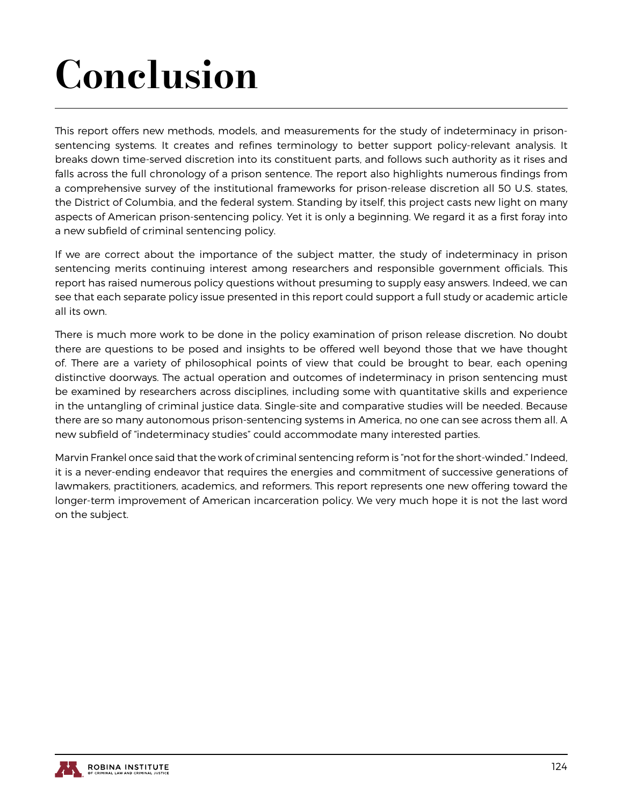# Conclusion

This report offers new methods, models, and measurements for the study of indeterminacy in prisonsentencing systems. It creates and refines terminology to better support policy-relevant analysis. It breaks down time-served discretion into its constituent parts, and follows such authority as it rises and falls across the full chronology of a prison sentence. The report also highlights numerous findings from a comprehensive survey of the institutional frameworks for prison-release discretion all 50 U.S. states, the District of Columbia, and the federal system. Standing by itself, this project casts new light on many aspects of American prison-sentencing policy. Yet it is only a beginning. We regard it as a first foray into a new subfield of criminal sentencing policy.

If we are correct about the importance of the subject matter, the study of indeterminacy in prison sentencing merits continuing interest among researchers and responsible government officials. This report has raised numerous policy questions without presuming to supply easy answers. Indeed, we can see that each separate policy issue presented in this report could support a full study or academic article all its own.

There is much more work to be done in the policy examination of prison release discretion. No doubt there are questions to be posed and insights to be offered well beyond those that we have thought of. There are a variety of philosophical points of view that could be brought to bear, each opening distinctive doorways. The actual operation and outcomes of indeterminacy in prison sentencing must be examined by researchers across disciplines, including some with quantitative skills and experience in the untangling of criminal justice data. Single-site and comparative studies will be needed. Because there are so many autonomous prison-sentencing systems in America, no one can see across them all. A new subfield of "indeterminacy studies" could accommodate many interested parties.

Marvin Frankel once said that the work of criminal sentencing reform is "not for the short-winded." Indeed, it is a never-ending endeavor that requires the energies and commitment of successive generations of lawmakers, practitioners, academics, and reformers. This report represents one new offering toward the longer-term improvement of American incarceration policy. We very much hope it is not the last word on the subject.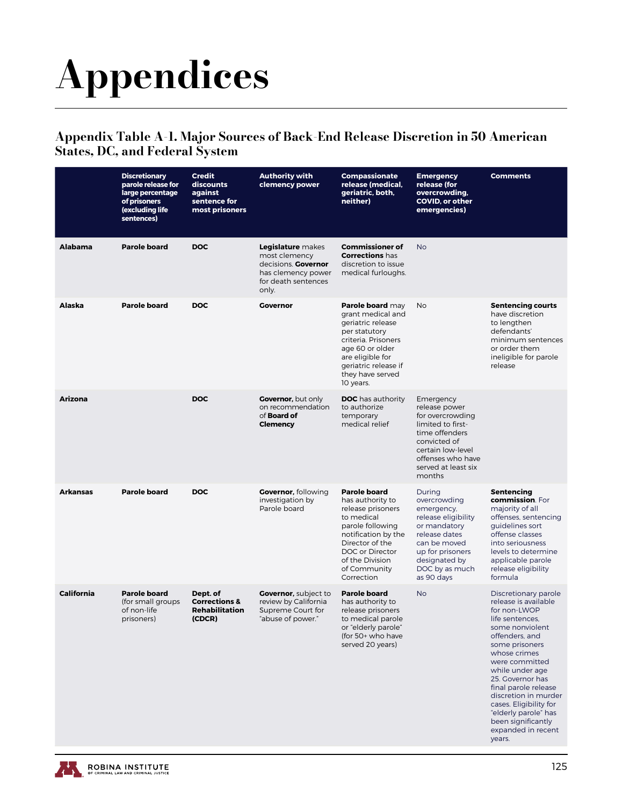# Appendices

#### Appendix Table A-1. Major Sources of Back-End Release Discretion in 50 American States, DC, and Federal System

|                   | <b>Discretionary</b><br>parole release for<br>large percentage<br>of prisoners<br>(excluding life<br>sentences) | <b>Credit</b><br>discounts<br>against<br>sentence for<br>most prisoners | <b>Authority with</b><br>clemency power                                                                                | <b>Compassionate</b><br>release (medical,<br>geriatric, both,<br>neither)                                                                                                                                    | <b>Emergency</b><br>release (for<br>overcrowding,<br><b>COVID, or other</b><br>emergencies)                                                                                       | <b>Comments</b>                                                                                                                                                                                                                                                                                                                                                         |
|-------------------|-----------------------------------------------------------------------------------------------------------------|-------------------------------------------------------------------------|------------------------------------------------------------------------------------------------------------------------|--------------------------------------------------------------------------------------------------------------------------------------------------------------------------------------------------------------|-----------------------------------------------------------------------------------------------------------------------------------------------------------------------------------|-------------------------------------------------------------------------------------------------------------------------------------------------------------------------------------------------------------------------------------------------------------------------------------------------------------------------------------------------------------------------|
| <b>Alabama</b>    | <b>Parole board</b>                                                                                             | <b>DOC</b>                                                              | Legislature makes<br>most clemency<br>decisions. <b>Governor</b><br>has clemency power<br>for death sentences<br>only. | <b>Commissioner of</b><br><b>Corrections has</b><br>discretion to issue<br>medical furloughs.                                                                                                                | <b>No</b>                                                                                                                                                                         |                                                                                                                                                                                                                                                                                                                                                                         |
| Alaska            | <b>Parole board</b>                                                                                             | <b>DOC</b>                                                              | <b>Governor</b>                                                                                                        | Parole board may<br>grant medical and<br>geriatric release<br>per statutory<br>criteria. Prisoners<br>age 60 or older<br>are eligible for<br>geriatric release if<br>they have served<br>10 years.           | <b>No</b>                                                                                                                                                                         | <b>Sentencing courts</b><br>have discretion<br>to lengthen<br>defendants'<br>minimum sentences<br>or order them<br>ineligible for parole<br>release                                                                                                                                                                                                                     |
| <b>Arizona</b>    |                                                                                                                 | <b>DOC</b>                                                              | <b>Governor, but only</b><br>on recommendation<br>of <b>Board of</b><br><b>Clemency</b>                                | <b>DOC</b> has authority<br>to authorize<br>temporary<br>medical relief                                                                                                                                      | Emergency<br>release power<br>for overcrowding<br>limited to first-<br>time offenders<br>convicted of<br>certain low-level<br>offenses who have<br>served at least six<br>months  |                                                                                                                                                                                                                                                                                                                                                                         |
| <b>Arkansas</b>   | <b>Parole board</b>                                                                                             | <b>DOC</b>                                                              | <b>Governor, following</b><br>investigation by<br>Parole board                                                         | <b>Parole board</b><br>has authority to<br>release prisoners<br>to medical<br>parole following<br>notification by the<br>Director of the<br>DOC or Director<br>of the Division<br>of Community<br>Correction | During<br>overcrowding<br>emergency,<br>release eligibility<br>or mandatory<br>release dates<br>can be moved<br>up for prisoners<br>designated by<br>DOC by as much<br>as 90 days | Sentencing<br>commission. For<br>majority of all<br>offenses, sentencing<br>guidelines sort<br>offense classes<br>into seriousness<br>levels to determine<br>applicable parole<br>release eligibility<br>formula                                                                                                                                                        |
| <b>California</b> | <b>Parole board</b><br>(for small groups)<br>of non-life<br>prisoners)                                          | Dept. of<br><b>Corrections &amp;</b><br><b>Rehabilitation</b><br>(CDCR) | <b>Governor, subject to</b><br>review by California<br>Supreme Court for<br>"abuse of power."                          | <b>Parole board</b><br>has authority to<br>release prisoners<br>to medical parole<br>or "elderly parole"<br>(for 50+ who have<br>served 20 years)                                                            | <b>No</b>                                                                                                                                                                         | Discretionary parole<br>release is available<br>for non-LWOP<br>life sentences,<br>some nonviolent<br>offenders, and<br>some prisoners<br>whose crimes<br>were committed<br>while under age<br>25. Governor has<br>final parole release<br>discretion in murder<br>cases. Eligibility for<br>"elderly parole" has<br>been significantly<br>expanded in recent<br>years. |

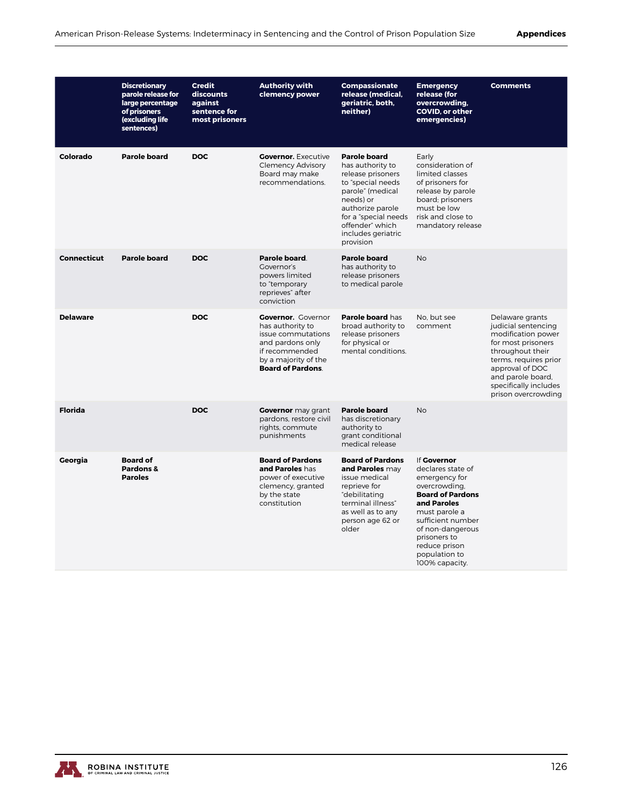|                    | <b>Discretionary</b><br>parole release for<br>large percentage<br>of prisoners<br>(excluding life<br>sentences) | <b>Credit</b><br>discounts<br>against<br>sentence for<br>most prisoners | <b>Authority with</b><br>clemency power                                                                                                                      | <b>Compassionate</b><br>release (medical,<br>geriatric, both,<br>neither)                                                                                                                                            | <b>Emergency</b><br>release (for<br>overcrowding,<br><b>COVID, or other</b><br>emergencies)                                                                                                                                                | <b>Comments</b>                                                                                                                                                                                                         |
|--------------------|-----------------------------------------------------------------------------------------------------------------|-------------------------------------------------------------------------|--------------------------------------------------------------------------------------------------------------------------------------------------------------|----------------------------------------------------------------------------------------------------------------------------------------------------------------------------------------------------------------------|--------------------------------------------------------------------------------------------------------------------------------------------------------------------------------------------------------------------------------------------|-------------------------------------------------------------------------------------------------------------------------------------------------------------------------------------------------------------------------|
| Colorado           | <b>Parole board</b>                                                                                             | <b>DOC</b>                                                              | <b>Governor.</b> Executive<br><b>Clemency Advisory</b><br>Board may make<br>recommendations.                                                                 | <b>Parole board</b><br>has authority to<br>release prisoners<br>to "special needs<br>parole" (medical<br>needs) or<br>authorize parole<br>for a "special needs<br>offender" which<br>includes geriatric<br>provision | Early<br>consideration of<br>limited classes<br>of prisoners for<br>release by parole<br>board; prisoners<br>must be low<br>risk and close to<br>mandatory release                                                                         |                                                                                                                                                                                                                         |
| <b>Connecticut</b> | <b>Parole board</b>                                                                                             | <b>DOC</b>                                                              | Parole board.<br>Governor's<br>powers limited<br>to "temporary<br>reprieves" after<br>conviction                                                             | <b>Parole board</b><br>has authority to<br>release prisoners<br>to medical parole                                                                                                                                    | <b>No</b>                                                                                                                                                                                                                                  |                                                                                                                                                                                                                         |
| <b>Delaware</b>    |                                                                                                                 | <b>DOC</b>                                                              | <b>Governor.</b> Governor<br>has authority to<br>issue commutations<br>and pardons only<br>if recommended<br>by a majority of the<br><b>Board of Pardons</b> | Parole board has<br>broad authority to<br>release prisoners<br>for physical or<br>mental conditions.                                                                                                                 | No. but see<br>comment                                                                                                                                                                                                                     | Delaware grants<br>judicial sentencing<br>modification power<br>for most prisoners<br>throughout their<br>terms, requires prior<br>approval of DOC<br>and parole board,<br>specifically includes<br>prison overcrowding |
| <b>Florida</b>     |                                                                                                                 | <b>DOC</b>                                                              | Governor may grant<br>pardons, restore civil<br>rights, commute<br>punishments                                                                               | <b>Parole board</b><br>has discretionary<br>authority to<br>grant conditional<br>medical release                                                                                                                     | <b>No</b>                                                                                                                                                                                                                                  |                                                                                                                                                                                                                         |
| Georgia            | <b>Board of</b><br>Pardons &<br><b>Paroles</b>                                                                  |                                                                         | <b>Board of Pardons</b><br>and Paroles has<br>power of executive<br>clemency, granted<br>by the state<br>constitution                                        | <b>Board of Pardons</b><br>and Paroles may<br>issue medical<br>reprieve for<br>"debilitating<br>terminal illness"<br>as well as to any<br>person age 62 or<br>older                                                  | If Governor<br>declares state of<br>emergency for<br>overcrowding,<br><b>Board of Pardons</b><br>and Paroles<br>must parole a<br>sufficient number<br>of non-dangerous<br>prisoners to<br>reduce prison<br>population to<br>100% capacity. |                                                                                                                                                                                                                         |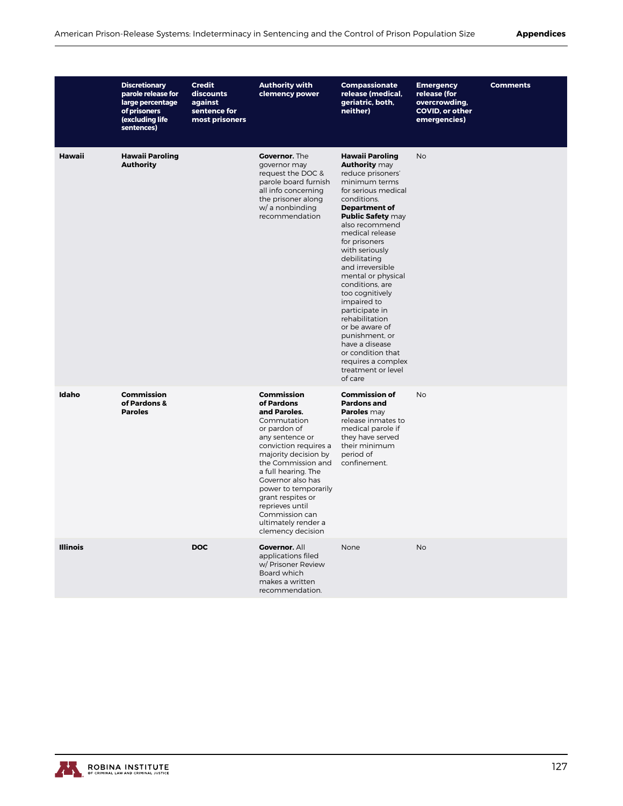|                 | <b>Discretionary</b><br>parole release for<br>large percentage<br>of prisoners<br>(excluding life<br>sentences) | <b>Credit</b><br>discounts<br>against<br>sentence for<br>most prisoners | <b>Authority with</b><br>clemency power                                                                                                                                                                                                                                                                                                            | Compassionate<br>release (medical,<br>geriatric, both,<br>neither)                                                                                                                                                                                                                                                                                                                                                                                                                                                                          | <b>Emergency</b><br>release (for<br>overcrowding,<br><b>COVID, or other</b><br>emergencies) | <b>Comments</b> |
|-----------------|-----------------------------------------------------------------------------------------------------------------|-------------------------------------------------------------------------|----------------------------------------------------------------------------------------------------------------------------------------------------------------------------------------------------------------------------------------------------------------------------------------------------------------------------------------------------|---------------------------------------------------------------------------------------------------------------------------------------------------------------------------------------------------------------------------------------------------------------------------------------------------------------------------------------------------------------------------------------------------------------------------------------------------------------------------------------------------------------------------------------------|---------------------------------------------------------------------------------------------|-----------------|
| Hawaii          | <b>Hawaii Paroling</b><br><b>Authority</b>                                                                      |                                                                         | Governor. The<br>governor may<br>request the DOC &<br>parole board furnish<br>all info concerning<br>the prisoner along<br>w/ a nonbinding<br>recommendation                                                                                                                                                                                       | <b>Hawaii Paroling</b><br><b>Authority may</b><br>reduce prisoners'<br>minimum terms<br>for serious medical<br>conditions.<br><b>Department of</b><br><b>Public Safety may</b><br>also recommend<br>medical release<br>for prisoners<br>with seriously<br>debilitating<br>and irreversible<br>mental or physical<br>conditions, are<br>too cognitively<br>impaired to<br>participate in<br>rehabilitation<br>or be aware of<br>punishment, or<br>have a disease<br>or condition that<br>requires a complex<br>treatment or level<br>of care | <b>No</b>                                                                                   |                 |
| Idaho           | <b>Commission</b><br>of Pardons &<br><b>Paroles</b>                                                             |                                                                         | <b>Commission</b><br>of Pardons<br>and Paroles.<br>Commutation<br>or pardon of<br>any sentence or<br>conviction requires a<br>majority decision by<br>the Commission and<br>a full hearing. The<br>Governor also has<br>power to temporarily<br>grant respites or<br>reprieves until<br>Commission can<br>ultimately render a<br>clemency decision | <b>Commission of</b><br><b>Pardons and</b><br>Paroles may<br>release inmates to<br>medical parole if<br>they have served<br>their minimum<br>period of<br>confinement.                                                                                                                                                                                                                                                                                                                                                                      | <b>No</b>                                                                                   |                 |
| <b>Illinois</b> |                                                                                                                 | <b>DOC</b>                                                              | Governor. All<br>applications filed<br>w/ Prisoner Review<br>Board which<br>makes a written<br>recommendation.                                                                                                                                                                                                                                     | None                                                                                                                                                                                                                                                                                                                                                                                                                                                                                                                                        | <b>No</b>                                                                                   |                 |

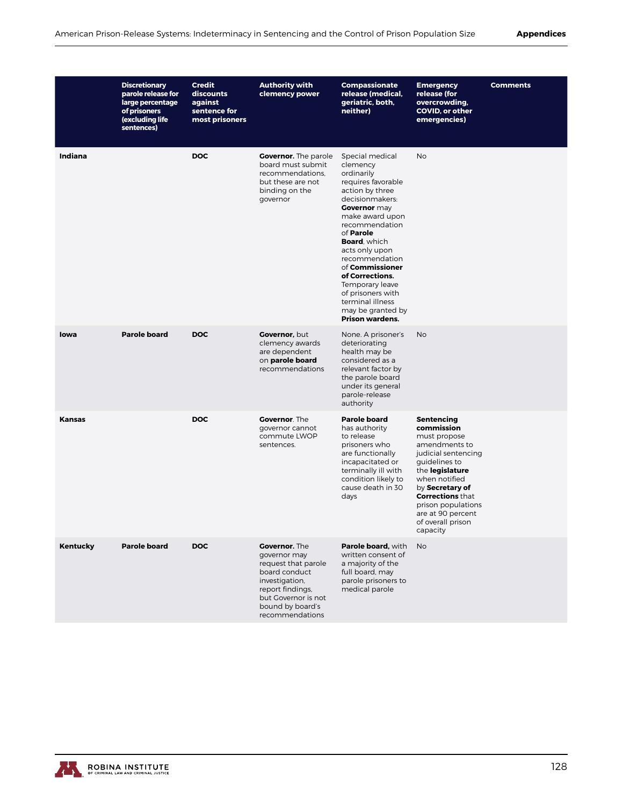|               | <b>Discretionary</b><br>parole release for<br>large percentage<br>of prisoners<br>(excluding life<br>sentences) | <b>Credit</b><br>discounts<br>against<br>sentence for<br>most prisoners | <b>Authority with</b><br>clemency power                                                                                                                                          | Compassionate<br>release (medical,<br>geriatric, both,<br>neither)                                                                                                                                                                                                                                                                                                                                 | <b>Emergency</b><br>release (for<br>overcrowding,<br>COVID, or other<br>emergencies)                                                                                                                                                                                   | <b>Comments</b> |
|---------------|-----------------------------------------------------------------------------------------------------------------|-------------------------------------------------------------------------|----------------------------------------------------------------------------------------------------------------------------------------------------------------------------------|----------------------------------------------------------------------------------------------------------------------------------------------------------------------------------------------------------------------------------------------------------------------------------------------------------------------------------------------------------------------------------------------------|------------------------------------------------------------------------------------------------------------------------------------------------------------------------------------------------------------------------------------------------------------------------|-----------------|
| Indiana       |                                                                                                                 | <b>DOC</b>                                                              | <b>Governor.</b> The parole<br>board must submit<br>recommendations.<br>but these are not<br>binding on the<br>governor                                                          | Special medical<br>clemency<br>ordinarily<br>requires favorable<br>action by three<br>decisionmakers:<br>Governor may<br>make award upon<br>recommendation<br>of <b>Parole</b><br><b>Board</b> , which<br>acts only upon<br>recommendation<br>of <b>Commissioner</b><br>of Corrections.<br>Temporary leave<br>of prisoners with<br>terminal illness<br>may be granted by<br><b>Prison wardens.</b> | <b>No</b>                                                                                                                                                                                                                                                              |                 |
| lowa          | <b>Parole board</b>                                                                                             | <b>DOC</b>                                                              | Governor, but<br>clemency awards<br>are dependent<br>on parole board<br>recommendations                                                                                          | None. A prisoner's<br>deteriorating<br>health may be<br>considered as a<br>relevant factor by<br>the parole board<br>under its general<br>parole-release<br>authority                                                                                                                                                                                                                              | <b>No</b>                                                                                                                                                                                                                                                              |                 |
| <b>Kansas</b> |                                                                                                                 | <b>DOC</b>                                                              | <b>Governor.</b> The<br>governor cannot<br>commute LWOP<br>sentences.                                                                                                            | <b>Parole board</b><br>has authority<br>to release<br>prisoners who<br>are functionally<br>incapacitated or<br>terminally ill with<br>condition likely to<br>cause death in 30<br>days                                                                                                                                                                                                             | <b>Sentencing</b><br>commission<br>must propose<br>amendments to<br>judicial sentencing<br>guidelines to<br>the legislature<br>when notified<br>by Secretary of<br><b>Corrections that</b><br>prison populations<br>are at 90 percent<br>of overall prison<br>capacity |                 |
| Kentucky      | <b>Parole board</b>                                                                                             | <b>DOC</b>                                                              | <b>Governor.</b> The<br>governor may<br>request that parole<br>board conduct<br>investigation,<br>report findings,<br>but Governor is not<br>bound by board's<br>recommendations | Parole board, with<br>written consent of<br>a majority of the<br>full board, may<br>parole prisoners to<br>medical parole                                                                                                                                                                                                                                                                          | <b>No</b>                                                                                                                                                                                                                                                              |                 |

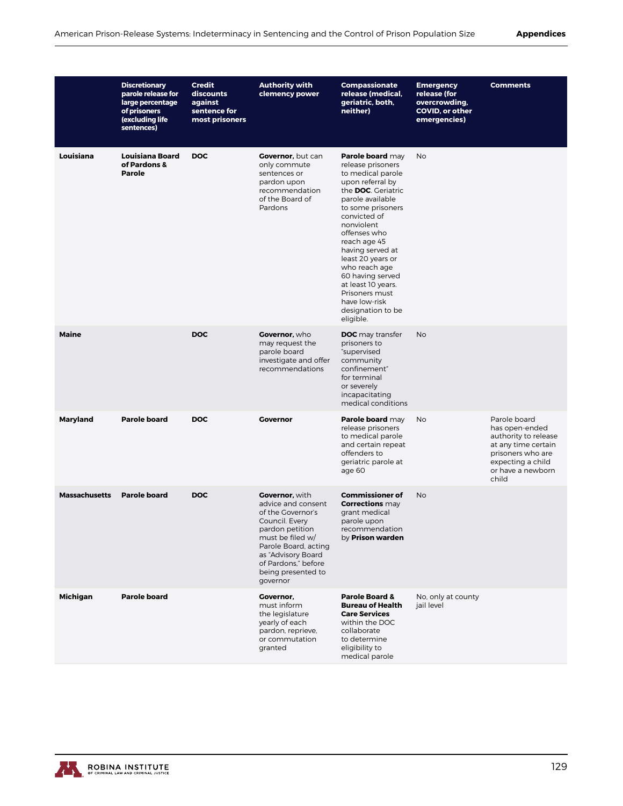|                      | <b>Discretionary</b><br>parole release for<br>large percentage<br>of prisoners<br>(excluding life<br>sentences) | <b>Credit</b><br>discounts<br>against<br>sentence for<br>most prisoners | <b>Authority with</b><br>clemency power                                                                                                                                                                                   | Compassionate<br>release (medical,<br>geriatric, both,<br>neither)                                                                                                                                                                                                                                                                                                                           | <b>Emergency</b><br>release (for<br>overcrowding,<br><b>COVID, or other</b><br>emergencies) | <b>Comments</b>                                                                                                                                       |
|----------------------|-----------------------------------------------------------------------------------------------------------------|-------------------------------------------------------------------------|---------------------------------------------------------------------------------------------------------------------------------------------------------------------------------------------------------------------------|----------------------------------------------------------------------------------------------------------------------------------------------------------------------------------------------------------------------------------------------------------------------------------------------------------------------------------------------------------------------------------------------|---------------------------------------------------------------------------------------------|-------------------------------------------------------------------------------------------------------------------------------------------------------|
| Louisiana            | <b>Louisiana Board</b><br>of Pardons &<br><b>Parole</b>                                                         | <b>DOC</b>                                                              | Governor, but can<br>only commute<br>sentences or<br>pardon upon<br>recommendation<br>of the Board of<br>Pardons                                                                                                          | Parole board may<br>release prisoners<br>to medical parole<br>upon referral by<br>the <b>DOC</b> . Geriatric<br>parole available<br>to some prisoners<br>convicted of<br>nonviolent<br>offenses who<br>reach age 45<br>having served at<br>least 20 years or<br>who reach age<br>60 having served<br>at least 10 years.<br>Prisoners must<br>have low-risk<br>designation to be<br>eligible. | No                                                                                          |                                                                                                                                                       |
| <b>Maine</b>         |                                                                                                                 | <b>DOC</b>                                                              | Governor, who<br>may request the<br>parole board<br>investigate and offer<br>recommendations                                                                                                                              | <b>DOC</b> may transfer<br>prisoners to<br>"supervised<br>community<br>confinement"<br>for terminal<br>or severely<br>incapacitating<br>medical conditions                                                                                                                                                                                                                                   | No                                                                                          |                                                                                                                                                       |
| Maryland             | <b>Parole board</b>                                                                                             | <b>DOC</b>                                                              | <b>Governor</b>                                                                                                                                                                                                           | Parole board may<br>release prisoners<br>to medical parole<br>and certain repeat<br>offenders to<br>geriatric parole at<br>age 60                                                                                                                                                                                                                                                            | No                                                                                          | Parole board<br>has open-ended<br>authority to release<br>at any time certain<br>prisoners who are<br>expecting a child<br>or have a newborn<br>child |
| <b>Massachusetts</b> | <b>Parole board</b>                                                                                             | <b>DOC</b>                                                              | Governor, with<br>advice and consent<br>of the Governor's<br>Council. Every<br>pardon petition<br>must be filed w/<br>Parole Board, acting<br>as "Advisory Board<br>of Pardons," before<br>being presented to<br>governor | <b>Commissioner of</b><br><b>Corrections</b> may<br>grant medical<br>parole upon<br>recommendation<br>by Prison warden                                                                                                                                                                                                                                                                       | <b>No</b>                                                                                   |                                                                                                                                                       |
| Michigan             | <b>Parole board</b>                                                                                             |                                                                         | Governor,<br>must inform<br>the legislature<br>yearly of each<br>pardon, reprieve,<br>or commutation<br>granted                                                                                                           | Parole Board &<br><b>Bureau of Health</b><br><b>Care Services</b><br>within the DOC<br>collaborate<br>to determine<br>eligibility to<br>medical parole                                                                                                                                                                                                                                       | No, only at county<br>jail level                                                            |                                                                                                                                                       |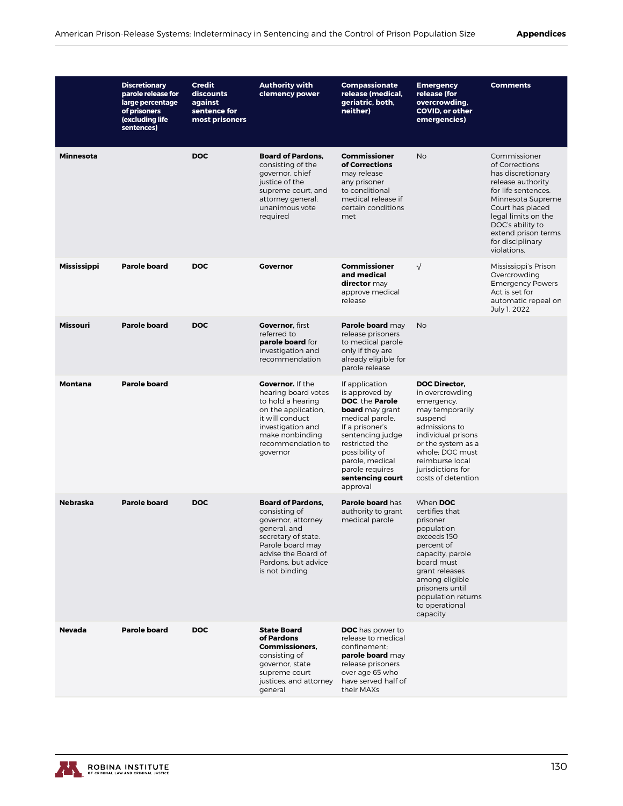|                  | <b>Discretionary</b><br>parole release for<br>large percentage<br>of prisoners<br>(excluding life<br>sentences) | <b>Credit</b><br>discounts<br>against<br>sentence for<br>most prisoners | <b>Authority with</b><br>clemency power                                                                                                                                                    | <b>Compassionate</b><br>release (medical,<br>geriatric, both,<br>neither)                                                                                                                                                                         | <b>Emergency</b><br>release (for<br>overcrowding,<br>COVID, or other<br>emergencies)                                                                                                                                              | <b>Comments</b>                                                                                                                                                                                                                               |
|------------------|-----------------------------------------------------------------------------------------------------------------|-------------------------------------------------------------------------|--------------------------------------------------------------------------------------------------------------------------------------------------------------------------------------------|---------------------------------------------------------------------------------------------------------------------------------------------------------------------------------------------------------------------------------------------------|-----------------------------------------------------------------------------------------------------------------------------------------------------------------------------------------------------------------------------------|-----------------------------------------------------------------------------------------------------------------------------------------------------------------------------------------------------------------------------------------------|
| <b>Minnesota</b> |                                                                                                                 | <b>DOC</b>                                                              | <b>Board of Pardons,</b><br>consisting of the<br>governor, chief<br>justice of the<br>supreme court, and<br>attorney general;<br>unanimous vote<br>required                                | <b>Commissioner</b><br>of Corrections<br>may release<br>any prisoner<br>to conditional<br>medical release if<br>certain conditions<br>met                                                                                                         | <b>No</b>                                                                                                                                                                                                                         | Commissioner<br>of Corrections<br>has discretionary<br>release authority<br>for life sentences.<br>Minnesota Supreme<br>Court has placed<br>legal limits on the<br>DOC's ability to<br>extend prison terms<br>for disciplinary<br>violations. |
| Mississippi      | <b>Parole board</b>                                                                                             | <b>DOC</b>                                                              | <b>Governor</b>                                                                                                                                                                            | <b>Commissioner</b><br>and medical<br>director may<br>approve medical<br>release                                                                                                                                                                  | $\sqrt{ }$                                                                                                                                                                                                                        | Mississippi's Prison<br>Overcrowding<br><b>Emergency Powers</b><br>Act is set for<br>automatic repeal on<br>July 1, 2022                                                                                                                      |
| Missouri         | <b>Parole board</b>                                                                                             | <b>DOC</b>                                                              | <b>Governor.</b> first<br>referred to<br>parole board for<br>investigation and<br>recommendation                                                                                           | Parole board may<br>release prisoners<br>to medical parole<br>only if they are<br>already eligible for<br>parole release                                                                                                                          | <b>No</b>                                                                                                                                                                                                                         |                                                                                                                                                                                                                                               |
| Montana          | <b>Parole board</b>                                                                                             |                                                                         | <b>Governor.</b> If the<br>hearing board votes<br>to hold a hearing<br>on the application,<br>it will conduct<br>investigation and<br>make nonbinding<br>recommendation to<br>governor     | If application<br>is approved by<br>DOC, the Parole<br><b>board</b> may grant<br>medical parole.<br>If a prisoner's<br>sentencing judge<br>restricted the<br>possibility of<br>parole, medical<br>parole requires<br>sentencing court<br>approval | <b>DOC Director,</b><br>in overcrowding<br>emergency,<br>may temporarily<br>suspend<br>admissions to<br>individual prisons<br>or the system as a<br>whole; DOC must<br>reimburse local<br>jurisdictions for<br>costs of detention |                                                                                                                                                                                                                                               |
| <b>Nebraska</b>  | <b>Parole board</b>                                                                                             | <b>DOC</b>                                                              | <b>Board of Pardons.</b><br>consisting of<br>governor, attorney<br>general, and<br>secretary of state.<br>Parole board may<br>advise the Board of<br>Pardons, but advice<br>is not binding | Parole board has<br>authority to grant<br>medical parole                                                                                                                                                                                          | When DOC<br>certifies that<br>prisoner<br>population<br>exceeds 150<br>percent of<br>capacity, parole<br>board must<br>grant releases<br>among eligible<br>prisoners until<br>population returns<br>to operational<br>capacity    |                                                                                                                                                                                                                                               |
| <b>Nevada</b>    | <b>Parole board</b>                                                                                             | <b>DOC</b>                                                              | <b>State Board</b><br>of Pardons<br><b>Commissioners.</b><br>consisting of<br>governor, state<br>supreme court<br>justices, and attorney<br>general                                        | <b>DOC</b> has power to<br>release to medical<br>confinement:<br>parole board may<br>release prisoners<br>over age 65 who<br>have served half of<br>their MAXs                                                                                    |                                                                                                                                                                                                                                   |                                                                                                                                                                                                                                               |

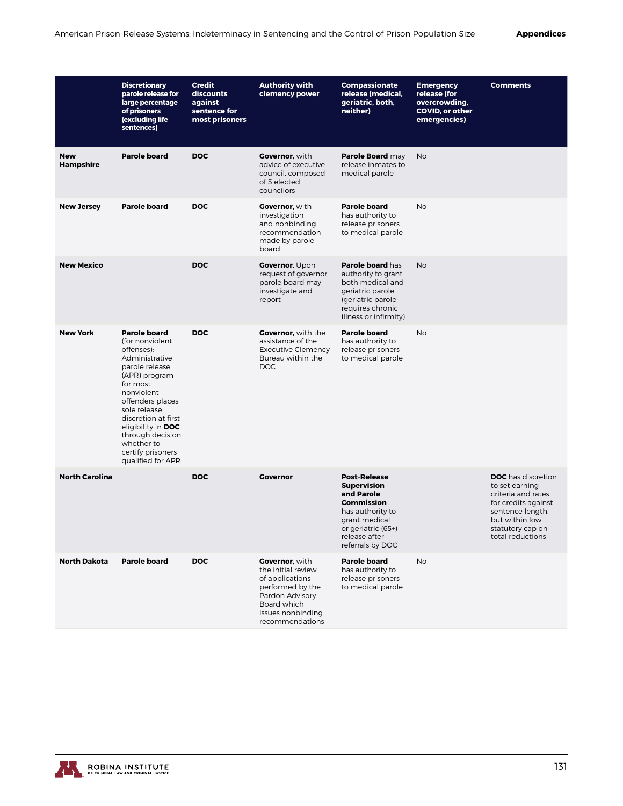|                                | <b>Discretionary</b><br>parole release for<br>large percentage<br>of prisoners<br>(excluding life<br>sentences)                                                                                                                                                                                  | <b>Credit</b><br>discounts<br>against<br>sentence for<br>most prisoners | <b>Authority with</b><br>clemency power                                                                                                                      | <b>Compassionate</b><br>release (medical,<br>geriatric, both,<br>neither)                                                                                                    | <b>Emergency</b><br>release (for<br>overcrowding,<br><b>COVID, or other</b><br>emergencies) | <b>Comments</b>                                                                                                                                                        |
|--------------------------------|--------------------------------------------------------------------------------------------------------------------------------------------------------------------------------------------------------------------------------------------------------------------------------------------------|-------------------------------------------------------------------------|--------------------------------------------------------------------------------------------------------------------------------------------------------------|------------------------------------------------------------------------------------------------------------------------------------------------------------------------------|---------------------------------------------------------------------------------------------|------------------------------------------------------------------------------------------------------------------------------------------------------------------------|
| <b>New</b><br><b>Hampshire</b> | <b>Parole board</b>                                                                                                                                                                                                                                                                              | <b>DOC</b>                                                              | <b>Governor, with</b><br>advice of executive<br>council, composed<br>of 5 elected<br>councilors                                                              | Parole Board may<br>release inmates to<br>medical parole                                                                                                                     | <b>No</b>                                                                                   |                                                                                                                                                                        |
| <b>New Jersey</b>              | <b>Parole board</b>                                                                                                                                                                                                                                                                              | <b>DOC</b>                                                              | <b>Governor, with</b><br>investigation<br>and nonbinding<br>recommendation<br>made by parole<br>board                                                        | <b>Parole board</b><br>has authority to<br>release prisoners<br>to medical parole                                                                                            | <b>No</b>                                                                                   |                                                                                                                                                                        |
| <b>New Mexico</b>              |                                                                                                                                                                                                                                                                                                  | <b>DOC</b>                                                              | <b>Governor. Upon</b><br>request of governor,<br>parole board may<br>investigate and<br>report                                                               | Parole board has<br>authority to grant<br>both medical and<br>geriatric parole<br>(geriatric parole<br>requires chronic<br>illness or infirmity)                             | <b>No</b>                                                                                   |                                                                                                                                                                        |
| <b>New York</b>                | <b>Parole board</b><br>(for nonviolent<br>offenses):<br>Administrative<br>parole release<br>(APR) program<br>for most<br>nonviolent<br>offenders places<br>sole release<br>discretion at first<br>eligibility in DOC<br>through decision<br>whether to<br>certify prisoners<br>qualified for APR | <b>DOC</b>                                                              | <b>Governor, with the</b><br>assistance of the<br>Executive Clemency<br>Bureau within the<br><b>DOC</b>                                                      | <b>Parole board</b><br>has authority to<br>release prisoners<br>to medical parole                                                                                            | <b>No</b>                                                                                   |                                                                                                                                                                        |
| <b>North Carolina</b>          |                                                                                                                                                                                                                                                                                                  | <b>DOC</b>                                                              | <b>Governor</b>                                                                                                                                              | <b>Post-Release</b><br><b>Supervision</b><br>and Parole<br><b>Commission</b><br>has authority to<br>grant medical<br>or geriatric (65+)<br>release after<br>referrals by DOC |                                                                                             | <b>DOC</b> has discretion<br>to set earning<br>criteria and rates<br>for credits against<br>sentence length,<br>but within low<br>statutory cap on<br>total reductions |
| <b>North Dakota</b>            | <b>Parole board</b>                                                                                                                                                                                                                                                                              | <b>DOC</b>                                                              | <b>Governor, with</b><br>the initial review<br>of applications<br>performed by the<br>Pardon Advisory<br>Board which<br>issues nonbinding<br>recommendations | <b>Parole board</b><br>has authority to<br>release prisoners<br>to medical parole                                                                                            | No                                                                                          |                                                                                                                                                                        |

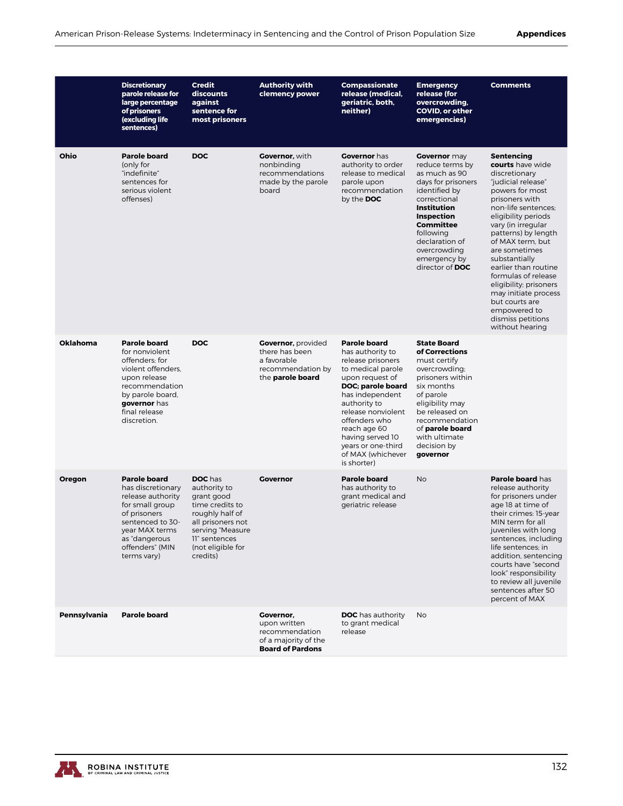|                 | <b>Discretionary</b><br>parole release for<br>large percentage<br>of prisoners<br>(excluding life<br>sentences)                                                                           | <b>Credit</b><br>discounts<br>against<br>sentence for<br>most prisoners                                                                                                       | <b>Authority with</b><br>clemency power                                                             | <b>Compassionate</b><br>release (medical,<br>geriatric, both,<br>neither)                                                                                                                                                                                                                         | <b>Emergency</b><br>release (for<br>overcrowding,<br>COVID, or other<br>emergencies)                                                                                                                                                                            | <b>Comments</b>                                                                                                                                                                                                                                                                                                                                                                                                                               |
|-----------------|-------------------------------------------------------------------------------------------------------------------------------------------------------------------------------------------|-------------------------------------------------------------------------------------------------------------------------------------------------------------------------------|-----------------------------------------------------------------------------------------------------|---------------------------------------------------------------------------------------------------------------------------------------------------------------------------------------------------------------------------------------------------------------------------------------------------|-----------------------------------------------------------------------------------------------------------------------------------------------------------------------------------------------------------------------------------------------------------------|-----------------------------------------------------------------------------------------------------------------------------------------------------------------------------------------------------------------------------------------------------------------------------------------------------------------------------------------------------------------------------------------------------------------------------------------------|
| Ohio            | <b>Parole board</b><br>(only for<br>"indefinite"<br>sentences for<br>serious violent<br>offenses)                                                                                         | <b>DOC</b>                                                                                                                                                                    | <b>Governor, with</b><br>nonbinding<br>recommendations<br>made by the parole<br>board               | <b>Governor</b> has<br>authority to order<br>release to medical<br>parole upon<br>recommendation<br>by the DOC                                                                                                                                                                                    | <b>Governor</b> may<br>reduce terms by<br>as much as 90<br>days for prisoners<br>identified by<br>correctional<br><b>Institution</b><br><b>Inspection</b><br><b>Committee</b><br>following<br>declaration of<br>overcrowding<br>emergency by<br>director of DOC | <b>Sentencing</b><br>courts have wide<br>discretionary<br>"iudicial release"<br>powers for most<br>prisoners with<br>non-life sentences:<br>eligibility periods<br>vary (in irregular<br>patterns) by length<br>of MAX term, but<br>are sometimes<br>substantially<br>earlier than routine<br>formulas of release<br>eligibility; prisoners<br>may initiate process<br>but courts are<br>empowered to<br>dismiss petitions<br>without hearing |
| <b>Oklahoma</b> | <b>Parole board</b><br>for nonviolent<br>offenders; for<br>violent offenders,<br>upon release<br>recommendation<br>by parole board,<br>governor has<br>final release<br>discretion.       | <b>DOC</b>                                                                                                                                                                    | <b>Governor, provided</b><br>there has been<br>a favorable<br>recommendation by<br>the parole board | <b>Parole board</b><br>has authority to<br>release prisoners<br>to medical parole<br>upon request of<br>DOC; parole board<br>has independent<br>authority to<br>release nonviolent<br>offenders who<br>reach age 60<br>having served 10<br>years or one-third<br>of MAX (whichever<br>is shorter) | <b>State Board</b><br>of Corrections<br>must certify<br>overcrowding;<br>prisoners within<br>six months<br>of parole<br>eligibility may<br>be released on<br>recommendation<br>of parole board<br>with ultimate<br>decision by<br>governor                      |                                                                                                                                                                                                                                                                                                                                                                                                                                               |
| Oregon          | <b>Parole board</b><br>has discretionary<br>release authority<br>for small group<br>of prisoners<br>sentenced to 30-<br>year MAX terms<br>as "dangerous<br>offenders" (MIN<br>terms vary) | <b>DOC</b> has<br>authority to<br>grant good<br>time credits to<br>roughly half of<br>all prisoners not<br>serving "Measure<br>11" sentences<br>(not eligible for<br>credits) | <b>Governor</b>                                                                                     | <b>Parole board</b><br>has authority to<br>grant medical and<br>geriatric release                                                                                                                                                                                                                 | <b>No</b>                                                                                                                                                                                                                                                       | Parole board has<br>release authority<br>for prisoners under<br>age 18 at time of<br>their crimes: 15-year<br>MIN term for all<br>juveniles with long<br>sentences, including<br>life sentences: in<br>addition, sentencing<br>courts have "second<br>look" responsibility<br>to review all juvenile<br>sentences after 50<br>percent of MAX                                                                                                  |
| Pennsylvania    | <b>Parole board</b>                                                                                                                                                                       |                                                                                                                                                                               | Governor,<br>upon written<br>recommendation<br>of a majority of the<br><b>Board of Pardons</b>      | <b>DOC</b> has authority<br>to grant medical<br>release                                                                                                                                                                                                                                           | No                                                                                                                                                                                                                                                              |                                                                                                                                                                                                                                                                                                                                                                                                                                               |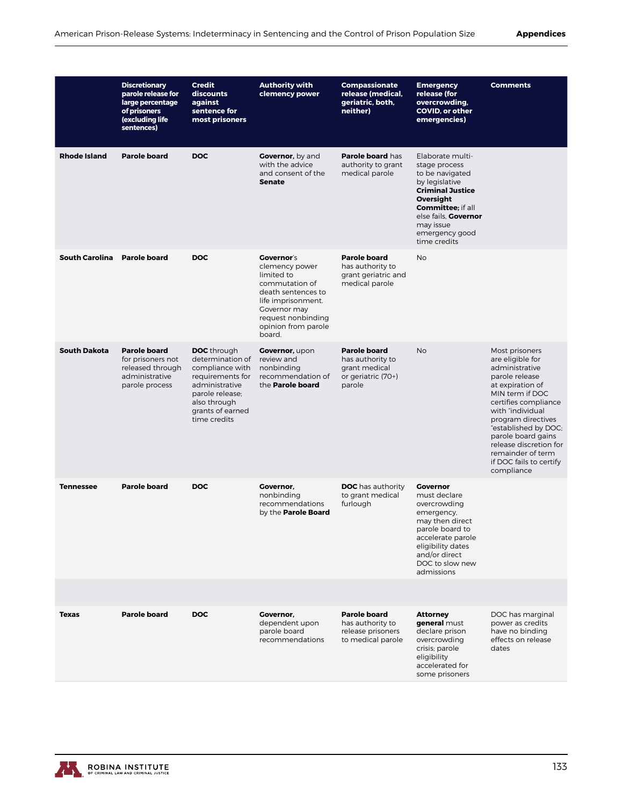|                       | <b>Discretionary</b><br>parole release for<br>large percentage<br>of prisoners<br>(excluding life<br>sentences) | <b>Credit</b><br>discounts<br>against<br>sentence for<br>most prisoners                                                                                                | <b>Authority with</b><br>clemency power                                                                                                                                                | <b>Compassionate</b><br>release (medical,<br>geriatric, both,<br>neither)                | <b>Emergency</b><br>release (for<br>overcrowding,<br>COVID, or other<br>emergencies)                                                                                                                               | <b>Comments</b>                                                                                                                                                                                                                                                                                                       |
|-----------------------|-----------------------------------------------------------------------------------------------------------------|------------------------------------------------------------------------------------------------------------------------------------------------------------------------|----------------------------------------------------------------------------------------------------------------------------------------------------------------------------------------|------------------------------------------------------------------------------------------|--------------------------------------------------------------------------------------------------------------------------------------------------------------------------------------------------------------------|-----------------------------------------------------------------------------------------------------------------------------------------------------------------------------------------------------------------------------------------------------------------------------------------------------------------------|
| <b>Rhode Island</b>   | <b>Parole board</b>                                                                                             | <b>DOC</b>                                                                                                                                                             | <b>Governor, by and</b><br>with the advice<br>and consent of the<br><b>Senate</b>                                                                                                      | <b>Parole board has</b><br>authority to grant<br>medical parole                          | Elaborate multi-<br>stage process<br>to be navigated<br>by legislative<br><b>Criminal Justice</b><br>Oversight<br><b>Committee</b> ; if all<br>else fails. Governor<br>may issue<br>emergency good<br>time credits |                                                                                                                                                                                                                                                                                                                       |
| <b>South Carolina</b> | <b>Parole board</b>                                                                                             | <b>DOC</b>                                                                                                                                                             | <b>Governor's</b><br>clemency power<br>limited to<br>commutation of<br>death sentences to<br>life imprisonment.<br>Governor may<br>request nonbinding<br>opinion from parole<br>board. | <b>Parole board</b><br>has authority to<br>grant geriatric and<br>medical parole         | <b>No</b>                                                                                                                                                                                                          |                                                                                                                                                                                                                                                                                                                       |
| <b>South Dakota</b>   | <b>Parole board</b><br>for prisoners not<br>released through<br>administrative<br>parole process                | <b>DOC</b> through<br>determination of<br>compliance with<br>requirements for<br>administrative<br>parole release;<br>also through<br>grants of earned<br>time credits | Governor, upon<br>review and<br>nonbinding<br>recommendation of<br>the <b>Parole board</b>                                                                                             | <b>Parole board</b><br>has authority to<br>grant medical<br>or geriatric (70+)<br>parole | <b>No</b>                                                                                                                                                                                                          | Most prisoners<br>are eligible for<br>administrative<br>parole release<br>at expiration of<br>MIN term if DOC<br>certifies compliance<br>with "individual<br>program directives<br>"established by DOC;<br>parole board gains<br>release discretion for<br>remainder of term<br>if DOC fails to certify<br>compliance |
| <b>Tennessee</b>      | <b>Parole board</b>                                                                                             | <b>DOC</b>                                                                                                                                                             | Governor,<br>nonbinding<br>recommendations<br>by the <b>Parole Board</b>                                                                                                               | <b>DOC</b> has authority<br>to grant medical<br>furlough                                 | <b>Governor</b><br>must declare<br>overcrowding<br>emergency,<br>may then direct<br>parole board to<br>accelerate parole<br>eligibility dates<br>and/or direct<br>DOC to slow new<br>admissions                    |                                                                                                                                                                                                                                                                                                                       |
|                       |                                                                                                                 |                                                                                                                                                                        |                                                                                                                                                                                        |                                                                                          |                                                                                                                                                                                                                    |                                                                                                                                                                                                                                                                                                                       |
| <b>Texas</b>          | <b>Parole board</b>                                                                                             | <b>DOC</b>                                                                                                                                                             | Governor,<br>dependent upon<br>parole board<br>recommendations                                                                                                                         | <b>Parole board</b><br>has authority to<br>release prisoners<br>to medical parole        | <b>Attorney</b><br>general must<br>declare prison<br>overcrowding<br>crisis; parole<br>eligibility<br>accelerated for<br>some prisoners                                                                            | DOC has marginal<br>power as credits<br>have no binding<br>effects on release<br>dates                                                                                                                                                                                                                                |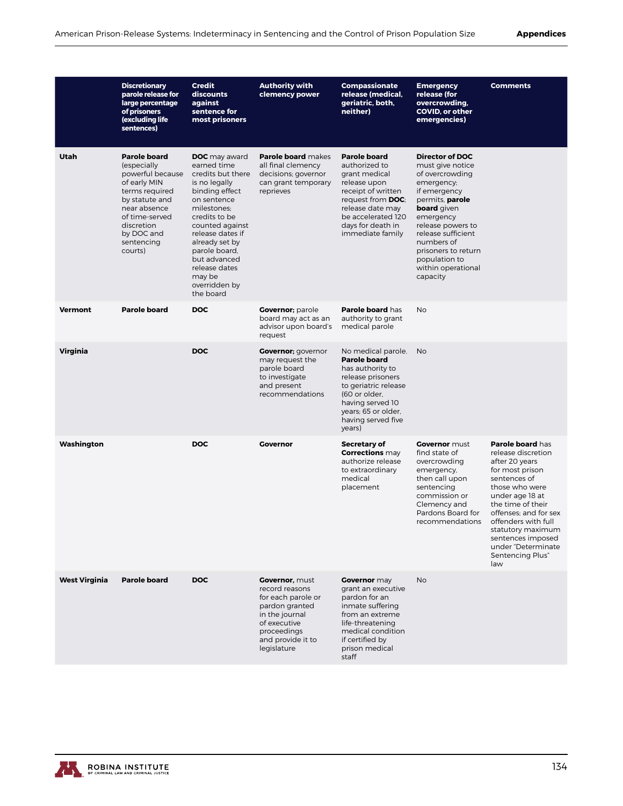|                      | <b>Discretionary</b><br>parole release for<br>large percentage<br>of prisoners<br>(excluding life<br>sentences)                                                                                   | <b>Credit</b><br>discounts<br>against<br>sentence for<br>most prisoners                                                                                                                                                                                                                       | <b>Authority with</b><br>clemency power                                                                                                                              | <b>Compassionate</b><br>release (medical,<br>geriatric, both,<br>neither)                                                                                                                                   | <b>Emergency</b><br>release (for<br>overcrowding,<br><b>COVID, or other</b><br>emergencies)                                                                                                                                                                                                 | <b>Comments</b>                                                                                                                                                                                                                                                                                  |
|----------------------|---------------------------------------------------------------------------------------------------------------------------------------------------------------------------------------------------|-----------------------------------------------------------------------------------------------------------------------------------------------------------------------------------------------------------------------------------------------------------------------------------------------|----------------------------------------------------------------------------------------------------------------------------------------------------------------------|-------------------------------------------------------------------------------------------------------------------------------------------------------------------------------------------------------------|---------------------------------------------------------------------------------------------------------------------------------------------------------------------------------------------------------------------------------------------------------------------------------------------|--------------------------------------------------------------------------------------------------------------------------------------------------------------------------------------------------------------------------------------------------------------------------------------------------|
| Utah                 | <b>Parole board</b><br>(especially<br>powerful because<br>of early MIN<br>terms required<br>by statute and<br>near absence<br>of time-served<br>discretion<br>by DOC and<br>sentencing<br>courts) | <b>DOC</b> may award<br>earned time<br>credits but there<br>is no legally<br>binding effect<br>on sentence<br>milestones:<br>credits to be<br>counted against<br>release dates if<br>already set by<br>parole board,<br>but advanced<br>release dates<br>may be<br>overridden by<br>the board | <b>Parole board makes</b><br>all final clemency<br>decisions; governor<br>can grant temporary<br>reprieves                                                           | <b>Parole board</b><br>authorized to<br>grant medical<br>release upon<br>receipt of written<br>request from <b>DOC</b> ;<br>release date may<br>be accelerated 120<br>days for death in<br>immediate family | <b>Director of DOC</b><br>must give notice<br>of overcrowding<br>emergency;<br>if emergency<br>permits, <b>parole</b><br><b>board</b> given<br>emergency<br>release powers to<br>release sufficient<br>numbers of<br>prisoners to return<br>population to<br>within operational<br>capacity |                                                                                                                                                                                                                                                                                                  |
| <b>Vermont</b>       | <b>Parole board</b>                                                                                                                                                                               | <b>DOC</b>                                                                                                                                                                                                                                                                                    | <b>Governor</b> ; parole<br>board may act as an<br>advisor upon board's<br>request                                                                                   | Parole board has<br>authority to grant<br>medical parole                                                                                                                                                    | <b>No</b>                                                                                                                                                                                                                                                                                   |                                                                                                                                                                                                                                                                                                  |
| Virginia             |                                                                                                                                                                                                   | <b>DOC</b>                                                                                                                                                                                                                                                                                    | <b>Governor</b> ; governor<br>may request the<br>parole board<br>to investigate<br>and present<br>recommendations                                                    | No medical parole.<br><b>Parole board</b><br>has authority to<br>release prisoners<br>to geriatric release<br>(60 or older,<br>having served 10<br>years; 65 or older,<br>having served five<br>years)      | <b>No</b>                                                                                                                                                                                                                                                                                   |                                                                                                                                                                                                                                                                                                  |
| Washington           |                                                                                                                                                                                                   | <b>DOC</b>                                                                                                                                                                                                                                                                                    | <b>Governor</b>                                                                                                                                                      | <b>Secretary of</b><br><b>Corrections</b> may<br>authorize release<br>to extraordinary<br>medical<br>placement                                                                                              | <b>Governor</b> must<br>find state of<br>overcrowding<br>emergency,<br>then call upon<br>sentencing<br>commission or<br>Clemency and<br>Pardons Board for<br>recommendations                                                                                                                | Parole board has<br>release discretion<br>after 20 years<br>for most prison<br>sentences of<br>those who were<br>under age 18 at<br>the time of their<br>offenses; and for sex<br>offenders with full<br>statutory maximum<br>sentences imposed<br>under "Determinate<br>Sentencing Plus"<br>law |
| <b>West Virginia</b> | <b>Parole board</b>                                                                                                                                                                               | <b>DOC</b>                                                                                                                                                                                                                                                                                    | <b>Governor.</b> must<br>record reasons<br>for each parole or<br>pardon granted<br>in the journal<br>of executive<br>proceedings<br>and provide it to<br>legislature | <b>Governor</b> may<br>grant an executive<br>pardon for an<br>inmate suffering<br>from an extreme<br>life-threatening<br>medical condition<br>if certified by<br>prison medical<br>staff                    | <b>No</b>                                                                                                                                                                                                                                                                                   |                                                                                                                                                                                                                                                                                                  |

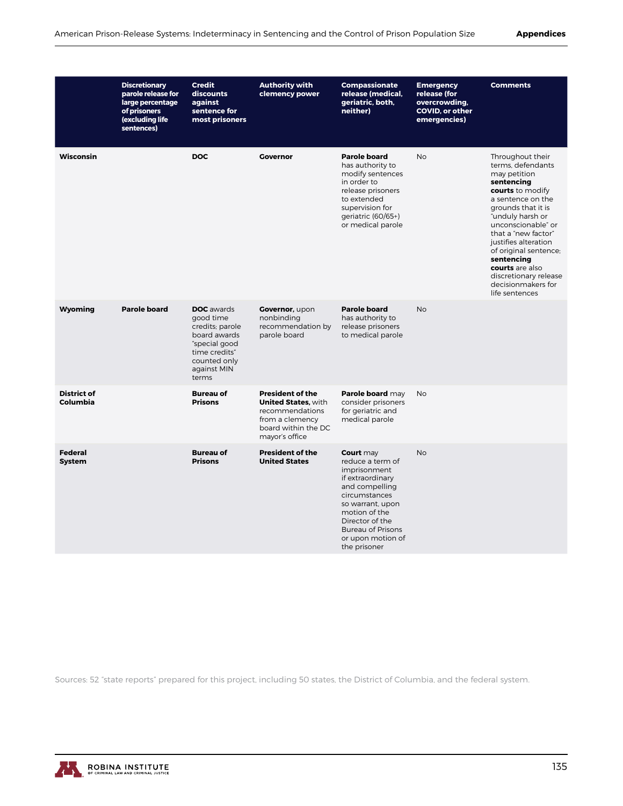|                                 | <b>Discretionary</b><br>parole release for<br>large percentage<br>of prisoners<br>(excluding life<br>sentences) | <b>Credit</b><br>discounts<br>against<br>sentence for<br>most prisoners                                                                     | <b>Authority with</b><br>clemency power                                                                                              | <b>Compassionate</b><br>release (medical,<br>geriatric, both,<br>neither)                                                                                                                                                     | <b>Emergency</b><br>release (for<br>overcrowding,<br><b>COVID, or other</b><br>emergencies) | <b>Comments</b>                                                                                                                                                                                                                                                                                                                                        |
|---------------------------------|-----------------------------------------------------------------------------------------------------------------|---------------------------------------------------------------------------------------------------------------------------------------------|--------------------------------------------------------------------------------------------------------------------------------------|-------------------------------------------------------------------------------------------------------------------------------------------------------------------------------------------------------------------------------|---------------------------------------------------------------------------------------------|--------------------------------------------------------------------------------------------------------------------------------------------------------------------------------------------------------------------------------------------------------------------------------------------------------------------------------------------------------|
| Wisconsin                       |                                                                                                                 | <b>DOC</b>                                                                                                                                  | <b>Governor</b>                                                                                                                      | <b>Parole board</b><br>has authority to<br>modify sentences<br>in order to<br>release prisoners<br>to extended<br>supervision for<br>geriatric (60/65+)<br>or medical parole                                                  | <b>No</b>                                                                                   | Throughout their<br>terms, defendants<br>may petition<br>sentencing<br>courts to modify<br>a sentence on the<br>grounds that it is<br>"unduly harsh or<br>unconscionable" or<br>that a "new factor"<br>justifies alteration<br>of original sentence;<br>sentencing<br>courts are also<br>discretionary release<br>decisionmakers for<br>life sentences |
| Wyoming                         | <b>Parole board</b>                                                                                             | <b>DOC</b> awards<br>good time<br>credits; parole<br>board awards<br>"special good<br>time credits"<br>counted only<br>against MIN<br>terms | Governor, upon<br>nonbinding<br>recommendation by<br>parole board                                                                    | <b>Parole board</b><br>has authority to<br>release prisoners<br>to medical parole                                                                                                                                             | <b>No</b>                                                                                   |                                                                                                                                                                                                                                                                                                                                                        |
| <b>District of</b><br>Columbia  |                                                                                                                 | <b>Bureau of</b><br><b>Prisons</b>                                                                                                          | <b>President of the</b><br><b>United States. with</b><br>recommendations<br>from a clemency<br>board within the DC<br>mayor's office | Parole board may<br>consider prisoners<br>for geriatric and<br>medical parole                                                                                                                                                 | <b>No</b>                                                                                   |                                                                                                                                                                                                                                                                                                                                                        |
| <b>Federal</b><br><b>System</b> |                                                                                                                 | <b>Bureau of</b><br><b>Prisons</b>                                                                                                          | <b>President of the</b><br><b>United States</b>                                                                                      | Court may<br>reduce a term of<br>imprisonment<br>if extraordinary<br>and compelling<br>circumstances<br>so warrant, upon<br>motion of the<br>Director of the<br><b>Bureau of Prisons</b><br>or upon motion of<br>the prisoner | <b>No</b>                                                                                   |                                                                                                                                                                                                                                                                                                                                                        |

Sources: 52 "state reports" prepared for this project, including 50 states, the District of Columbia, and the federal system.

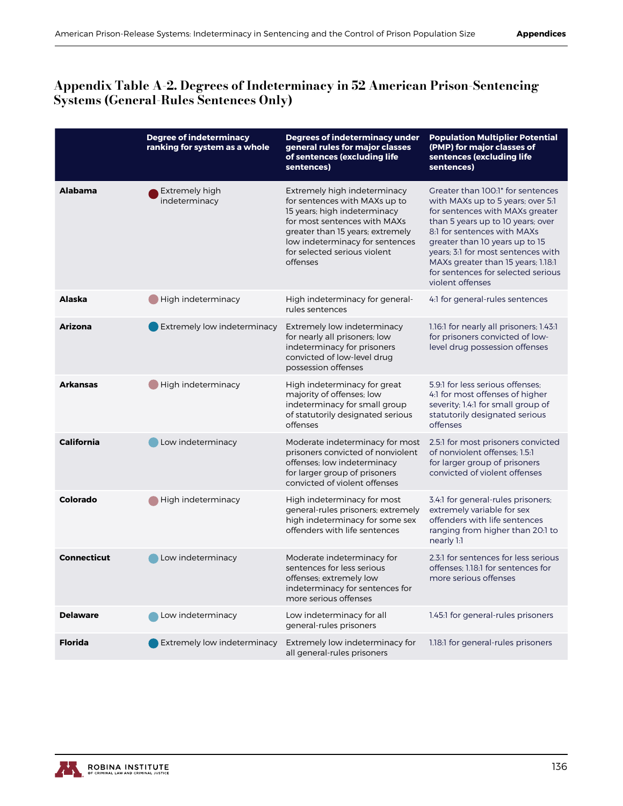#### Appendix Table A-2. Degrees of Indeterminacy in 52 American Prison-Sentencing Systems (General-Rules Sentences Only)

|                    | <b>Degree of indeterminacy</b><br>ranking for system as a whole | <b>Degrees of indeterminacy under</b><br>general rules for major classes<br>of sentences (excluding life<br>sentences)                                                                                                                           | <b>Population Multiplier Potential</b><br>(PMP) for major classes of<br>sentences (excluding life<br>sentences)                                                                                                                                                                                                                                       |
|--------------------|-----------------------------------------------------------------|--------------------------------------------------------------------------------------------------------------------------------------------------------------------------------------------------------------------------------------------------|-------------------------------------------------------------------------------------------------------------------------------------------------------------------------------------------------------------------------------------------------------------------------------------------------------------------------------------------------------|
| <b>Alabama</b>     | Extremely high<br>indeterminacy                                 | Extremely high indeterminacy<br>for sentences with MAXs up to<br>15 years; high indeterminacy<br>for most sentences with MAXs<br>greater than 15 years; extremely<br>low indeterminacy for sentences<br>for selected serious violent<br>offenses | Greater than 100:1* for sentences<br>with MAXs up to 5 years; over 5:1<br>for sentences with MAXs greater<br>than 5 years up to 10 years; over<br>8:1 for sentences with MAXs<br>greater than 10 years up to 15<br>years; 3:1 for most sentences with<br>MAXs greater than 15 years; 1.18:1<br>for sentences for selected serious<br>violent offenses |
| <b>Alaska</b>      | High indeterminacy                                              | High indeterminacy for general-<br>rules sentences                                                                                                                                                                                               | 4:1 for general-rules sentences                                                                                                                                                                                                                                                                                                                       |
| <b>Arizona</b>     | Extremely low indeterminacy                                     | Extremely low indeterminacy<br>for nearly all prisoners; low<br>indeterminacy for prisoners<br>convicted of low-level drug<br>possession offenses                                                                                                | 1.16:1 for nearly all prisoners; 1.43:1<br>for prisoners convicted of low-<br>level drug possession offenses                                                                                                                                                                                                                                          |
| <b>Arkansas</b>    | <b>High indeterminacy</b>                                       | High indeterminacy for great<br>majority of offenses; low<br>indeterminacy for small group<br>of statutorily designated serious<br>offenses                                                                                                      | 5.9:1 for less serious offenses:<br>4:1 for most offenses of higher<br>severity; 1.4:1 for small group of<br>statutorily designated serious<br>offenses                                                                                                                                                                                               |
| <b>California</b>  | Low indeterminacy                                               | Moderate indeterminacy for most<br>prisoners convicted of nonviolent<br>offenses; low indeterminacy<br>for larger group of prisoners<br>convicted of violent offenses                                                                            | 2.5:1 for most prisoners convicted<br>of nonviolent offenses; 1.5:1<br>for larger group of prisoners<br>convicted of violent offenses                                                                                                                                                                                                                 |
| <b>Colorado</b>    | High indeterminacy                                              | High indeterminacy for most<br>general-rules prisoners; extremely<br>high indeterminacy for some sex<br>offenders with life sentences                                                                                                            | 3.4:1 for general-rules prisoners;<br>extremely variable for sex<br>offenders with life sentences<br>ranging from higher than 20:1 to<br>nearly 1:1                                                                                                                                                                                                   |
| <b>Connecticut</b> | Low indeterminacy                                               | Moderate indeterminacy for<br>sentences for less serious<br>offenses; extremely low<br>indeterminacy for sentences for<br>more serious offenses                                                                                                  | 2.3:1 for sentences for less serious<br>offenses: 1.18:1 for sentences for<br>more serious offenses                                                                                                                                                                                                                                                   |
| <b>Delaware</b>    | Low indeterminacy                                               | Low indeterminacy for all<br>general-rules prisoners                                                                                                                                                                                             | 1.45:1 for general-rules prisoners                                                                                                                                                                                                                                                                                                                    |
| <b>Florida</b>     | Extremely low indeterminacy                                     | Extremely low indeterminacy for<br>all general-rules prisoners                                                                                                                                                                                   | 1.18.1 for general-rules prisoners                                                                                                                                                                                                                                                                                                                    |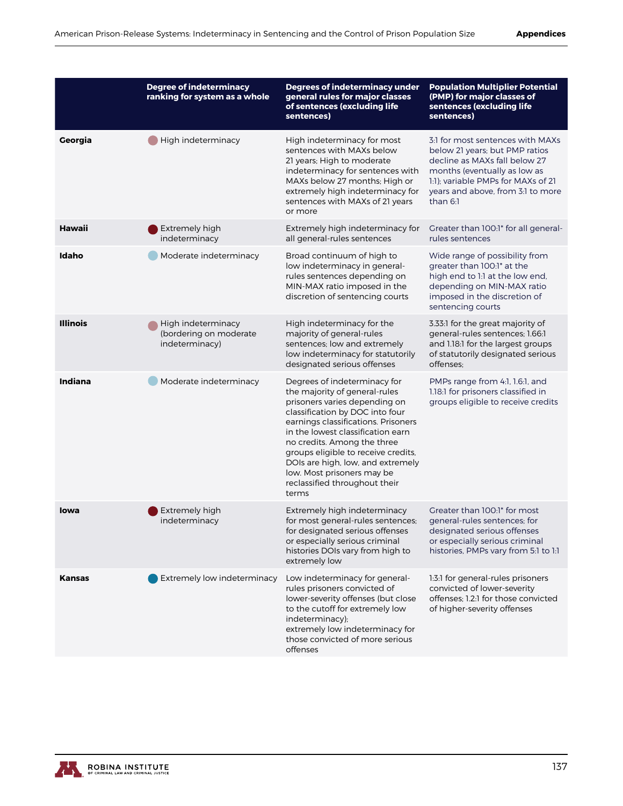|                 | <b>Degree of indeterminacy</b><br>ranking for system as a whole | <b>Degrees of indeterminacy under</b><br>general rules for major classes                                                                                                                                                                                                                                                                                                                         | <b>Population Multiplier Potential</b><br>(PMP) for major classes of                                                                                                                                                         |
|-----------------|-----------------------------------------------------------------|--------------------------------------------------------------------------------------------------------------------------------------------------------------------------------------------------------------------------------------------------------------------------------------------------------------------------------------------------------------------------------------------------|------------------------------------------------------------------------------------------------------------------------------------------------------------------------------------------------------------------------------|
|                 |                                                                 | of sentences (excluding life<br>sentences)                                                                                                                                                                                                                                                                                                                                                       | sentences (excluding life<br>sentences)                                                                                                                                                                                      |
| Georgia         | High indeterminacy                                              | High indeterminacy for most<br>sentences with MAXs below<br>21 years; High to moderate<br>indeterminacy for sentences with<br>MAXs below 27 months; High or<br>extremely high indeterminacy for<br>sentences with MAXs of 21 years<br>or more                                                                                                                                                    | 3:1 for most sentences with MAXs<br>below 21 years; but PMP ratios<br>decline as MAXs fall below 27<br>months (eventually as low as<br>1:1); variable PMPs for MAXs of 21<br>years and above, from 3:1 to more<br>than $6:1$ |
| <b>Hawaii</b>   | Extremely high<br>indeterminacy                                 | Extremely high indeterminacy for<br>all general-rules sentences                                                                                                                                                                                                                                                                                                                                  | Greater than 100:1* for all general-<br>rules sentences                                                                                                                                                                      |
| Idaho           | Moderate indeterminacy                                          | Broad continuum of high to<br>low indeterminacy in general-<br>rules sentences depending on<br>MIN-MAX ratio imposed in the<br>discretion of sentencing courts                                                                                                                                                                                                                                   | Wide range of possibility from<br>greater than 100:1* at the<br>high end to 1:1 at the low end,<br>depending on MIN-MAX ratio<br>imposed in the discretion of<br>sentencing courts                                           |
| <b>Illinois</b> | High indeterminacy<br>(bordering on moderate<br>indeterminacy)  | High indeterminacy for the<br>majority of general-rules<br>sentences; low and extremely<br>low indeterminacy for statutorily<br>designated serious offenses                                                                                                                                                                                                                                      | 3.33:1 for the great majority of<br>general-rules sentences; 1.66:1<br>and 1.18:1 for the largest groups<br>of statutorily designated serious<br>offenses:                                                                   |
| Indiana         | Moderate indeterminacy                                          | Degrees of indeterminacy for<br>the majority of general-rules<br>prisoners varies depending on<br>classification by DOC into four<br>earnings classifications. Prisoners<br>in the lowest classification earn<br>no credits. Among the three<br>groups eligible to receive credits,<br>DOIs are high, low, and extremely<br>low. Most prisoners may be<br>reclassified throughout their<br>terms | PMPs range from 4:1, 1.6:1, and<br>1.18:1 for prisoners classified in<br>groups eligible to receive credits                                                                                                                  |
| lowa            | Extremely high<br>indeterminacy                                 | Extremely high indeterminacy<br>for most general-rules sentences;<br>for designated serious offenses<br>or especially serious criminal<br>histories DOIs vary from high to<br>extremely low                                                                                                                                                                                                      | Greater than 100:1* for most<br>general-rules sentences; for<br>designated serious offenses<br>or especially serious criminal<br>histories, PMPs vary from 5:1 to 1:1                                                        |
| <b>Kansas</b>   | Extremely low indeterminacy                                     | Low indeterminacy for general-<br>rules prisoners convicted of<br>lower-severity offenses (but close<br>to the cutoff for extremely low<br>indeterminacy);<br>extremely low indeterminacy for<br>those convicted of more serious<br>offenses                                                                                                                                                     | 1:3:1 for general-rules prisoners<br>convicted of lower-severity<br>offenses; 1.2:1 for those convicted<br>of higher-severity offenses                                                                                       |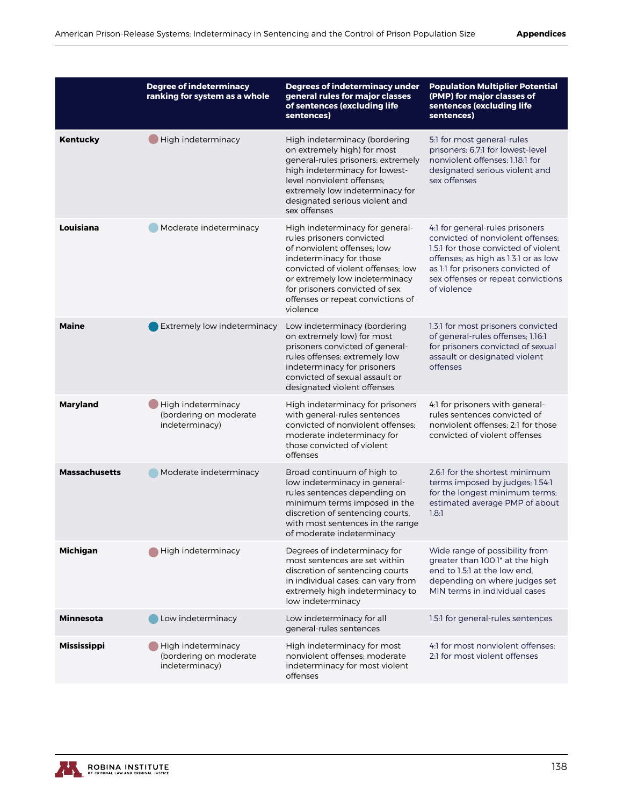|                      | <b>Degree of indeterminacy</b><br>ranking for system as a whole | Degrees of indeterminacy under<br>general rules for major classes<br>of sentences (excluding life<br>sentences)                                                                                                                                                                   | <b>Population Multiplier Potential</b><br>(PMP) for major classes of<br>sentences (excluding life<br>sentences)                                                                                                                                |
|----------------------|-----------------------------------------------------------------|-----------------------------------------------------------------------------------------------------------------------------------------------------------------------------------------------------------------------------------------------------------------------------------|------------------------------------------------------------------------------------------------------------------------------------------------------------------------------------------------------------------------------------------------|
| Kentucky             | High indeterminacy                                              | High indeterminacy (bordering<br>on extremely high) for most<br>general-rules prisoners; extremely<br>high indeterminacy for lowest-<br>level nonviolent offenses:<br>extremely low indeterminacy for<br>designated serious violent and<br>sex offenses                           | 5:1 for most general-rules<br>prisoners; 6.7:1 for lowest-level<br>nonviolent offenses; 1.18:1 for<br>designated serious violent and<br>sex offenses                                                                                           |
| Louisiana            | Moderate indeterminacy                                          | High indeterminacy for general-<br>rules prisoners convicted<br>of nonviolent offenses; low<br>indeterminacy for those<br>convicted of violent offenses: low<br>or extremely low indeterminacy<br>for prisoners convicted of sex<br>offenses or repeat convictions of<br>violence | 4:1 for general-rules prisoners<br>convicted of nonviolent offenses:<br>1.5:1 for those convicted of violent<br>offenses; as high as 1.3:1 or as low<br>as 1:1 for prisoners convicted of<br>sex offenses or repeat convictions<br>of violence |
| <b>Maine</b>         | Extremely low indeterminacy                                     | Low indeterminacy (bordering<br>on extremely low) for most<br>prisoners convicted of general-<br>rules offenses; extremely low<br>indeterminacy for prisoners<br>convicted of sexual assault or<br>designated violent offenses                                                    | 1.3:1 for most prisoners convicted<br>of general-rules offenses; 1.16:1<br>for prisoners convicted of sexual<br>assault or designated violent<br>offenses                                                                                      |
| <b>Maryland</b>      | High indeterminacy<br>(bordering on moderate<br>indeterminacy)  | High indeterminacy for prisoners<br>with general-rules sentences<br>convicted of nonviolent offenses:<br>moderate indeterminacy for<br>those convicted of violent<br>offenses                                                                                                     | 4:1 for prisoners with general-<br>rules sentences convicted of<br>nonviolent offenses: 2:1 for those<br>convicted of violent offenses                                                                                                         |
| <b>Massachusetts</b> | Moderate indeterminacy                                          | Broad continuum of high to<br>low indeterminacy in general-<br>rules sentences depending on<br>minimum terms imposed in the<br>discretion of sentencing courts,<br>with most sentences in the range<br>of moderate indeterminacy                                                  | 2.6:1 for the shortest minimum<br>terms imposed by judges; 1.54:1<br>for the longest minimum terms;<br>estimated average PMP of about<br>1.8:1                                                                                                 |
| <b>Michigan</b>      | High indeterminacy                                              | Degrees of indeterminacy for<br>most sentences are set within<br>discretion of sentencing courts<br>in individual cases; can vary from<br>extremely high indeterminacy to<br>low indeterminacy                                                                                    | Wide range of possibility from<br>greater than 100:1* at the high<br>end to 1.5:1 at the low end,<br>depending on where judges set<br>MIN terms in individual cases                                                                            |
| <b>Minnesota</b>     | Low indeterminacy                                               | Low indeterminacy for all<br>general-rules sentences                                                                                                                                                                                                                              | 1.5:1 for general-rules sentences                                                                                                                                                                                                              |
| <b>Mississippi</b>   | High indeterminacy<br>(bordering on moderate<br>indeterminacy)  | High indeterminacy for most<br>nonviolent offenses; moderate<br>indeterminacy for most violent<br>offenses                                                                                                                                                                        | 4:1 for most nonviolent offenses:<br>2:1 for most violent offenses                                                                                                                                                                             |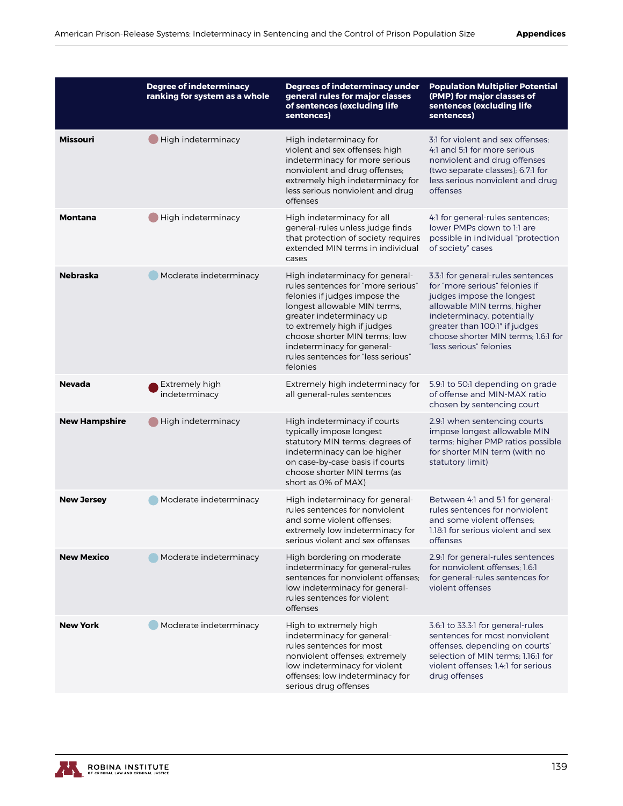|                      | <b>Degree of indeterminacy</b><br>ranking for system as a whole | <b>Degrees of indeterminacy under</b><br>general rules for major classes<br>of sentences (excluding life<br>sentences)                                                                                                                                                                                             | <b>Population Multiplier Potential</b><br>(PMP) for major classes of<br>sentences (excluding life<br>sentences)                                                                                                                                                  |
|----------------------|-----------------------------------------------------------------|--------------------------------------------------------------------------------------------------------------------------------------------------------------------------------------------------------------------------------------------------------------------------------------------------------------------|------------------------------------------------------------------------------------------------------------------------------------------------------------------------------------------------------------------------------------------------------------------|
| <b>Missouri</b>      | High indeterminacy                                              | High indeterminacy for<br>violent and sex offenses; high<br>indeterminacy for more serious<br>nonviolent and drug offenses;<br>extremely high indeterminacy for<br>less serious nonviolent and drug<br>offenses                                                                                                    | 3:1 for violent and sex offenses:<br>4:1 and 5:1 for more serious<br>nonviolent and drug offenses<br>(two separate classes); 6.7:1 for<br>less serious nonviolent and drug<br>offenses                                                                           |
| <b>Montana</b>       | High indeterminacy                                              | High indeterminacy for all<br>general-rules unless judge finds<br>that protection of society requires<br>extended MIN terms in individual<br>cases                                                                                                                                                                 | 4:1 for general-rules sentences;<br>lower PMPs down to 1:1 are<br>possible in individual "protection<br>of society" cases                                                                                                                                        |
| <b>Nebraska</b>      | Moderate indeterminacy                                          | High indeterminacy for general-<br>rules sentences for "more serious"<br>felonies if judges impose the<br>longest allowable MIN terms,<br>greater indeterminacy up<br>to extremely high if judges<br>choose shorter MIN terms; low<br>indeterminacy for general-<br>rules sentences for "less serious"<br>felonies | 3.3:1 for general-rules sentences<br>for "more serious" felonies if<br>judges impose the longest<br>allowable MIN terms, higher<br>indeterminacy, potentially<br>greater than 100:1* if judges<br>choose shorter MIN terms: 1.6:1 for<br>"less serious" felonies |
| <b>Nevada</b>        | Extremely high<br>indeterminacy                                 | Extremely high indeterminacy for<br>all general-rules sentences                                                                                                                                                                                                                                                    | 5.9:1 to 50:1 depending on grade<br>of offense and MIN-MAX ratio<br>chosen by sentencing court                                                                                                                                                                   |
| <b>New Hampshire</b> | High indeterminacy                                              | High indeterminacy if courts<br>typically impose longest<br>statutory MIN terms; degrees of<br>indeterminacy can be higher<br>on case-by-case basis if courts<br>choose shorter MIN terms (as<br>short as 0% of MAX)                                                                                               | 2.9:1 when sentencing courts<br>impose longest allowable MIN<br>terms; higher PMP ratios possible<br>for shorter MIN term (with no<br>statutory limit)                                                                                                           |
| <b>New Jersey</b>    | Moderate indeterminacy                                          | High indeterminacy for general-<br>rules sentences for nonviolent<br>and some violent offenses;<br>extremely low indeterminacy for<br>serious violent and sex offenses                                                                                                                                             | Between 4:1 and 5:1 for general-<br>rules sentences for nonviolent<br>and some violent offenses;<br>1.18:1 for serious violent and sex<br>offenses                                                                                                               |
| <b>New Mexico</b>    | Moderate indeterminacy                                          | High bordering on moderate<br>indeterminacy for general-rules<br>sentences for nonviolent offenses:<br>low indeterminacy for general-<br>rules sentences for violent<br>offenses                                                                                                                                   | 2.9:1 for general-rules sentences<br>for nonviolent offenses: 1.6:1<br>for general-rules sentences for<br>violent offenses                                                                                                                                       |
| <b>New York</b>      | Moderate indeterminacy                                          | High to extremely high<br>indeterminacy for general-<br>rules sentences for most<br>nonviolent offenses; extremely<br>low indeterminacy for violent<br>offenses; low indeterminacy for<br>serious drug offenses                                                                                                    | 3.6:1 to 33.3:1 for general-rules<br>sentences for most nonviolent<br>offenses, depending on courts'<br>selection of MIN terms; 1.16:1 for<br>violent offenses: 1.4:1 for serious<br>drug offenses                                                               |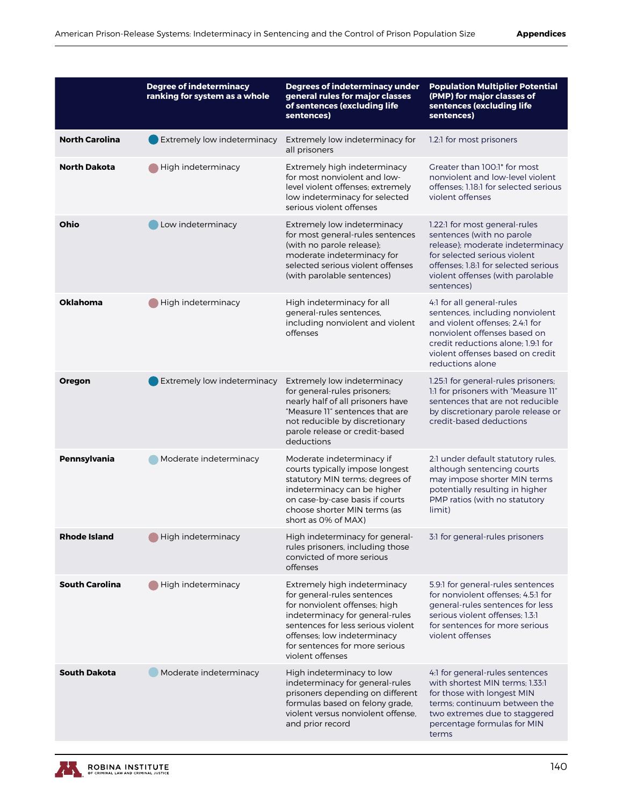|                       | <b>Degree of indeterminacy</b><br>ranking for system as a whole | <b>Degrees of indeterminacy under</b><br>general rules for major classes<br>of sentences (excluding life<br>sentences)                                                                                                                                     | <b>Population Multiplier Potential</b><br>(PMP) for major classes of<br>sentences (excluding life<br>sentences)                                                                                                               |
|-----------------------|-----------------------------------------------------------------|------------------------------------------------------------------------------------------------------------------------------------------------------------------------------------------------------------------------------------------------------------|-------------------------------------------------------------------------------------------------------------------------------------------------------------------------------------------------------------------------------|
| <b>North Carolina</b> | <b>Extremely low indeterminacy</b>                              | Extremely low indeterminacy for<br>all prisoners                                                                                                                                                                                                           | 1.2.1 for most prisoners                                                                                                                                                                                                      |
| <b>North Dakota</b>   | High indeterminacy                                              | Extremely high indeterminacy<br>for most nonviolent and low-<br>level violent offenses; extremely<br>low indeterminacy for selected<br>serious violent offenses                                                                                            | Greater than 100:1* for most<br>nonviolent and low-level violent<br>offenses: 1.18:1 for selected serious<br>violent offenses                                                                                                 |
| Ohio                  | Low indeterminacy                                               | Extremely low indeterminacy<br>for most general-rules sentences<br>(with no parole release);<br>moderate indeterminacy for<br>selected serious violent offenses<br>(with parolable sentences)                                                              | 1.22:1 for most general-rules<br>sentences (with no parole<br>release); moderate indeterminacy<br>for selected serious violent<br>offenses: 1.8:1 for selected serious<br>violent offenses (with parolable<br>sentences)      |
| <b>Oklahoma</b>       | High indeterminacy                                              | High indeterminacy for all<br>general-rules sentences,<br>including nonviolent and violent<br>offenses                                                                                                                                                     | 4:1 for all general-rules<br>sentences, including nonviolent<br>and violent offenses: 2.4:1 for<br>nonviolent offenses based on<br>credit reductions alone: 1.9:1 for<br>violent offenses based on credit<br>reductions alone |
| Oregon                | Extremely low indeterminacy                                     | Extremely low indeterminacy<br>for general-rules prisoners;<br>nearly half of all prisoners have<br>"Measure II" sentences that are<br>not reducible by discretionary<br>parole release or credit-based<br>deductions                                      | 1.25:1 for general-rules prisoners;<br>1:1 for prisoners with "Measure 11"<br>sentences that are not reducible<br>by discretionary parole release or<br>credit-based deductions                                               |
| Pennsylvania          | Moderate indeterminacy                                          | Moderate indeterminacy if<br>courts typically impose longest<br>statutory MIN terms; degrees of<br>indeterminacy can be higher<br>on case-by-case basis if courts<br>choose shorter MIN terms (as<br>short as 0% of MAX)                                   | 2:1 under default statutory rules,<br>although sentencing courts<br>may impose shorter MIN terms<br>potentially resulting in higher<br>PMP ratios (with no statutory<br>limit)                                                |
| <b>Rhode Island</b>   | High indeterminacy                                              | High indeterminacy for general-<br>rules prisoners, including those<br>convicted of more serious<br>offenses                                                                                                                                               | 3:1 for general-rules prisoners                                                                                                                                                                                               |
| <b>South Carolina</b> | High indeterminacy                                              | Extremely high indeterminacy<br>for general-rules sentences<br>for nonviolent offenses; high<br>indeterminacy for general-rules<br>sentences for less serious violent<br>offenses; low indeterminacy<br>for sentences for more serious<br>violent offenses | 5.9.1 for general-rules sentences<br>for nonviolent offenses; 4.5:1 for<br>general-rules sentences for less<br>serious violent offenses: 1.3:1<br>for sentences for more serious<br>violent offenses                          |
| <b>South Dakota</b>   | Moderate indeterminacy                                          | High indeterminacy to low<br>indeterminacy for general-rules<br>prisoners depending on different<br>formulas based on felony grade,<br>violent versus nonviolent offense.<br>and prior record                                                              | 4:1 for general-rules sentences<br>with shortest MIN terms; 1.33:1<br>for those with longest MIN<br>terms; continuum between the<br>two extremes due to staggered<br>percentage formulas for MIN<br>terms                     |

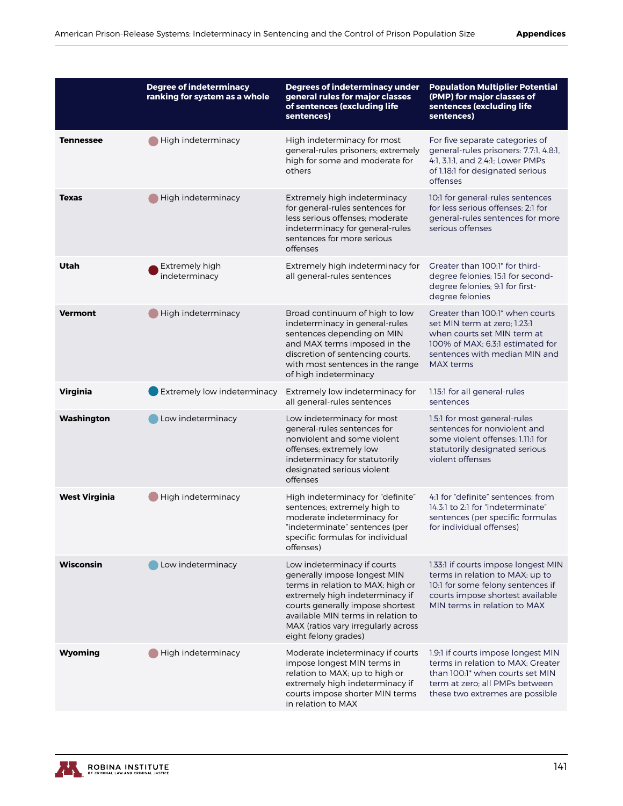|                      | <b>Degree of indeterminacy</b><br>ranking for system as a whole | <b>Degrees of indeterminacy under</b><br>general rules for major classes<br>of sentences (excluding life<br>sentences)                                                                                                                                                       | <b>Population Multiplier Potential</b><br>(PMP) for major classes of<br>sentences (excluding life<br>sentences)                                                                         |
|----------------------|-----------------------------------------------------------------|------------------------------------------------------------------------------------------------------------------------------------------------------------------------------------------------------------------------------------------------------------------------------|-----------------------------------------------------------------------------------------------------------------------------------------------------------------------------------------|
| <b>Tennessee</b>     | High indeterminacy                                              | High indeterminacy for most<br>general-rules prisoners; extremely<br>high for some and moderate for<br>others                                                                                                                                                                | For five separate categories of<br>general-rules prisoners: 7.7:1, 4.8:1,<br>4:1, 3.1:1, and 2.4:1; Lower PMPs<br>of 1.18.1 for designated serious<br>offenses                          |
| <b>Texas</b>         | High indeterminacy                                              | Extremely high indeterminacy<br>for general-rules sentences for<br>less serious offenses: moderate<br>indeterminacy for general-rules<br>sentences for more serious<br>offenses                                                                                              | 10:1 for general-rules sentences<br>for less serious offenses: 2:1 for<br>general-rules sentences for more<br>serious offenses                                                          |
| Utah                 | Extremely high<br>indeterminacy                                 | Extremely high indeterminacy for<br>all general-rules sentences                                                                                                                                                                                                              | Greater than 100:1* for third-<br>degree felonies; 15:1 for second-<br>degree felonies; 9:1 for first-<br>degree felonies                                                               |
| <b>Vermont</b>       | High indeterminacy                                              | Broad continuum of high to low<br>indeterminacy in general-rules<br>sentences depending on MIN<br>and MAX terms imposed in the<br>discretion of sentencing courts,<br>with most sentences in the range<br>of high indeterminacy                                              | Greater than 100:1* when courts<br>set MIN term at zero: 1.23:1<br>when courts set MIN term at<br>100% of MAX: 6.3:1 estimated for<br>sentences with median MIN and<br><b>MAX</b> terms |
| Virginia             | Extremely low indeterminacy                                     | Extremely low indeterminacy for<br>all general-rules sentences                                                                                                                                                                                                               | 1.15:1 for all general-rules<br>sentences                                                                                                                                               |
| Washington           | Low indeterminacy                                               | Low indeterminacy for most<br>general-rules sentences for<br>nonviolent and some violent<br>offenses; extremely low<br>indeterminacy for statutorily<br>designated serious violent<br>offenses                                                                               | 1.5:1 for most general-rules<br>sentences for nonviolent and<br>some violent offenses; 1.11:1 for<br>statutorily designated serious<br>violent offenses                                 |
| <b>West Virginia</b> | High indeterminacy                                              | High indeterminacy for "definite"<br>sentences; extremely high to<br>moderate indeterminacy for<br>"indeterminate" sentences (per<br>specific formulas for individual<br>offenses)                                                                                           | 4:1 for "definite" sentences: from<br>14.3:1 to 2:1 for "indeterminate"<br>sentences (per specific formulas<br>for individual offenses)                                                 |
| Wisconsin            | Low indeterminacy                                               | Low indeterminacy if courts<br>generally impose longest MIN<br>terms in relation to MAX; high or<br>extremely high indeterminacy if<br>courts generally impose shortest<br>available MIN terms in relation to<br>MAX (ratios vary irregularly across<br>eight felony grades) | 1.33:1 if courts impose longest MIN<br>terms in relation to MAX; up to<br>10:1 for some felony sentences if<br>courts impose shortest available<br>MIN terms in relation to MAX         |
| Wyoming              | High indeterminacy                                              | Moderate indeterminacy if courts<br>impose longest MIN terms in<br>relation to MAX; up to high or<br>extremely high indeterminacy if<br>courts impose shorter MIN terms<br>in relation to MAX                                                                                | 1.9:1 if courts impose longest MIN<br>terms in relation to MAX; Greater<br>than 100:1* when courts set MIN<br>term at zero; all PMPs between<br>these two extremes are possible         |